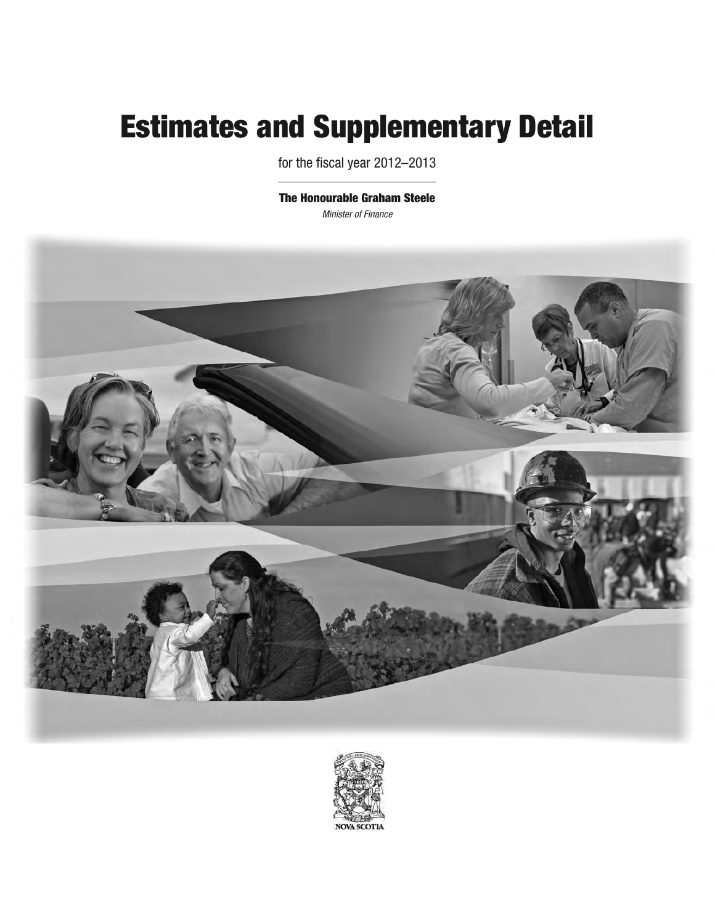# **Estimates and Supplementary Detail**

for the fiscal year 2012–2013

**The Honourable Graham Steele** *Minister of Finance*



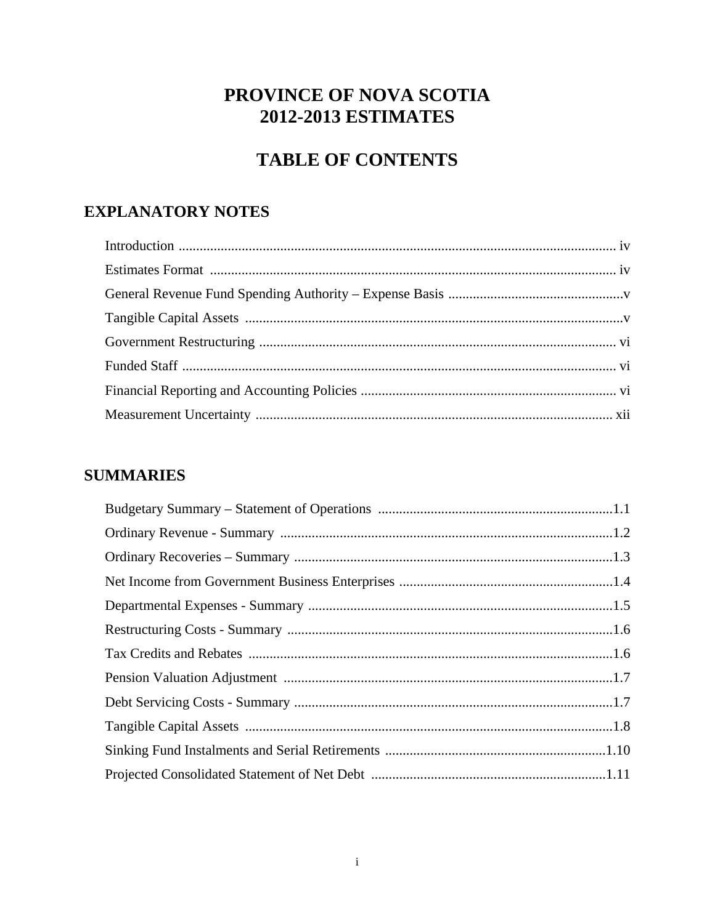# PROVINCE OF NOVA SCOTIA **2012-2013 ESTIMATES**

# **TABLE OF CONTENTS**

# **EXPLANATORY NOTES**

# **SUMMARIES**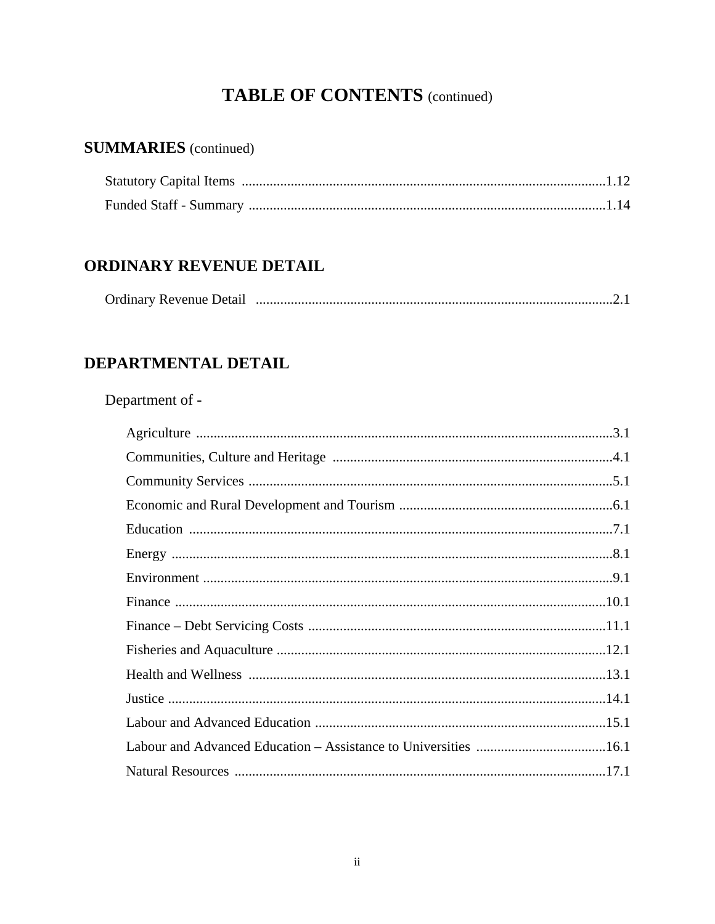# **TABLE OF CONTENTS** (continued)

# **SUMMARIES** (continued)

# **ORDINARY REVENUE DETAIL**

| <b>Ordinary Revenue Detail</b> |  |  |
|--------------------------------|--|--|
|--------------------------------|--|--|

# DEPARTMENTAL DETAIL

# Department of -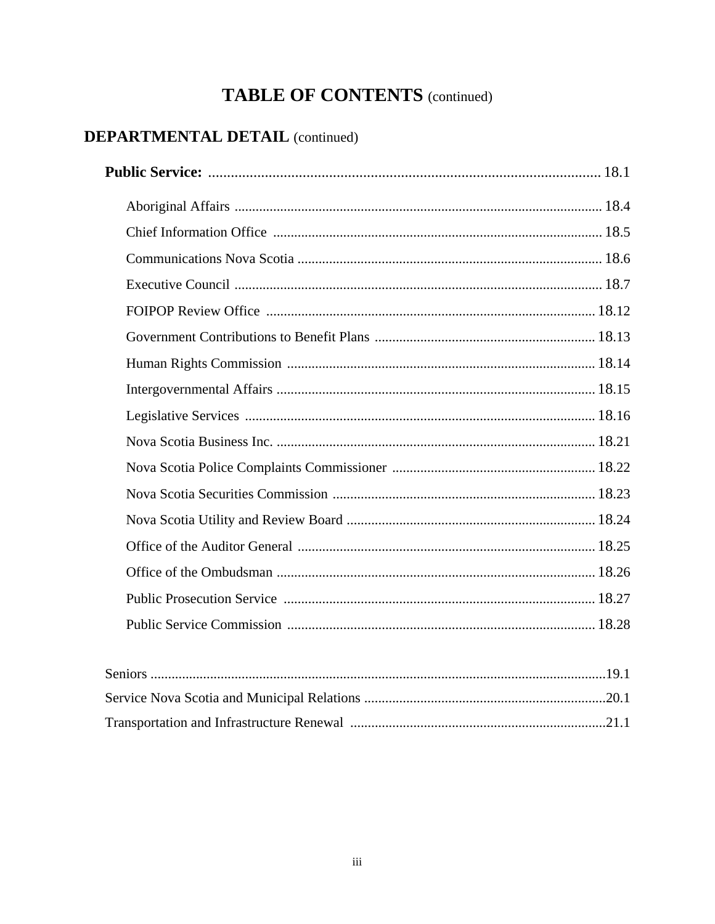# **TABLE OF CONTENTS** (continued)

# **DEPARTMENTAL DETAIL** (continued)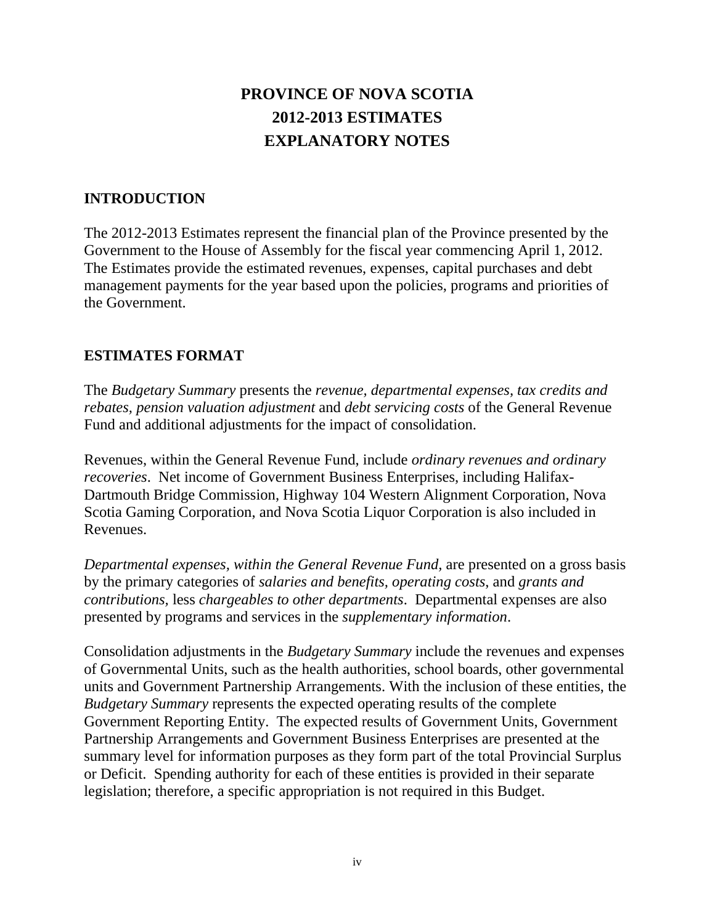# **PROVINCE OF NOVA SCOTIA 2012-2013 ESTIMATES EXPLANATORY NOTES**

# **INTRODUCTION**

The 2012-2013 Estimates represent the financial plan of the Province presented by the Government to the House of Assembly for the fiscal year commencing April 1, 2012. The Estimates provide the estimated revenues, expenses, capital purchases and debt management payments for the year based upon the policies, programs and priorities of the Government.

# **ESTIMATES FORMAT**

The *Budgetary Summary* presents the *revenue, departmental expenses, tax credits and rebates, pension valuation adjustment* and *debt servicing costs* of the General Revenue Fund and additional adjustments for the impact of consolidation.

Revenues, within the General Revenue Fund, include *ordinary revenues and ordinary recoveries*. Net income of Government Business Enterprises, including Halifax-Dartmouth Bridge Commission, Highway 104 Western Alignment Corporation, Nova Scotia Gaming Corporation, and Nova Scotia Liquor Corporation is also included in Revenues.

*Departmental expenses, within the General Revenue Fund,* are presented on a gross basis by the primary categories of *salaries and benefits, operating costs*, and *grants and contributions,* less *chargeables to other departments*. Departmental expenses are also presented by programs and services in the *supplementary information*.

Consolidation adjustments in the *Budgetary Summary* include the revenues and expenses of Governmental Units, such as the health authorities, school boards, other governmental units and Government Partnership Arrangements. With the inclusion of these entities, the *Budgetary Summary* represents the expected operating results of the complete Government Reporting Entity. The expected results of Government Units, Government Partnership Arrangements and Government Business Enterprises are presented at the summary level for information purposes as they form part of the total Provincial Surplus or Deficit. Spending authority for each of these entities is provided in their separate legislation; therefore, a specific appropriation is not required in this Budget.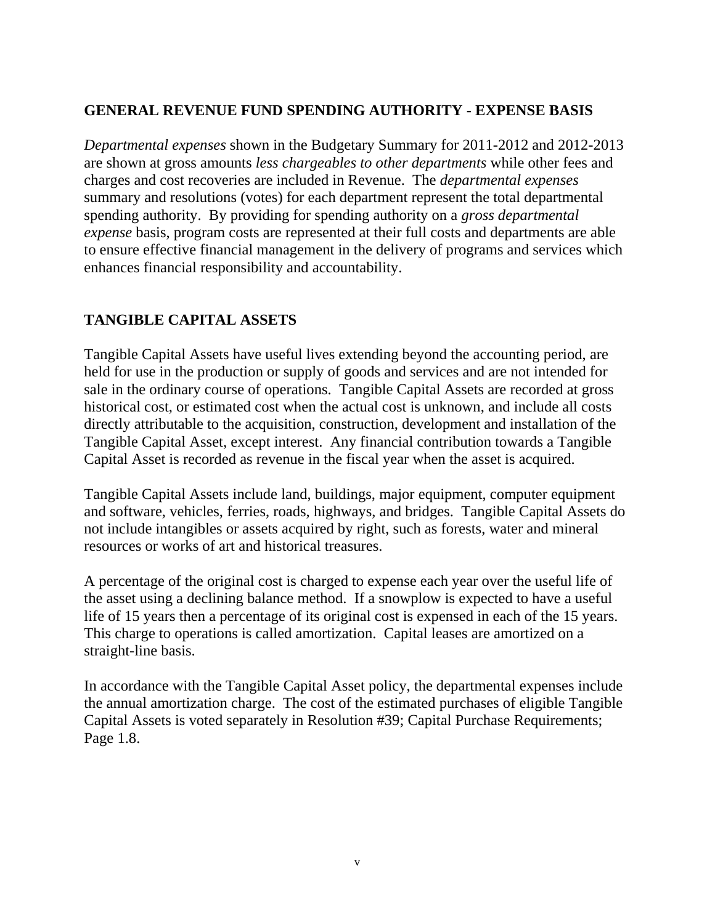# **GENERAL REVENUE FUND SPENDING AUTHORITY - EXPENSE BASIS**

*Departmental expenses* shown in the Budgetary Summary for 2011-2012 and 2012-2013 are shown at gross amounts *less chargeables to other departments* while other fees and charges and cost recoveries are included in Revenue. The *departmental expenses* summary and resolutions (votes) for each department represent the total departmental spending authority. By providing for spending authority on a *gross departmental expense* basis, program costs are represented at their full costs and departments are able to ensure effective financial management in the delivery of programs and services which enhances financial responsibility and accountability.

# **TANGIBLE CAPITAL ASSETS**

Tangible Capital Assets have useful lives extending beyond the accounting period, are held for use in the production or supply of goods and services and are not intended for sale in the ordinary course of operations. Tangible Capital Assets are recorded at gross historical cost, or estimated cost when the actual cost is unknown, and include all costs directly attributable to the acquisition, construction, development and installation of the Tangible Capital Asset, except interest. Any financial contribution towards a Tangible Capital Asset is recorded as revenue in the fiscal year when the asset is acquired.

Tangible Capital Assets include land, buildings, major equipment, computer equipment and software, vehicles, ferries, roads, highways, and bridges. Tangible Capital Assets do not include intangibles or assets acquired by right, such as forests, water and mineral resources or works of art and historical treasures.

A percentage of the original cost is charged to expense each year over the useful life of the asset using a declining balance method. If a snowplow is expected to have a useful life of 15 years then a percentage of its original cost is expensed in each of the 15 years. This charge to operations is called amortization. Capital leases are amortized on a straight-line basis.

In accordance with the Tangible Capital Asset policy, the departmental expenses include the annual amortization charge. The cost of the estimated purchases of eligible Tangible Capital Assets is voted separately in Resolution #39; Capital Purchase Requirements; Page 1.8.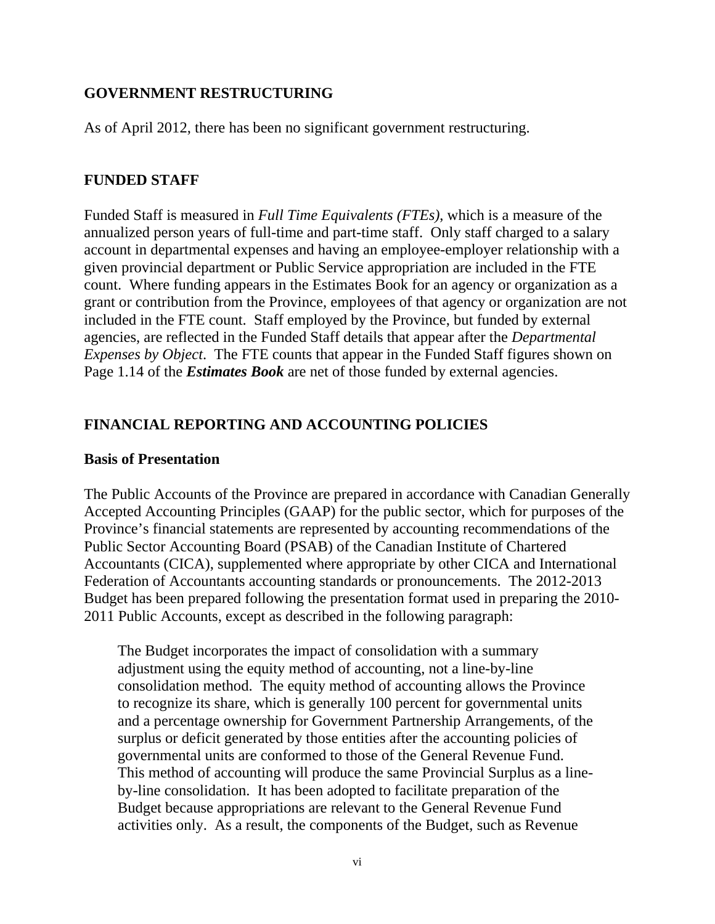# **GOVERNMENT RESTRUCTURING**

As of April 2012, there has been no significant government restructuring.

# **FUNDED STAFF**

Funded Staff is measured in *Full Time Equivalents (FTEs)*, which is a measure of the annualized person years of full-time and part-time staff. Only staff charged to a salary account in departmental expenses and having an employee-employer relationship with a given provincial department or Public Service appropriation are included in the FTE count. Where funding appears in the Estimates Book for an agency or organization as a grant or contribution from the Province, employees of that agency or organization are not included in the FTE count. Staff employed by the Province, but funded by external agencies, are reflected in the Funded Staff details that appear after the *Departmental Expenses by Object*. The FTE counts that appear in the Funded Staff figures shown on Page 1.14 of the *Estimates Book* are net of those funded by external agencies.

# **FINANCIAL REPORTING AND ACCOUNTING POLICIES**

### **Basis of Presentation**

The Public Accounts of the Province are prepared in accordance with Canadian Generally Accepted Accounting Principles (GAAP) for the public sector, which for purposes of the Province's financial statements are represented by accounting recommendations of the Public Sector Accounting Board (PSAB) of the Canadian Institute of Chartered Accountants (CICA), supplemented where appropriate by other CICA and International Federation of Accountants accounting standards or pronouncements. The 2012-2013 Budget has been prepared following the presentation format used in preparing the 2010- 2011 Public Accounts, except as described in the following paragraph:

The Budget incorporates the impact of consolidation with a summary adjustment using the equity method of accounting, not a line-by-line consolidation method. The equity method of accounting allows the Province to recognize its share, which is generally 100 percent for governmental units and a percentage ownership for Government Partnership Arrangements, of the surplus or deficit generated by those entities after the accounting policies of governmental units are conformed to those of the General Revenue Fund. This method of accounting will produce the same Provincial Surplus as a lineby-line consolidation. It has been adopted to facilitate preparation of the Budget because appropriations are relevant to the General Revenue Fund activities only. As a result, the components of the Budget, such as Revenue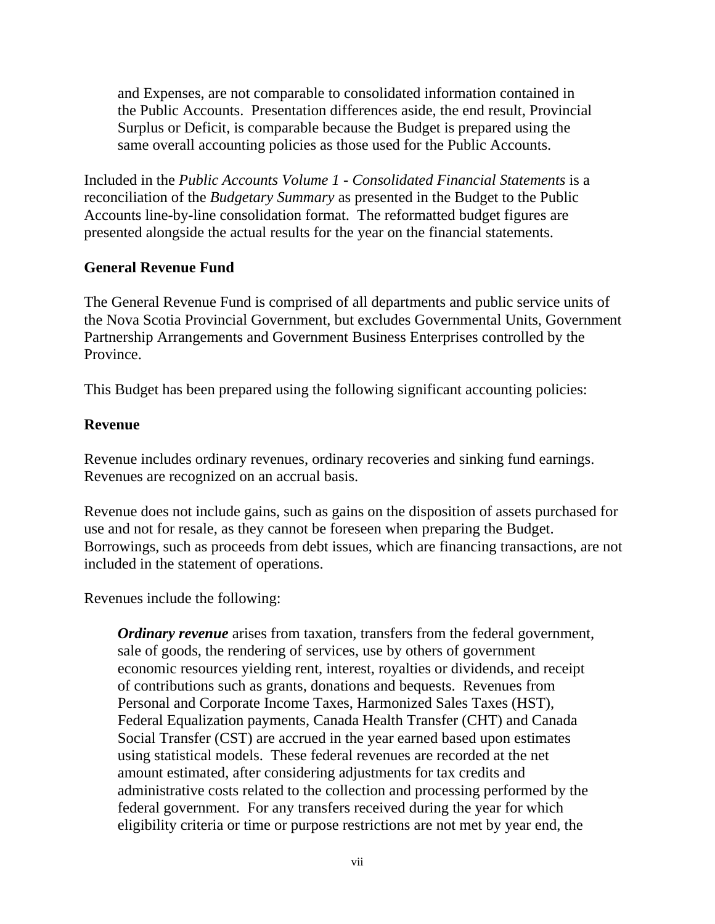and Expenses, are not comparable to consolidated information contained in the Public Accounts. Presentation differences aside, the end result, Provincial Surplus or Deficit, is comparable because the Budget is prepared using the same overall accounting policies as those used for the Public Accounts.

Included in the *Public Accounts Volume 1 - Consolidated Financial Statements* is a reconciliation of the *Budgetary Summary* as presented in the Budget to the Public Accounts line-by-line consolidation format. The reformatted budget figures are presented alongside the actual results for the year on the financial statements.

# **General Revenue Fund**

The General Revenue Fund is comprised of all departments and public service units of the Nova Scotia Provincial Government, but excludes Governmental Units, Government Partnership Arrangements and Government Business Enterprises controlled by the Province.

This Budget has been prepared using the following significant accounting policies:

### **Revenue**

Revenue includes ordinary revenues, ordinary recoveries and sinking fund earnings. Revenues are recognized on an accrual basis.

Revenue does not include gains, such as gains on the disposition of assets purchased for use and not for resale, as they cannot be foreseen when preparing the Budget. Borrowings, such as proceeds from debt issues, which are financing transactions, are not included in the statement of operations.

Revenues include the following:

*Ordinary revenue* arises from taxation, transfers from the federal government, sale of goods, the rendering of services, use by others of government economic resources yielding rent, interest, royalties or dividends, and receipt of contributions such as grants, donations and bequests. Revenues from Personal and Corporate Income Taxes, Harmonized Sales Taxes (HST), Federal Equalization payments, Canada Health Transfer (CHT) and Canada Social Transfer (CST) are accrued in the year earned based upon estimates using statistical models. These federal revenues are recorded at the net amount estimated, after considering adjustments for tax credits and administrative costs related to the collection and processing performed by the federal government. For any transfers received during the year for which eligibility criteria or time or purpose restrictions are not met by year end, the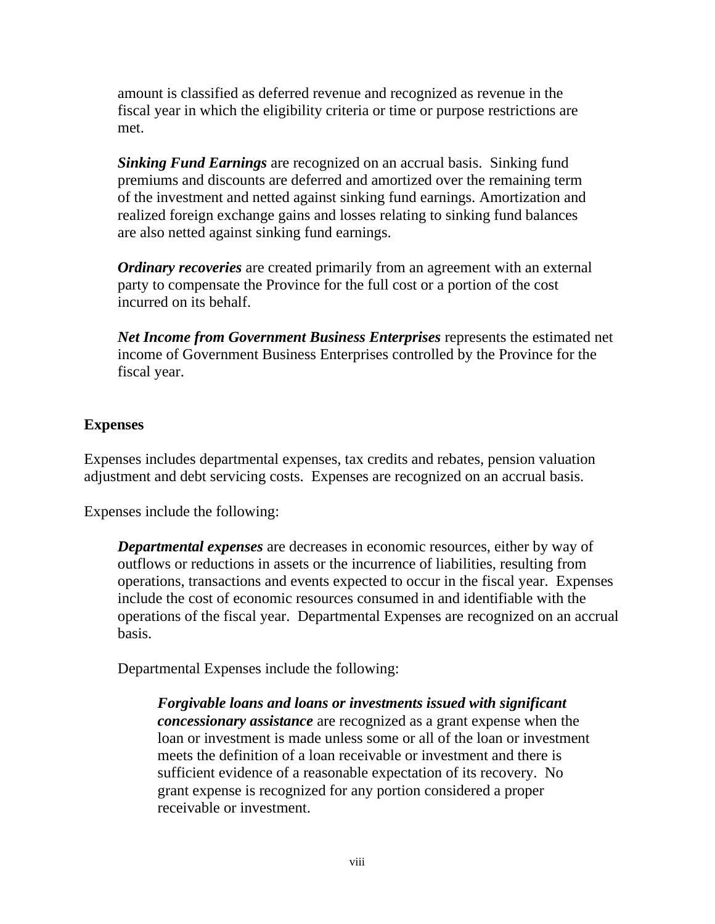amount is classified as deferred revenue and recognized as revenue in the fiscal year in which the eligibility criteria or time or purpose restrictions are met.

*Sinking Fund Earnings* are recognized on an accrual basis. Sinking fund premiums and discounts are deferred and amortized over the remaining term of the investment and netted against sinking fund earnings. Amortization and realized foreign exchange gains and losses relating to sinking fund balances are also netted against sinking fund earnings.

*Ordinary recoveries* are created primarily from an agreement with an external party to compensate the Province for the full cost or a portion of the cost incurred on its behalf.

*Net Income from Government Business Enterprises* represents the estimated net income of Government Business Enterprises controlled by the Province for the fiscal year.

### **Expenses**

Expenses includes departmental expenses, tax credits and rebates, pension valuation adjustment and debt servicing costs. Expenses are recognized on an accrual basis.

Expenses include the following:

*Departmental expenses* are decreases in economic resources, either by way of outflows or reductions in assets or the incurrence of liabilities, resulting from operations, transactions and events expected to occur in the fiscal year. Expenses include the cost of economic resources consumed in and identifiable with the operations of the fiscal year. Departmental Expenses are recognized on an accrual basis.

Departmental Expenses include the following:

*Forgivable loans and loans or investments issued with significant concessionary assistance* are recognized as a grant expense when the loan or investment is made unless some or all of the loan or investment meets the definition of a loan receivable or investment and there is sufficient evidence of a reasonable expectation of its recovery. No grant expense is recognized for any portion considered a proper receivable or investment.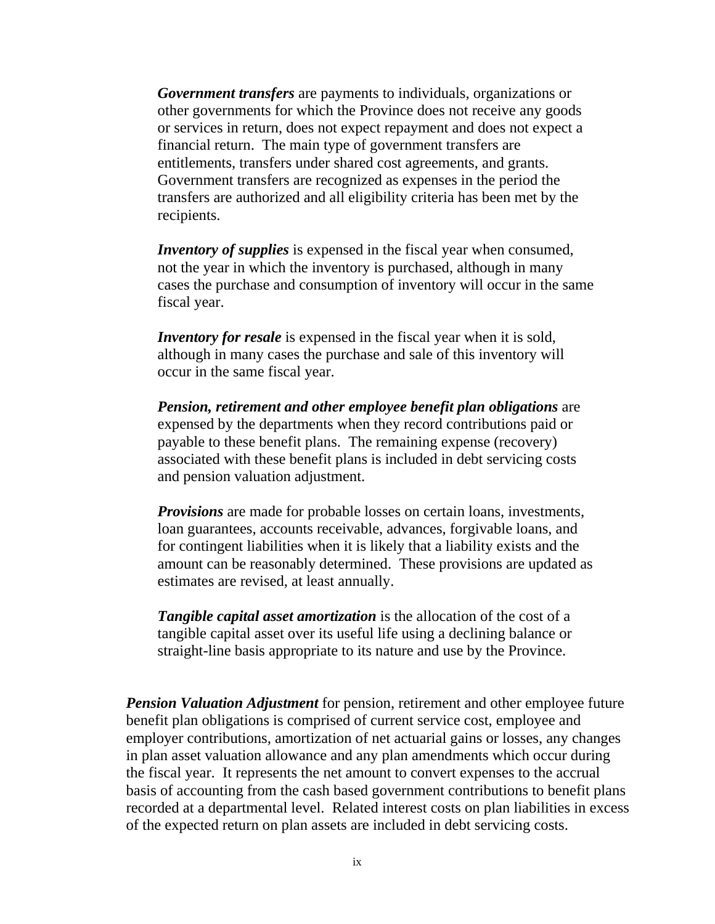*Government transfers* are payments to individuals, organizations or other governments for which the Province does not receive any goods or services in return, does not expect repayment and does not expect a financial return. The main type of government transfers are entitlements, transfers under shared cost agreements, and grants. Government transfers are recognized as expenses in the period the transfers are authorized and all eligibility criteria has been met by the recipients.

*Inventory of supplies* is expensed in the fiscal year when consumed, not the year in which the inventory is purchased, although in many cases the purchase and consumption of inventory will occur in the same fiscal year.

*Inventory for resale* is expensed in the fiscal year when it is sold, although in many cases the purchase and sale of this inventory will occur in the same fiscal year.

*Pension, retirement and other employee benefit plan obligations* are expensed by the departments when they record contributions paid or payable to these benefit plans. The remaining expense (recovery) associated with these benefit plans is included in debt servicing costs and pension valuation adjustment.

*Provisions* are made for probable losses on certain loans, investments, loan guarantees, accounts receivable, advances, forgivable loans, and for contingent liabilities when it is likely that a liability exists and the amount can be reasonably determined. These provisions are updated as estimates are revised, at least annually.

*Tangible capital asset amortization* is the allocation of the cost of a tangible capital asset over its useful life using a declining balance or straight-line basis appropriate to its nature and use by the Province.

*Pension Valuation Adjustment* for pension, retirement and other employee future benefit plan obligations is comprised of current service cost, employee and employer contributions, amortization of net actuarial gains or losses, any changes in plan asset valuation allowance and any plan amendments which occur during the fiscal year. It represents the net amount to convert expenses to the accrual basis of accounting from the cash based government contributions to benefit plans recorded at a departmental level. Related interest costs on plan liabilities in excess of the expected return on plan assets are included in debt servicing costs.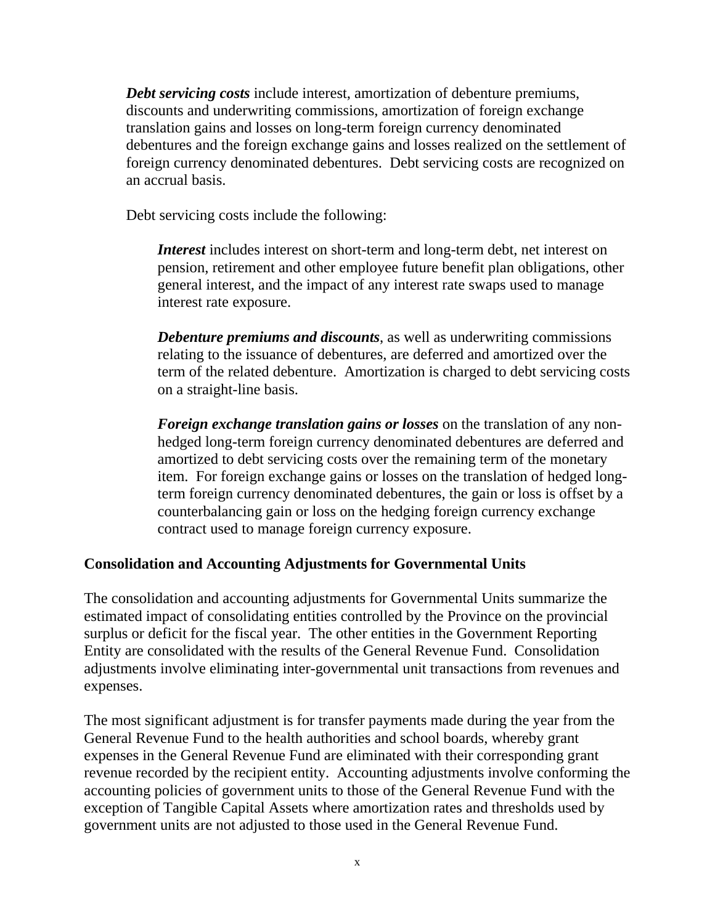*Debt servicing costs* include interest, amortization of debenture premiums, discounts and underwriting commissions, amortization of foreign exchange translation gains and losses on long-term foreign currency denominated debentures and the foreign exchange gains and losses realized on the settlement of foreign currency denominated debentures. Debt servicing costs are recognized on an accrual basis.

Debt servicing costs include the following:

*Interest* includes interest on short-term and long-term debt, net interest on pension, retirement and other employee future benefit plan obligations, other general interest, and the impact of any interest rate swaps used to manage interest rate exposure.

*Debenture premiums and discounts*, as well as underwriting commissions relating to the issuance of debentures, are deferred and amortized over the term of the related debenture. Amortization is charged to debt servicing costs on a straight-line basis.

*Foreign exchange translation gains or losses* on the translation of any nonhedged long-term foreign currency denominated debentures are deferred and amortized to debt servicing costs over the remaining term of the monetary item. For foreign exchange gains or losses on the translation of hedged longterm foreign currency denominated debentures, the gain or loss is offset by a counterbalancing gain or loss on the hedging foreign currency exchange contract used to manage foreign currency exposure.

# **Consolidation and Accounting Adjustments for Governmental Units**

The consolidation and accounting adjustments for Governmental Units summarize the estimated impact of consolidating entities controlled by the Province on the provincial surplus or deficit for the fiscal year. The other entities in the Government Reporting Entity are consolidated with the results of the General Revenue Fund. Consolidation adjustments involve eliminating inter-governmental unit transactions from revenues and expenses.

The most significant adjustment is for transfer payments made during the year from the General Revenue Fund to the health authorities and school boards, whereby grant expenses in the General Revenue Fund are eliminated with their corresponding grant revenue recorded by the recipient entity. Accounting adjustments involve conforming the accounting policies of government units to those of the General Revenue Fund with the exception of Tangible Capital Assets where amortization rates and thresholds used by government units are not adjusted to those used in the General Revenue Fund.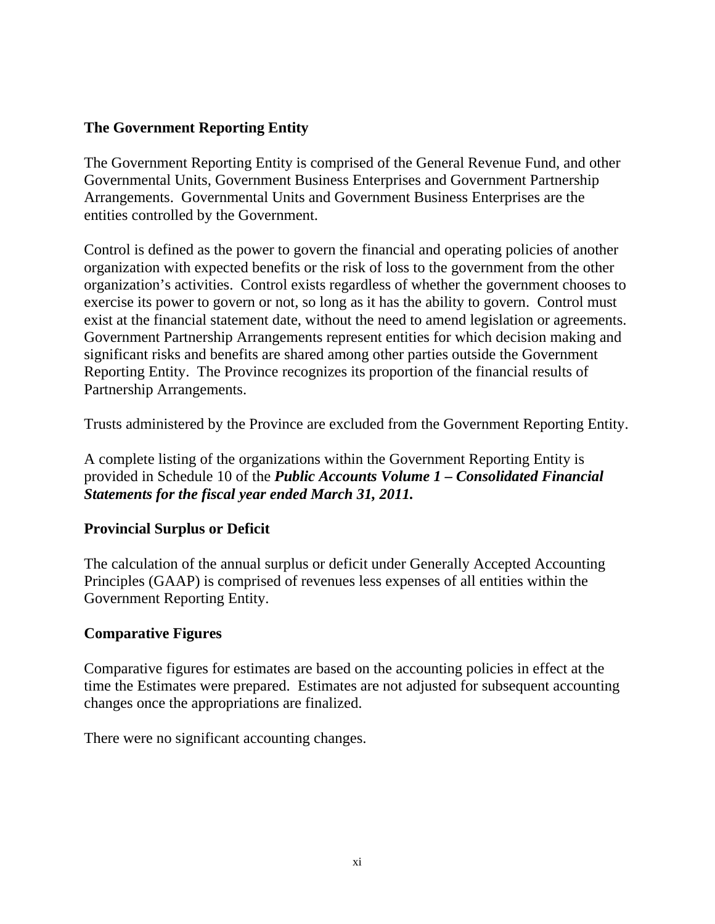# **The Government Reporting Entity**

The Government Reporting Entity is comprised of the General Revenue Fund, and other Governmental Units, Government Business Enterprises and Government Partnership Arrangements. Governmental Units and Government Business Enterprises are the entities controlled by the Government.

Control is defined as the power to govern the financial and operating policies of another organization with expected benefits or the risk of loss to the government from the other organization's activities. Control exists regardless of whether the government chooses to exercise its power to govern or not, so long as it has the ability to govern. Control must exist at the financial statement date, without the need to amend legislation or agreements. Government Partnership Arrangements represent entities for which decision making and significant risks and benefits are shared among other parties outside the Government Reporting Entity. The Province recognizes its proportion of the financial results of Partnership Arrangements.

Trusts administered by the Province are excluded from the Government Reporting Entity.

A complete listing of the organizations within the Government Reporting Entity is provided in Schedule 10 of the *Public Accounts Volume 1 – Consolidated Financial Statements for the fiscal year ended March 31, 2011.* 

# **Provincial Surplus or Deficit**

The calculation of the annual surplus or deficit under Generally Accepted Accounting Principles (GAAP) is comprised of revenues less expenses of all entities within the Government Reporting Entity.

# **Comparative Figures**

Comparative figures for estimates are based on the accounting policies in effect at the time the Estimates were prepared. Estimates are not adjusted for subsequent accounting changes once the appropriations are finalized.

There were no significant accounting changes.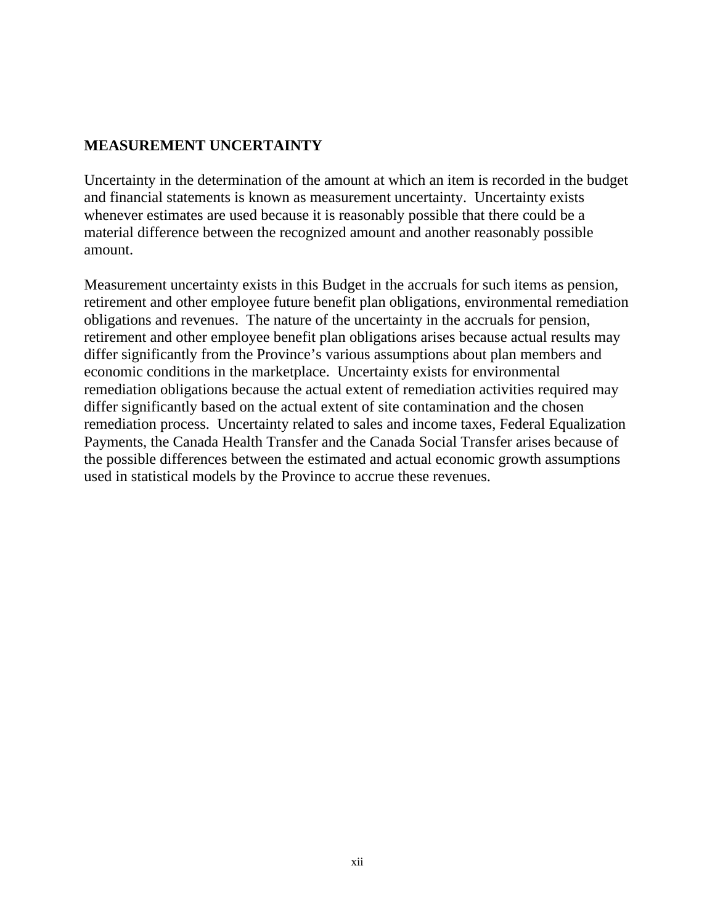# **MEASUREMENT UNCERTAINTY**

Uncertainty in the determination of the amount at which an item is recorded in the budget and financial statements is known as measurement uncertainty. Uncertainty exists whenever estimates are used because it is reasonably possible that there could be a material difference between the recognized amount and another reasonably possible amount.

Measurement uncertainty exists in this Budget in the accruals for such items as pension, retirement and other employee future benefit plan obligations, environmental remediation obligations and revenues. The nature of the uncertainty in the accruals for pension, retirement and other employee benefit plan obligations arises because actual results may differ significantly from the Province's various assumptions about plan members and economic conditions in the marketplace. Uncertainty exists for environmental remediation obligations because the actual extent of remediation activities required may differ significantly based on the actual extent of site contamination and the chosen remediation process. Uncertainty related to sales and income taxes, Federal Equalization Payments, the Canada Health Transfer and the Canada Social Transfer arises because of the possible differences between the estimated and actual economic growth assumptions used in statistical models by the Province to accrue these revenues.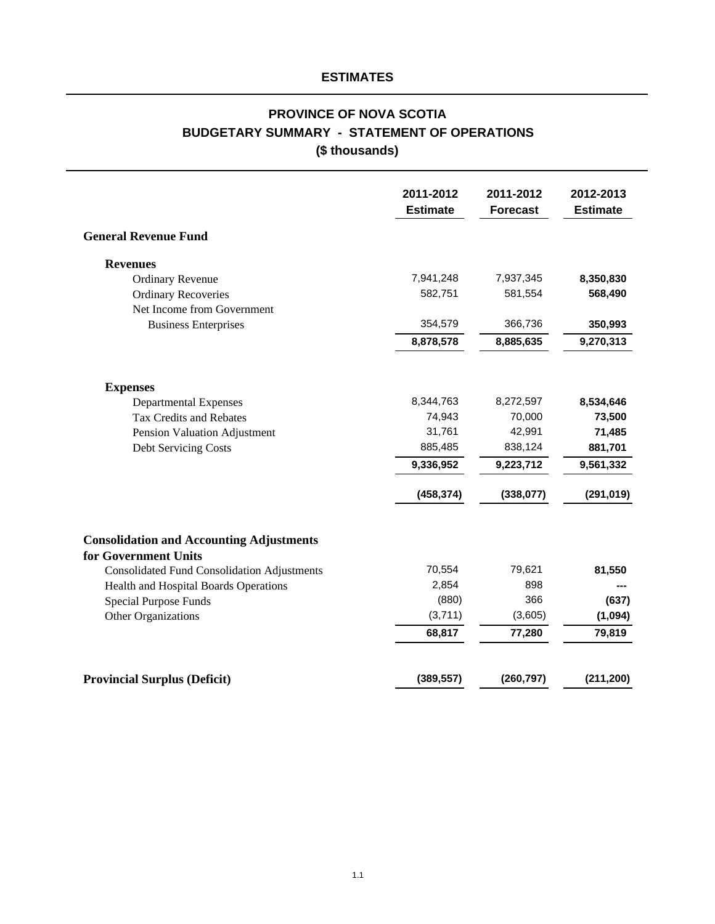# **PROVINCE OF NOVA SCOTIA BUDGETARY SUMMARY - STATEMENT OF OPERATIONS (\$ thousands)**

|                                                                         | 2011-2012<br><b>Estimate</b> | 2011-2012<br><b>Forecast</b> | 2012-2013<br><b>Estimate</b> |
|-------------------------------------------------------------------------|------------------------------|------------------------------|------------------------------|
| <b>General Revenue Fund</b>                                             |                              |                              |                              |
| <b>Revenues</b>                                                         |                              |                              |                              |
| <b>Ordinary Revenue</b>                                                 | 7,941,248                    | 7,937,345                    | 8,350,830                    |
| <b>Ordinary Recoveries</b>                                              | 582,751                      | 581,554                      | 568,490                      |
| Net Income from Government                                              |                              |                              |                              |
| <b>Business Enterprises</b>                                             | 354,579                      | 366,736                      | 350,993                      |
|                                                                         | 8,878,578                    | 8,885,635                    | 9,270,313                    |
| <b>Expenses</b>                                                         |                              |                              |                              |
| <b>Departmental Expenses</b>                                            | 8,344,763                    | 8,272,597                    | 8,534,646                    |
| <b>Tax Credits and Rebates</b>                                          | 74,943                       | 70,000                       | 73,500                       |
| Pension Valuation Adjustment                                            | 31,761                       | 42,991                       | 71,485                       |
| Debt Servicing Costs                                                    | 885,485                      | 838,124                      | 881,701                      |
|                                                                         | 9,336,952                    | 9,223,712                    | 9,561,332                    |
|                                                                         | (458, 374)                   | (338,077)                    | (291, 019)                   |
| <b>Consolidation and Accounting Adjustments</b><br>for Government Units | 70,554                       | 79,621                       |                              |
| <b>Consolidated Fund Consolidation Adjustments</b>                      | 2,854                        | 898                          | 81,550                       |
| Health and Hospital Boards Operations<br><b>Special Purpose Funds</b>   | (880)                        | 366                          | (637)                        |
| Other Organizations                                                     | (3,711)                      | (3,605)                      | (1,094)                      |
|                                                                         | 68,817                       | 77,280                       | 79,819                       |
| <b>Provincial Surplus (Deficit)</b>                                     | (389, 557)                   | (260, 797)                   | (211, 200)                   |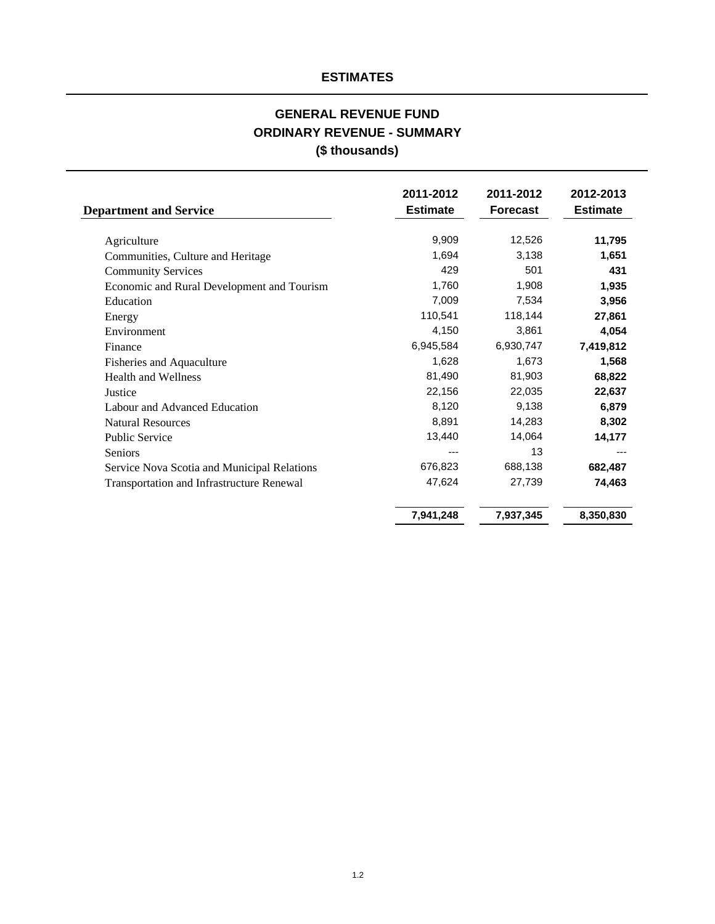# **GENERAL REVENUE FUND ORDINARY REVENUE - SUMMARY (\$ thousands)**

| <b>Department and Service</b>               | 2011-2012<br><b>Estimate</b> | 2011-2012<br><b>Forecast</b> | 2012-2013<br><b>Estimate</b> |
|---------------------------------------------|------------------------------|------------------------------|------------------------------|
| Agriculture                                 | 9,909                        | 12,526                       | 11,795                       |
| Communities, Culture and Heritage           | 1,694                        | 3,138                        | 1,651                        |
| <b>Community Services</b>                   | 429                          | 501                          | 431                          |
| Economic and Rural Development and Tourism  | 1,760                        | 1,908                        | 1,935                        |
| Education                                   | 7,009                        | 7,534                        | 3,956                        |
| Energy                                      | 110,541                      | 118,144                      | 27,861                       |
| Environment                                 | 4,150                        | 3,861                        | 4,054                        |
| Finance                                     | 6,945,584                    | 6,930,747                    | 7,419,812                    |
| Fisheries and Aquaculture                   | 1,628                        | 1,673                        | 1,568                        |
| <b>Health and Wellness</b>                  | 81,490                       | 81,903                       | 68,822                       |
| Justice                                     | 22,156                       | 22,035                       | 22,637                       |
| Labour and Advanced Education               | 8,120                        | 9,138                        | 6,879                        |
| <b>Natural Resources</b>                    | 8,891                        | 14,283                       | 8,302                        |
| Public Service                              | 13,440                       | 14,064                       | 14,177                       |
| <b>Seniors</b>                              | ---                          | 13                           |                              |
| Service Nova Scotia and Municipal Relations | 676,823                      | 688,138                      | 682,487                      |
| Transportation and Infrastructure Renewal   | 47,624                       | 27,739                       | 74,463                       |
|                                             | 7,941,248                    | 7,937,345                    | 8,350,830                    |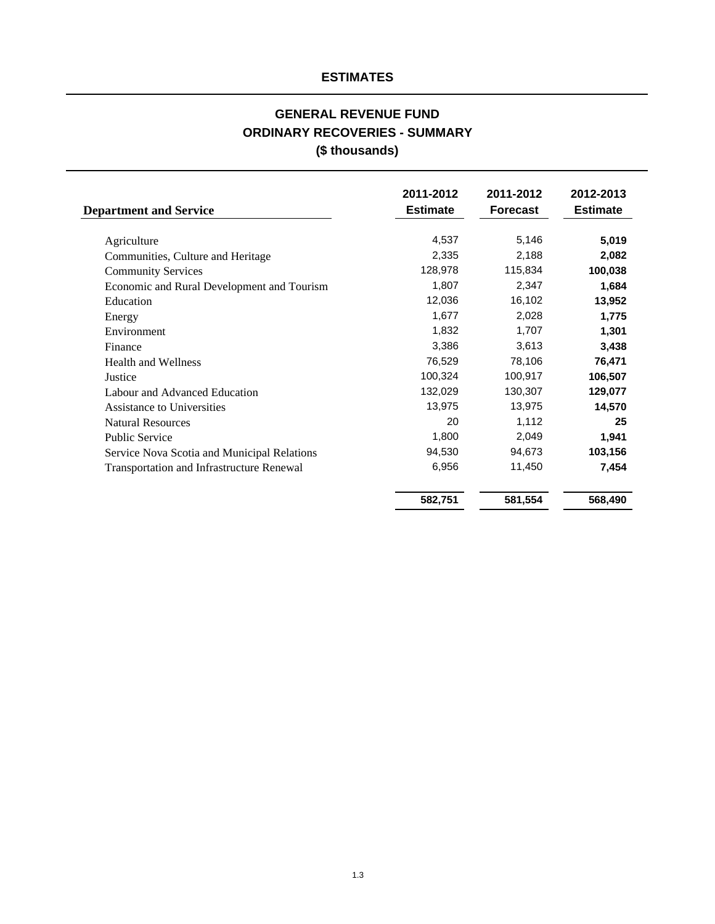# **ORDINARY RECOVERIES - SUMMARY (\$ thousands) GENERAL REVENUE FUND**

| <b>Department and Service</b>               | 2011-2012<br><b>Estimate</b> | 2011-2012<br><b>Forecast</b> | 2012-2013<br><b>Estimate</b> |
|---------------------------------------------|------------------------------|------------------------------|------------------------------|
| Agriculture                                 | 4,537                        | 5,146                        | 5,019                        |
| Communities, Culture and Heritage           | 2,335                        | 2,188                        | 2,082                        |
| <b>Community Services</b>                   | 128,978                      | 115,834                      | 100,038                      |
| Economic and Rural Development and Tourism  | 1,807                        | 2,347                        | 1,684                        |
| Education                                   | 12,036                       | 16,102                       | 13,952                       |
| Energy                                      | 1,677                        | 2,028                        | 1,775                        |
| Environment                                 | 1,832                        | 1,707                        | 1,301                        |
| Finance                                     | 3,386                        | 3,613                        | 3,438                        |
| <b>Health and Wellness</b>                  | 76,529                       | 78,106                       | 76,471                       |
| Justice                                     | 100,324                      | 100,917                      | 106,507                      |
| Labour and Advanced Education               | 132,029                      | 130,307                      | 129,077                      |
| Assistance to Universities                  | 13,975                       | 13,975                       | 14,570                       |
| <b>Natural Resources</b>                    | 20                           | 1,112                        | 25                           |
| <b>Public Service</b>                       | 1,800                        | 2,049                        | 1,941                        |
| Service Nova Scotia and Municipal Relations | 94,530                       | 94,673                       | 103,156                      |
| Transportation and Infrastructure Renewal   | 6,956                        | 11,450                       | 7,454                        |
|                                             | 582,751                      | 581,554                      | 568,490                      |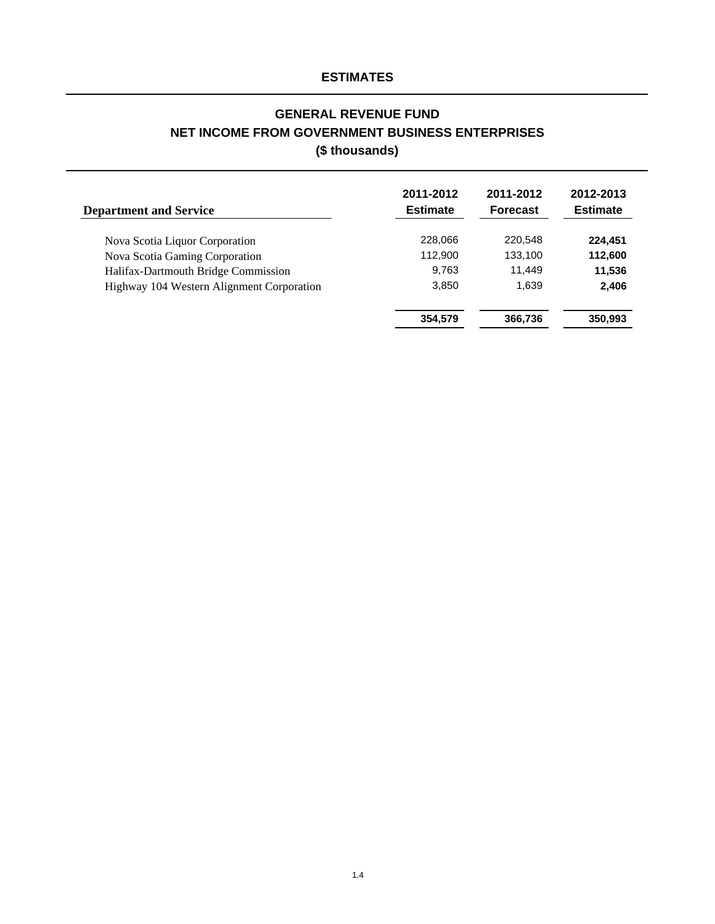# **GENERAL REVENUE FUND NET INCOME FROM GOVERNMENT BUSINESS ENTERPRISES (\$ thousands)**

| <b>Department and Service</b>             | 2011-2012<br><b>Estimate</b> | 2011-2012<br><b>Forecast</b> | 2012-2013<br><b>Estimate</b> |
|-------------------------------------------|------------------------------|------------------------------|------------------------------|
| Nova Scotia Liquor Corporation            | 228,066                      | 220.548                      | 224,451                      |
| Nova Scotia Gaming Corporation            | 112,900                      | 133.100                      | 112,600                      |
| Halifax-Dartmouth Bridge Commission       | 9,763                        | 11.449                       | 11,536                       |
| Highway 104 Western Alignment Corporation | 3,850                        | 1,639                        | 2,406                        |
|                                           | 354,579                      | 366,736                      | 350,993                      |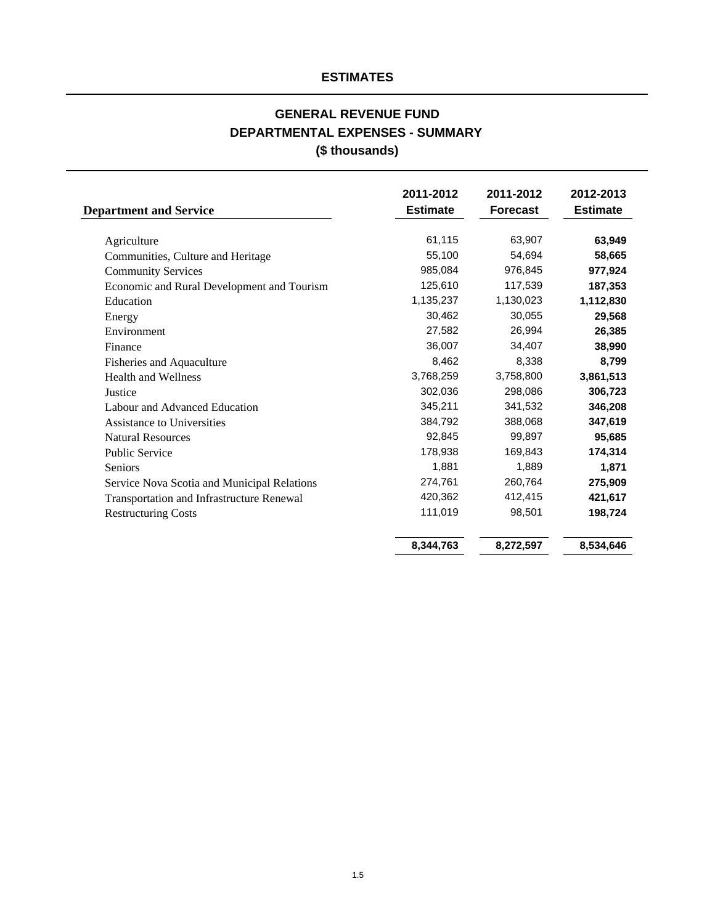# **GENERAL REVENUE FUND DEPARTMENTAL EXPENSES - SUMMARY (\$ thousands)**

| <b>Department and Service</b>               | 2011-2012<br><b>Estimate</b> | 2011-2012<br><b>Forecast</b> | 2012-2013<br><b>Estimate</b> |
|---------------------------------------------|------------------------------|------------------------------|------------------------------|
| Agriculture                                 | 61,115                       | 63,907                       | 63,949                       |
| Communities, Culture and Heritage           | 55,100                       | 54,694                       | 58,665                       |
| <b>Community Services</b>                   | 985,084                      | 976,845                      | 977,924                      |
| Economic and Rural Development and Tourism  | 125,610                      | 117,539                      | 187,353                      |
| Education                                   | 1,135,237                    | 1,130,023                    | 1,112,830                    |
| Energy                                      | 30,462                       | 30,055                       | 29,568                       |
| Environment                                 | 27,582                       | 26,994                       | 26,385                       |
| Finance                                     | 36,007                       | 34,407                       | 38,990                       |
| Fisheries and Aquaculture                   | 8,462                        | 8.338                        | 8,799                        |
| <b>Health and Wellness</b>                  | 3,768,259                    | 3,758,800                    | 3,861,513                    |
| Justice                                     | 302,036                      | 298,086                      | 306,723                      |
| Labour and Advanced Education               | 345,211                      | 341,532                      | 346,208                      |
| Assistance to Universities                  | 384,792                      | 388,068                      | 347,619                      |
| <b>Natural Resources</b>                    | 92,845                       | 99,897                       | 95,685                       |
| <b>Public Service</b>                       | 178,938                      | 169,843                      | 174,314                      |
| <b>Seniors</b>                              | 1,881                        | 1,889                        | 1,871                        |
| Service Nova Scotia and Municipal Relations | 274,761                      | 260,764                      | 275,909                      |
| Transportation and Infrastructure Renewal   | 420,362                      | 412,415                      | 421,617                      |
| <b>Restructuring Costs</b>                  | 111,019                      | 98,501                       | 198,724                      |
|                                             | 8,344,763                    | 8,272,597                    | 8,534,646                    |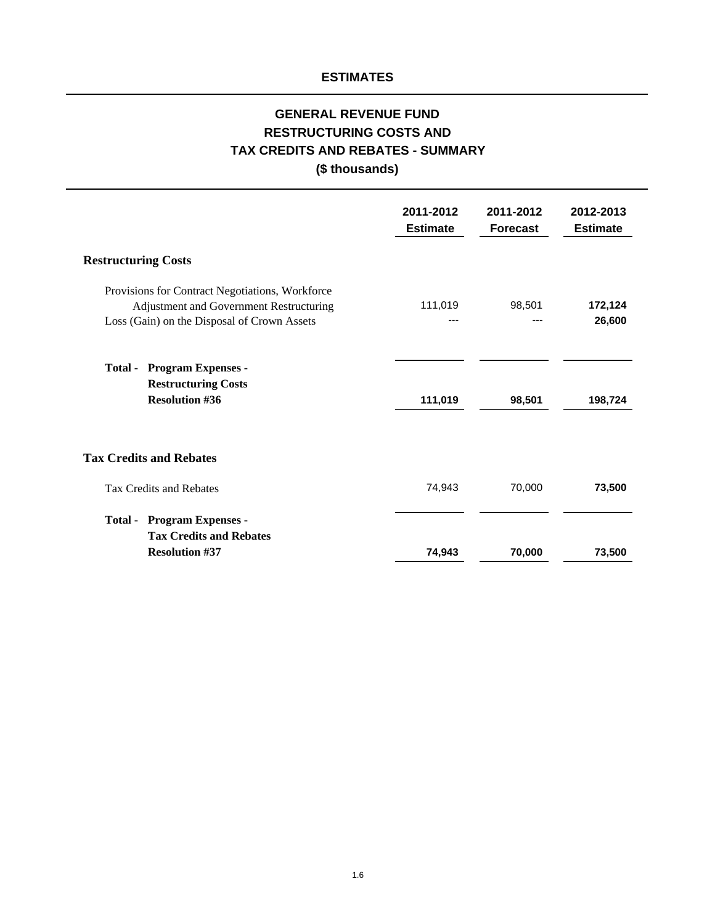# **(\$ thousands) RESTRUCTURING COSTS AND TAX CREDITS AND REBATES - SUMMARY GENERAL REVENUE FUND**

| 2011-2012<br><b>Estimate</b> | 2011-2012<br><b>Forecast</b> | 2012-2013<br><b>Estimate</b> |
|------------------------------|------------------------------|------------------------------|
|                              |                              |                              |
| 111,019                      | 98,501<br>---                | 172,124<br>26,600            |
| 111,019                      | 98,501                       | 198,724                      |
|                              |                              |                              |
| 74,943                       | 70,000                       | 73,500                       |
|                              |                              | 73,500                       |
|                              | 74,943                       | 70,000                       |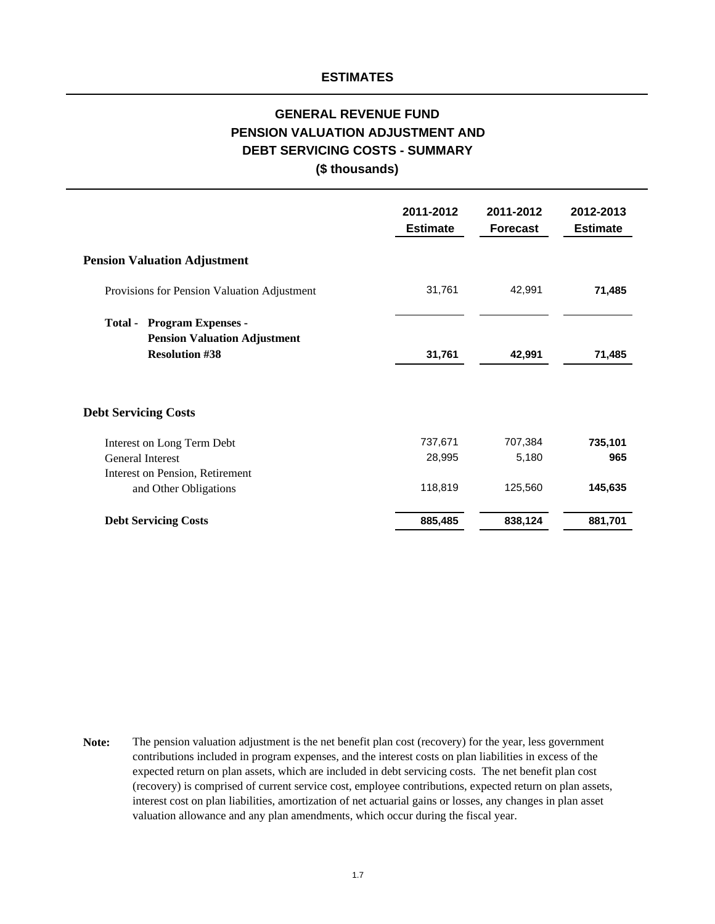### **DEBT SERVICING COSTS - SUMMARY (\$ thousands) GENERAL REVENUE FUND PENSION VALUATION ADJUSTMENT AND**

|                                                                             | 2011-2012<br><b>Estimate</b> | 2011-2012<br><b>Forecast</b> | 2012-2013<br><b>Estimate</b> |
|-----------------------------------------------------------------------------|------------------------------|------------------------------|------------------------------|
| <b>Pension Valuation Adjustment</b>                                         |                              |                              |                              |
| Provisions for Pension Valuation Adjustment                                 | 31,761                       | 42,991                       | 71,485                       |
| <b>Program Expenses -</b><br>Total -<br><b>Pension Valuation Adjustment</b> |                              |                              |                              |
| <b>Resolution #38</b>                                                       | 31,761                       | 42,991                       | 71,485                       |
| <b>Debt Servicing Costs</b>                                                 |                              |                              |                              |
| Interest on Long Term Debt                                                  | 737,671                      | 707,384                      | 735,101                      |
| General Interest                                                            | 28,995                       | 5,180                        | 965                          |
| Interest on Pension, Retirement                                             |                              |                              |                              |
| and Other Obligations                                                       | 118,819                      | 125,560                      | 145,635                      |
| <b>Debt Servicing Costs</b>                                                 | 885,485                      | 838,124                      | 881,701                      |

**Note:** The pension valuation adjustment is the net benefit plan cost (recovery) for the year, less government contributions included in program expenses, and the interest costs on plan liabilities in excess of the expected return on plan assets, which are included in debt servicing costs. The net benefit plan cost (recovery) is comprised of current service cost, employee contributions, expected return on plan assets, interest cost on plan liabilities, amortization of net actuarial gains or losses, any changes in plan asset valuation allowance and any plan amendments, which occur during the fiscal year.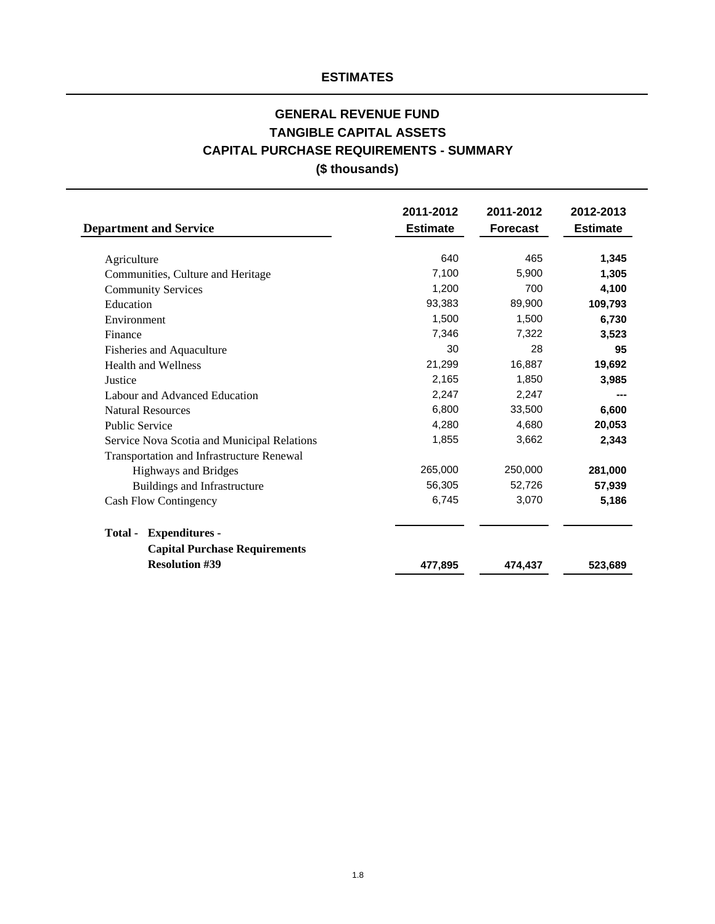# **(\$ thousands) CAPITAL PURCHASE REQUIREMENTS - SUMMARY GENERAL REVENUE FUND TANGIBLE CAPITAL ASSETS**

| <b>Department and Service</b>               | 2011-2012<br><b>Estimate</b> | 2011-2012<br><b>Forecast</b> | 2012-2013<br><b>Estimate</b> |
|---------------------------------------------|------------------------------|------------------------------|------------------------------|
|                                             |                              |                              |                              |
| Agriculture                                 | 640                          | 465                          | 1,345                        |
| Communities, Culture and Heritage           | 7,100                        | 5,900                        | 1,305                        |
| <b>Community Services</b>                   | 1,200                        | 700                          | 4,100                        |
| Education                                   | 93,383                       | 89,900                       | 109,793                      |
| Environment                                 | 1,500                        | 1,500                        | 6,730                        |
| Finance                                     | 7,346                        | 7,322                        | 3,523                        |
| Fisheries and Aquaculture                   | 30                           | 28                           | 95                           |
| <b>Health and Wellness</b>                  | 21,299                       | 16,887                       | 19,692                       |
| Justice                                     | 2,165                        | 1,850                        | 3,985                        |
| Labour and Advanced Education               | 2,247                        | 2,247                        |                              |
| <b>Natural Resources</b>                    | 6,800                        | 33,500                       | 6,600                        |
| <b>Public Service</b>                       | 4,280                        | 4,680                        | 20,053                       |
| Service Nova Scotia and Municipal Relations | 1,855                        | 3,662                        | 2,343                        |
| Transportation and Infrastructure Renewal   |                              |                              |                              |
| <b>Highways and Bridges</b>                 | 265,000                      | 250,000                      | 281,000                      |
| Buildings and Infrastructure                | 56,305                       | 52,726                       | 57,939                       |
| <b>Cash Flow Contingency</b>                | 6,745                        | 3,070                        | 5,186                        |
| Total -<br><b>Expenditures -</b>            |                              |                              |                              |
| <b>Capital Purchase Requirements</b>        |                              |                              |                              |
| <b>Resolution #39</b>                       | 477,895                      | 474,437                      | 523,689                      |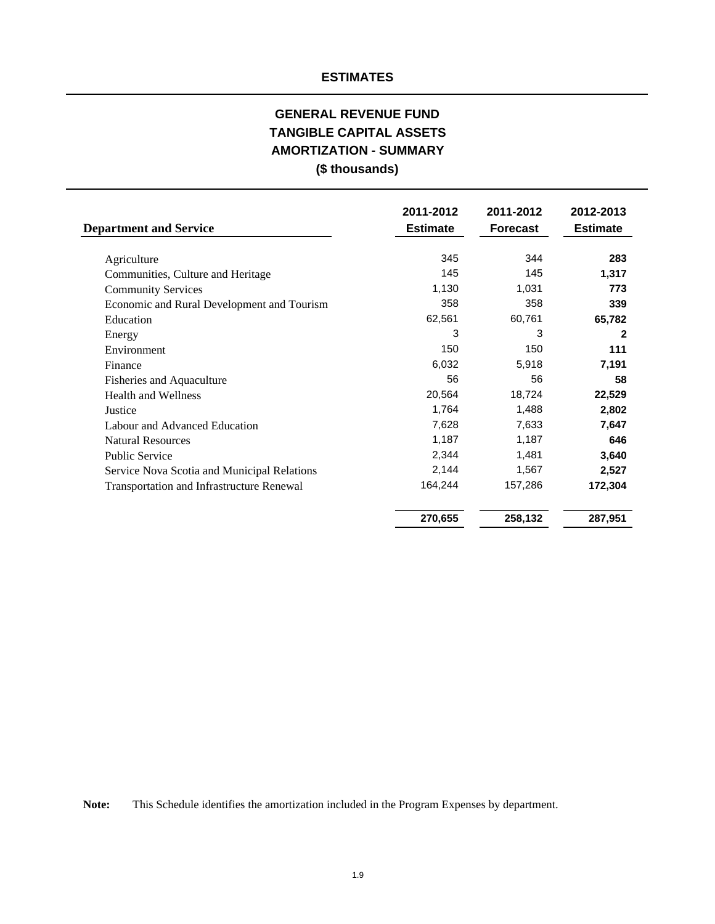# **AMORTIZATION - SUMMARY GENERAL REVENUE FUND (\$ thousands) TANGIBLE CAPITAL ASSETS**

| <b>Department and Service</b>                    | 2011-2012<br><b>Estimate</b> | 2011-2012<br><b>Forecast</b> | 2012-2013<br><b>Estimate</b> |
|--------------------------------------------------|------------------------------|------------------------------|------------------------------|
| Agriculture                                      | 345                          | 344                          | 283                          |
| Communities, Culture and Heritage                | 145                          | 145                          | 1,317                        |
| <b>Community Services</b>                        | 1,130                        | 1,031                        | 773                          |
| Economic and Rural Development and Tourism       | 358                          | 358                          | 339                          |
| Education                                        | 62,561                       | 60,761                       | 65,782                       |
| Energy                                           | 3                            | 3                            | $\mathbf{2}$                 |
| Environment                                      | 150                          | 150                          | 111                          |
| Finance                                          | 6,032                        | 5,918                        | 7,191                        |
| Fisheries and Aquaculture                        | 56                           | 56                           | 58                           |
| <b>Health and Wellness</b>                       | 20,564                       | 18,724                       | 22,529                       |
| Justice                                          | 1,764                        | 1,488                        | 2,802                        |
| Labour and Advanced Education                    | 7,628                        | 7,633                        | 7,647                        |
| <b>Natural Resources</b>                         | 1,187                        | 1,187                        | 646                          |
| <b>Public Service</b>                            | 2,344                        | 1,481                        | 3,640                        |
| Service Nova Scotia and Municipal Relations      | 2,144                        | 1,567                        | 2,527                        |
| <b>Transportation and Infrastructure Renewal</b> | 164,244                      | 157,286                      | 172,304                      |
|                                                  | 270,655                      | 258,132                      | 287,951                      |

**Note:** This Schedule identifies the amortization included in the Program Expenses by department.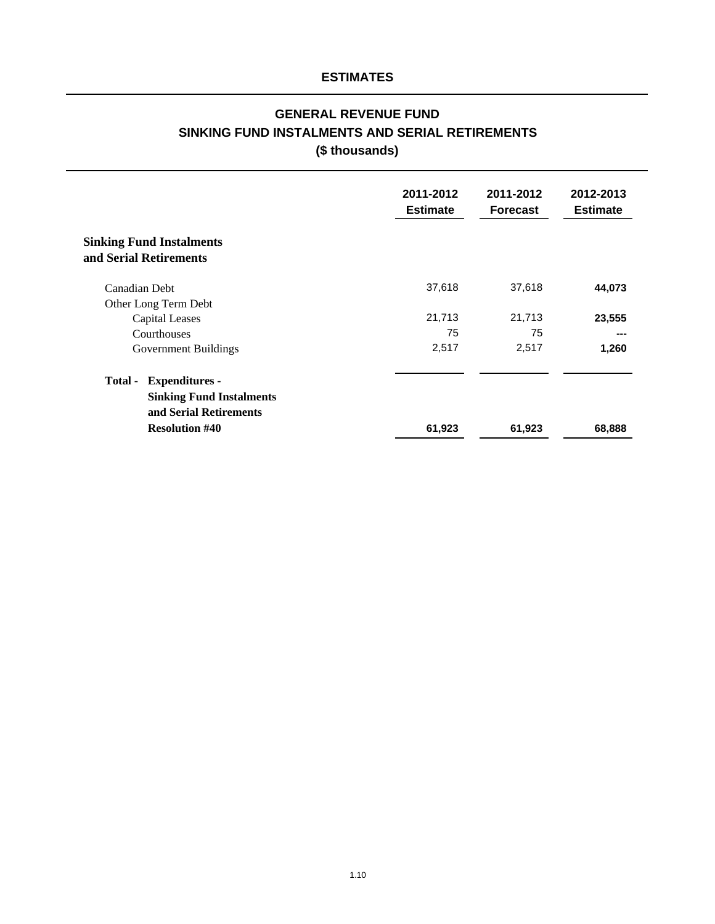# **GENERAL REVENUE FUND (\$ thousands) SINKING FUND INSTALMENTS AND SERIAL RETIREMENTS**

|                                                           | 2011-2012<br><b>Estimate</b> | 2011-2012<br><b>Forecast</b> | 2012-2013<br><b>Estimate</b> |
|-----------------------------------------------------------|------------------------------|------------------------------|------------------------------|
| <b>Sinking Fund Instalments</b><br>and Serial Retirements |                              |                              |                              |
| Canadian Debt                                             | 37,618                       | 37,618                       | 44,073                       |
| Other Long Term Debt                                      |                              |                              |                              |
| <b>Capital Leases</b>                                     | 21,713                       | 21,713                       | 23,555                       |
| Courthouses                                               | 75                           | 75                           |                              |
| Government Buildings                                      | 2,517                        | 2,517                        | 1,260                        |
| <b>Expenditures -</b><br>Total -                          |                              |                              |                              |
| <b>Sinking Fund Instalments</b>                           |                              |                              |                              |
| and Serial Retirements                                    |                              |                              |                              |
| <b>Resolution #40</b>                                     | 61,923                       | 61,923                       | 68,888                       |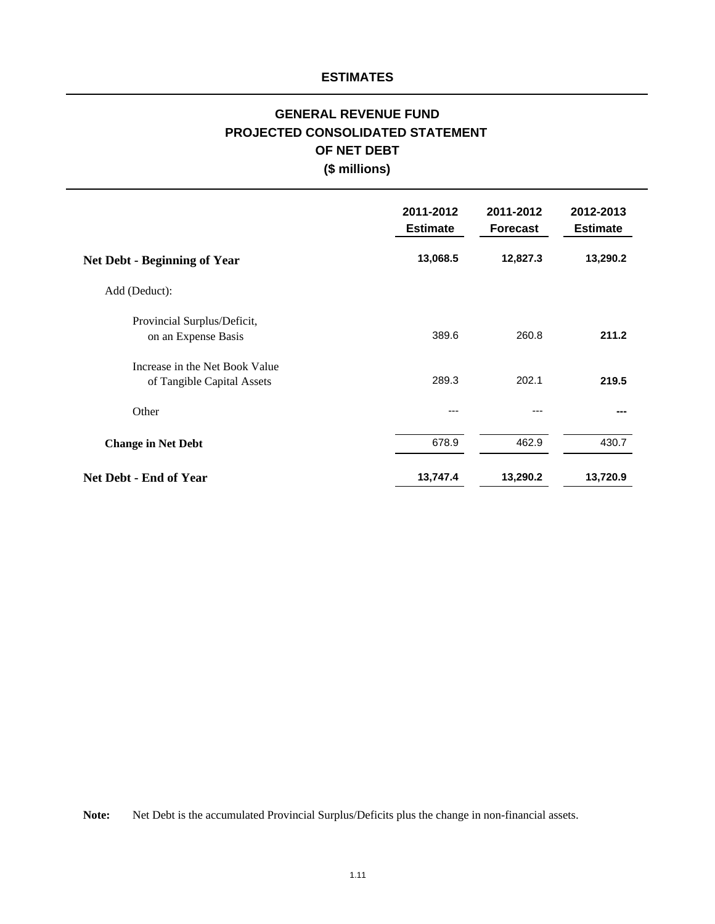# **PROJECTED CONSOLIDATED STATEMENT OF NET DEBT GENERAL REVENUE FUND (\$ millions)**

|                                                              | 2011-2012<br><b>Estimate</b> | 2011-2012<br><b>Forecast</b> | 2012-2013<br><b>Estimate</b> |
|--------------------------------------------------------------|------------------------------|------------------------------|------------------------------|
| <b>Net Debt - Beginning of Year</b>                          | 13,068.5                     | 12,827.3                     | 13,290.2                     |
| Add (Deduct):                                                |                              |                              |                              |
| Provincial Surplus/Deficit,<br>on an Expense Basis           | 389.6                        | 260.8                        | 211.2                        |
| Increase in the Net Book Value<br>of Tangible Capital Assets | 289.3                        | 202.1                        | 219.5                        |
| Other                                                        | ---                          |                              |                              |
| <b>Change in Net Debt</b>                                    | 678.9                        | 462.9                        | 430.7                        |
| <b>Net Debt - End of Year</b>                                | 13,747.4                     | 13,290.2                     | 13,720.9                     |

**Note:** Net Debt is the accumulated Provincial Surplus/Deficits plus the change in non-financial assets.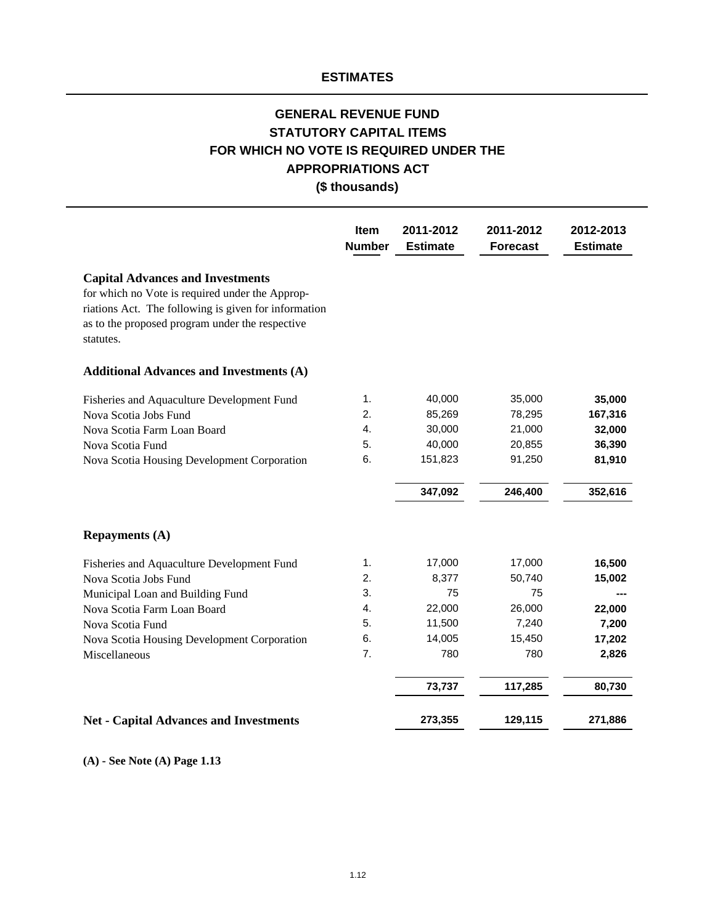# **GENERAL REVENUE FUND STATUTORY CAPITAL ITEMS FOR WHICH NO VOTE IS REQUIRED UNDER THE (\$ thousands) APPROPRIATIONS ACT**

|                                                                                                                                                                                                                    | Item<br><b>Number</b> | 2011-2012<br><b>Estimate</b> | 2011-2012<br><b>Forecast</b> | 2012-2013<br><b>Estimate</b> |
|--------------------------------------------------------------------------------------------------------------------------------------------------------------------------------------------------------------------|-----------------------|------------------------------|------------------------------|------------------------------|
| <b>Capital Advances and Investments</b><br>for which no Vote is required under the Approp-<br>riations Act. The following is given for information<br>as to the proposed program under the respective<br>statutes. |                       |                              |                              |                              |
| <b>Additional Advances and Investments (A)</b>                                                                                                                                                                     |                       |                              |                              |                              |
| Fisheries and Aquaculture Development Fund                                                                                                                                                                         | 1.                    | 40,000                       | 35,000                       | 35,000                       |
| Nova Scotia Jobs Fund                                                                                                                                                                                              | 2.                    | 85,269                       | 78,295                       | 167,316                      |
| Nova Scotia Farm Loan Board                                                                                                                                                                                        | 4.                    | 30,000                       | 21,000                       | 32,000                       |
| Nova Scotia Fund                                                                                                                                                                                                   | 5.                    | 40,000                       | 20,855                       | 36,390                       |
| Nova Scotia Housing Development Corporation                                                                                                                                                                        | 6.                    | 151,823                      | 91,250                       | 81,910                       |
|                                                                                                                                                                                                                    |                       | 347,092                      | 246,400                      | 352,616                      |
| <b>Repayments (A)</b>                                                                                                                                                                                              |                       |                              |                              |                              |
| Fisheries and Aquaculture Development Fund                                                                                                                                                                         | 1.                    | 17,000                       | 17,000                       | 16,500                       |
| Nova Scotia Jobs Fund                                                                                                                                                                                              | 2.                    | 8,377                        | 50,740                       | 15,002                       |
| Municipal Loan and Building Fund                                                                                                                                                                                   | 3.                    | 75                           | 75                           |                              |
| Nova Scotia Farm Loan Board                                                                                                                                                                                        | 4.                    | 22,000                       | 26,000                       | 22,000                       |
| Nova Scotia Fund                                                                                                                                                                                                   | 5.                    | 11,500                       | 7,240                        | 7,200                        |
| Nova Scotia Housing Development Corporation                                                                                                                                                                        | 6.                    | 14,005                       | 15,450                       | 17,202                       |
| Miscellaneous                                                                                                                                                                                                      | 7.                    | 780                          | 780                          | 2,826                        |
|                                                                                                                                                                                                                    |                       | 73,737                       | 117,285                      | 80,730                       |
| <b>Net - Capital Advances and Investments</b>                                                                                                                                                                      |                       | 273,355                      | 129,115                      | 271,886                      |

**(A) - See Note (A) Page 1.13**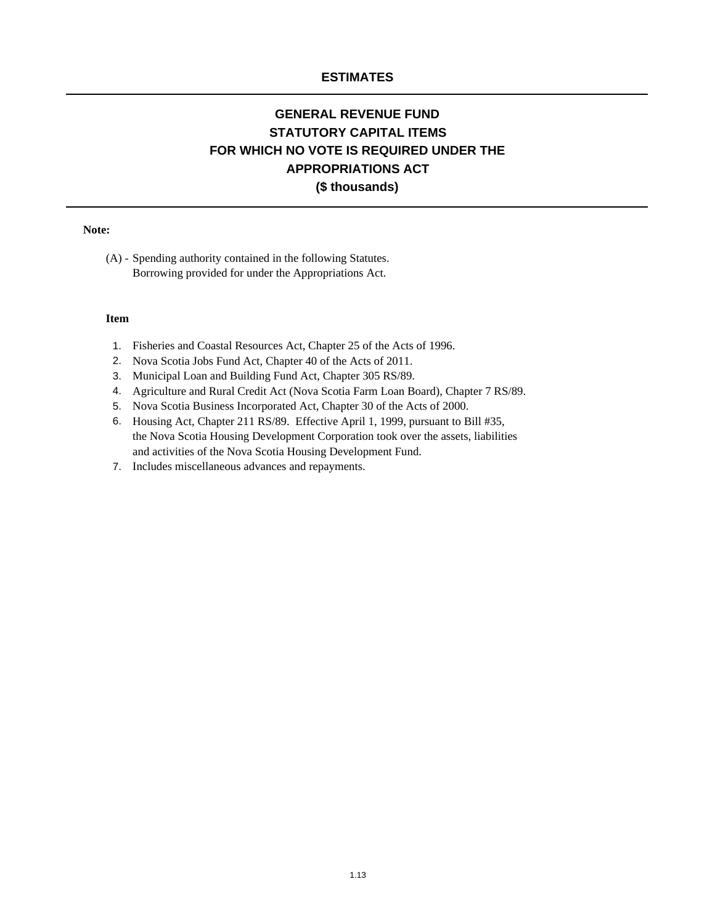# **APPROPRIATIONS ACT FOR WHICH NO VOTE IS REQUIRED UNDER THE (\$ thousands) GENERAL REVENUE FUND STATUTORY CAPITAL ITEMS**

#### **Note:**

Borrowing provided for under the Appropriations Act. (A) - Spending authority contained in the following Statutes.

#### **Item**

- 1. Fisheries and Coastal Resources Act, Chapter 25 of the Acts of 1996.
- 2. Nova Scotia Jobs Fund Act, Chapter 40 of the Acts of 2011.
- 3. Municipal Loan and Building Fund Act, Chapter 305 RS/89.
- 4. Agriculture and Rural Credit Act (Nova Scotia Farm Loan Board), Chapter 7 RS/89.
- 5. Nova Scotia Business Incorporated Act, Chapter 30 of the Acts of 2000.
- 6. Housing Act, Chapter 211 RS/89. Effective April 1, 1999, pursuant to Bill #35, the Nova Scotia Housing Development Corporation took over the assets, liabilities and activities of the Nova Scotia Housing Development Fund.
- 7. Includes miscellaneous advances and repayments.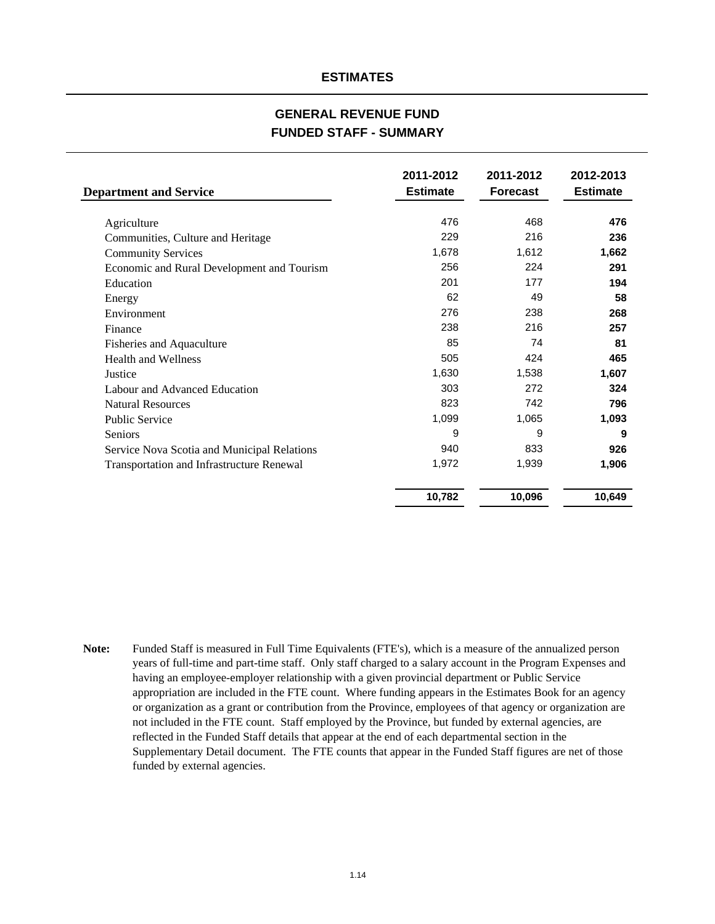#### **GENERAL REVENUE FUND FUNDED STAFF - SUMMARY**

| <b>Department and Service</b>               | 2011-2012<br><b>Estimate</b> | 2011-2012<br><b>Forecast</b> | 2012-2013<br><b>Estimate</b> |
|---------------------------------------------|------------------------------|------------------------------|------------------------------|
| Agriculture                                 | 476                          | 468                          | 476                          |
| Communities, Culture and Heritage           | 229                          | 216                          | 236                          |
| <b>Community Services</b>                   | 1,678                        | 1,612                        | 1,662                        |
| Economic and Rural Development and Tourism  | 256                          | 224                          | 291                          |
| Education                                   | 201                          | 177                          | 194                          |
| Energy                                      | 62                           | 49                           | 58                           |
| Environment                                 | 276                          | 238                          | 268                          |
| Finance                                     | 238                          | 216                          | 257                          |
| Fisheries and Aquaculture                   | 85                           | 74                           | 81                           |
| <b>Health and Wellness</b>                  | 505                          | 424                          | 465                          |
| Justice                                     | 1,630                        | 1,538                        | 1,607                        |
| Labour and Advanced Education               | 303                          | 272                          | 324                          |
| <b>Natural Resources</b>                    | 823                          | 742                          | 796                          |
| <b>Public Service</b>                       | 1,099                        | 1,065                        | 1,093                        |
| Seniors                                     | 9                            | 9                            | 9                            |
| Service Nova Scotia and Municipal Relations | 940                          | 833                          | 926                          |
| Transportation and Infrastructure Renewal   | 1,972                        | 1,939                        | 1,906                        |
|                                             | 10,782                       | 10,096                       | 10,649                       |

**Note:** Funded Staff is measured in Full Time Equivalents (FTE's), which is a measure of the annualized person years of full-time and part-time staff. Only staff charged to a salary account in the Program Expenses and having an employee-employer relationship with a given provincial department or Public Service appropriation are included in the FTE count. Where funding appears in the Estimates Book for an agency or organization as a grant or contribution from the Province, employees of that agency or organization are not included in the FTE count. Staff employed by the Province, but funded by external agencies, are reflected in the Funded Staff details that appear at the end of each departmental section in the Supplementary Detail document. The FTE counts that appear in the Funded Staff figures are net of those funded by external agencies.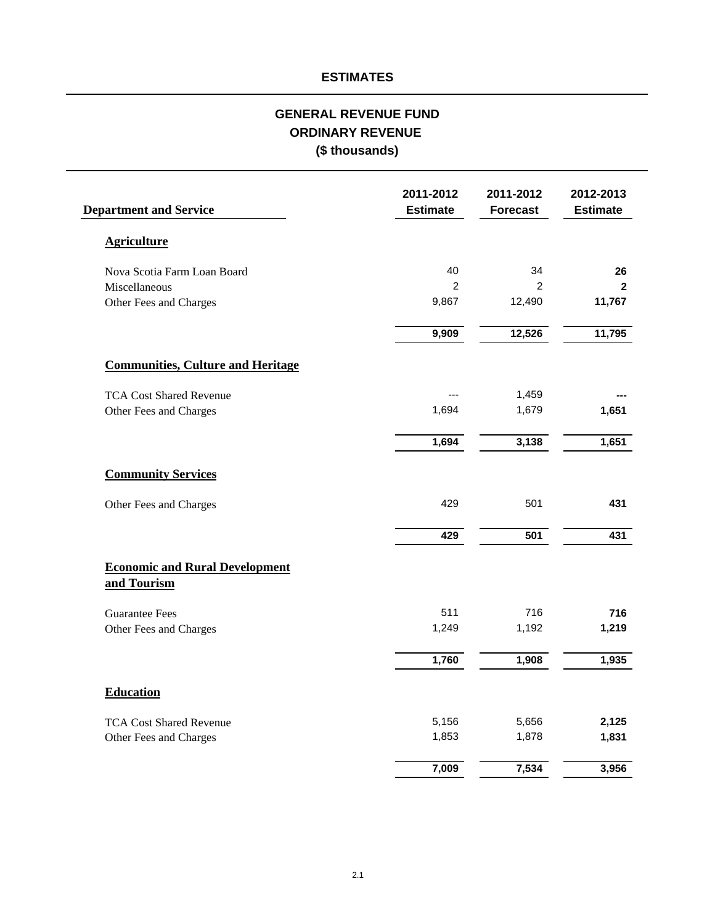# **ORDINARY REVENUE GENERAL REVENUE FUND (\$ thousands)**

| <b>Department and Service</b>                        | 2011-2012<br><b>Estimate</b> | 2011-2012<br><b>Forecast</b> | 2012-2013<br><b>Estimate</b> |
|------------------------------------------------------|------------------------------|------------------------------|------------------------------|
| <b>Agriculture</b>                                   |                              |                              |                              |
| Nova Scotia Farm Loan Board                          | 40                           | 34                           | 26                           |
| Miscellaneous                                        | $\overline{2}$               | $\overline{2}$               | $\mathbf{2}$                 |
| Other Fees and Charges                               | 9,867                        | 12,490                       | 11,767                       |
|                                                      | 9,909                        | 12,526                       | 11,795                       |
| <b>Communities, Culture and Heritage</b>             |                              |                              |                              |
| <b>TCA Cost Shared Revenue</b>                       |                              | 1,459                        |                              |
| Other Fees and Charges                               | 1,694                        | 1,679                        | 1,651                        |
|                                                      | 1,694                        | 3,138                        | 1,651                        |
| <b>Community Services</b>                            |                              |                              |                              |
| Other Fees and Charges                               | 429                          | 501                          | 431                          |
|                                                      | 429                          | 501                          | 431                          |
| <b>Economic and Rural Development</b><br>and Tourism |                              |                              |                              |
| <b>Guarantee Fees</b>                                | 511                          | 716                          | 716                          |
| Other Fees and Charges                               | 1,249                        | 1,192                        | 1,219                        |
|                                                      | 1,760                        | 1,908                        | 1,935                        |
| <b>Education</b>                                     |                              |                              |                              |
| <b>TCA Cost Shared Revenue</b>                       | 5,156                        | 5,656                        | 2,125                        |
| Other Fees and Charges                               | 1,853                        | 1,878                        | 1,831                        |
|                                                      | 7,009                        | 7,534                        | 3,956                        |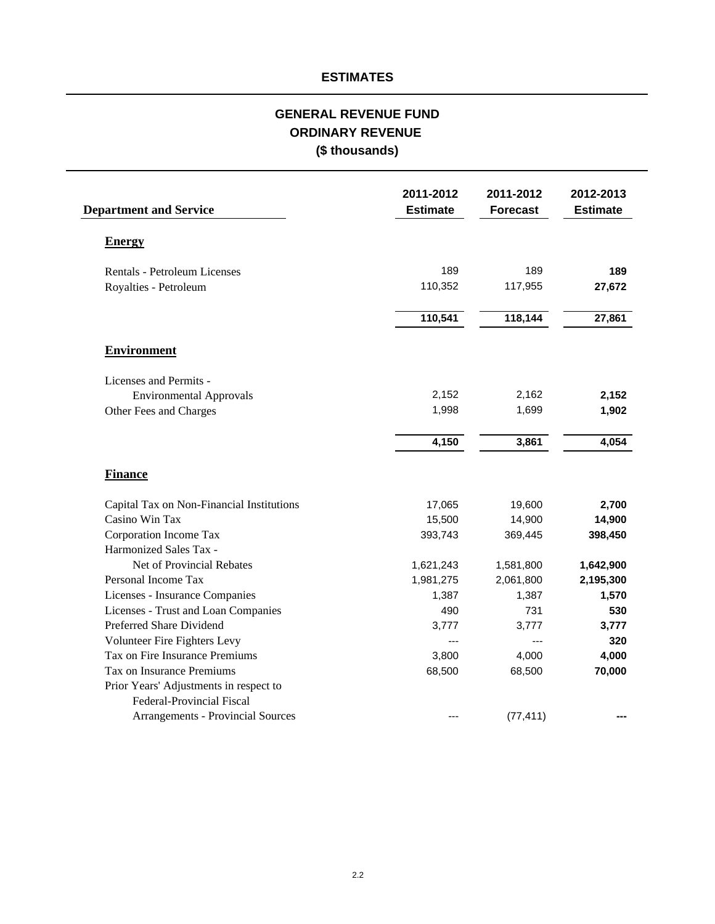# **(\$ thousands) GENERAL REVENUE FUND ORDINARY REVENUE**

| <b>Department and Service</b>             | 2011-2012<br><b>Estimate</b> | 2011-2012<br><b>Forecast</b> | 2012-2013<br><b>Estimate</b> |
|-------------------------------------------|------------------------------|------------------------------|------------------------------|
| <b>Energy</b>                             |                              |                              |                              |
| <b>Rentals - Petroleum Licenses</b>       | 189                          | 189                          | 189                          |
| Royalties - Petroleum                     | 110,352                      | 117,955                      | 27,672                       |
|                                           | 110,541                      | 118,144                      | 27,861                       |
| <b>Environment</b>                        |                              |                              |                              |
| Licenses and Permits -                    |                              |                              |                              |
| <b>Environmental Approvals</b>            | 2,152                        | 2,162                        | 2,152                        |
| Other Fees and Charges                    | 1,998                        | 1,699                        | 1,902                        |
|                                           | 4,150                        | 3,861                        | 4,054                        |
| <b>Finance</b>                            |                              |                              |                              |
| Capital Tax on Non-Financial Institutions | 17,065                       | 19,600                       | 2,700                        |
| Casino Win Tax                            | 15,500                       | 14,900                       | 14,900                       |
| Corporation Income Tax                    | 393,743                      | 369,445                      | 398,450                      |
| Harmonized Sales Tax -                    |                              |                              |                              |
| Net of Provincial Rebates                 | 1,621,243                    | 1,581,800                    | 1,642,900                    |
| Personal Income Tax                       | 1,981,275                    | 2,061,800                    | 2,195,300                    |
| Licenses - Insurance Companies            | 1,387                        | 1,387                        | 1,570                        |
| Licenses - Trust and Loan Companies       | 490                          | 731                          | 530                          |
| Preferred Share Dividend                  | 3,777                        | 3,777                        | 3,777                        |
| Volunteer Fire Fighters Levy              | $\overline{a}$               | $\overline{a}$               | 320                          |
| Tax on Fire Insurance Premiums            | 3,800                        | 4,000                        | 4,000                        |
| Tax on Insurance Premiums                 | 68,500                       | 68,500                       | 70,000                       |
| Prior Years' Adjustments in respect to    |                              |                              |                              |
| <b>Federal-Provincial Fiscal</b>          |                              |                              |                              |
| <b>Arrangements - Provincial Sources</b>  | ---                          | (77, 411)                    |                              |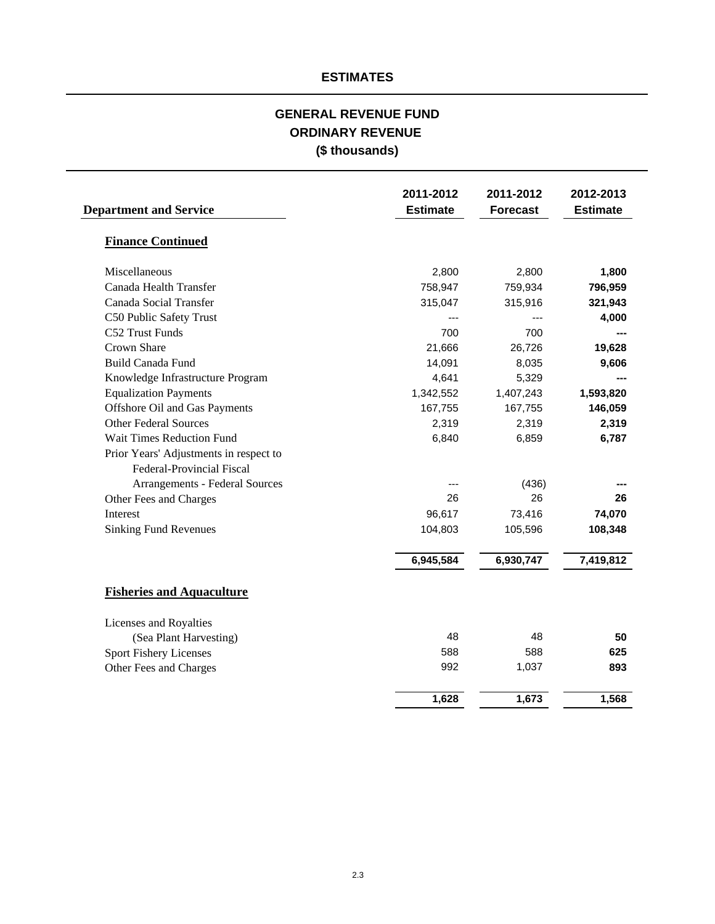# **(\$ thousands) GENERAL REVENUE FUND ORDINARY REVENUE**

| <b>Department and Service</b>          | 2011-2012<br><b>Estimate</b> | 2011-2012<br><b>Forecast</b> | 2012-2013<br><b>Estimate</b> |
|----------------------------------------|------------------------------|------------------------------|------------------------------|
| <b>Finance Continued</b>               |                              |                              |                              |
| Miscellaneous                          | 2,800                        | 2,800                        | 1,800                        |
| Canada Health Transfer                 | 758,947                      | 759,934                      | 796,959                      |
| Canada Social Transfer                 | 315,047                      | 315,916                      | 321,943                      |
| C50 Public Safety Trust                |                              |                              | 4,000                        |
| C52 Trust Funds                        | 700                          | 700                          |                              |
| Crown Share                            | 21,666                       | 26,726                       | 19,628                       |
| <b>Build Canada Fund</b>               | 14,091                       | 8,035                        | 9,606                        |
| Knowledge Infrastructure Program       | 4,641                        | 5,329                        |                              |
| <b>Equalization Payments</b>           | 1,342,552                    | 1,407,243                    | 1,593,820                    |
| Offshore Oil and Gas Payments          | 167,755                      | 167,755                      | 146,059                      |
| <b>Other Federal Sources</b>           | 2,319                        | 2,319                        | 2,319                        |
| Wait Times Reduction Fund              | 6,840                        | 6,859                        | 6,787                        |
| Prior Years' Adjustments in respect to |                              |                              |                              |
| Federal-Provincial Fiscal              |                              |                              |                              |
| Arrangements - Federal Sources         |                              | (436)                        |                              |
| Other Fees and Charges                 | 26                           | 26                           | 26                           |
| Interest                               | 96,617                       | 73,416                       | 74,070                       |
| <b>Sinking Fund Revenues</b>           | 104,803                      | 105,596                      | 108,348                      |
|                                        | 6,945,584                    | 6,930,747                    | 7,419,812                    |
| <b>Fisheries and Aquaculture</b>       |                              |                              |                              |
| Licenses and Royalties                 |                              |                              |                              |
| (Sea Plant Harvesting)                 | 48                           | 48                           | 50                           |
| Sport Fishery Licenses                 | 588                          | 588                          | 625                          |
| Other Fees and Charges                 | 992                          | 1,037                        | 893                          |
|                                        | 1,628                        | 1,673                        | 1,568                        |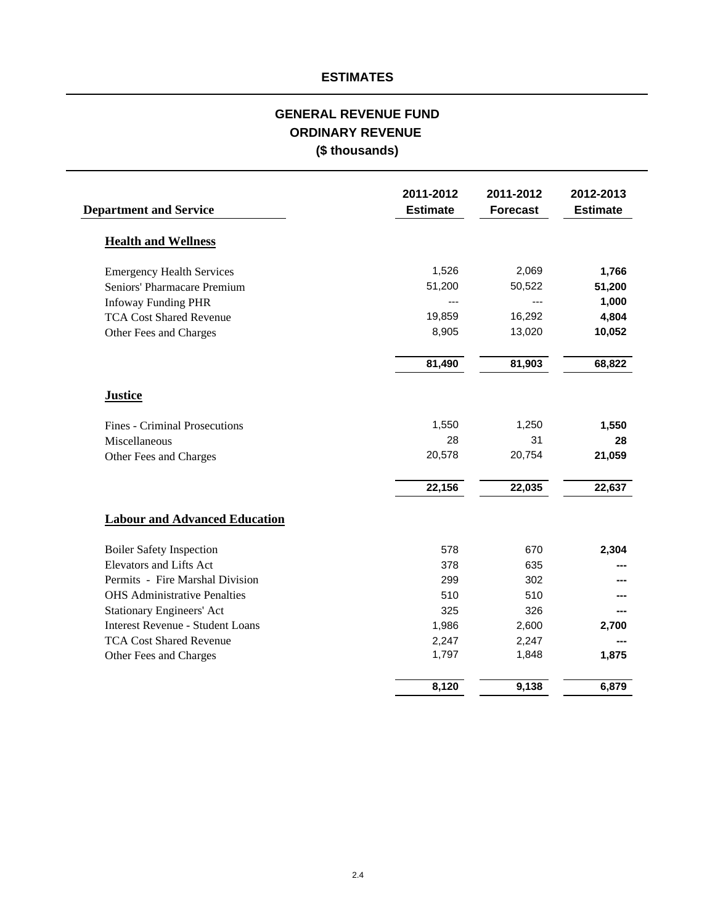# **GENERAL REVENUE FUND ORDINARY REVENUE (\$ thousands)**

| <b>Department and Service</b>           | 2011-2012<br><b>Estimate</b> | 2011-2012<br><b>Forecast</b> | 2012-2013<br><b>Estimate</b> |
|-----------------------------------------|------------------------------|------------------------------|------------------------------|
| <b>Health and Wellness</b>              |                              |                              |                              |
| <b>Emergency Health Services</b>        | 1,526                        | 2,069                        | 1,766                        |
| Seniors' Pharmacare Premium             | 51,200                       | 50,522                       | 51,200                       |
| <b>Infoway Funding PHR</b>              |                              | ---                          | 1,000                        |
| <b>TCA Cost Shared Revenue</b>          | 19,859                       | 16,292                       | 4,804                        |
| Other Fees and Charges                  | 8,905                        | 13,020                       | 10,052                       |
|                                         | 81,490                       | 81,903                       | 68,822                       |
| <b>Justice</b>                          |                              |                              |                              |
| <b>Fines - Criminal Prosecutions</b>    | 1,550                        | 1,250                        | 1,550                        |
| Miscellaneous                           | 28                           | 31                           | 28                           |
| Other Fees and Charges                  | 20,578                       | 20,754                       | 21,059                       |
|                                         | 22,156                       | 22,035                       | 22,637                       |
| <b>Labour and Advanced Education</b>    |                              |                              |                              |
| <b>Boiler Safety Inspection</b>         | 578                          | 670                          | 2,304                        |
| Elevators and Lifts Act                 | 378                          | 635                          |                              |
| Permits - Fire Marshal Division         | 299                          | 302                          |                              |
| <b>OHS</b> Administrative Penalties     | 510                          | 510                          |                              |
| <b>Stationary Engineers' Act</b>        | 325                          | 326                          |                              |
| <b>Interest Revenue - Student Loans</b> | 1,986                        | 2,600                        | 2,700                        |
| <b>TCA Cost Shared Revenue</b>          | 2,247                        | 2,247                        |                              |
| Other Fees and Charges                  | 1,797                        | 1,848                        | 1,875                        |
|                                         | 8,120                        | 9,138                        | 6,879                        |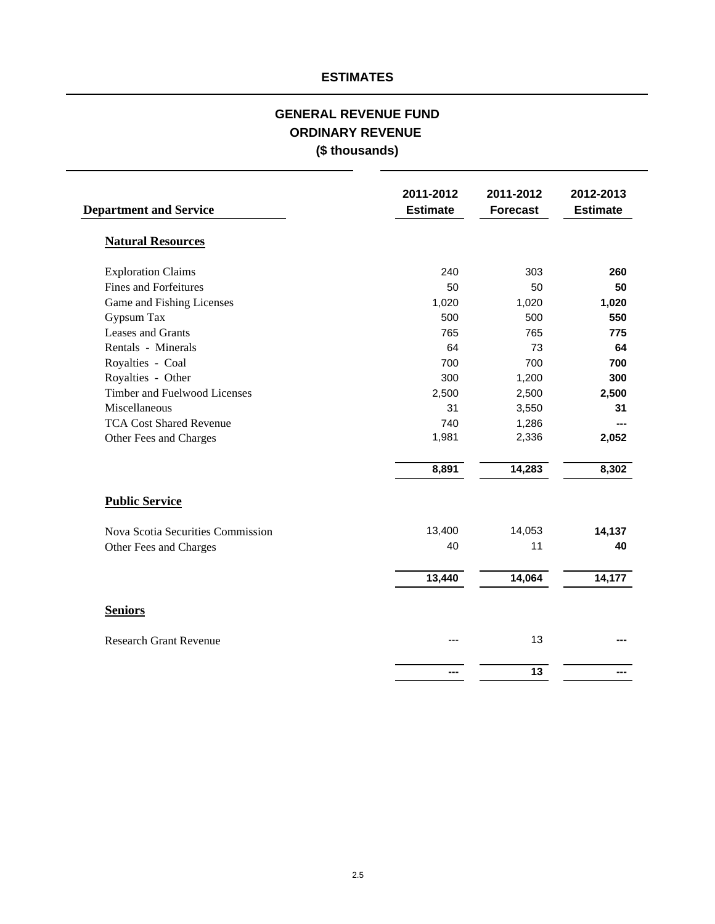# **GENERAL REVENUE FUND ORDINARY REVENUE (\$ thousands)**

| <b>Department and Service</b>     | 2011-2012<br><b>Estimate</b> | 2011-2012<br><b>Forecast</b> | 2012-2013<br><b>Estimate</b> |
|-----------------------------------|------------------------------|------------------------------|------------------------------|
| <b>Natural Resources</b>          |                              |                              |                              |
| <b>Exploration Claims</b>         | 240                          | 303                          | 260                          |
| <b>Fines and Forfeitures</b>      | 50                           | 50                           | 50                           |
| Game and Fishing Licenses         | 1,020                        | 1,020                        | 1,020                        |
| Gypsum Tax                        | 500                          | 500                          | 550                          |
| Leases and Grants                 | 765                          | 765                          | 775                          |
| Rentals - Minerals                | 64                           | 73                           | 64                           |
| Royalties - Coal                  | 700                          | 700                          | 700                          |
| Royalties - Other                 | 300                          | 1,200                        | 300                          |
| Timber and Fuelwood Licenses      | 2,500                        | 2,500                        | 2,500                        |
| Miscellaneous                     | 31                           | 3,550                        | 31                           |
| <b>TCA Cost Shared Revenue</b>    | 740                          | 1,286                        |                              |
| Other Fees and Charges            | 1,981                        | 2,336                        | 2,052                        |
|                                   | 8,891                        | 14,283                       | 8,302                        |
| <b>Public Service</b>             |                              |                              |                              |
| Nova Scotia Securities Commission | 13,400                       | 14,053                       | 14,137                       |
| Other Fees and Charges            | 40                           | 11                           | 40                           |
|                                   | 13,440                       | 14,064                       | 14,177                       |
| <b>Seniors</b>                    |                              |                              |                              |
| <b>Research Grant Revenue</b>     |                              | 13                           |                              |
|                                   |                              | $\overline{13}$              |                              |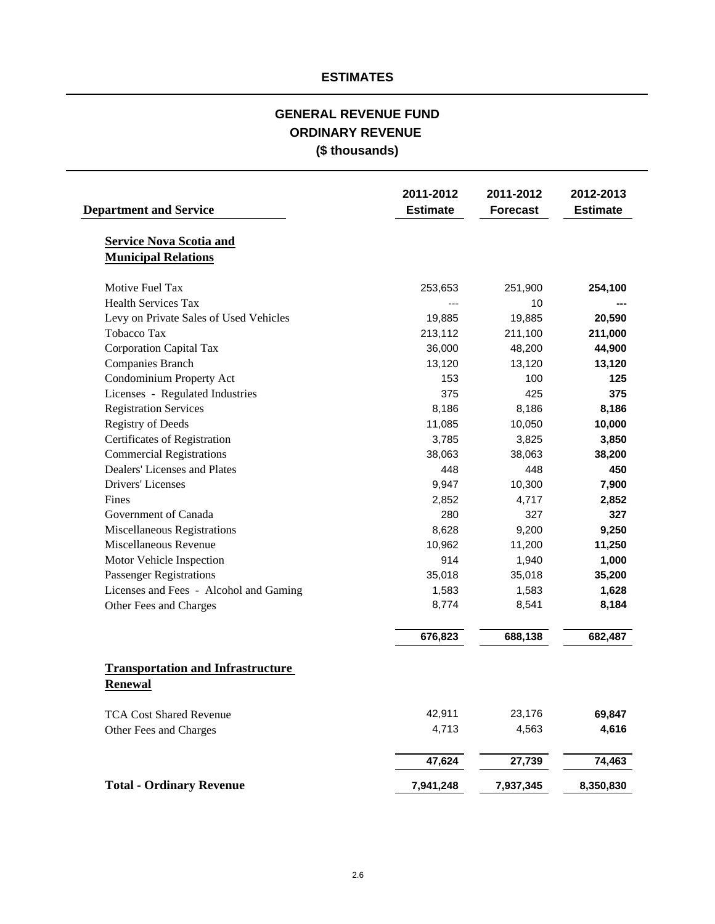# **(\$ thousands) GENERAL REVENUE FUND ORDINARY REVENUE**

| <b>Department and Service</b>                              | 2011-2012<br><b>Estimate</b> | 2011-2012<br><b>Forecast</b> | 2012-2013<br><b>Estimate</b> |
|------------------------------------------------------------|------------------------------|------------------------------|------------------------------|
| <b>Service Nova Scotia and</b>                             |                              |                              |                              |
| <b>Municipal Relations</b>                                 |                              |                              |                              |
| Motive Fuel Tax                                            | 253,653                      | 251,900                      | 254,100                      |
| <b>Health Services Tax</b>                                 |                              | 10                           |                              |
| Levy on Private Sales of Used Vehicles                     | 19,885                       | 19,885                       | 20,590                       |
| <b>Tobacco Tax</b>                                         | 213,112                      | 211,100                      | 211,000                      |
| <b>Corporation Capital Tax</b>                             | 36,000                       | 48,200                       | 44,900                       |
| Companies Branch                                           | 13,120                       | 13,120                       | 13,120                       |
| Condominium Property Act                                   | 153                          | 100                          | 125                          |
| Licenses - Regulated Industries                            | 375                          | 425                          | 375                          |
| <b>Registration Services</b>                               | 8,186                        | 8,186                        | 8,186                        |
| <b>Registry of Deeds</b>                                   | 11,085                       | 10,050                       | 10,000                       |
| Certificates of Registration                               | 3,785                        | 3,825                        | 3,850                        |
| <b>Commercial Registrations</b>                            | 38,063                       | 38,063                       | 38,200                       |
| Dealers' Licenses and Plates                               | 448                          | 448                          | 450                          |
| Drivers' Licenses                                          | 9,947                        | 10,300                       | 7,900                        |
| Fines                                                      | 2,852                        | 4,717                        | 2,852                        |
| Government of Canada                                       | 280                          | 327                          | 327                          |
| Miscellaneous Registrations                                | 8,628                        | 9,200                        | 9,250                        |
| Miscellaneous Revenue                                      | 10,962                       | 11,200                       | 11,250                       |
| Motor Vehicle Inspection                                   | 914                          | 1,940                        | 1,000                        |
| <b>Passenger Registrations</b>                             | 35,018                       | 35,018                       | 35,200                       |
| Licenses and Fees - Alcohol and Gaming                     | 1,583                        | 1,583                        | 1,628                        |
| Other Fees and Charges                                     | 8,774                        | 8,541                        | 8,184                        |
|                                                            | 676,823                      | 688,138                      | 682,487                      |
| <b>Transportation and Infrastructure</b><br><b>Renewal</b> |                              |                              |                              |
| <b>TCA Cost Shared Revenue</b>                             | 42,911                       | 23,176                       | 69,847                       |
| Other Fees and Charges                                     | 4,713                        | 4,563                        | 4,616                        |
|                                                            | 47,624                       | 27,739                       | 74,463                       |
| <b>Total - Ordinary Revenue</b>                            | 7,941,248                    | 7,937,345                    | 8,350,830                    |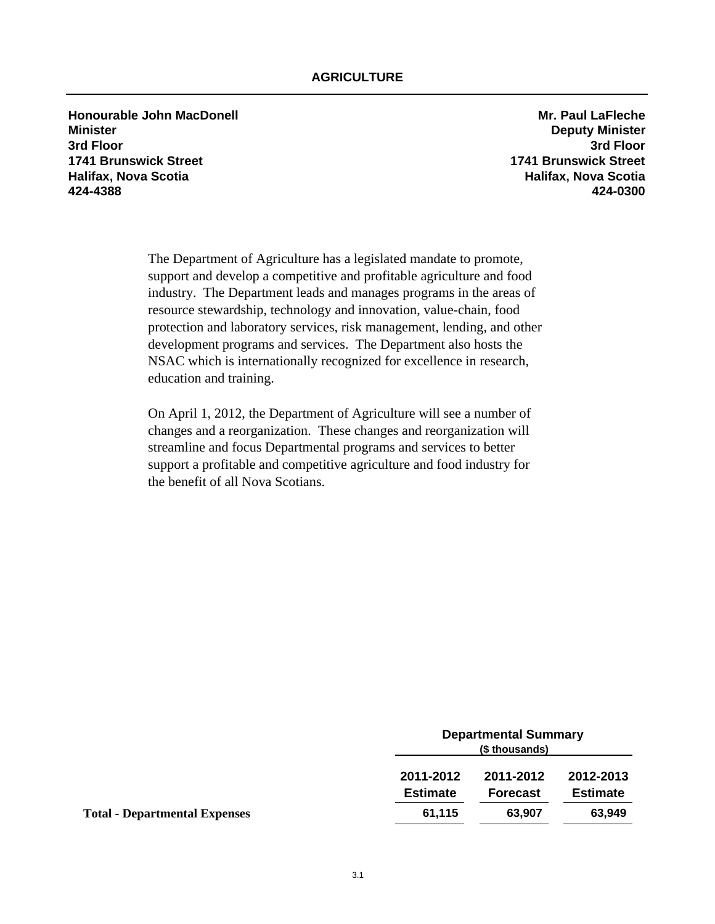**Honourable John MacDonell Mr. Paul LaFleche Minister Deputy Minister 3rd Floor 3rd Floor 1741 Brunswick Street 1741 Brunswick Street Halifax, Nova Scotia Halifax, Nova Scotia 424-4388 424-0300**

The Department of Agriculture has a legislated mandate to promote, support and develop a competitive and profitable agriculture and food industry. The Department leads and manages programs in the areas of resource stewardship, technology and innovation, value-chain, food protection and laboratory services, risk management, lending, and other development programs and services. The Department also hosts the NSAC which is internationally recognized for excellence in research, education and training.

On April 1, 2012, the Department of Agriculture will see a number of changes and a reorganization. These changes and reorganization will streamline and focus Departmental programs and services to better support a profitable and competitive agriculture and food industry for the benefit of all Nova Scotians.

|                                      |                              | <b>Departmental Summary</b><br>(\$ thousands) |                              |  |
|--------------------------------------|------------------------------|-----------------------------------------------|------------------------------|--|
|                                      | 2011-2012<br><b>Estimate</b> | 2011-2012<br><b>Forecast</b>                  | 2012-2013<br><b>Estimate</b> |  |
| <b>Total - Departmental Expenses</b> | 61,115                       | 63,907                                        | 63,949                       |  |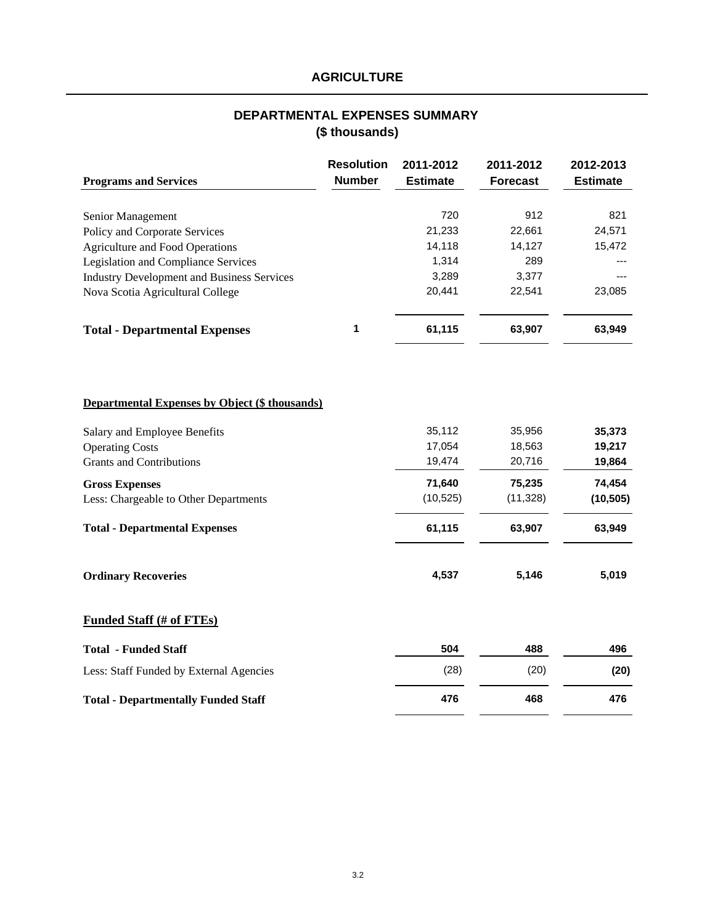# **AGRICULTURE**

# **(\$ thousands) DEPARTMENTAL EXPENSES SUMMARY**

|                                                       | <b>Resolution</b> | 2011-2012       | 2011-2012       | 2012-2013       |
|-------------------------------------------------------|-------------------|-----------------|-----------------|-----------------|
| <b>Programs and Services</b>                          | <b>Number</b>     | <b>Estimate</b> | <b>Forecast</b> | <b>Estimate</b> |
|                                                       |                   |                 |                 |                 |
| Senior Management                                     |                   | 720             | 912             | 821             |
| Policy and Corporate Services                         |                   | 21,233          | 22,661          | 24,571          |
| <b>Agriculture and Food Operations</b>                |                   | 14,118          | 14,127          | 15,472          |
| Legislation and Compliance Services                   |                   | 1,314           | 289             |                 |
| <b>Industry Development and Business Services</b>     |                   | 3,289           | 3,377           |                 |
| Nova Scotia Agricultural College                      |                   | 20,441          | 22,541          | 23,085          |
| <b>Total - Departmental Expenses</b>                  | 1                 | 61,115          | 63,907          | 63,949          |
|                                                       |                   |                 |                 |                 |
| <b>Departmental Expenses by Object (\$ thousands)</b> |                   |                 |                 |                 |
| Salary and Employee Benefits                          |                   | 35,112          | 35,956          | 35,373          |
| <b>Operating Costs</b>                                |                   | 17,054          | 18,563          | 19,217          |
| <b>Grants and Contributions</b>                       |                   | 19,474          | 20,716          | 19,864          |
| <b>Gross Expenses</b>                                 |                   | 71,640          | 75,235          | 74,454          |
| Less: Chargeable to Other Departments                 |                   | (10, 525)       | (11, 328)       | (10, 505)       |
| <b>Total - Departmental Expenses</b>                  |                   | 61,115          | 63,907          | 63,949          |
| <b>Ordinary Recoveries</b>                            |                   | 4,537           | 5,146           | 5,019           |
| <b>Funded Staff (# of FTEs)</b>                       |                   |                 |                 |                 |
| <b>Total - Funded Staff</b>                           |                   | 504             | 488             | 496             |
| Less: Staff Funded by External Agencies               |                   | (28)            | (20)            | (20)            |
| <b>Total - Departmentally Funded Staff</b>            |                   | 476             | 468             | 476             |
|                                                       |                   |                 |                 |                 |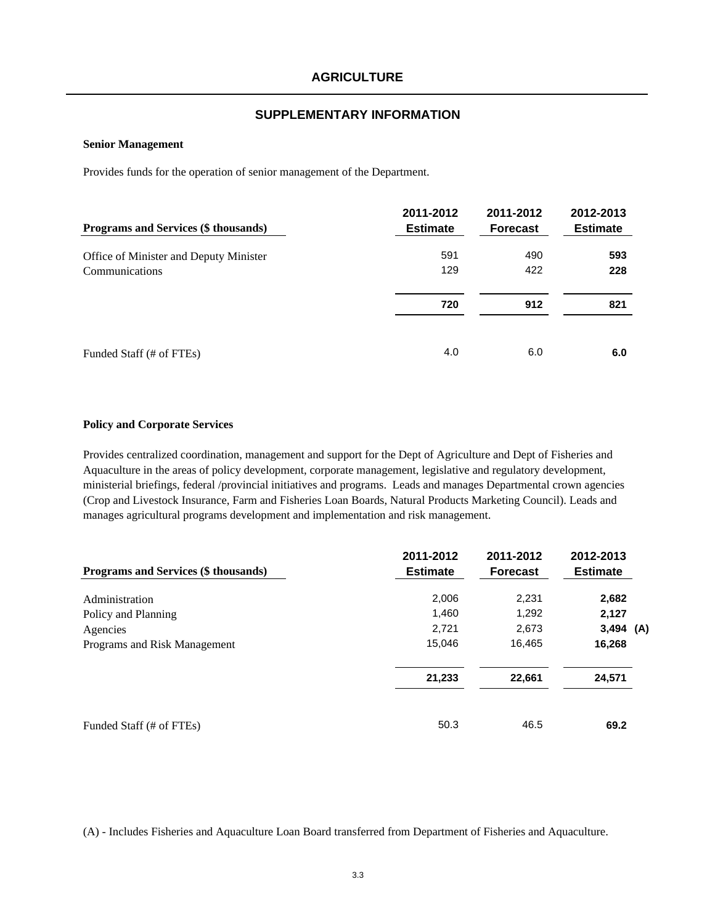#### **SUPPLEMENTARY INFORMATION**

#### **Senior Management**

Provides funds for the operation of senior management of the Department.

| Programs and Services (\$ thousands)   | 2011-2012<br><b>Estimate</b> | 2011-2012<br><b>Forecast</b> | 2012-2013<br><b>Estimate</b> |
|----------------------------------------|------------------------------|------------------------------|------------------------------|
| Office of Minister and Deputy Minister | 591                          | 490                          | 593                          |
| Communications                         | 129                          | 422                          | 228                          |
|                                        | 720                          | 912                          | 821                          |
| Funded Staff (# of FTEs)               | 4.0                          | 6.0                          | 6.0                          |

#### **Policy and Corporate Services**

Provides centralized coordination, management and support for the Dept of Agriculture and Dept of Fisheries and Aquaculture in the areas of policy development, corporate management, legislative and regulatory development, ministerial briefings, federal /provincial initiatives and programs. Leads and manages Departmental crown agencies (Crop and Livestock Insurance, Farm and Fisheries Loan Boards, Natural Products Marketing Council). Leads and manages agricultural programs development and implementation and risk management.

| Programs and Services (\$ thousands) | 2011-2012<br><b>Estimate</b> | 2011-2012<br><b>Forecast</b> | 2012-2013<br><b>Estimate</b> |
|--------------------------------------|------------------------------|------------------------------|------------------------------|
| Administration                       | 2,006                        | 2,231                        | 2,682                        |
| Policy and Planning                  | 1,460                        | 1,292                        | 2,127                        |
| Agencies                             | 2,721                        | 2,673                        | $3,494$ (A)                  |
| Programs and Risk Management         | 15,046                       | 16,465                       | 16,268                       |
|                                      | 21,233                       | 22,661                       | 24,571                       |
| Funded Staff (# of FTEs)             | 50.3                         | 46.5                         | 69.2                         |

(A) - Includes Fisheries and Aquaculture Loan Board transferred from Department of Fisheries and Aquaculture.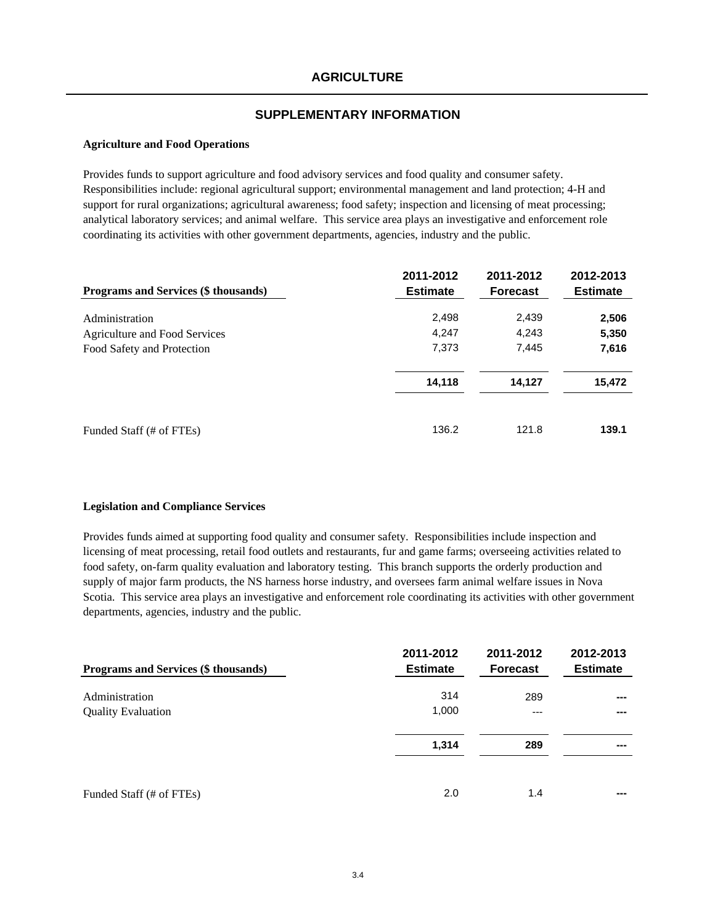### **Agriculture and Food Operations**

Provides funds to support agriculture and food advisory services and food quality and consumer safety. Responsibilities include: regional agricultural support; environmental management and land protection; 4-H and support for rural organizations; agricultural awareness; food safety; inspection and licensing of meat processing; analytical laboratory services; and animal welfare. This service area plays an investigative and enforcement role coordinating its activities with other government departments, agencies, industry and the public.

| Programs and Services (\$ thousands) | 2011-2012<br><b>Estimate</b> | 2011-2012<br><b>Forecast</b> | 2012-2013<br><b>Estimate</b> |
|--------------------------------------|------------------------------|------------------------------|------------------------------|
| Administration                       | 2,498                        | 2,439                        | 2,506                        |
| Agriculture and Food Services        | 4,247                        | 4,243                        | 5,350                        |
| Food Safety and Protection           | 7,373                        | 7,445                        | 7,616                        |
|                                      | 14,118                       | 14,127                       | 15,472                       |
| Funded Staff (# of FTEs)             | 136.2                        | 121.8                        | 139.1                        |

#### **Legislation and Compliance Services**

Provides funds aimed at supporting food quality and consumer safety. Responsibilities include inspection and licensing of meat processing, retail food outlets and restaurants, fur and game farms; overseeing activities related to food safety, on-farm quality evaluation and laboratory testing. This branch supports the orderly production and supply of major farm products, the NS harness horse industry, and oversees farm animal welfare issues in Nova Scotia. This service area plays an investigative and enforcement role coordinating its activities with other government departments, agencies, industry and the public.

| Programs and Services (\$ thousands) | 2011-2012<br><b>Estimate</b> | 2011-2012<br><b>Forecast</b> | 2012-2013<br><b>Estimate</b> |
|--------------------------------------|------------------------------|------------------------------|------------------------------|
| Administration                       | 314                          | 289                          |                              |
| <b>Quality Evaluation</b>            | 1,000                        | $---$                        |                              |
|                                      | 1,314                        | 289                          |                              |
| Funded Staff (# of FTEs)             | 2.0                          | 1.4                          | ---                          |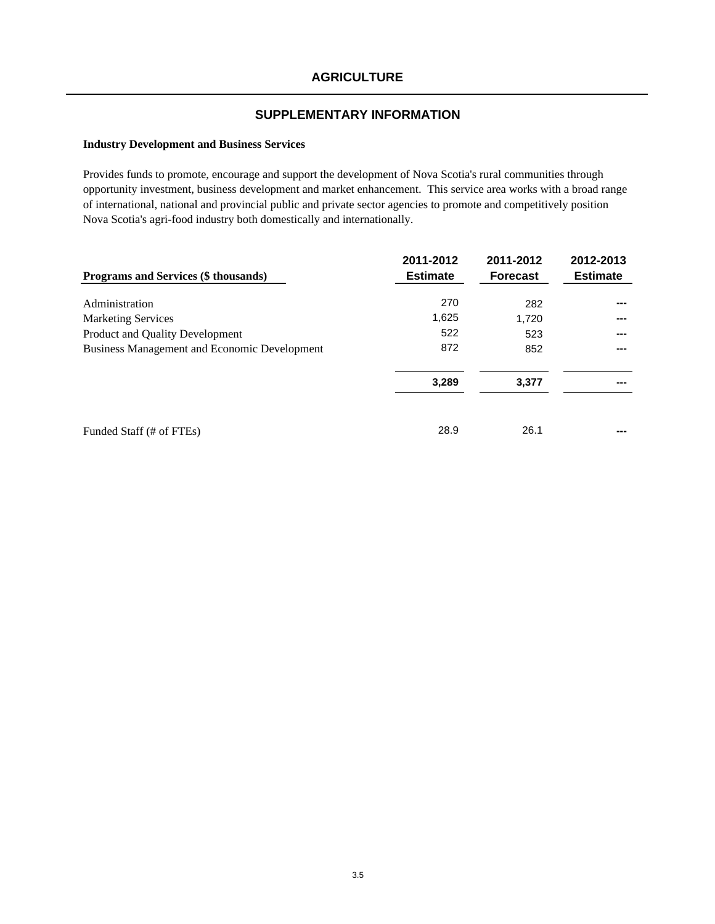### **Industry Development and Business Services**

Provides funds to promote, encourage and support the development of Nova Scotia's rural communities through opportunity investment, business development and market enhancement. This service area works with a broad range of international, national and provincial public and private sector agencies to promote and competitively position Nova Scotia's agri-food industry both domestically and internationally.

| Programs and Services (\$ thousands)                | 2011-2012<br><b>Estimate</b> | 2011-2012<br><b>Forecast</b> | 2012-2013<br><b>Estimate</b> |
|-----------------------------------------------------|------------------------------|------------------------------|------------------------------|
|                                                     |                              |                              |                              |
| Administration                                      | 270                          | 282                          | ---                          |
| <b>Marketing Services</b>                           | 1,625                        | 1,720                        | ---                          |
| Product and Quality Development                     | 522                          | 523                          | ---                          |
| <b>Business Management and Economic Development</b> | 872                          | 852                          | ---                          |
|                                                     | 3,289                        | 3,377                        | ---                          |
| Funded Staff (# of FTEs)                            | 28.9                         | 26.1                         |                              |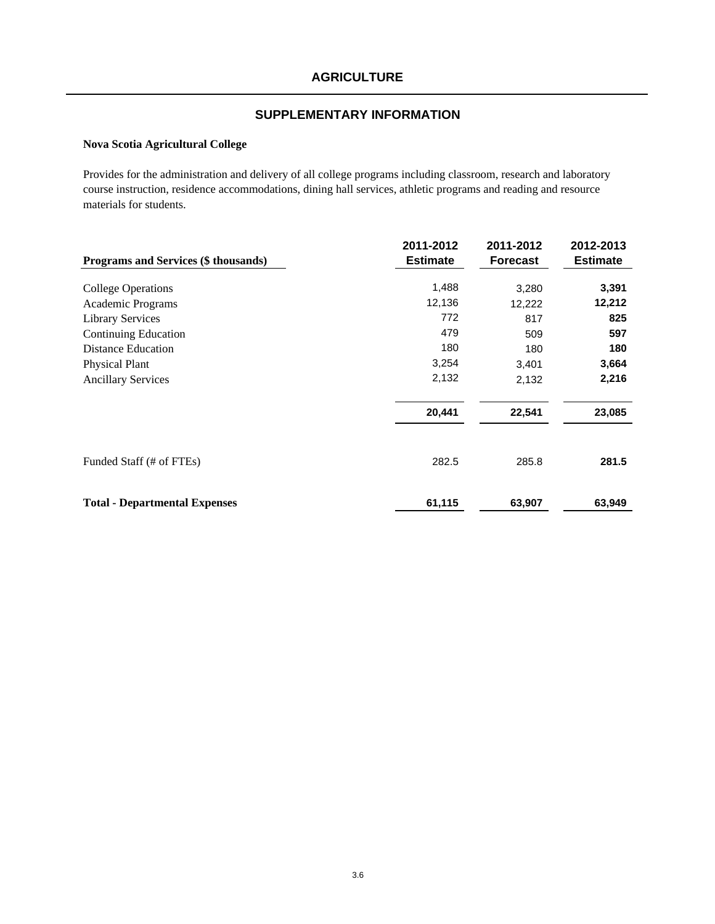### **Nova Scotia Agricultural College**

Provides for the administration and delivery of all college programs including classroom, research and laboratory course instruction, residence accommodations, dining hall services, athletic programs and reading and resource materials for students.

|                                      | 2011-2012       | 2011-2012       | 2012-2013       |
|--------------------------------------|-----------------|-----------------|-----------------|
| Programs and Services (\$ thousands) | <b>Estimate</b> | <b>Forecast</b> | <b>Estimate</b> |
|                                      |                 |                 |                 |
| <b>College Operations</b>            | 1,488           | 3,280           | 3,391           |
| Academic Programs                    | 12,136          | 12,222          | 12,212          |
| <b>Library Services</b>              | 772             | 817             | 825             |
| <b>Continuing Education</b>          | 479             | 509             | 597             |
| <b>Distance Education</b>            | 180             | 180             | 180             |
| <b>Physical Plant</b>                | 3,254           | 3,401           | 3,664           |
| <b>Ancillary Services</b>            | 2,132           | 2,132           | 2,216           |
|                                      | 20,441          | 22,541          | 23,085          |
|                                      |                 |                 |                 |
| Funded Staff (# of FTEs)             | 282.5           | 285.8           | 281.5           |
| <b>Total - Departmental Expenses</b> | 61,115          | 63,907          | 63,949          |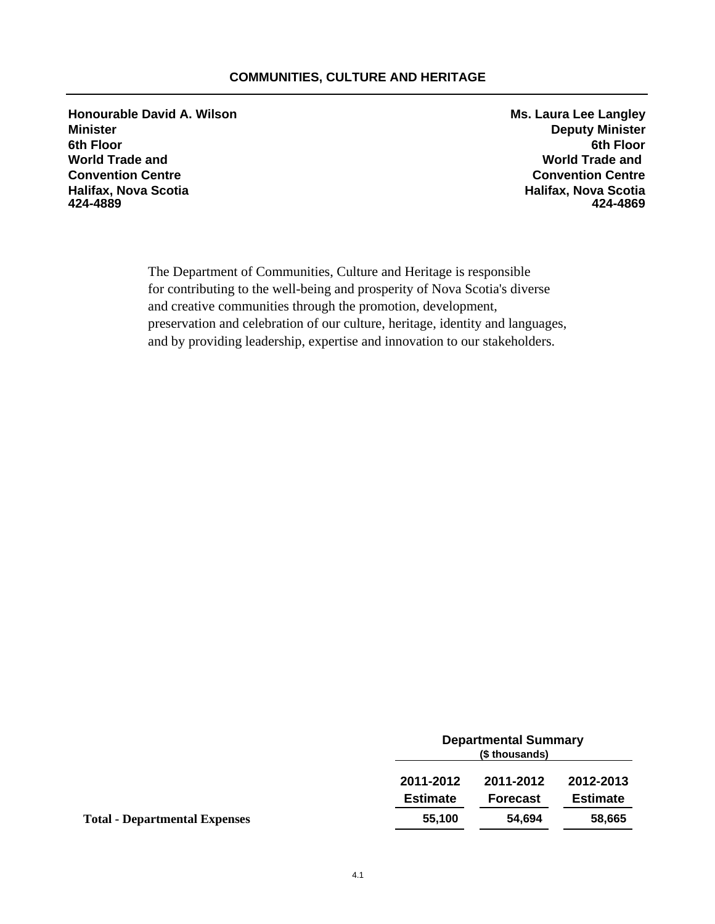# **COMMUNITIES, CULTURE AND HERITAGE**

**Honourable David A. Wilson Ms. Laura Lee Langley Minister Deputy Minister 6th Floor 6th Floor World Trade and World Trade and Convention Centre Convention Centre Halifax, Nova Scotia Halifax, Nova Scotia 424-4889 424-4869**

The Department of Communities, Culture and Heritage is responsible for contributing to the well-being and prosperity of Nova Scotia's diverse and creative communities through the promotion, development, preservation and celebration of our culture, heritage, identity and languages, and by providing leadership, expertise and innovation to our stakeholders.

|                                      |                              | <b>Departmental Summary</b><br>(\$ thousands) |                              |  |
|--------------------------------------|------------------------------|-----------------------------------------------|------------------------------|--|
|                                      | 2011-2012<br><b>Estimate</b> | 2011-2012<br><b>Forecast</b>                  | 2012-2013<br><b>Estimate</b> |  |
|                                      |                              |                                               |                              |  |
| <b>Total - Departmental Expenses</b> | 55,100                       | 54.694                                        | 58,665                       |  |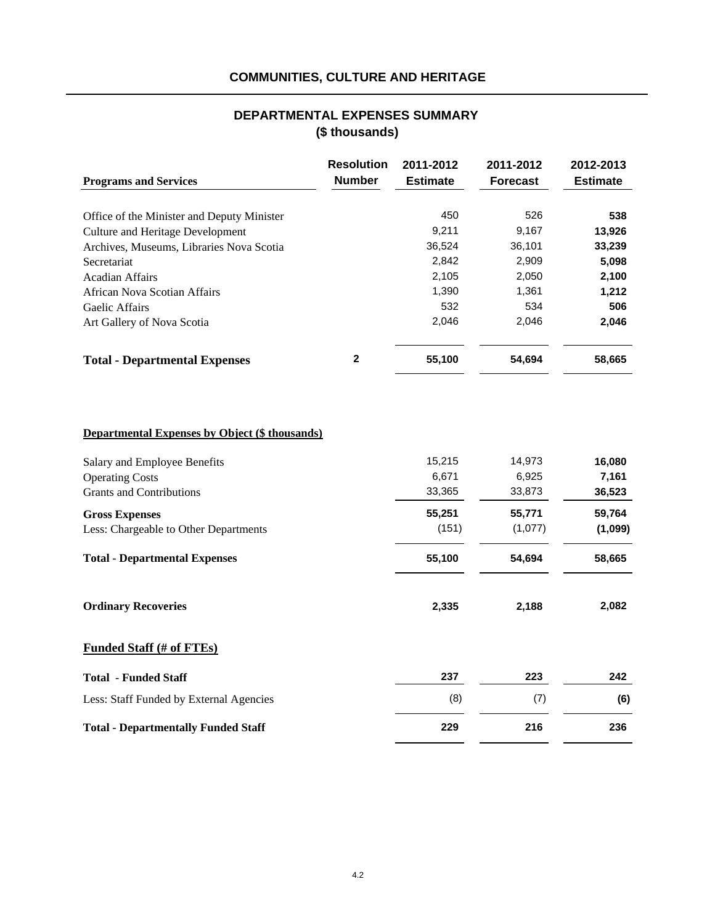# **COMMUNITIES, CULTURE AND HERITAGE**

# **(\$ thousands) DEPARTMENTAL EXPENSES SUMMARY**

|                                                       | <b>Resolution</b><br><b>Number</b> | 2011-2012<br><b>Estimate</b> | 2011-2012<br><b>Forecast</b> | 2012-2013<br><b>Estimate</b> |
|-------------------------------------------------------|------------------------------------|------------------------------|------------------------------|------------------------------|
| <b>Programs and Services</b>                          |                                    |                              |                              |                              |
| Office of the Minister and Deputy Minister            |                                    | 450                          | 526                          | 538                          |
| <b>Culture and Heritage Development</b>               |                                    | 9,211                        | 9,167                        | 13,926                       |
| Archives, Museums, Libraries Nova Scotia              |                                    | 36,524                       | 36,101                       | 33,239                       |
| Secretariat                                           |                                    | 2,842                        | 2,909                        | 5,098                        |
| <b>Acadian Affairs</b>                                |                                    | 2,105                        | 2,050                        | 2,100                        |
| <b>African Nova Scotian Affairs</b>                   |                                    | 1,390                        | 1,361                        | 1,212                        |
| Gaelic Affairs                                        |                                    | 532                          | 534                          | 506                          |
| Art Gallery of Nova Scotia                            |                                    | 2,046                        | 2,046                        | 2,046                        |
| <b>Total - Departmental Expenses</b>                  | 2                                  | 55,100                       | 54,694                       | 58,665                       |
|                                                       |                                    |                              |                              |                              |
| <b>Departmental Expenses by Object (\$ thousands)</b> |                                    |                              |                              |                              |
| Salary and Employee Benefits                          |                                    | 15,215                       | 14,973                       | 16,080                       |
| <b>Operating Costs</b>                                |                                    | 6,671                        | 6,925                        | 7,161                        |
| <b>Grants and Contributions</b>                       |                                    | 33,365                       | 33,873                       | 36,523                       |
| <b>Gross Expenses</b>                                 |                                    | 55,251                       | 55,771                       | 59,764                       |
| Less: Chargeable to Other Departments                 |                                    | (151)                        | (1,077)                      | (1,099)                      |
| <b>Total - Departmental Expenses</b>                  |                                    | 55,100                       | 54,694                       | 58,665                       |
| <b>Ordinary Recoveries</b>                            |                                    | 2,335                        | 2,188                        | 2,082                        |
| <b>Funded Staff (# of FTEs)</b>                       |                                    |                              |                              |                              |
| <b>Total - Funded Staff</b>                           |                                    | 237                          | 223                          | 242                          |
| Less: Staff Funded by External Agencies               |                                    | (8)                          | (7)                          | (6)                          |
| <b>Total - Departmentally Funded Staff</b>            |                                    | 229                          | 216                          | 236                          |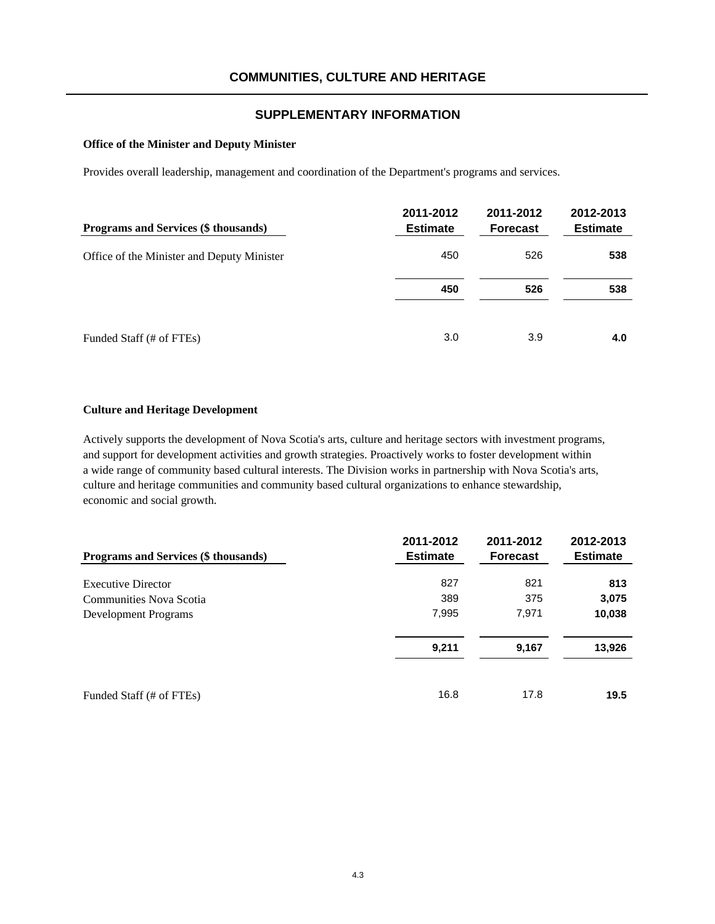### **Office of the Minister and Deputy Minister**

Provides overall leadership, management and coordination of the Department's programs and services.

| Programs and Services (\$ thousands)       | 2011-2012<br><b>Estimate</b> | 2011-2012<br><b>Forecast</b> | 2012-2013<br><b>Estimate</b> |
|--------------------------------------------|------------------------------|------------------------------|------------------------------|
| Office of the Minister and Deputy Minister | 450                          | 526                          | 538                          |
|                                            | 450                          | 526                          | 538                          |
| Funded Staff (# of FTEs)                   | 3.0                          | 3.9                          | 4.0                          |

#### **Culture and Heritage Development**

Actively supports the development of Nova Scotia's arts, culture and heritage sectors with investment programs, and support for development activities and growth strategies. Proactively works to foster development within a wide range of community based cultural interests. The Division works in partnership with Nova Scotia's arts, culture and heritage communities and community based cultural organizations to enhance stewardship, economic and social growth.

| <b>Programs and Services (\$ thousands)</b> | 2011-2012<br><b>Estimate</b> | 2011-2012<br><b>Forecast</b> | 2012-2013<br><b>Estimate</b> |
|---------------------------------------------|------------------------------|------------------------------|------------------------------|
| <b>Executive Director</b>                   | 827                          | 821                          | 813                          |
| Communities Nova Scotia                     | 389                          | 375                          | 3,075                        |
| Development Programs                        | 7,995                        | 7,971                        | 10,038                       |
|                                             | 9,211                        | 9,167                        | 13,926                       |
| Funded Staff (# of FTEs)                    | 16.8                         | 17.8                         | 19.5                         |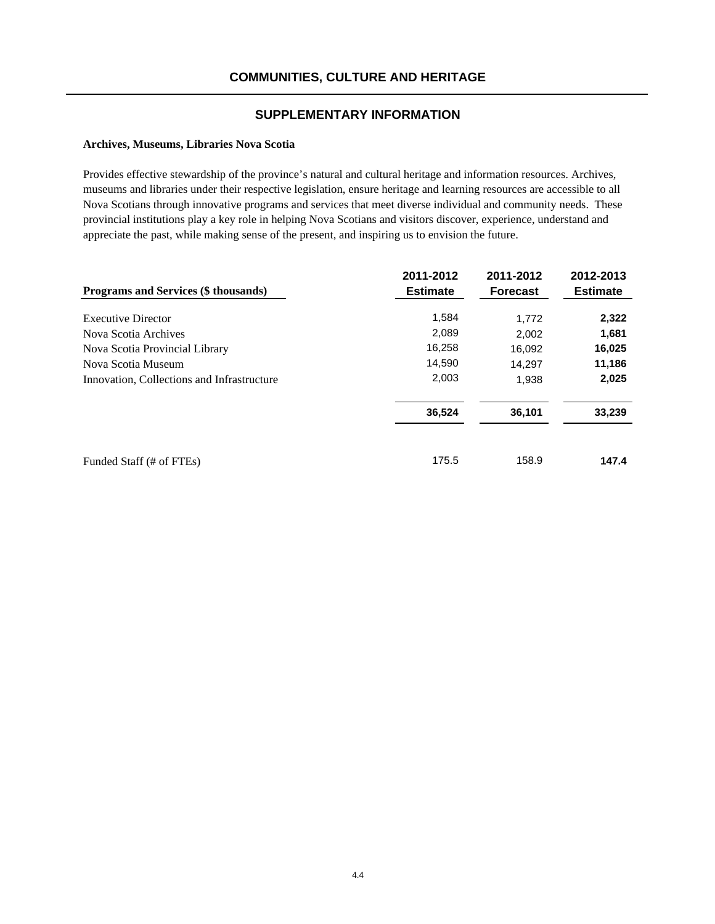### **Archives, Museums, Libraries Nova Scotia**

Provides effective stewardship of the province's natural and cultural heritage and information resources. Archives, museums and libraries under their respective legislation, ensure heritage and learning resources are accessible to all Nova Scotians through innovative programs and services that meet diverse individual and community needs. These provincial institutions play a key role in helping Nova Scotians and visitors discover, experience, understand and appreciate the past, while making sense of the present, and inspiring us to envision the future.

| Programs and Services (\$ thousands)       | 2011-2012<br><b>Estimate</b> | 2011-2012<br><b>Forecast</b> | 2012-2013<br><b>Estimate</b> |
|--------------------------------------------|------------------------------|------------------------------|------------------------------|
| <b>Executive Director</b>                  | 1,584                        | 1.772                        | 2,322                        |
| Nova Scotia Archives                       | 2,089                        | 2,002                        | 1,681                        |
| Nova Scotia Provincial Library             | 16,258                       | 16,092                       | 16,025                       |
| Nova Scotia Museum                         | 14,590                       | 14.297                       | 11,186                       |
| Innovation, Collections and Infrastructure | 2,003                        | 1,938                        | 2,025                        |
|                                            | 36,524                       | 36,101                       | 33,239                       |
| Funded Staff (# of FTEs)                   | 175.5                        | 158.9                        | 147.4                        |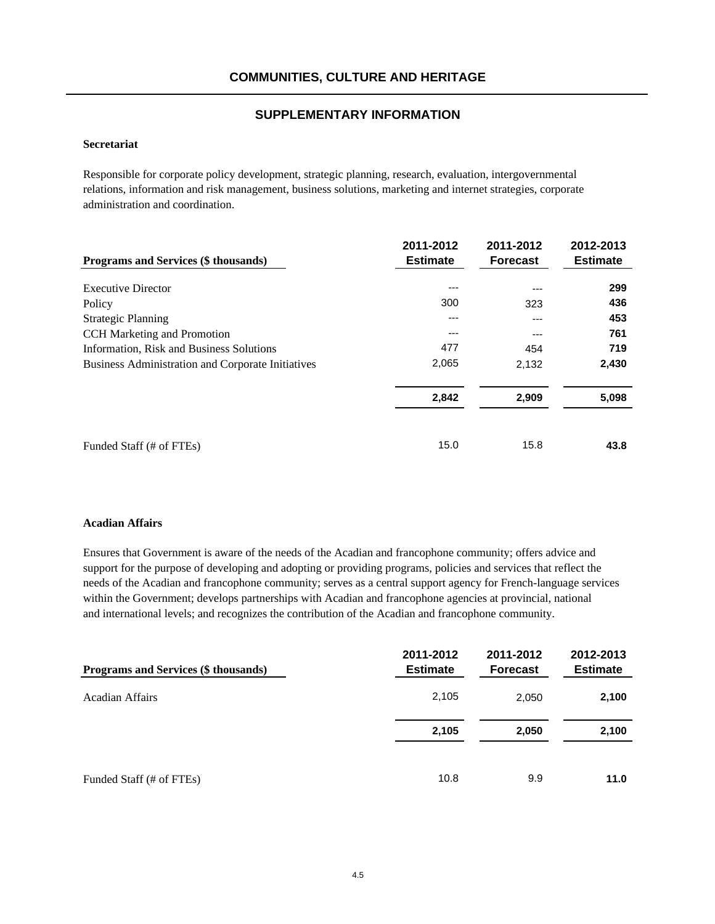### **Secretariat**

Responsible for corporate policy development, strategic planning, research, evaluation, intergovernmental relations, information and risk management, business solutions, marketing and internet strategies, corporate administration and coordination.

| Programs and Services (\$ thousands)                     | 2011-2012<br><b>Estimate</b> | 2011-2012<br><b>Forecast</b> | 2012-2013<br><b>Estimate</b> |
|----------------------------------------------------------|------------------------------|------------------------------|------------------------------|
| <b>Executive Director</b>                                | ---                          | ---                          | 299                          |
| Policy                                                   | 300                          | 323                          | 436                          |
| <b>Strategic Planning</b>                                | ---                          | ---                          | 453                          |
| <b>CCH</b> Marketing and Promotion                       | ---                          | $---$                        | 761                          |
| Information, Risk and Business Solutions                 | 477                          | 454                          | 719                          |
| <b>Business Administration and Corporate Initiatives</b> | 2,065                        | 2,132                        | 2,430                        |
|                                                          | 2,842                        | 2,909                        | 5,098                        |
| Funded Staff (# of FTEs)                                 | 15.0                         | 15.8                         | 43.8                         |

#### **Acadian Affairs**

Ensures that Government is aware of the needs of the Acadian and francophone community; offers advice and support for the purpose of developing and adopting or providing programs, policies and services that reflect the needs of the Acadian and francophone community; serves as a central support agency for French-language services within the Government; develops partnerships with Acadian and francophone agencies at provincial, national and international levels; and recognizes the contribution of the Acadian and francophone community.

| Programs and Services (\$ thousands) | 2011-2012<br><b>Estimate</b> | 2011-2012<br><b>Forecast</b> | 2012-2013<br><b>Estimate</b> |
|--------------------------------------|------------------------------|------------------------------|------------------------------|
| Acadian Affairs                      | 2,105                        | 2,050                        | 2,100                        |
|                                      | 2,105                        | 2,050                        | 2,100                        |
| Funded Staff (# of FTEs)             | 10.8                         | 9.9                          | 11.0                         |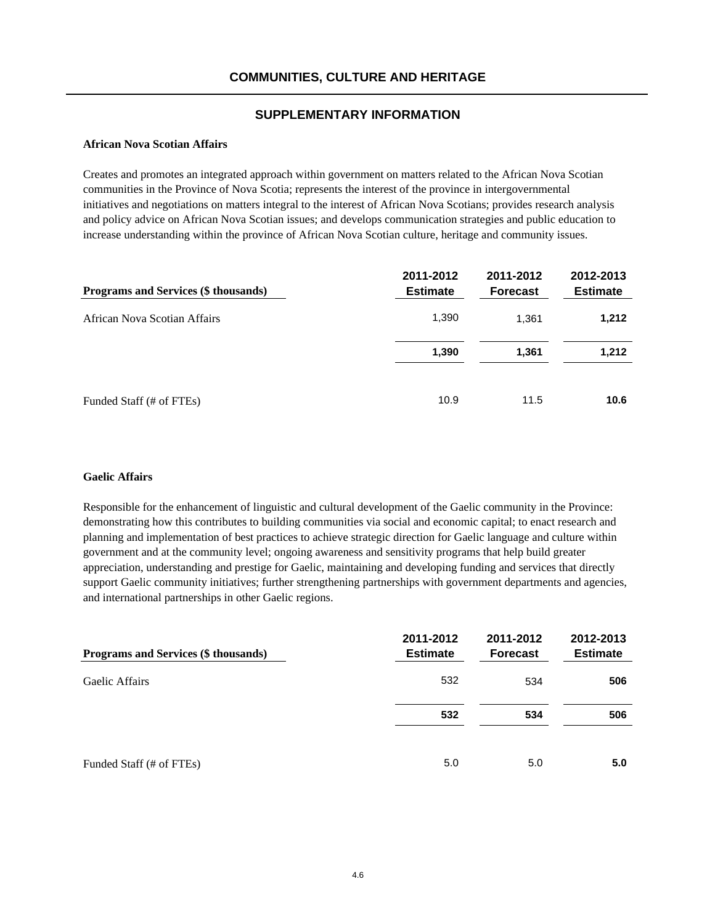### **African Nova Scotian Affairs**

Creates and promotes an integrated approach within government on matters related to the African Nova Scotian communities in the Province of Nova Scotia; represents the interest of the province in intergovernmental initiatives and negotiations on matters integral to the interest of African Nova Scotians; provides research analysis and policy advice on African Nova Scotian issues; and develops communication strategies and public education to increase understanding within the province of African Nova Scotian culture, heritage and community issues.

| <b>Programs and Services (\$ thousands)</b> | 2011-2012<br><b>Estimate</b> | 2011-2012<br><b>Forecast</b> | 2012-2013<br><b>Estimate</b> |
|---------------------------------------------|------------------------------|------------------------------|------------------------------|
| African Nova Scotian Affairs                | 1,390                        | 1.361                        | 1,212                        |
|                                             | 1,390                        | 1,361                        | 1,212                        |
| Funded Staff (# of FTEs)                    | 10.9                         | 11.5                         | 10.6                         |

### **Gaelic Affairs**

Responsible for the enhancement of linguistic and cultural development of the Gaelic community in the Province: demonstrating how this contributes to building communities via social and economic capital; to enact research and planning and implementation of best practices to achieve strategic direction for Gaelic language and culture within government and at the community level; ongoing awareness and sensitivity programs that help build greater appreciation, understanding and prestige for Gaelic, maintaining and developing funding and services that directly support Gaelic community initiatives; further strengthening partnerships with government departments and agencies, and international partnerships in other Gaelic regions.

| Programs and Services (\$ thousands) | 2011-2012<br><b>Estimate</b> | 2011-2012<br><b>Forecast</b> | 2012-2013<br><b>Estimate</b> |
|--------------------------------------|------------------------------|------------------------------|------------------------------|
| Gaelic Affairs                       | 532                          | 534                          | 506                          |
|                                      | 532                          | 534                          | 506                          |
| Funded Staff (# of FTEs)             | 5.0                          | 5.0                          | 5.0                          |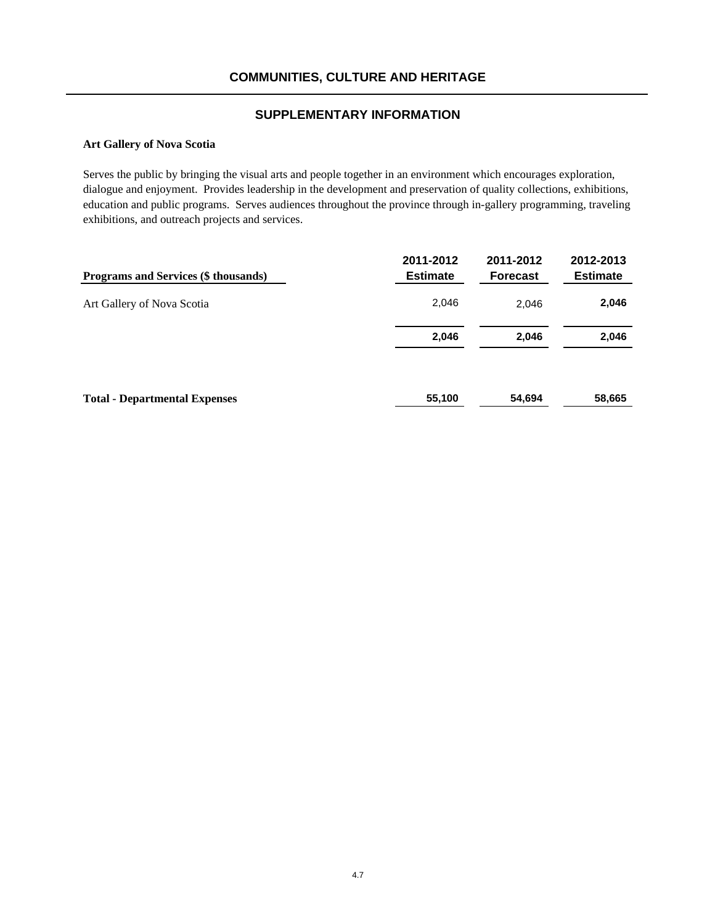### **Art Gallery of Nova Scotia**

Serves the public by bringing the visual arts and people together in an environment which encourages exploration, dialogue and enjoyment. Provides leadership in the development and preservation of quality collections, exhibitions, education and public programs. Serves audiences throughout the province through in-gallery programming, traveling exhibitions, and outreach projects and services.

| Programs and Services (\$ thousands) | 2011-2012<br><b>Estimate</b> | 2011-2012<br><b>Forecast</b> | 2012-2013<br><b>Estimate</b> |
|--------------------------------------|------------------------------|------------------------------|------------------------------|
| Art Gallery of Nova Scotia           | 2,046                        | 2,046                        | 2,046                        |
|                                      | 2,046                        | 2,046                        | 2,046                        |
| <b>Total - Departmental Expenses</b> | 55,100                       | 54,694                       | 58,665                       |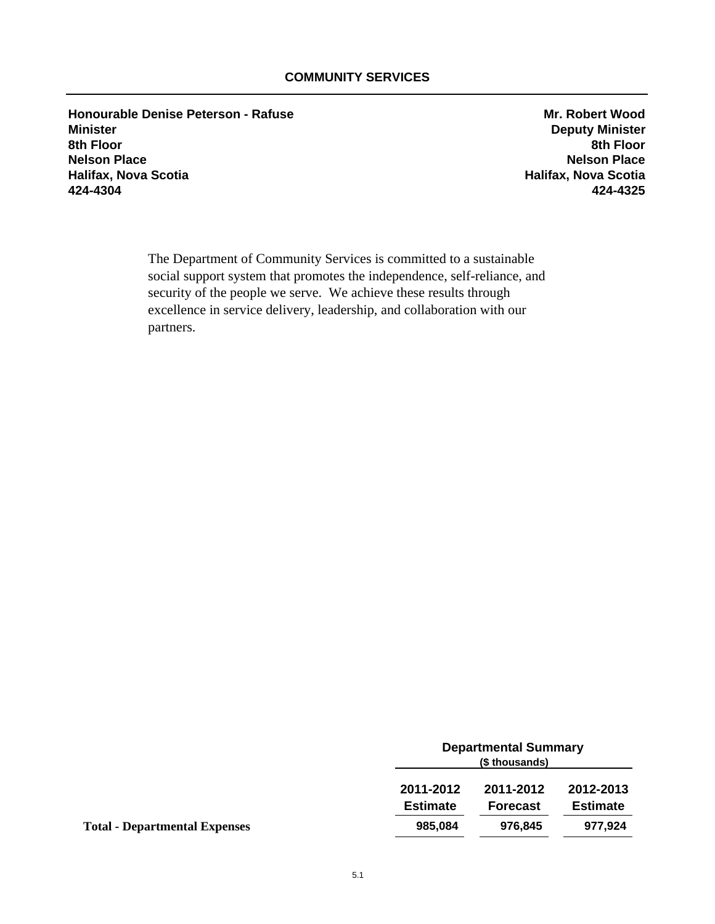**Honourable Denise Peterson - Rafuse Mr. Robert Wood**<br>Minister **Minister Minister Minister Minister Minister Deputy Minister 8th Floor 8th Floor Nelson Place Nelson Place Halifax, Nova Scotia Halifax, Nova Scotia 424-4304 424-4325**

The Department of Community Services is committed to a sustainable social support system that promotes the independence, self-reliance, and security of the people we serve. We achieve these results through excellence in service delivery, leadership, and collaboration with our partners.

|                                      |                              | <b>Departmental Summary</b><br>(\$ thousands) |                              |  |
|--------------------------------------|------------------------------|-----------------------------------------------|------------------------------|--|
|                                      | 2011-2012<br><b>Estimate</b> | 2011-2012<br><b>Forecast</b>                  | 2012-2013<br><b>Estimate</b> |  |
| <b>Total - Departmental Expenses</b> | 985,084                      | 976,845                                       | 977,924                      |  |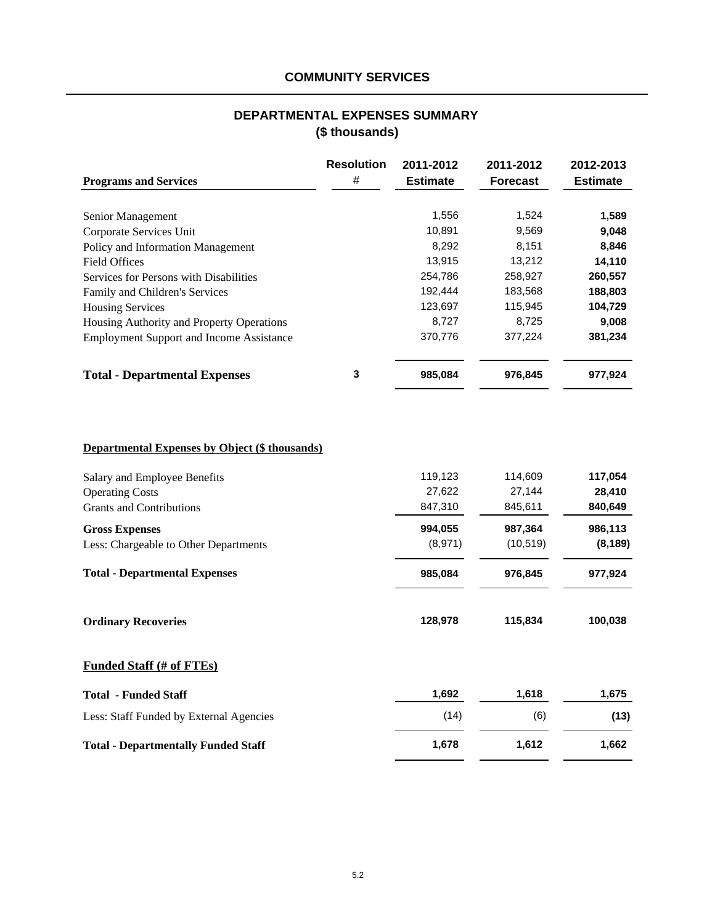# **DEPARTMENTAL EXPENSES SUMMARY (\$ thousands)**

|                                                       | <b>Resolution</b> | 2011-2012       | 2011-2012       | 2012-2013       |
|-------------------------------------------------------|-------------------|-----------------|-----------------|-----------------|
| <b>Programs and Services</b>                          | #                 | <b>Estimate</b> | <b>Forecast</b> | <b>Estimate</b> |
|                                                       |                   |                 |                 |                 |
| Senior Management                                     |                   | 1,556           | 1,524           | 1,589           |
| Corporate Services Unit                               |                   | 10,891          | 9,569           | 9,048           |
| Policy and Information Management                     |                   | 8,292           | 8,151           | 8,846           |
| <b>Field Offices</b>                                  |                   | 13,915          | 13,212          | 14,110          |
| Services for Persons with Disabilities                |                   | 254,786         | 258,927         | 260,557         |
| Family and Children's Services                        |                   | 192,444         | 183,568         | 188,803         |
| <b>Housing Services</b>                               |                   | 123,697         | 115,945         | 104,729         |
| Housing Authority and Property Operations             |                   | 8,727           | 8,725           | 9,008           |
| <b>Employment Support and Income Assistance</b>       |                   | 370,776         | 377,224         | 381,234         |
| <b>Total - Departmental Expenses</b>                  | $\mathbf 3$       | 985,084         | 976,845         | 977,924         |
|                                                       |                   |                 |                 |                 |
| <b>Departmental Expenses by Object (\$ thousands)</b> |                   |                 |                 |                 |
| Salary and Employee Benefits                          |                   | 119,123         | 114,609         | 117,054         |
| <b>Operating Costs</b>                                |                   | 27,622          | 27,144          | 28,410          |
| <b>Grants and Contributions</b>                       |                   | 847,310         | 845,611         | 840,649         |
| <b>Gross Expenses</b>                                 |                   | 994,055         | 987,364         | 986,113         |
| Less: Chargeable to Other Departments                 |                   | (8,971)         | (10, 519)       | (8, 189)        |
| <b>Total - Departmental Expenses</b>                  |                   | 985,084         | 976,845         | 977,924         |
| <b>Ordinary Recoveries</b>                            |                   | 128,978         | 115,834         | 100,038         |
| <b>Funded Staff (# of FTEs)</b>                       |                   |                 |                 |                 |
| <b>Total - Funded Staff</b>                           |                   | 1,692           | 1,618           | 1,675           |
| Less: Staff Funded by External Agencies               |                   | (14)            | (6)             | (13)            |
| <b>Total - Departmentally Funded Staff</b>            |                   | 1,678           | 1,612           | 1,662           |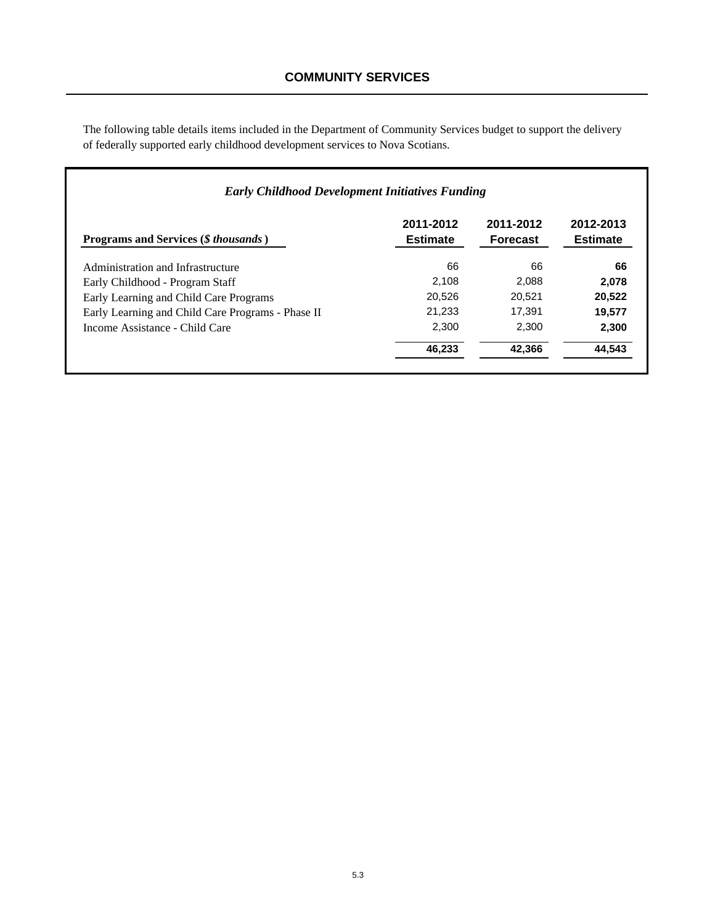The following table details items included in the Department of Community Services budget to support the delivery of federally supported early childhood development services to Nova Scotians.

| <b>Programs and Services (S</b> thousands)        | 2011-2012<br><b>Estimate</b> | 2011-2012<br><b>Forecast</b> | 2012-2013<br><b>Estimate</b> |
|---------------------------------------------------|------------------------------|------------------------------|------------------------------|
| Administration and Infrastructure                 | 66                           | 66                           | 66                           |
| Early Childhood - Program Staff                   | 2.108                        | 2.088                        | 2.078                        |
| Early Learning and Child Care Programs            | 20.526                       | 20.521                       | 20,522                       |
| Early Learning and Child Care Programs - Phase II | 21,233                       | 17.391                       | 19,577                       |
| Income Assistance - Child Care                    | 2.300                        | 2.300                        | 2.300                        |
|                                                   | 46,233                       | 42.366                       | 44,543                       |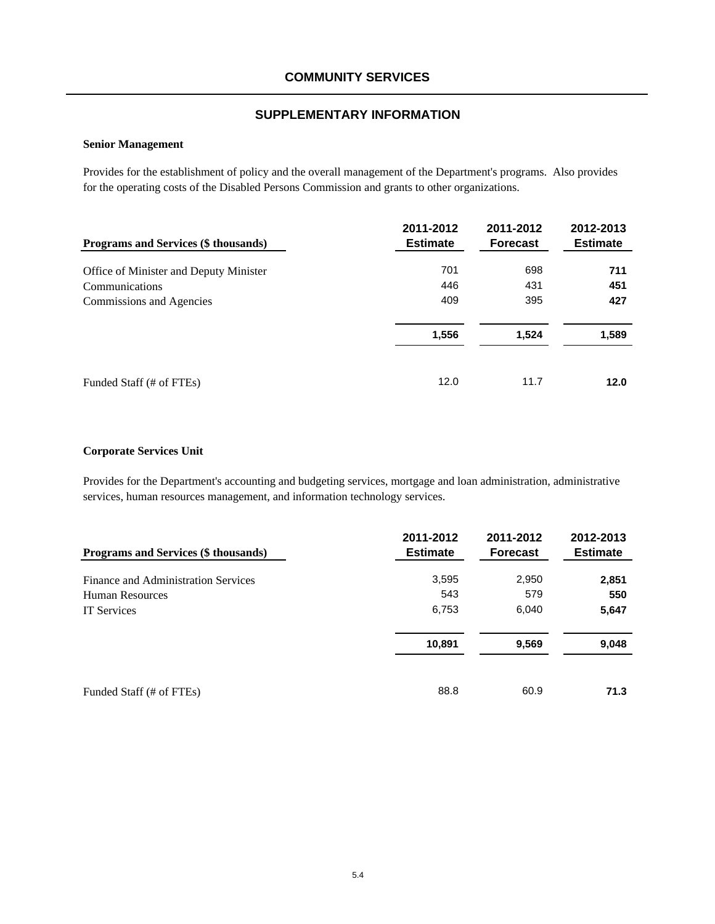## **SUPPLEMENTARY INFORMATION**

### **Senior Management**

Provides for the establishment of policy and the overall management of the Department's programs. Also provides for the operating costs of the Disabled Persons Commission and grants to other organizations.

| Programs and Services (\$ thousands)   | 2011-2012<br><b>Estimate</b> | 2011-2012<br><b>Forecast</b> | 2012-2013<br><b>Estimate</b> |
|----------------------------------------|------------------------------|------------------------------|------------------------------|
| Office of Minister and Deputy Minister | 701                          | 698                          | 711                          |
| Communications                         | 446                          | 431                          | 451                          |
| Commissions and Agencies               | 409                          | 395                          | 427                          |
|                                        | 1,556                        | 1,524                        | 1,589                        |
| Funded Staff (# of FTEs)               | 12.0                         | 11.7                         | 12.0                         |

### **Corporate Services Unit**

Provides for the Department's accounting and budgeting services, mortgage and loan administration, administrative services, human resources management, and information technology services.

| <b>Programs and Services (\$ thousands)</b> | 2011-2012<br><b>Estimate</b> | 2011-2012<br><b>Forecast</b> | 2012-2013<br><b>Estimate</b> |
|---------------------------------------------|------------------------------|------------------------------|------------------------------|
| Finance and Administration Services         | 3,595                        | 2,950                        | 2,851                        |
| <b>Human Resources</b>                      | 543                          | 579                          | 550                          |
| <b>IT</b> Services                          | 6,753                        | 6,040                        | 5,647                        |
|                                             | 10,891                       | 9,569                        | 9,048                        |
| Funded Staff (# of FTEs)                    | 88.8                         | 60.9                         | 71.3                         |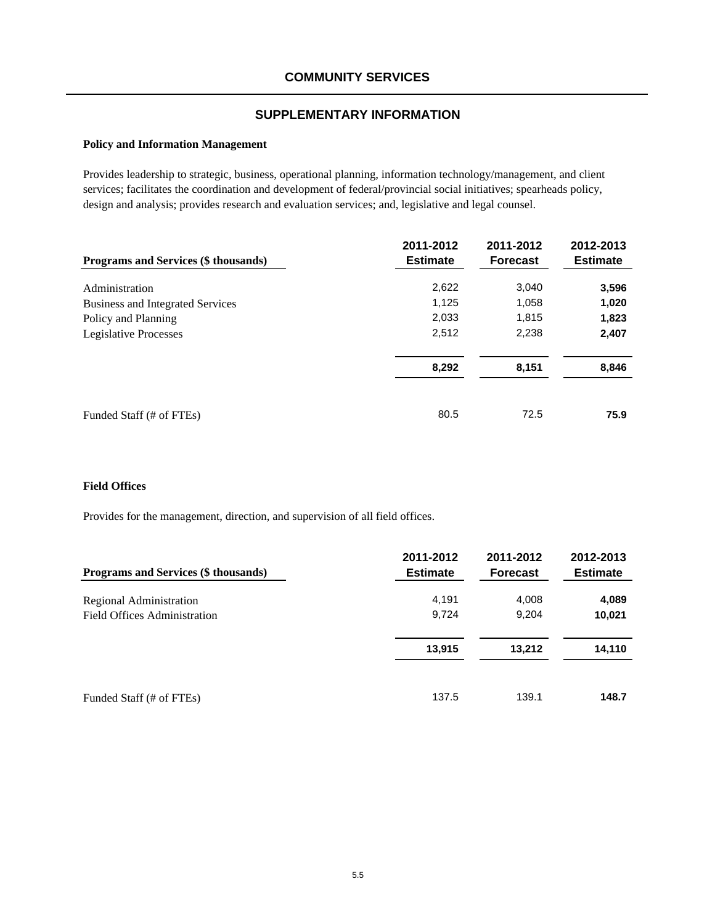## **SUPPLEMENTARY INFORMATION**

### **Policy and Information Management**

Provides leadership to strategic, business, operational planning, information technology/management, and client services; facilitates the coordination and development of federal/provincial social initiatives; spearheads policy, design and analysis; provides research and evaluation services; and, legislative and legal counsel.

| Programs and Services (\$ thousands)    | 2011-2012<br><b>Estimate</b> | 2011-2012<br><b>Forecast</b> | 2012-2013<br><b>Estimate</b> |
|-----------------------------------------|------------------------------|------------------------------|------------------------------|
| Administration                          | 2,622                        | 3,040                        |                              |
| <b>Business and Integrated Services</b> | 1,125                        | 1,058                        | 3,596<br>1,020               |
| Policy and Planning                     | 2,033                        | 1,815                        | 1,823                        |
| Legislative Processes                   | 2,512                        | 2,238                        | 2,407                        |
|                                         | 8,292                        | 8,151                        | 8,846                        |
| Funded Staff (# of FTEs)                | 80.5                         | 72.5                         | 75.9                         |

### **Field Offices**

Provides for the management, direction, and supervision of all field offices.

| <b>Programs and Services (\$ thousands)</b> | 2011-2012<br><b>Estimate</b> | 2011-2012<br><b>Forecast</b> | 2012-2013<br><b>Estimate</b> |
|---------------------------------------------|------------------------------|------------------------------|------------------------------|
| Regional Administration                     | 4,191                        | 4,008                        | 4,089                        |
| Field Offices Administration                | 9,724                        | 9,204                        | 10,021                       |
|                                             | 13,915                       | 13,212                       | 14,110                       |
| Funded Staff (# of FTEs)                    | 137.5                        | 139.1                        | 148.7                        |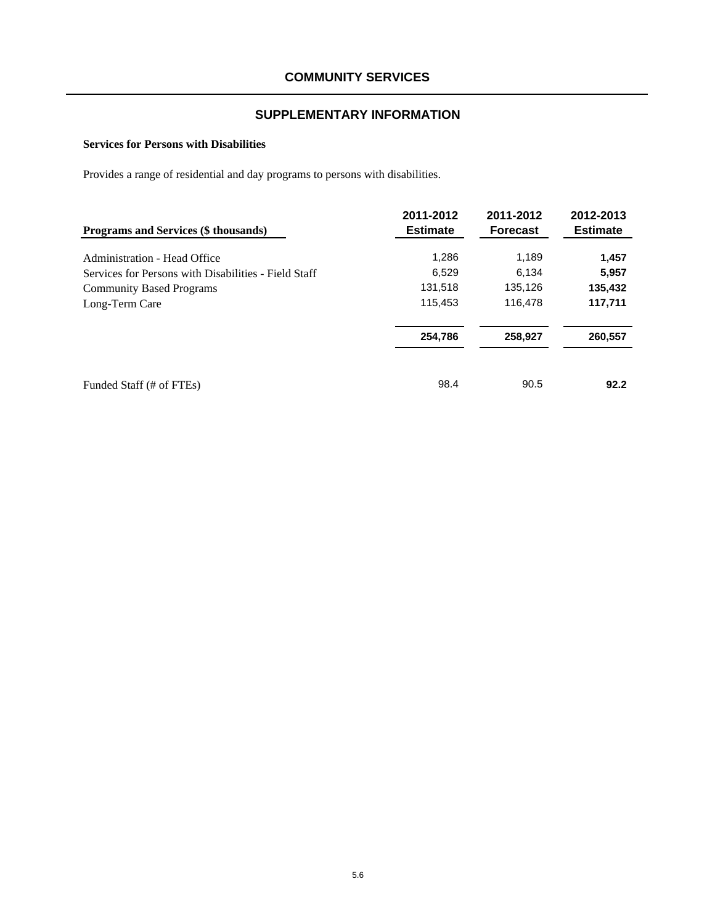## **Services for Persons with Disabilities**

Provides a range of residential and day programs to persons with disabilities.

| Programs and Services (\$ thousands)                 | 2011-2012<br><b>Estimate</b> | 2011-2012<br><b>Forecast</b> | 2012-2013<br><b>Estimate</b> |
|------------------------------------------------------|------------------------------|------------------------------|------------------------------|
| Administration - Head Office                         | 1,286                        | 1,189                        | 1,457                        |
| Services for Persons with Disabilities - Field Staff | 6,529                        | 6.134                        | 5,957                        |
| <b>Community Based Programs</b>                      | 131,518                      | 135,126                      | 135,432                      |
| Long-Term Care                                       | 115,453                      | 116,478                      | 117,711                      |
|                                                      | 254,786                      | 258,927                      | 260,557                      |
| Funded Staff (# of FTEs)                             | 98.4                         | 90.5                         | 92.2                         |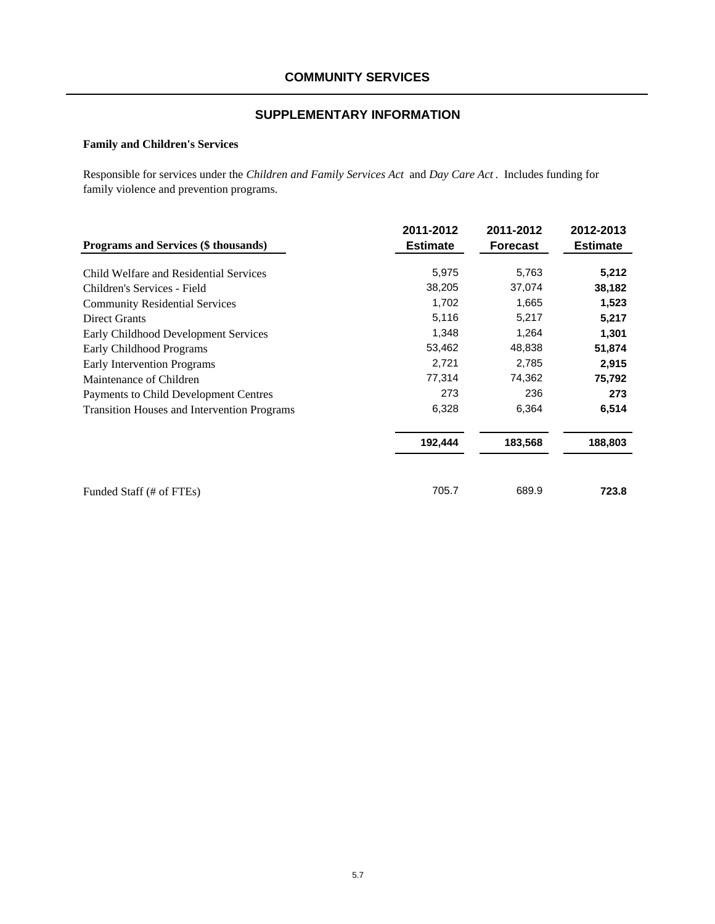# **SUPPLEMENTARY INFORMATION**

# **Family and Children's Services**

Responsible for services under the *Children and Family Services Act* and *Day Care Act* . Includes funding for family violence and prevention programs.

| Programs and Services (\$ thousands)               | 2011-2012<br><b>Estimate</b> | 2011-2012<br><b>Forecast</b> | 2012-2013<br><b>Estimate</b> |
|----------------------------------------------------|------------------------------|------------------------------|------------------------------|
| Child Welfare and Residential Services             | 5,975                        | 5,763                        | 5,212                        |
| Children's Services - Field                        | 38,205                       | 37,074                       | 38,182                       |
| <b>Community Residential Services</b>              | 1,702                        | 1,665                        | 1,523                        |
| <b>Direct Grants</b>                               | 5,116                        | 5,217                        | 5,217                        |
| Early Childhood Development Services               | 1,348                        | 1,264                        | 1,301                        |
| <b>Early Childhood Programs</b>                    | 53,462                       | 48,838                       | 51,874                       |
| Early Intervention Programs                        | 2,721                        | 2,785                        | 2,915                        |
| Maintenance of Children                            | 77,314                       | 74,362                       | 75,792                       |
| Payments to Child Development Centres              | 273                          | 236                          | 273                          |
| <b>Transition Houses and Intervention Programs</b> | 6,328                        | 6,364                        | 6,514                        |
|                                                    | 192,444                      | 183,568                      | 188,803                      |
| Funded Staff (# of FTEs)                           | 705.7                        | 689.9                        | 723.8                        |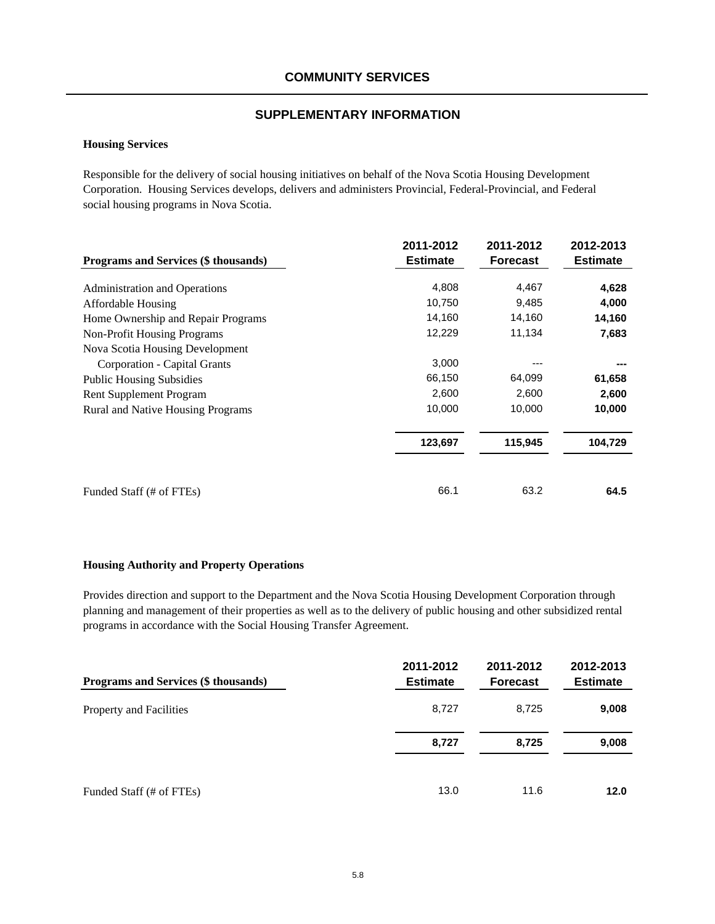### **Housing Services**

Responsible for the delivery of social housing initiatives on behalf of the Nova Scotia Housing Development Corporation. Housing Services develops, delivers and administers Provincial, Federal-Provincial, and Federal social housing programs in Nova Scotia.

| Programs and Services (\$ thousands) | 2011-2012<br><b>Estimate</b> | 2011-2012<br><b>Forecast</b> | 2012-2013<br><b>Estimate</b> |
|--------------------------------------|------------------------------|------------------------------|------------------------------|
|                                      |                              |                              |                              |
| <b>Administration and Operations</b> | 4,808                        | 4,467                        | 4,628                        |
| <b>Affordable Housing</b>            | 10,750                       | 9,485                        | 4,000                        |
| Home Ownership and Repair Programs   | 14,160                       | 14,160                       | 14,160                       |
| Non-Profit Housing Programs          | 12,229                       | 11,134                       | 7,683                        |
| Nova Scotia Housing Development      |                              |                              |                              |
| Corporation - Capital Grants         | 3,000                        |                              |                              |
| <b>Public Housing Subsidies</b>      | 66,150                       | 64,099                       | 61,658                       |
| Rent Supplement Program              | 2,600                        | 2,600                        | 2,600                        |
| Rural and Native Housing Programs    | 10,000                       | 10,000                       | 10,000                       |
|                                      | 123,697                      | 115,945                      | 104,729                      |
|                                      |                              |                              |                              |
| Funded Staff (# of FTEs)             | 66.1                         | 63.2                         | 64.5                         |

## **Housing Authority and Property Operations**

Provides direction and support to the Department and the Nova Scotia Housing Development Corporation through planning and management of their properties as well as to the delivery of public housing and other subsidized rental programs in accordance with the Social Housing Transfer Agreement.

| Programs and Services (\$ thousands) | 2011-2012<br><b>Estimate</b> | 2011-2012<br><b>Forecast</b> | 2012-2013<br><b>Estimate</b> |
|--------------------------------------|------------------------------|------------------------------|------------------------------|
| Property and Facilities              | 8,727                        | 8.725                        | 9,008                        |
|                                      | 8,727                        | 8,725                        | 9,008                        |
| Funded Staff (# of FTEs)             | 13.0                         | 11.6                         | 12.0                         |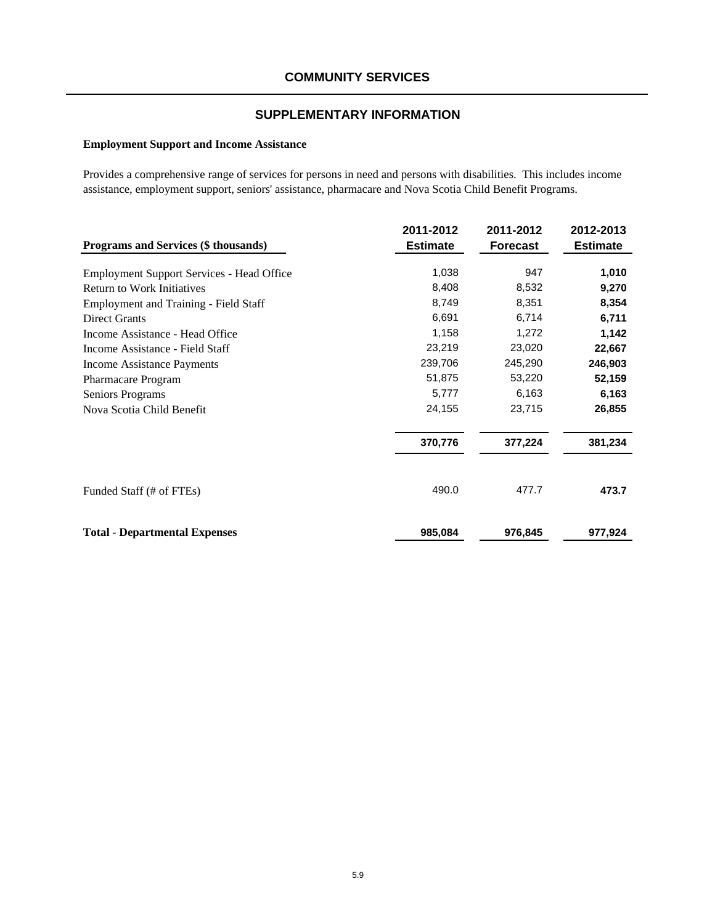## **SUPPLEMENTARY INFORMATION**

# **Employment Support and Income Assistance**

Provides a comprehensive range of services for persons in need and persons with disabilities. This includes income assistance, employment support, seniors' assistance, pharmacare and Nova Scotia Child Benefit Programs.

| <b>Programs and Services (\$ thousands)</b>      | 2011-2012<br><b>Estimate</b> | 2011-2012<br><b>Forecast</b> | 2012-2013<br><b>Estimate</b> |
|--------------------------------------------------|------------------------------|------------------------------|------------------------------|
|                                                  |                              |                              |                              |
| <b>Employment Support Services - Head Office</b> | 1,038                        | 947                          | 1,010                        |
| <b>Return to Work Initiatives</b>                | 8,408                        | 8,532                        | 9,270                        |
| <b>Employment and Training - Field Staff</b>     | 8,749                        | 8,351                        | 8,354                        |
| <b>Direct Grants</b>                             | 6,691                        | 6,714                        | 6,711                        |
| Income Assistance - Head Office                  | 1,158                        | 1,272                        | 1,142                        |
| Income Assistance - Field Staff                  | 23,219                       | 23,020                       | 22,667                       |
| Income Assistance Payments                       | 239,706                      | 245,290                      | 246,903                      |
| Pharmacare Program                               | 51,875                       | 53,220                       | 52,159                       |
| Seniors Programs                                 | 5,777                        | 6,163                        | 6,163                        |
| Nova Scotia Child Benefit                        | 24,155                       | 23,715                       | 26,855                       |
|                                                  | 370,776                      | 377,224                      | 381,234                      |
| Funded Staff (# of FTEs)                         | 490.0                        | 477.7                        | 473.7                        |
| <b>Total - Departmental Expenses</b>             | 985,084                      | 976,845                      | 977,924                      |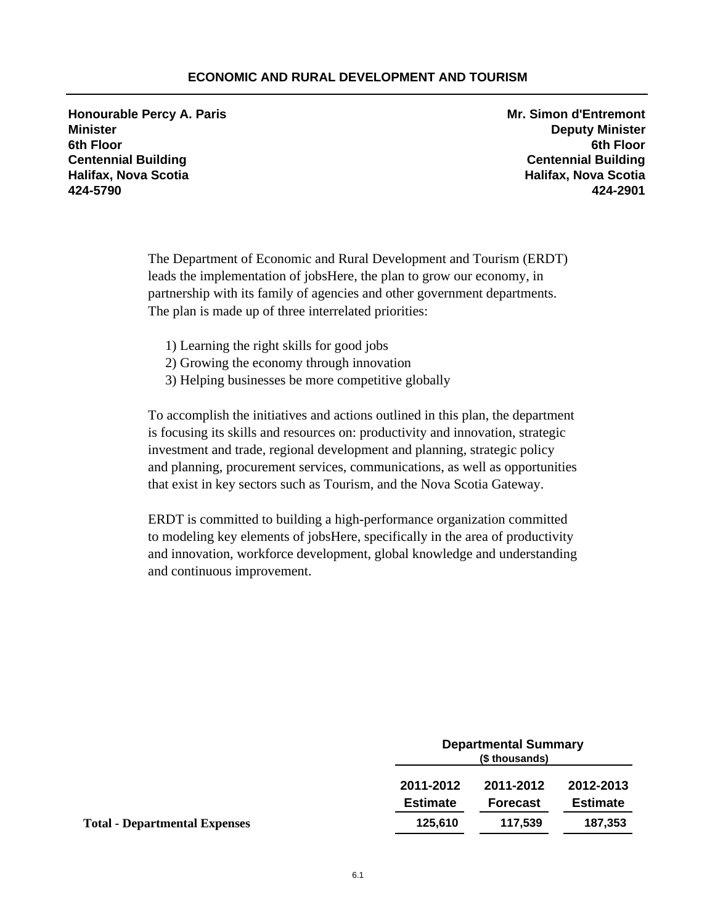# **ECONOMIC AND RURAL DEVELOPMENT AND TOURISM**

**Honourable Percy A. Paris Mr. Simon d'Entremont Minister Deputy Minister 6th Floor 6th Floor Centennial Building Centennial Building Halifax, Nova Scotia Halifax, Nova Scotia 424-5790 424-2901**

The Department of Economic and Rural Development and Tourism (ERDT) leads the implementation of jobsHere, the plan to grow our economy, in partnership with its family of agencies and other government departments. The plan is made up of three interrelated priorities:

- 1) Learning the right skills for good jobs
- 2) Growing the economy through innovation
- 3) Helping businesses be more competitive globally

To accomplish the initiatives and actions outlined in this plan, the department is focusing its skills and resources on: productivity and innovation, strategic investment and trade, regional development and planning, strategic policy and planning, procurement services, communications, as well as opportunities that exist in key sectors such as Tourism, and the Nova Scotia Gateway.

ERDT is committed to building a high-performance organization committed to modeling key elements of jobsHere, specifically in the area of productivity and innovation, workforce development, global knowledge and understanding and continuous improvement.

|                                      | <b>Departmental Summary</b><br>(\$ thousands) |                 |                 |
|--------------------------------------|-----------------------------------------------|-----------------|-----------------|
|                                      | 2011-2012                                     | 2011-2012       | 2012-2013       |
|                                      | <b>Estimate</b>                               | <b>Forecast</b> | <b>Estimate</b> |
| <b>Total - Departmental Expenses</b> | 125,610                                       | 117.539         | 187,353         |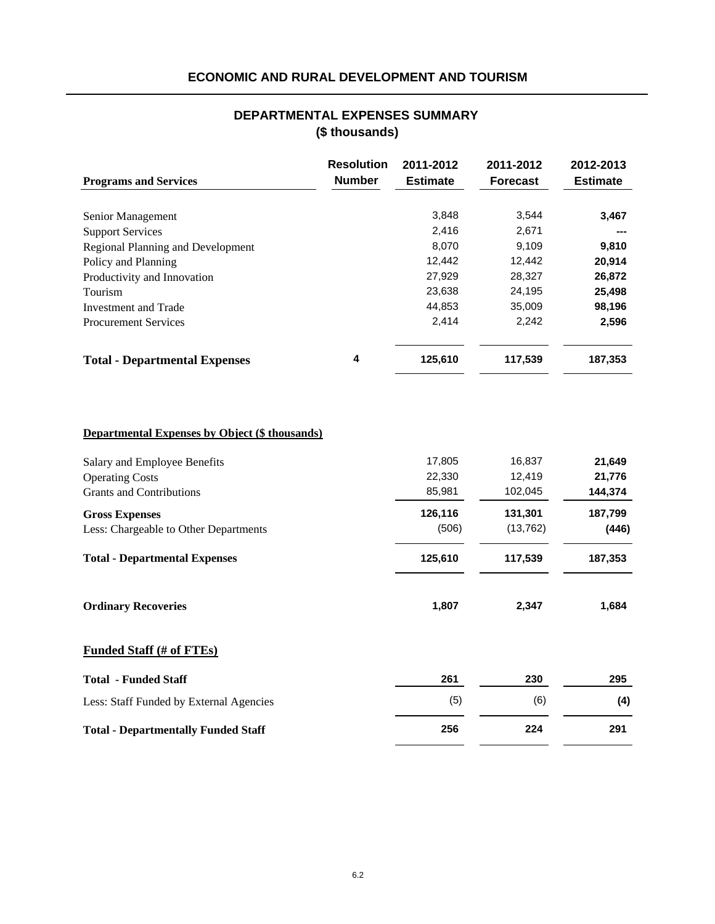# **ECONOMIC AND RURAL DEVELOPMENT AND TOURISM**

# **(\$ thousands) DEPARTMENTAL EXPENSES SUMMARY**

|                                          | <b>Resolution</b> | 2011-2012       | 2011-2012       | 2012-2013       |
|------------------------------------------|-------------------|-----------------|-----------------|-----------------|
| <b>Programs and Services</b>             | <b>Number</b>     | <b>Estimate</b> | <b>Forecast</b> | <b>Estimate</b> |
|                                          |                   |                 |                 |                 |
| Senior Management                        |                   | 3,848           | 3,544           | 3,467           |
| <b>Support Services</b>                  |                   | 2,416           | 2,671           | ---             |
| <b>Regional Planning and Development</b> |                   | 8,070           | 9,109           | 9,810           |
| Policy and Planning                      |                   | 12,442          | 12,442          | 20,914          |
| Productivity and Innovation              |                   | 27,929          | 28,327          | 26,872          |
| Tourism                                  |                   | 23,638          | 24,195          | 25,498          |
| Investment and Trade                     |                   | 44,853          | 35,009          | 98,196          |
| <b>Procurement Services</b>              |                   | 2,414           | 2,242           | 2,596           |
| <b>Total - Departmental Expenses</b>     | 4                 | 125,610         | 117,539         | 187,353         |
|                                          |                   |                 |                 |                 |
|                                          |                   |                 |                 |                 |

# **Departmental Expenses by Object (\$ thousands)**

| Salary and Employee Benefits               | 17,805  | 16,837    | 21,649  |
|--------------------------------------------|---------|-----------|---------|
| <b>Operating Costs</b>                     | 22,330  | 12,419    | 21,776  |
| <b>Grants and Contributions</b>            | 85,981  | 102,045   | 144,374 |
| <b>Gross Expenses</b>                      | 126,116 | 131,301   | 187,799 |
| Less: Chargeable to Other Departments      | (506)   | (13, 762) | (446)   |
| <b>Total - Departmental Expenses</b>       | 125,610 | 117,539   | 187,353 |
| <b>Ordinary Recoveries</b>                 | 1,807   | 2,347     | 1,684   |
| <b>Funded Staff (# of FTEs)</b>            |         |           |         |
| <b>Total - Funded Staff</b>                | 261     | 230       | 295     |
| Less: Staff Funded by External Agencies    | (5)     | (6)       | (4)     |
| <b>Total - Departmentally Funded Staff</b> | 256     | 224       | 291     |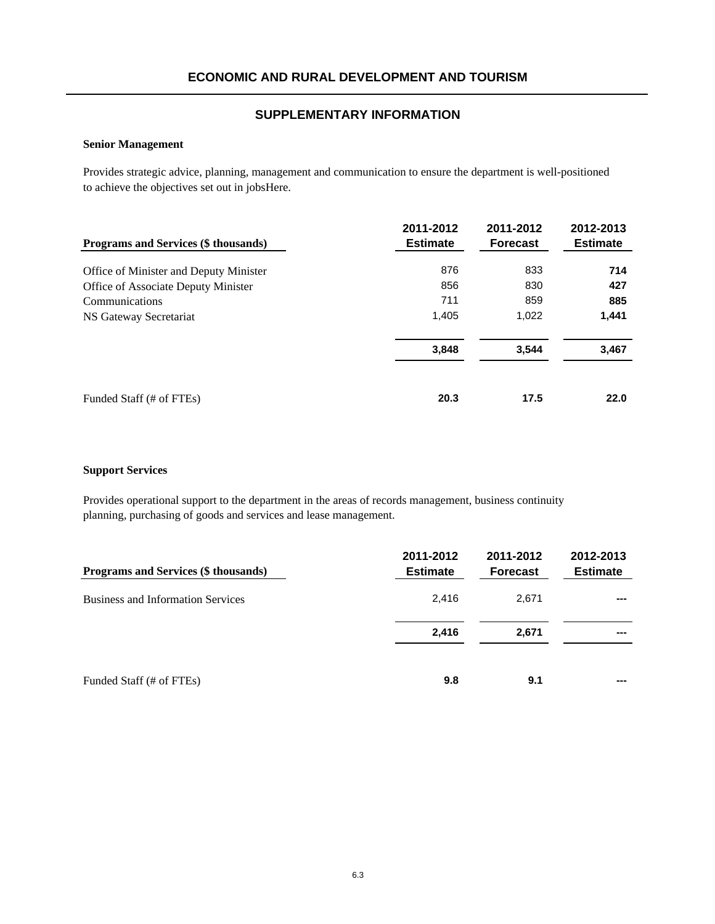### **Senior Management**

Provides strategic advice, planning, management and communication to ensure the department is well-positioned to achieve the objectives set out in jobsHere.

| Programs and Services (\$ thousands)   | 2011-2012<br><b>Estimate</b> | 2011-2012<br><b>Forecast</b> | 2012-2013<br><b>Estimate</b> |
|----------------------------------------|------------------------------|------------------------------|------------------------------|
| Office of Minister and Deputy Minister | 876                          | 833                          | 714                          |
| Office of Associate Deputy Minister    | 856                          | 830                          | 427                          |
| Communications                         | 711                          | 859                          | 885                          |
| NS Gateway Secretariat                 | 1,405                        | 1,022                        | 1,441                        |
|                                        | 3,848                        | 3,544                        | 3,467                        |
| Funded Staff (# of FTEs)               | 20.3                         | 17.5                         | 22.0                         |

### **Support Services**

Provides operational support to the department in the areas of records management, business continuity planning, purchasing of goods and services and lease management.

| Programs and Services (\$ thousands)     | 2011-2012<br><b>Estimate</b> | 2011-2012<br><b>Forecast</b> | 2012-2013<br><b>Estimate</b> |
|------------------------------------------|------------------------------|------------------------------|------------------------------|
| <b>Business and Information Services</b> | 2.416                        | 2.671                        | ---                          |
|                                          | 2,416                        | 2,671                        |                              |
| Funded Staff (# of FTEs)                 | 9.8                          | 9.1                          | ---                          |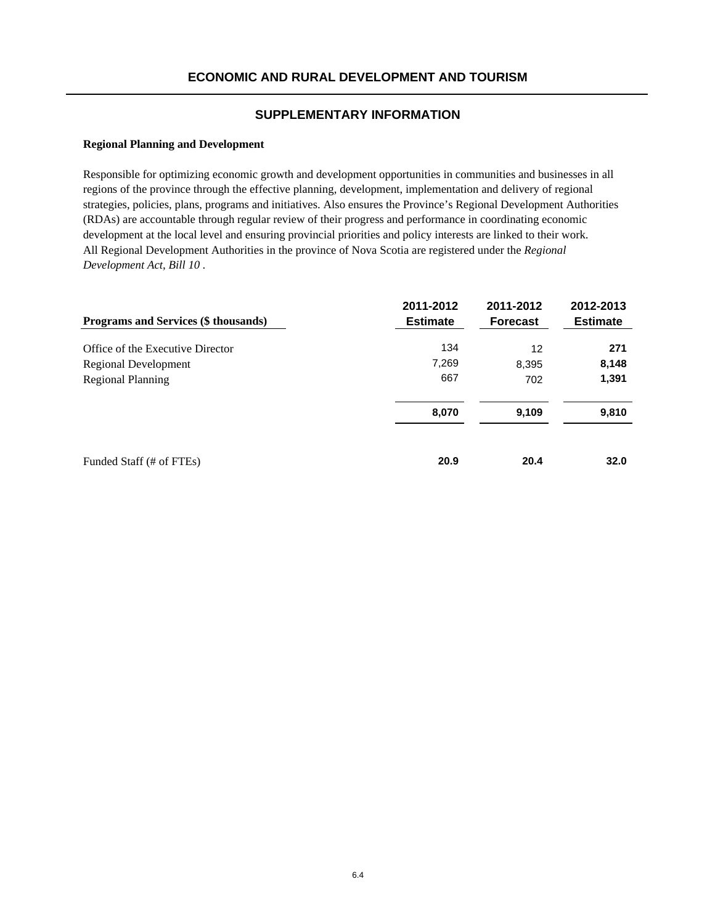### **Regional Planning and Development**

Responsible for optimizing economic growth and development opportunities in communities and businesses in all regions of the province through the effective planning, development, implementation and delivery of regional strategies, policies, plans, programs and initiatives. Also ensures the Province's Regional Development Authorities (RDAs) are accountable through regular review of their progress and performance in coordinating economic development at the local level and ensuring provincial priorities and policy interests are linked to their work. All Regional Development Authorities in the province of Nova Scotia are registered under the *Regional Development Act, Bill 10* .

| <b>Programs and Services (\$ thousands)</b> | 2011-2012<br><b>Estimate</b> | 2011-2012<br><b>Forecast</b> | 2012-2013<br><b>Estimate</b> |
|---------------------------------------------|------------------------------|------------------------------|------------------------------|
| Office of the Executive Director            | 134                          | 12                           | 271                          |
| Regional Development                        | 7,269                        | 8,395                        | 8,148                        |
| Regional Planning                           | 667                          | 702                          | 1,391                        |
|                                             | 8,070                        | 9,109                        | 9,810                        |
| Funded Staff (# of FTEs)                    | 20.9                         | 20.4                         | 32.0                         |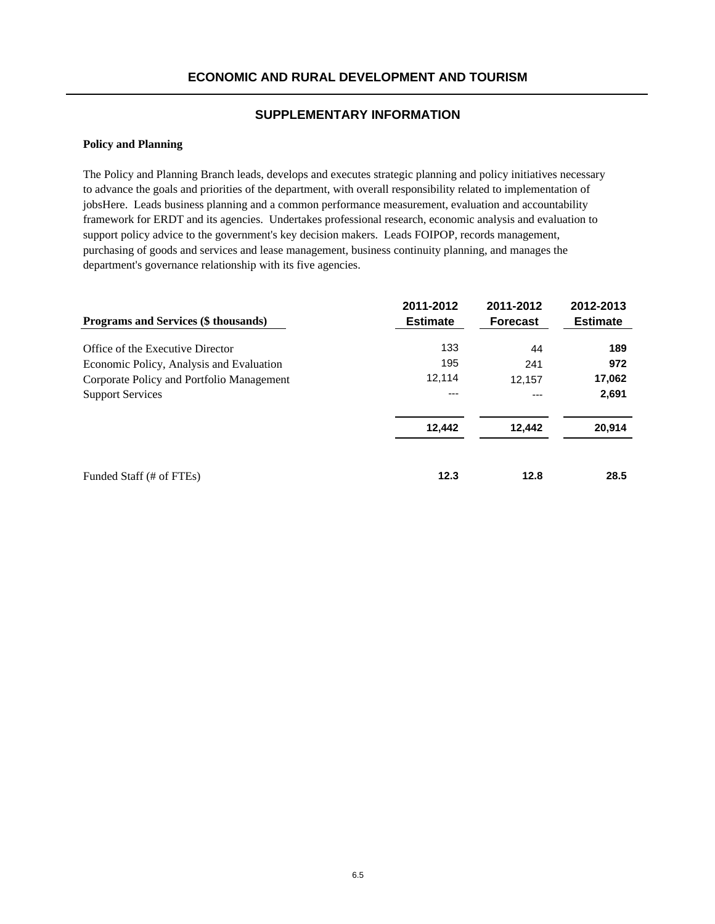### **Policy and Planning**

The Policy and Planning Branch leads, develops and executes strategic planning and policy initiatives necessary to advance the goals and priorities of the department, with overall responsibility related to implementation of jobsHere. Leads business planning and a common performance measurement, evaluation and accountability framework for ERDT and its agencies. Undertakes professional research, economic analysis and evaluation to support policy advice to the government's key decision makers. Leads FOIPOP, records management, purchasing of goods and services and lease management, business continuity planning, and manages the department's governance relationship with its five agencies.

| <b>Programs and Services (\$ thousands)</b> | 2011-2012<br><b>Estimate</b> | 2011-2012<br><b>Forecast</b> | 2012-2013<br><b>Estimate</b> |
|---------------------------------------------|------------------------------|------------------------------|------------------------------|
| Office of the Executive Director            | 133                          | 44                           | 189                          |
| Economic Policy, Analysis and Evaluation    | 195                          | 241                          | 972                          |
| Corporate Policy and Portfolio Management   | 12.114                       | 12,157                       | 17,062                       |
| <b>Support Services</b>                     | ---                          | ---                          | 2,691                        |
|                                             | 12,442                       | 12,442                       | 20,914                       |
| Funded Staff (# of FTEs)                    | 12.3                         | 12.8                         | 28.5                         |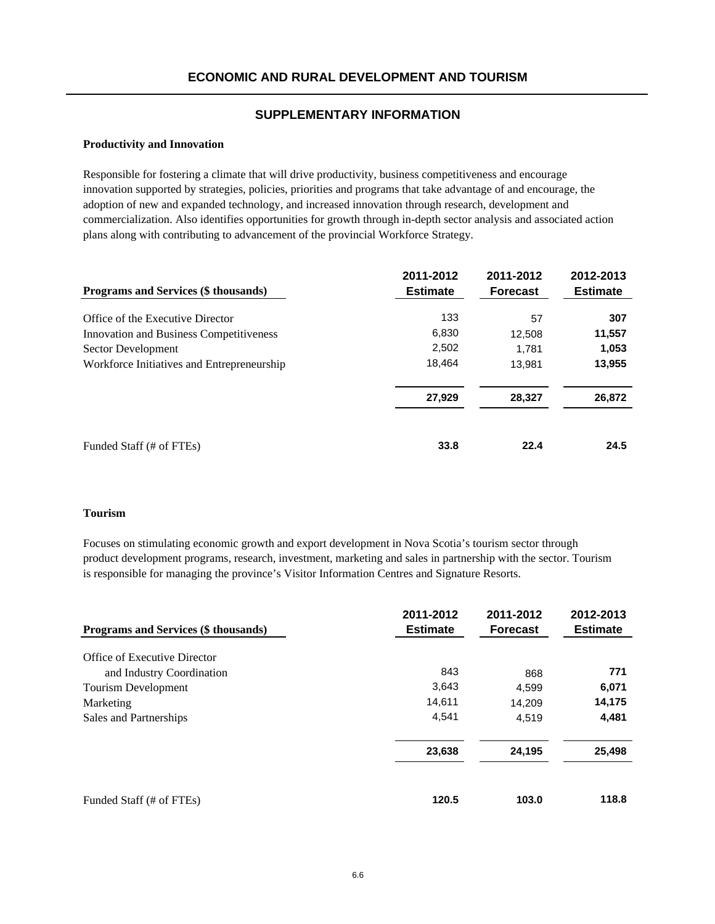### **Productivity and Innovation**

Responsible for fostering a climate that will drive productivity, business competitiveness and encourage innovation supported by strategies, policies, priorities and programs that take advantage of and encourage, the adoption of new and expanded technology, and increased innovation through research, development and commercialization. Also identifies opportunities for growth through in-depth sector analysis and associated action plans along with contributing to advancement of the provincial Workforce Strategy.

| Programs and Services (\$ thousands)       | 2011-2012<br><b>Estimate</b> | 2011-2012<br><b>Forecast</b> | 2012-2013<br><b>Estimate</b> |
|--------------------------------------------|------------------------------|------------------------------|------------------------------|
| Office of the Executive Director           | 133                          | 57                           | 307                          |
| Innovation and Business Competitiveness    | 6,830                        | 12,508                       | 11,557                       |
| Sector Development                         | 2,502                        | 1.781                        | 1,053                        |
| Workforce Initiatives and Entrepreneurship | 18,464                       | 13,981                       | 13,955                       |
|                                            | 27,929                       | 28,327                       | 26,872                       |
| Funded Staff (# of FTEs)                   | 33.8                         | 22.4                         | 24.5                         |

### **Tourism**

Focuses on stimulating economic growth and export development in Nova Scotia's tourism sector through product development programs, research, investment, marketing and sales in partnership with the sector. Tourism is responsible for managing the province's Visitor Information Centres and Signature Resorts.

| <b>Programs and Services (\$ thousands)</b> | 2011-2012<br><b>Estimate</b> | 2011-2012<br><b>Forecast</b> | 2012-2013<br><b>Estimate</b> |
|---------------------------------------------|------------------------------|------------------------------|------------------------------|
| Office of Executive Director                |                              |                              |                              |
| and Industry Coordination                   | 843                          | 868                          | 771                          |
| Tourism Development                         | 3,643                        | 4.599                        | 6,071                        |
| Marketing                                   | 14,611                       | 14,209                       | 14,175                       |
| Sales and Partnerships                      | 4,541                        | 4.519                        | 4,481                        |
|                                             | 23,638                       | 24,195                       | 25,498                       |
| Funded Staff (# of FTEs)                    | 120.5                        | 103.0                        | 118.8                        |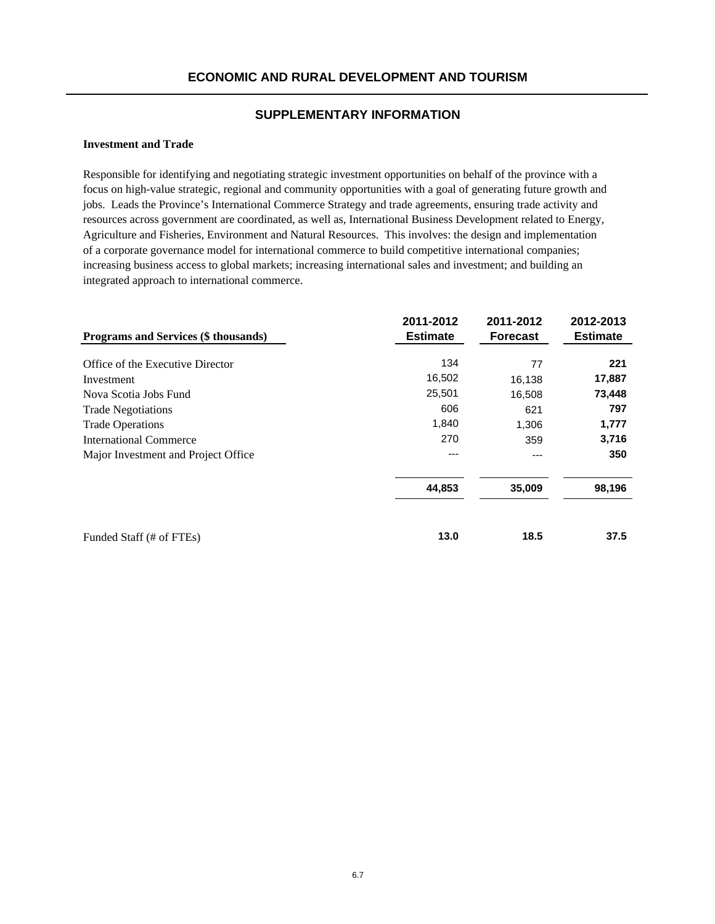#### **Investment and Trade**

Responsible for identifying and negotiating strategic investment opportunities on behalf of the province with a focus on high-value strategic, regional and community opportunities with a goal of generating future growth and jobs. Leads the Province's International Commerce Strategy and trade agreements, ensuring trade activity and resources across government are coordinated, as well as, International Business Development related to Energy, Agriculture and Fisheries, Environment and Natural Resources. This involves: the design and implementation of a corporate governance model for international commerce to build competitive international companies; increasing business access to global markets; increasing international sales and investment; and building an integrated approach to international commerce.

| Programs and Services (\$ thousands) | 2011-2012<br><b>Estimate</b> | 2011-2012<br><b>Forecast</b> | 2012-2013<br><b>Estimate</b> |
|--------------------------------------|------------------------------|------------------------------|------------------------------|
| Office of the Executive Director     | 134                          | 77                           | 221                          |
| Investment                           | 16,502                       | 16,138                       | 17,887                       |
| Nova Scotia Jobs Fund                | 25,501                       | 16,508                       | 73,448                       |
| <b>Trade Negotiations</b>            | 606                          | 621                          | 797                          |
| <b>Trade Operations</b>              | 1,840                        | 1,306                        | 1,777                        |
| <b>International Commerce</b>        | 270                          | 359                          | 3,716                        |
| Major Investment and Project Office  |                              | ---                          | 350                          |
|                                      | 44,853                       | 35,009                       | 98,196                       |
| Funded Staff (# of FTEs)             | 13.0                         | 18.5                         | 37.5                         |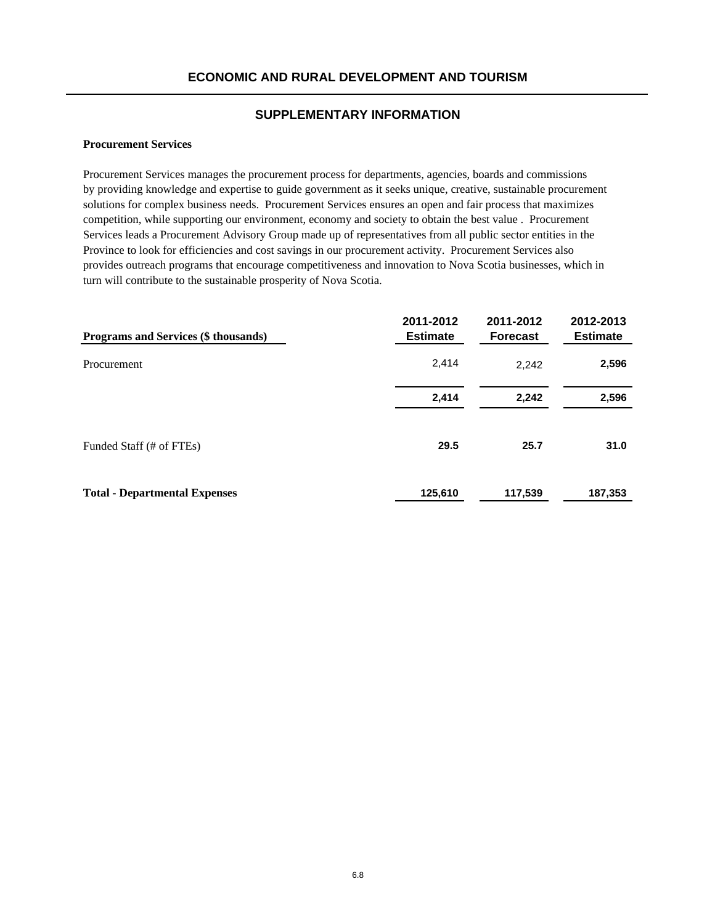#### **Procurement Services**

Procurement Services manages the procurement process for departments, agencies, boards and commissions by providing knowledge and expertise to guide government as it seeks unique, creative, sustainable procurement solutions for complex business needs. Procurement Services ensures an open and fair process that maximizes competition, while supporting our environment, economy and society to obtain the best value . Procurement Services leads a Procurement Advisory Group made up of representatives from all public sector entities in the Province to look for efficiencies and cost savings in our procurement activity. Procurement Services also provides outreach programs that encourage competitiveness and innovation to Nova Scotia businesses, which in turn will contribute to the sustainable prosperity of Nova Scotia.

| Programs and Services (\$ thousands) | 2011-2012<br><b>Estimate</b> | 2011-2012<br><b>Forecast</b> | 2012-2013<br><b>Estimate</b> |
|--------------------------------------|------------------------------|------------------------------|------------------------------|
| Procurement                          | 2,414                        | 2,242                        | 2,596                        |
|                                      | 2,414                        | 2,242                        | 2,596                        |
| Funded Staff (# of FTEs)             | 29.5                         | 25.7                         | 31.0                         |
| <b>Total - Departmental Expenses</b> | 125,610                      | 117,539                      | 187,353                      |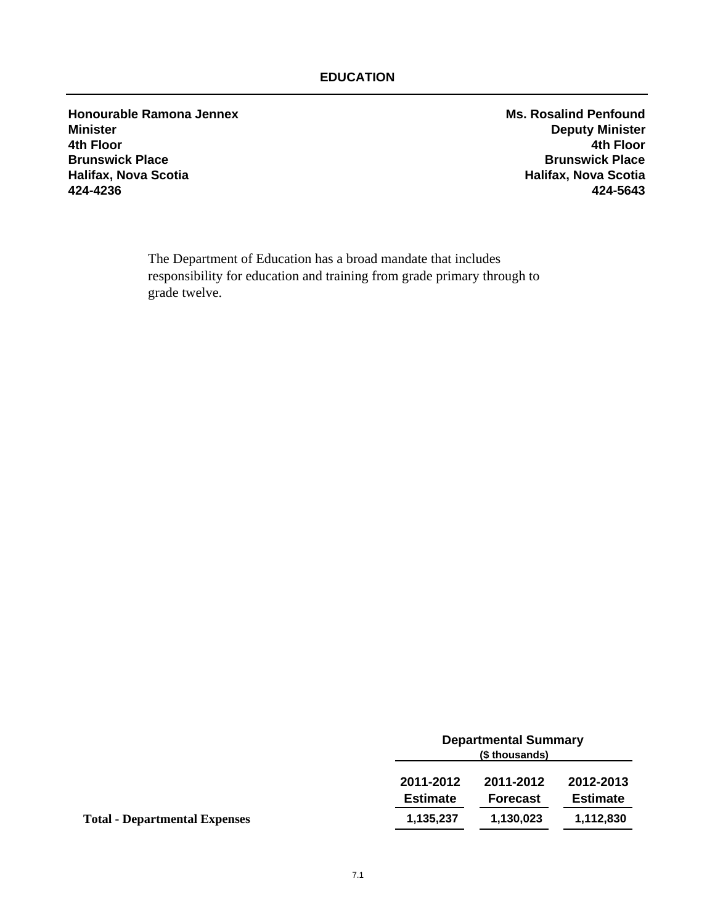**Honourable Ramona Jennex Ms. Rosalind Penfound Minister Deputy Minister 4th Floor 4th Floor Brunswick Place Brunswick Place Halifax, Nova Scotia**<br>424-4236 **424-4236 424-5643**

The Department of Education has a broad mandate that includes responsibility for education and training from grade primary through to grade twelve.

|                                      | <b>Departmental Summary</b><br>(\$ thousands) |                              |                              |
|--------------------------------------|-----------------------------------------------|------------------------------|------------------------------|
|                                      | 2011-2012<br><b>Estimate</b>                  | 2011-2012<br><b>Forecast</b> | 2012-2013<br><b>Estimate</b> |
| <b>Total - Departmental Expenses</b> | 1,135,237                                     | 1,130,023                    | 1,112,830                    |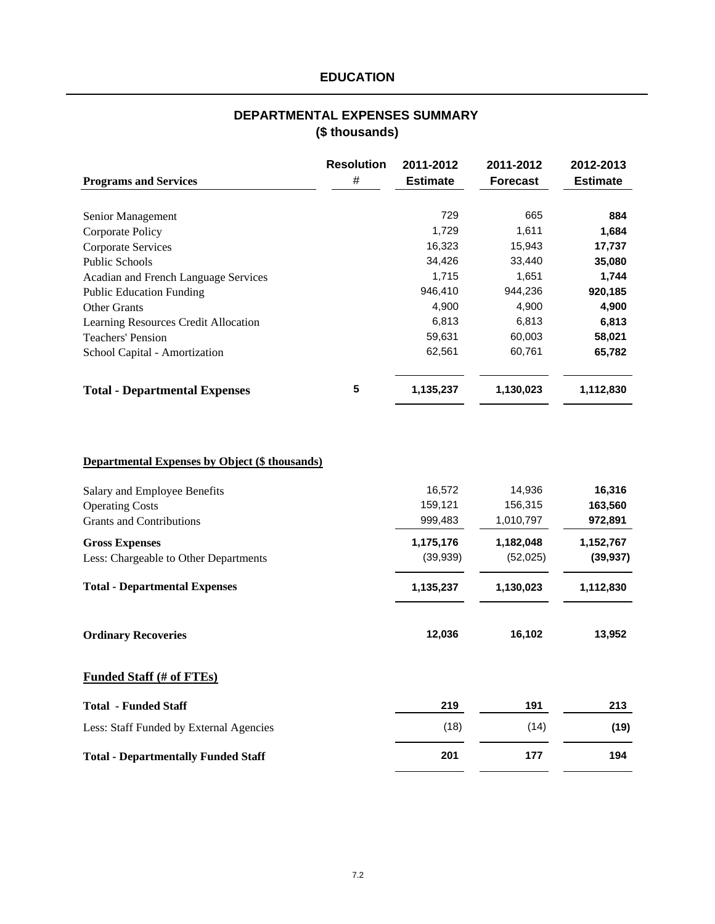# **DEPARTMENTAL EXPENSES SUMMARY (\$ thousands)**

|                                                       | <b>Resolution</b> | 2011-2012       | 2011-2012       | 2012-2013       |
|-------------------------------------------------------|-------------------|-----------------|-----------------|-----------------|
| <b>Programs and Services</b>                          | $\#$              | <b>Estimate</b> | <b>Forecast</b> | <b>Estimate</b> |
| Senior Management                                     |                   | 729             | 665             | 884             |
| Corporate Policy                                      |                   | 1,729           | 1,611           | 1,684           |
| Corporate Services                                    |                   | 16,323          | 15,943          | 17,737          |
| <b>Public Schools</b>                                 |                   | 34,426          | 33,440          | 35,080          |
| Acadian and French Language Services                  |                   | 1,715           | 1,651           | 1,744           |
| <b>Public Education Funding</b>                       |                   | 946,410         | 944,236         | 920,185         |
| <b>Other Grants</b>                                   |                   | 4,900           | 4,900           | 4,900           |
| Learning Resources Credit Allocation                  |                   | 6,813           | 6,813           | 6,813           |
| <b>Teachers' Pension</b>                              |                   | 59,631          | 60,003          | 58,021          |
| School Capital - Amortization                         |                   | 62,561          | 60,761          | 65,782          |
| <b>Total - Departmental Expenses</b>                  | 5                 | 1,135,237       | 1,130,023       | 1,112,830       |
| <b>Departmental Expenses by Object (\$ thousands)</b> |                   |                 |                 |                 |
| Salary and Employee Benefits                          |                   | 16,572          | 14,936          | 16,316          |
| <b>Operating Costs</b>                                |                   | 159,121         | 156,315         | 163,560         |
| <b>Grants and Contributions</b>                       |                   | 999,483         | 1,010,797       | 972,891         |
| <b>Gross Expenses</b>                                 |                   | 1,175,176       | 1,182,048       | 1,152,767       |
| Less: Chargeable to Other Departments                 |                   | (39, 939)       | (52,025)        | (39, 937)       |
| <b>Total - Departmental Expenses</b>                  |                   | 1,135,237       | 1,130,023       | 1,112,830       |
| <b>Ordinary Recoveries</b>                            |                   | 12,036          | 16,102          | 13,952          |
| <b>Funded Staff (# of FTEs)</b>                       |                   |                 |                 |                 |
| <b>Total - Funded Staff</b>                           |                   | 219             | 191             | 213             |
| Less: Staff Funded by External Agencies               |                   | (18)            | (14)            | (19)            |
| <b>Total - Departmentally Funded Staff</b>            |                   | 201             | 177             | 194             |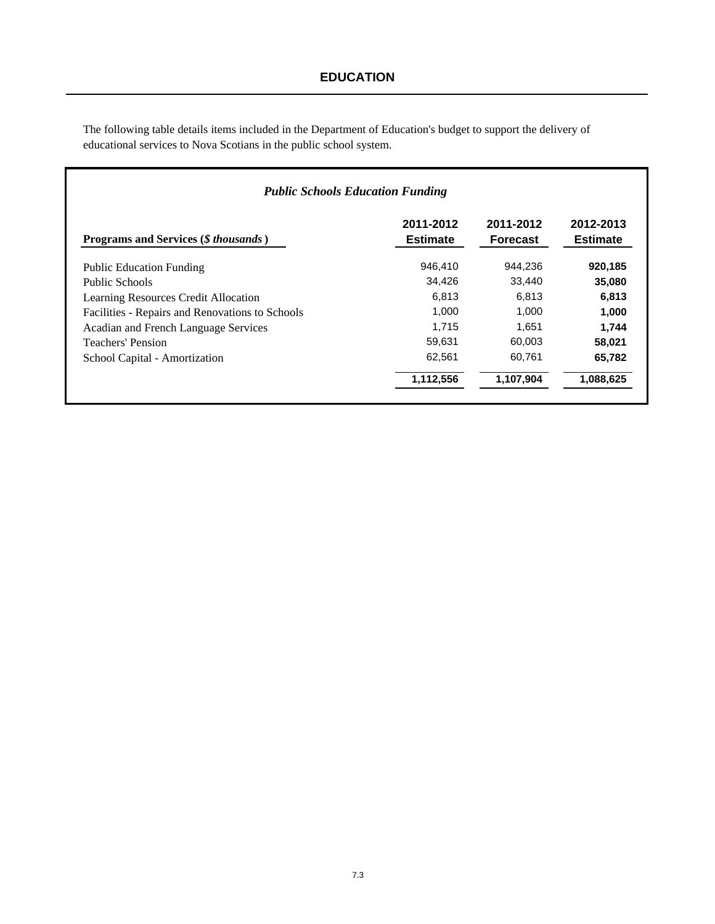The following table details items included in the Department of Education's budget to support the delivery of educational services to Nova Scotians in the public school system.

|                                                 | <b>Public Schools Education Funding</b> |                              |                              |
|-------------------------------------------------|-----------------------------------------|------------------------------|------------------------------|
| Programs and Services (\$ thousands)            | 2011-2012<br><b>Estimate</b>            | 2011-2012<br><b>Forecast</b> | 2012-2013<br><b>Estimate</b> |
| <b>Public Education Funding</b>                 | 946.410                                 | 944.236                      | 920,185                      |
| Public Schools                                  | 34,426                                  | 33.440                       | 35,080                       |
| Learning Resources Credit Allocation            | 6.813                                   | 6.813                        | 6,813                        |
| Facilities - Repairs and Renovations to Schools | 1.000                                   | 1.000                        | 1,000                        |
| Acadian and French Language Services            | 1.715                                   | 1.651                        | 1.744                        |
| Teachers' Pension                               | 59,631                                  | 60.003                       | 58,021                       |
| School Capital - Amortization                   | 62,561                                  | 60,761                       | 65,782                       |
|                                                 | 1,112,556                               | 1,107,904                    | 1,088,625                    |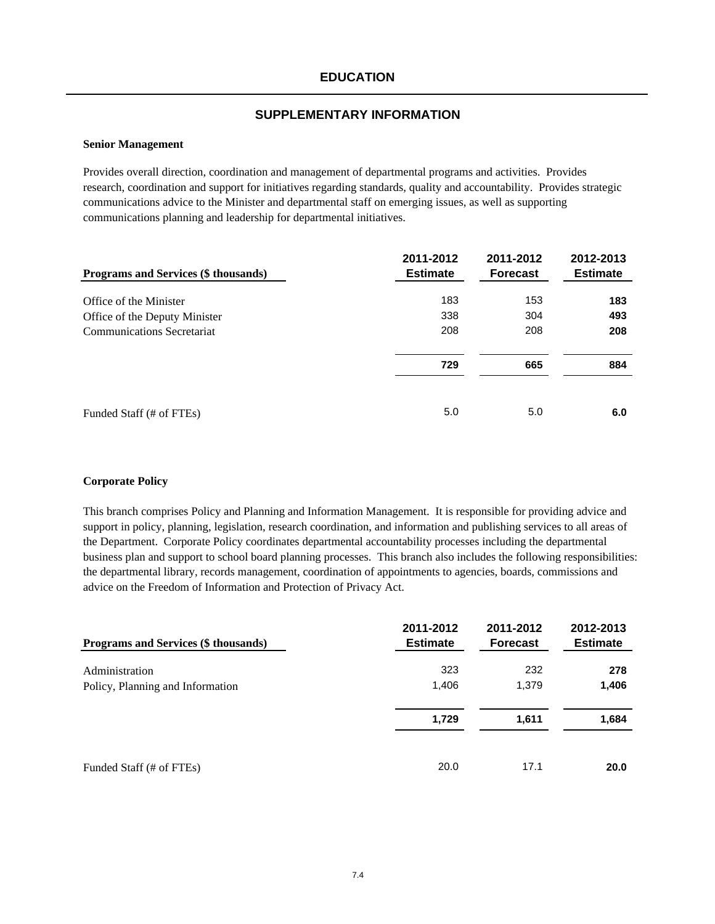### **Senior Management**

Provides overall direction, coordination and management of departmental programs and activities. Provides research, coordination and support for initiatives regarding standards, quality and accountability. Provides strategic communications advice to the Minister and departmental staff on emerging issues, as well as supporting communications planning and leadership for departmental initiatives.

| Programs and Services (\$ thousands) | 2011-2012<br><b>Estimate</b> | 2011-2012<br><b>Forecast</b> | 2012-2013<br><b>Estimate</b> |
|--------------------------------------|------------------------------|------------------------------|------------------------------|
| Office of the Minister               | 183                          | 153                          | 183                          |
| Office of the Deputy Minister        | 338                          | 304                          | 493                          |
| <b>Communications Secretariat</b>    | 208                          | 208                          | 208                          |
|                                      | 729                          | 665                          | 884                          |
| Funded Staff (# of FTEs)             | 5.0                          | 5.0                          | 6.0                          |

#### **Corporate Policy**

This branch comprises Policy and Planning and Information Management. It is responsible for providing advice and support in policy, planning, legislation, research coordination, and information and publishing services to all areas of the Department. Corporate Policy coordinates departmental accountability processes including the departmental business plan and support to school board planning processes. This branch also includes the following responsibilities: the departmental library, records management, coordination of appointments to agencies, boards, commissions and advice on the Freedom of Information and Protection of Privacy Act.

| Programs and Services (\$ thousands) | 2011-2012<br><b>Estimate</b> | 2011-2012<br><b>Forecast</b> | 2012-2013<br><b>Estimate</b> |
|--------------------------------------|------------------------------|------------------------------|------------------------------|
| Administration                       | 323                          | 232                          | 278                          |
| Policy, Planning and Information     | 1,406                        | 1,379                        | 1,406                        |
|                                      | 1,729                        | 1,611                        | 1,684                        |
| Funded Staff (# of FTEs)             | 20.0                         | 17.1                         | 20.0                         |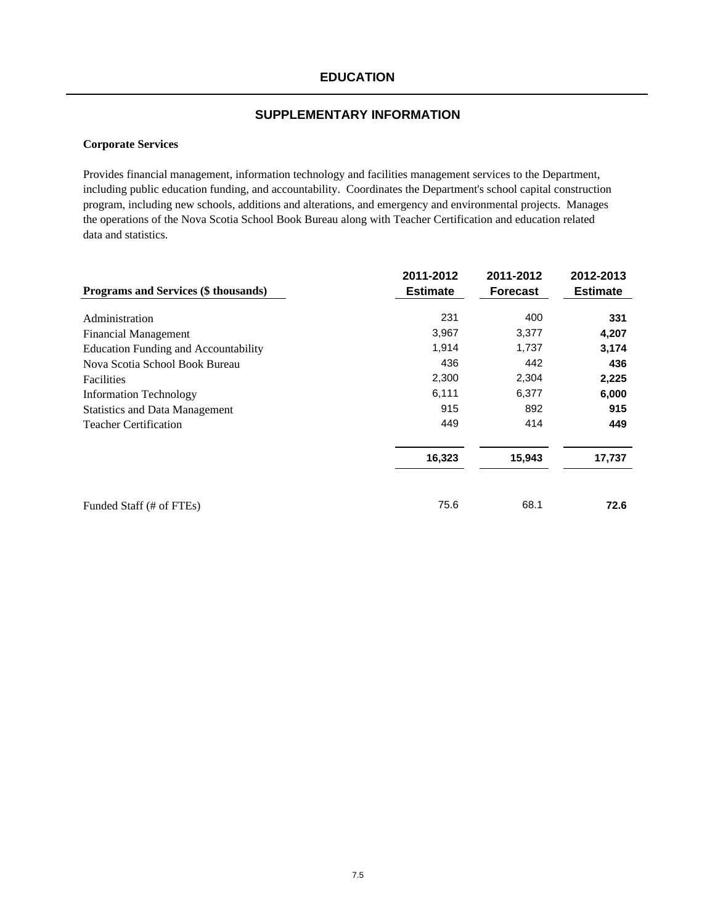### **SUPPLEMENTARY INFORMATION**

### **Corporate Services**

Provides financial management, information technology and facilities management services to the Department, including public education funding, and accountability. Coordinates the Department's school capital construction program, including new schools, additions and alterations, and emergency and environmental projects. Manages the operations of the Nova Scotia School Book Bureau along with Teacher Certification and education related data and statistics.

|                                             | 2011-2012       | 2011-2012       | 2012-2013       |
|---------------------------------------------|-----------------|-----------------|-----------------|
| Programs and Services (\$ thousands)        | <b>Estimate</b> | <b>Forecast</b> | <b>Estimate</b> |
|                                             |                 |                 |                 |
| Administration                              | 231             | 400             | 331             |
| <b>Financial Management</b>                 | 3,967           | 3,377           | 4,207           |
| <b>Education Funding and Accountability</b> | 1,914           | 1,737           | 3,174           |
| Nova Scotia School Book Bureau              | 436             | 442             | 436             |
| <b>Facilities</b>                           | 2,300           | 2,304           | 2,225           |
| <b>Information Technology</b>               | 6,111           | 6,377           | 6,000           |
| <b>Statistics and Data Management</b>       | 915             | 892             | 915             |
| <b>Teacher Certification</b>                | 449             | 414             | 449             |
|                                             | 16,323          | 15,943          | 17,737          |
|                                             |                 |                 |                 |
| Funded Staff (# of FTEs)                    | 75.6            | 68.1            | 72.6            |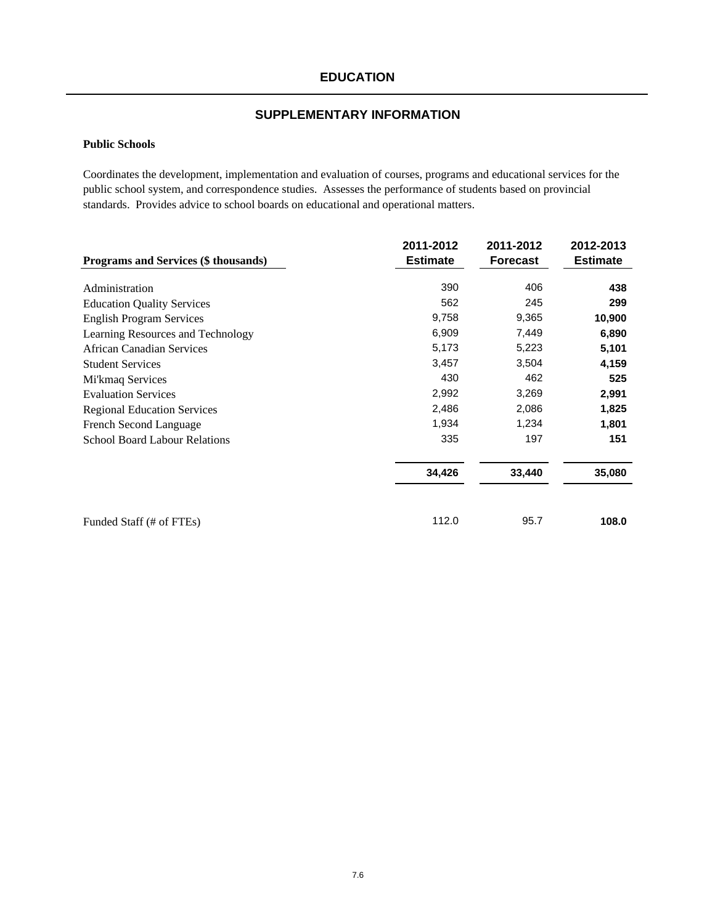### **Public Schools**

Coordinates the development, implementation and evaluation of courses, programs and educational services for the public school system, and correspondence studies. Assesses the performance of students based on provincial standards. Provides advice to school boards on educational and operational matters.

|                                      | 2011-2012       | 2011-2012       | 2012-2013       |
|--------------------------------------|-----------------|-----------------|-----------------|
| Programs and Services (\$ thousands) | <b>Estimate</b> | <b>Forecast</b> | <b>Estimate</b> |
|                                      |                 |                 |                 |
| Administration                       | 390             | 406             | 438             |
| <b>Education Quality Services</b>    | 562             | 245             | 299             |
| <b>English Program Services</b>      | 9,758           | 9,365           | 10,900          |
| Learning Resources and Technology    | 6,909           | 7,449           | 6,890           |
| <b>African Canadian Services</b>     | 5,173           | 5,223           | 5,101           |
| <b>Student Services</b>              | 3,457           | 3,504           | 4,159           |
| Mi'kmaq Services                     | 430             | 462             | 525             |
| <b>Evaluation Services</b>           | 2,992           | 3,269           | 2,991           |
| <b>Regional Education Services</b>   | 2,486           | 2,086           | 1,825           |
| French Second Language               | 1,934           | 1,234           | 1,801           |
| <b>School Board Labour Relations</b> | 335             | 197             | 151             |
|                                      | 34,426          | 33,440          | 35,080          |
| Funded Staff (# of FTEs)             | 112.0           | 95.7            | 108.0           |
|                                      |                 |                 |                 |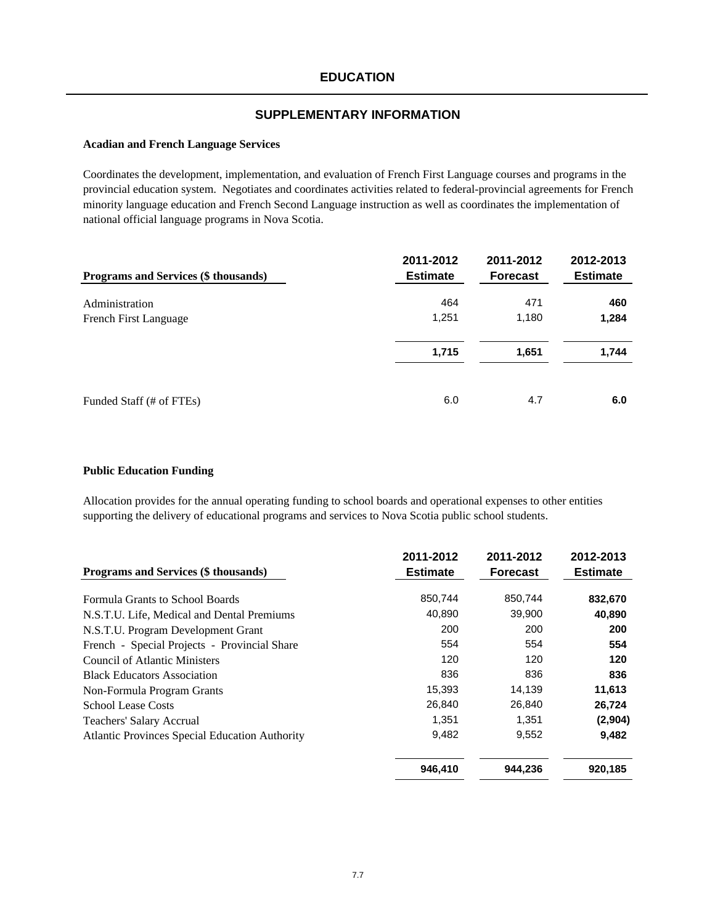#### **Acadian and French Language Services**

Coordinates the development, implementation, and evaluation of French First Language courses and programs in the provincial education system. Negotiates and coordinates activities related to federal-provincial agreements for French minority language education and French Second Language instruction as well as coordinates the implementation of national official language programs in Nova Scotia.

| Programs and Services (\$ thousands) | 2011-2012<br><b>Estimate</b> | 2011-2012<br><b>Forecast</b> | 2012-2013<br><b>Estimate</b> |
|--------------------------------------|------------------------------|------------------------------|------------------------------|
| Administration                       | 464                          | 471                          | 460                          |
| French First Language                | 1,251                        | 1,180                        | 1,284                        |
|                                      | 1,715                        | 1,651                        | 1,744                        |
| Funded Staff (# of FTEs)             | 6.0                          | 4.7                          | 6.0                          |

### **Public Education Funding**

Allocation provides for the annual operating funding to school boards and operational expenses to other entities supporting the delivery of educational programs and services to Nova Scotia public school students.

| Programs and Services (\$ thousands)                  | 2011-2012<br><b>Estimate</b> | 2011-2012<br><b>Forecast</b> | 2012-2013<br><b>Estimate</b> |
|-------------------------------------------------------|------------------------------|------------------------------|------------------------------|
| Formula Grants to School Boards                       | 850,744                      | 850,744                      | 832,670                      |
| N.S.T.U. Life, Medical and Dental Premiums            | 40,890                       | 39,900                       | 40,890                       |
| N.S.T.U. Program Development Grant                    | 200                          | 200                          | 200                          |
| French - Special Projects - Provincial Share          | 554                          | 554                          | 554                          |
| Council of Atlantic Ministers                         | 120                          | 120                          | 120                          |
| <b>Black Educators Association</b>                    | 836                          | 836                          | 836                          |
| Non-Formula Program Grants                            | 15,393                       | 14,139                       | 11,613                       |
| <b>School Lease Costs</b>                             | 26.840                       | 26,840                       | 26,724                       |
| Teachers' Salary Accrual                              | 1,351                        | 1,351                        | (2,904)                      |
| <b>Atlantic Provinces Special Education Authority</b> | 9,482                        | 9,552                        | 9,482                        |
|                                                       | 946,410                      | 944,236                      | 920,185                      |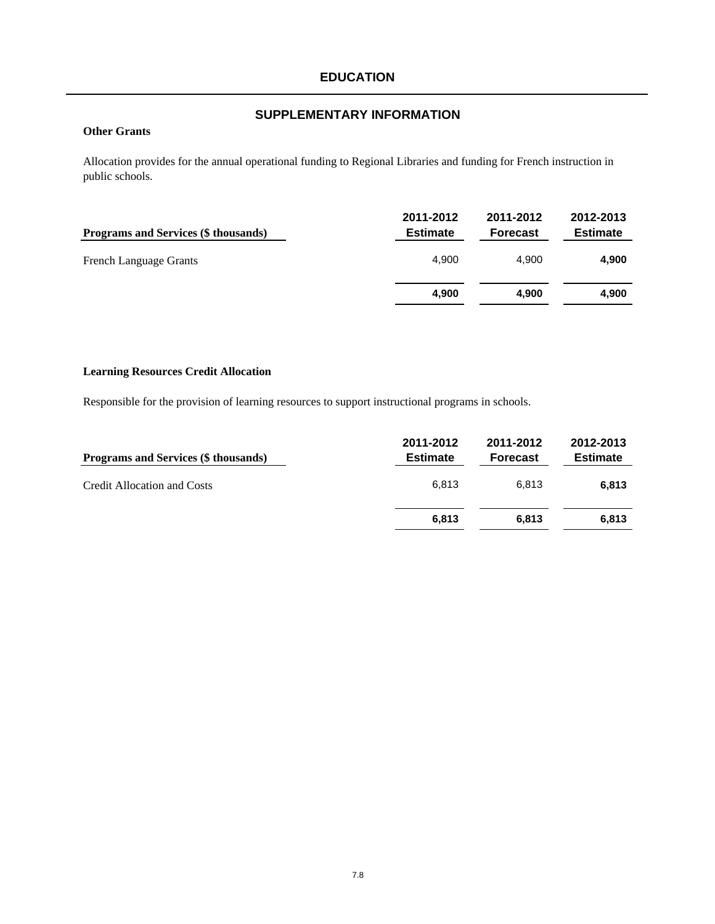### **Other Grants**

Allocation provides for the annual operational funding to Regional Libraries and funding for French instruction in public schools.

| <b>Programs and Services (\$ thousands)</b> | 2011-2012<br><b>Estimate</b> | 2011-2012<br><b>Forecast</b> | 2012-2013<br><b>Estimate</b> |
|---------------------------------------------|------------------------------|------------------------------|------------------------------|
| <b>French Language Grants</b>               | 4.900                        | 4.900                        | 4,900                        |
|                                             | 4.900                        | 4.900                        | 4,900                        |

# **Learning Resources Credit Allocation**

Responsible for the provision of learning resources to support instructional programs in schools.

| <b>Programs and Services (\$ thousands)</b> | 2011-2012<br><b>Estimate</b> | 2011-2012<br><b>Forecast</b> | 2012-2013<br><b>Estimate</b> |
|---------------------------------------------|------------------------------|------------------------------|------------------------------|
| <b>Credit Allocation and Costs</b>          | 6.813                        | 6.813                        | 6.813                        |
|                                             | 6.813                        | 6.813                        | 6.813                        |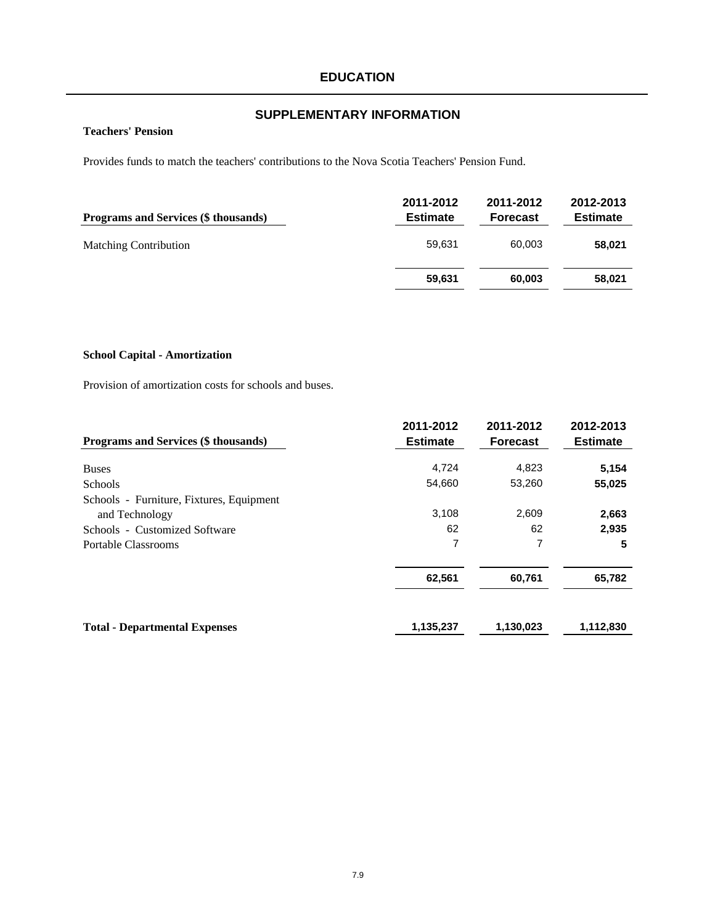# **SUPPLEMENTARY INFORMATION**

## **Teachers' Pension**

Provides funds to match the teachers' contributions to the Nova Scotia Teachers' Pension Fund.

| Programs and Services (\$ thousands) | 2011-2012<br><b>Estimate</b> | 2011-2012<br><b>Forecast</b> | 2012-2013<br><b>Estimate</b> |
|--------------------------------------|------------------------------|------------------------------|------------------------------|
| <b>Matching Contribution</b>         | 59.631                       | 60.003                       | 58,021                       |
|                                      | 59,631                       | 60.003                       | 58,021                       |

### **School Capital - Amortization**

Provision of amortization costs for schools and buses.

| Programs and Services (\$ thousands)     | 2011-2012<br><b>Estimate</b> | 2011-2012<br><b>Forecast</b> | 2012-2013<br><b>Estimate</b> |
|------------------------------------------|------------------------------|------------------------------|------------------------------|
| <b>Buses</b>                             | 4,724                        | 4,823                        | 5,154                        |
| <b>Schools</b>                           | 54,660                       | 53,260                       | 55,025                       |
| Schools - Furniture, Fixtures, Equipment |                              |                              |                              |
| and Technology                           | 3,108                        | 2,609                        | 2,663                        |
| Schools - Customized Software            | 62                           | 62                           | 2,935                        |
| <b>Portable Classrooms</b>               |                              | 7<br>62,561<br>60,761        | 5                            |
|                                          |                              |                              | 65,782                       |
| <b>Total - Departmental Expenses</b>     | 1,135,237                    | 1,130,023                    | 1,112,830                    |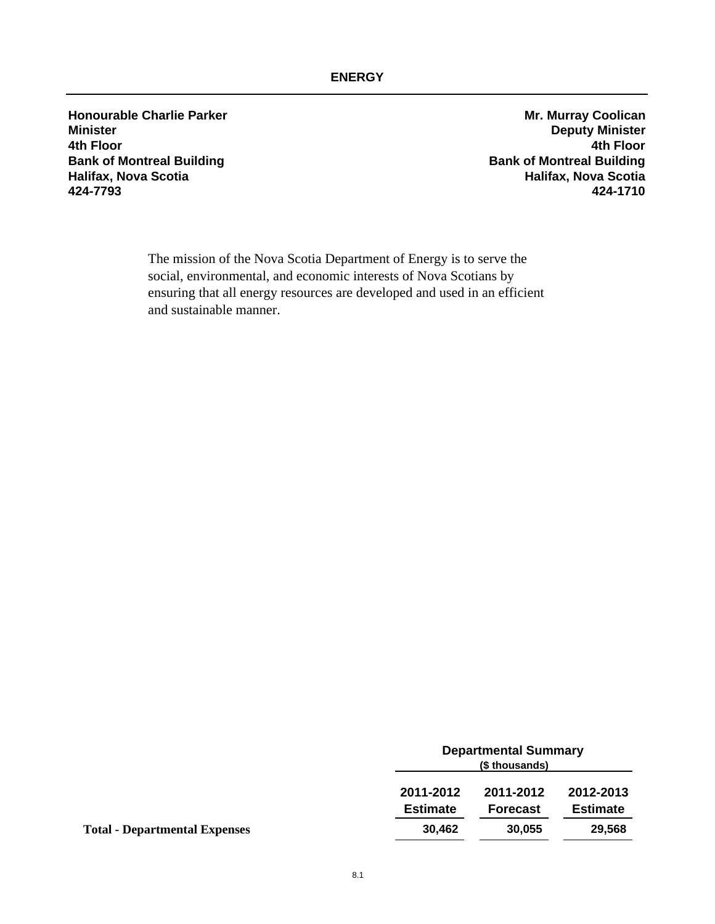# **ENERGY**

**Honourable Charlie Parker Mr. Murray Coolican Minister Deputy Minister 4th Floor 4th Floor Bank of Montreal Building Bank of Montreal Building Halifax, Nova Scotia Halifax, Nova Scotia 424-7793 424-1710**

The mission of the Nova Scotia Department of Energy is to serve the social, environmental, and economic interests of Nova Scotians by ensuring that all energy resources are developed and used in an efficient and sustainable manner.

|                                      | <b>Departmental Summary</b><br>(\$ thousands) |                              |                              |
|--------------------------------------|-----------------------------------------------|------------------------------|------------------------------|
|                                      | 2011-2012<br><b>Estimate</b>                  | 2011-2012<br><b>Forecast</b> | 2012-2013<br><b>Estimate</b> |
| <b>Total - Departmental Expenses</b> | 30,462                                        | 30.055                       | 29,568                       |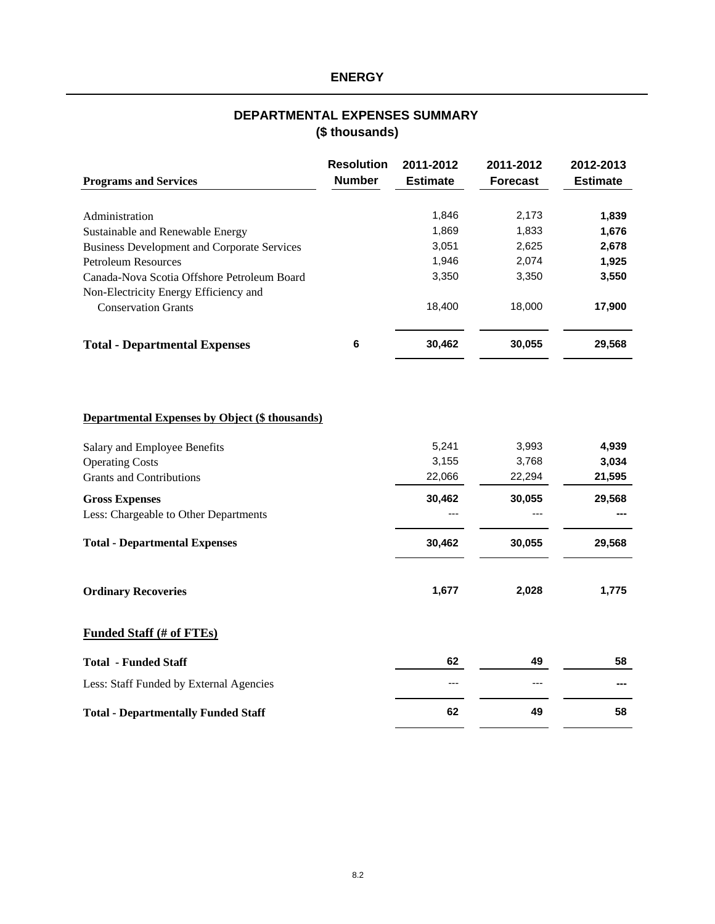# **ENERGY**

# **(\$ thousands) DEPARTMENTAL EXPENSES SUMMARY**

| <b>Programs and Services</b>                       | <b>Resolution</b><br><b>Number</b> | 2011-2012<br><b>Estimate</b> | 2011-2012<br><b>Forecast</b> | 2012-2013<br><b>Estimate</b> |
|----------------------------------------------------|------------------------------------|------------------------------|------------------------------|------------------------------|
|                                                    |                                    |                              |                              |                              |
| Administration                                     |                                    | 1,846                        | 2,173                        | 1,839                        |
| Sustainable and Renewable Energy                   |                                    | 1,869                        | 1,833                        | 1,676                        |
| <b>Business Development and Corporate Services</b> |                                    | 3,051                        | 2,625                        | 2,678                        |
| Petroleum Resources                                |                                    | 1.946                        | 2.074                        | 1,925                        |
| Canada-Nova Scotia Offshore Petroleum Board        |                                    | 3,350                        | 3.350                        | 3,550                        |
| Non-Electricity Energy Efficiency and              |                                    |                              |                              |                              |
| <b>Conservation Grants</b>                         |                                    | 18.400                       | 18,000                       | 17,900                       |
| <b>Total - Departmental Expenses</b>               | 6                                  | 30,462                       | 30,055                       | 29,568                       |

## **Departmental Expenses by Object (\$ thousands)**

| Salary and Employee Benefits          | 5,241  | 3,993  | 4,939  |
|---------------------------------------|--------|--------|--------|
| <b>Operating Costs</b>                | 3,155  | 3,768  | 3,034  |
| <b>Grants and Contributions</b>       | 22,066 | 22,294 | 21,595 |
| <b>Gross Expenses</b>                 | 30,462 | 30,055 | 29,568 |
| Less: Chargeable to Other Departments | ---    |        | ---    |
| <b>Total - Departmental Expenses</b>  | 30,462 | 30,055 | 29,568 |
| <b>Ordinary Recoveries</b>            | 1,677  | 2,028  | 1,775  |

# **Funded Staff (# of FTEs)**

| <b>Total - Funded Staff</b>                | 62   | 49   | 58  |
|--------------------------------------------|------|------|-----|
| Less: Staff Funded by External Agencies    | $--$ | $--$ | --- |
| <b>Total - Departmentally Funded Staff</b> | 62   | 49   | 58  |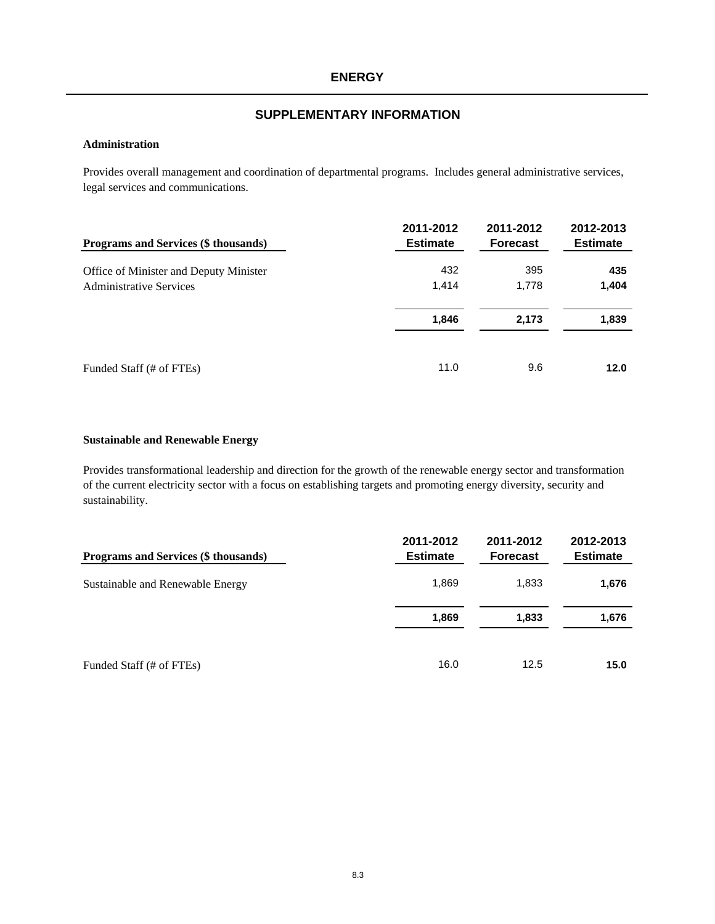#### **Administration**

Provides overall management and coordination of departmental programs. Includes general administrative services, legal services and communications.

| Programs and Services (\$ thousands)   | 2011-2012<br><b>Estimate</b> | 2011-2012<br><b>Forecast</b> | 2012-2013<br><b>Estimate</b> |
|----------------------------------------|------------------------------|------------------------------|------------------------------|
| Office of Minister and Deputy Minister | 432                          | 395                          | 435                          |
| <b>Administrative Services</b>         | 1.414                        | 1.778                        | 1,404                        |
|                                        | 1,846                        | 2,173                        | 1,839                        |
| Funded Staff (# of FTEs)               | 11.0                         | 9.6                          | 12.0                         |

#### **Sustainable and Renewable Energy**

Provides transformational leadership and direction for the growth of the renewable energy sector and transformation of the current electricity sector with a focus on establishing targets and promoting energy diversity, security and sustainability.

| Programs and Services (\$ thousands) | 2011-2012<br><b>Estimate</b> | 2011-2012<br><b>Forecast</b> | 2012-2013<br><b>Estimate</b> |
|--------------------------------------|------------------------------|------------------------------|------------------------------|
| Sustainable and Renewable Energy     | 1,869                        | 1,833                        | 1,676                        |
|                                      | 1,869                        | 1,833                        | 1,676                        |
| Funded Staff (# of FTEs)             | 16.0                         | 12.5                         | 15.0                         |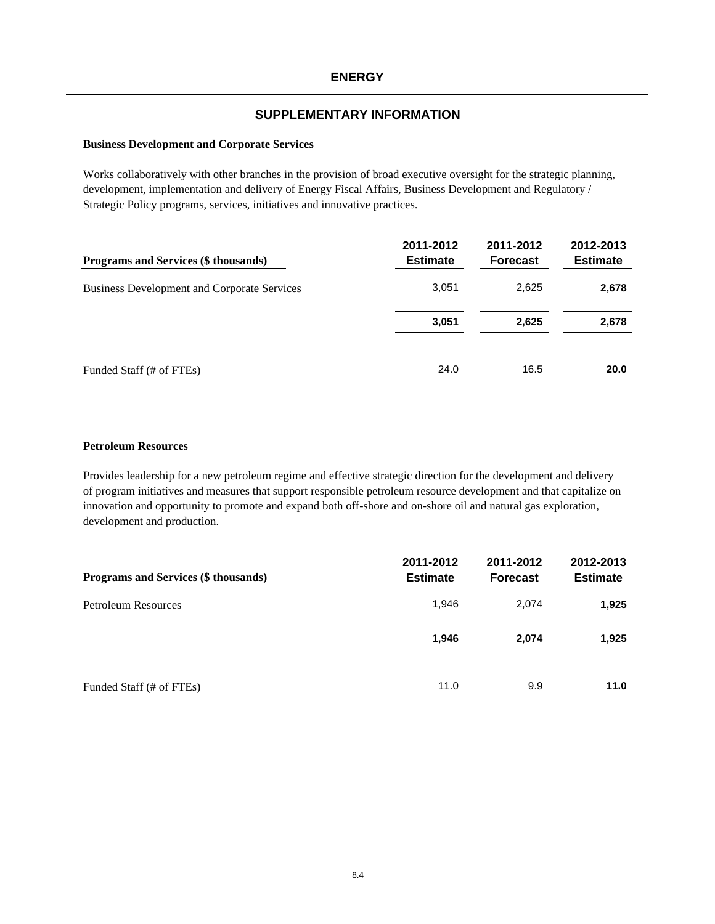#### **Business Development and Corporate Services**

Works collaboratively with other branches in the provision of broad executive oversight for the strategic planning, development, implementation and delivery of Energy Fiscal Affairs, Business Development and Regulatory / Strategic Policy programs, services, initiatives and innovative practices.

| Programs and Services (\$ thousands)               | 2011-2012<br><b>Estimate</b> | 2011-2012<br><b>Forecast</b> | 2012-2013<br><b>Estimate</b> |
|----------------------------------------------------|------------------------------|------------------------------|------------------------------|
| <b>Business Development and Corporate Services</b> | 3,051                        | 2,625                        | 2,678                        |
|                                                    | 3,051                        | 2,625                        | 2,678                        |
| Funded Staff (# of FTEs)                           | 24.0                         | 16.5                         | 20.0                         |

#### **Petroleum Resources**

Provides leadership for a new petroleum regime and effective strategic direction for the development and delivery of program initiatives and measures that support responsible petroleum resource development and that capitalize on innovation and opportunity to promote and expand both off-shore and on-shore oil and natural gas exploration, development and production.

| Programs and Services (\$ thousands) | 2011-2012<br><b>Estimate</b> | 2011-2012<br><b>Forecast</b> | 2012-2013<br><b>Estimate</b> |
|--------------------------------------|------------------------------|------------------------------|------------------------------|
| <b>Petroleum Resources</b>           | 1,946                        | 2.074                        | 1,925                        |
|                                      | 1.946                        | 2,074                        | 1,925                        |
| Funded Staff (# of FTEs)             | 11.0                         | 9.9                          | 11.0                         |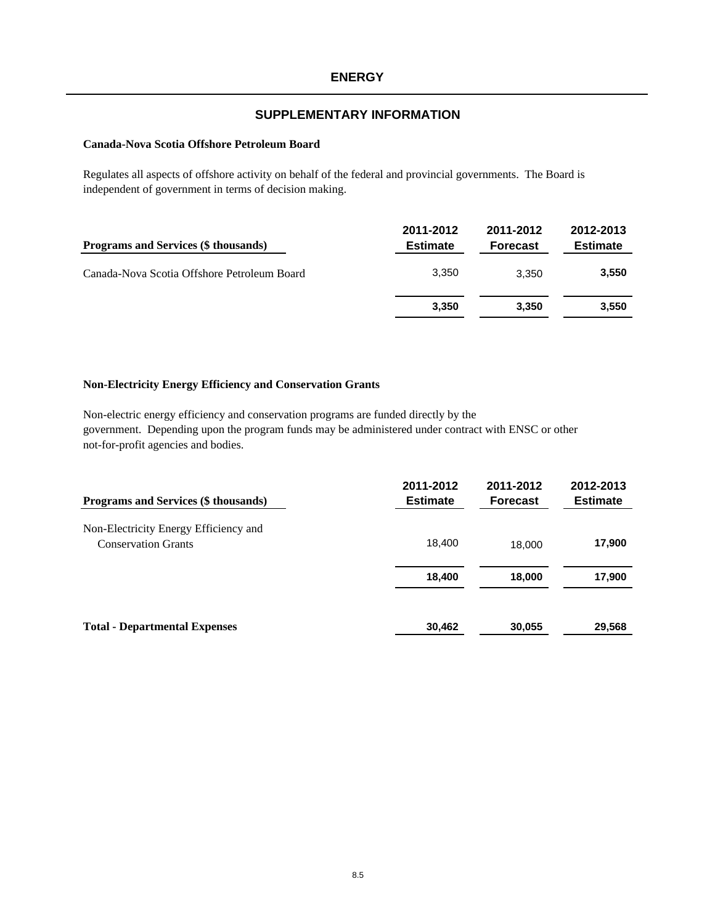#### **Canada-Nova Scotia Offshore Petroleum Board**

Regulates all aspects of offshore activity on behalf of the federal and provincial governments. The Board is independent of government in terms of decision making.

| Programs and Services (\$ thousands)        | 2011-2012<br><b>Estimate</b> | 2011-2012<br><b>Forecast</b> | 2012-2013<br><b>Estimate</b> |
|---------------------------------------------|------------------------------|------------------------------|------------------------------|
| Canada-Nova Scotia Offshore Petroleum Board | 3.350                        | 3.350                        | 3,550                        |
|                                             | 3,350                        | 3.350                        | 3,550                        |

#### **Non-Electricity Energy Efficiency and Conservation Grants**

Non-electric energy efficiency and conservation programs are funded directly by the government. Depending upon the program funds may be administered under contract with ENSC or other not-for-profit agencies and bodies.

| <b>Programs and Services (\$ thousands)</b>                         | 2011-2012<br><b>Estimate</b> | 2011-2012<br><b>Forecast</b> | 2012-2013<br><b>Estimate</b> |
|---------------------------------------------------------------------|------------------------------|------------------------------|------------------------------|
| Non-Electricity Energy Efficiency and<br><b>Conservation Grants</b> | 18,400                       | 18,000                       | 17,900                       |
|                                                                     | 18,400                       | 18,000                       | 17,900                       |
| <b>Total - Departmental Expenses</b>                                | 30,462                       | 30,055                       | 29,568                       |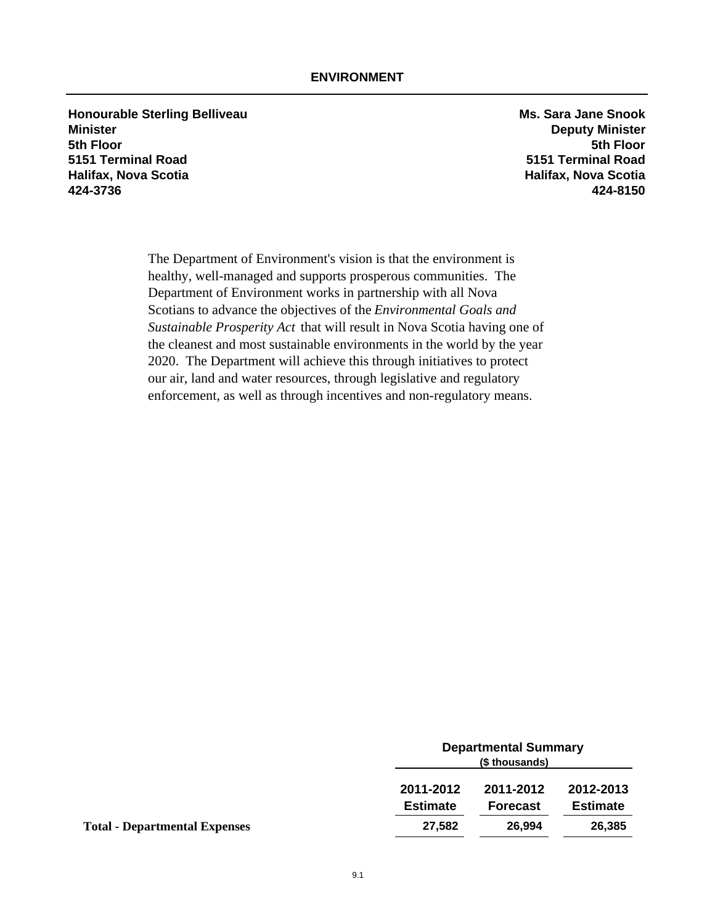**Honourable Sterling Belliveau** *MS.* **Sara Jane Snook Minister Deputy Minister 5th Floor 5th Floor 5151 Terminal Road 5151 Terminal Road Halifax, Nova Scotia Halifax, Nova Scotia 424-3736 424-8150**

The Department of Environment's vision is that the environment is healthy, well-managed and supports prosperous communities. The Department of Environment works in partnership with all Nova Scotians to advance the objectives of the *Environmental Goals and Sustainable Prosperity Act* that will result in Nova Scotia having one of the cleanest and most sustainable environments in the world by the year 2020. The Department will achieve this through initiatives to protect our air, land and water resources, through legislative and regulatory enforcement, as well as through incentives and non-regulatory means.

|                                      |                              | <b>Departmental Summary</b><br>(\$ thousands) |                              |  |
|--------------------------------------|------------------------------|-----------------------------------------------|------------------------------|--|
|                                      | 2011-2012<br><b>Estimate</b> | 2011-2012<br><b>Forecast</b>                  | 2012-2013<br><b>Estimate</b> |  |
| <b>Total - Departmental Expenses</b> | 27,582                       | 26.994                                        | 26,385                       |  |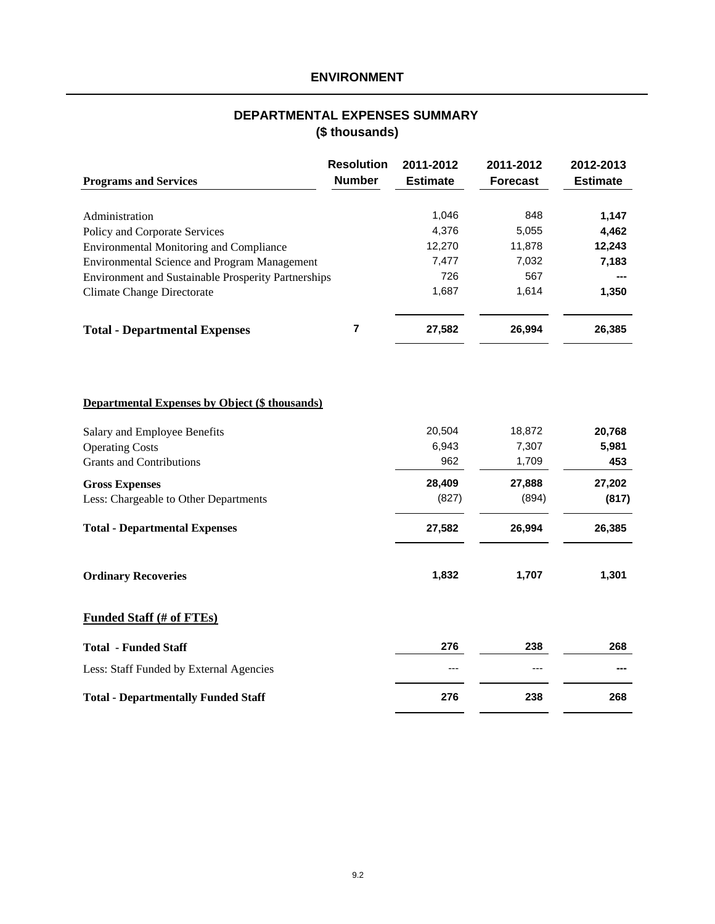# **ENVIRONMENT**

# **(\$ thousands) DEPARTMENTAL EXPENSES SUMMARY**

|                                                       | <b>Resolution</b>       | 2011-2012       | 2011-2012       | 2012-2013       |
|-------------------------------------------------------|-------------------------|-----------------|-----------------|-----------------|
| <b>Programs and Services</b>                          | <b>Number</b>           | <b>Estimate</b> | <b>Forecast</b> | <b>Estimate</b> |
|                                                       |                         |                 |                 |                 |
| Administration                                        |                         | 1,046           | 848             | 1,147           |
| Policy and Corporate Services                         |                         | 4,376           | 5,055           | 4,462           |
| <b>Environmental Monitoring and Compliance</b>        |                         | 12,270          | 11,878          | 12,243          |
| <b>Environmental Science and Program Management</b>   |                         | 7,477           | 7,032           | 7,183           |
| Environment and Sustainable Prosperity Partnerships   |                         | 726             | 567             |                 |
| <b>Climate Change Directorate</b>                     |                         | 1,687           | 1,614           | 1,350           |
| <b>Total - Departmental Expenses</b>                  | $\overline{\mathbf{r}}$ | 27,582          | 26,994          | 26,385          |
|                                                       |                         |                 |                 |                 |
| <b>Departmental Expenses by Object (\$ thousands)</b> |                         |                 |                 |                 |
| Salary and Employee Benefits                          |                         | 20,504          | 18,872          | 20,768          |
| <b>Operating Costs</b>                                |                         | 6,943           | 7,307           | 5,981           |
| <b>Grants and Contributions</b>                       |                         | 962             | 1,709           | 453             |
| <b>Gross Expenses</b>                                 |                         | 28,409          | 27,888          | 27,202          |
| Less: Chargeable to Other Departments                 |                         | (827)           | (894)           | (817)           |
| <b>Total - Departmental Expenses</b>                  |                         | 27,582          | 26,994          | 26,385          |
| <b>Ordinary Recoveries</b>                            |                         | 1,832           | 1,707           | 1,301           |
| <b>Funded Staff (# of FTEs)</b>                       |                         |                 |                 |                 |
| <b>Total - Funded Staff</b>                           |                         | 276             | 238             | 268             |
| Less: Staff Funded by External Agencies               |                         |                 |                 |                 |
| <b>Total - Departmentally Funded Staff</b>            |                         | 276             | 238             | 268             |
|                                                       |                         |                 |                 |                 |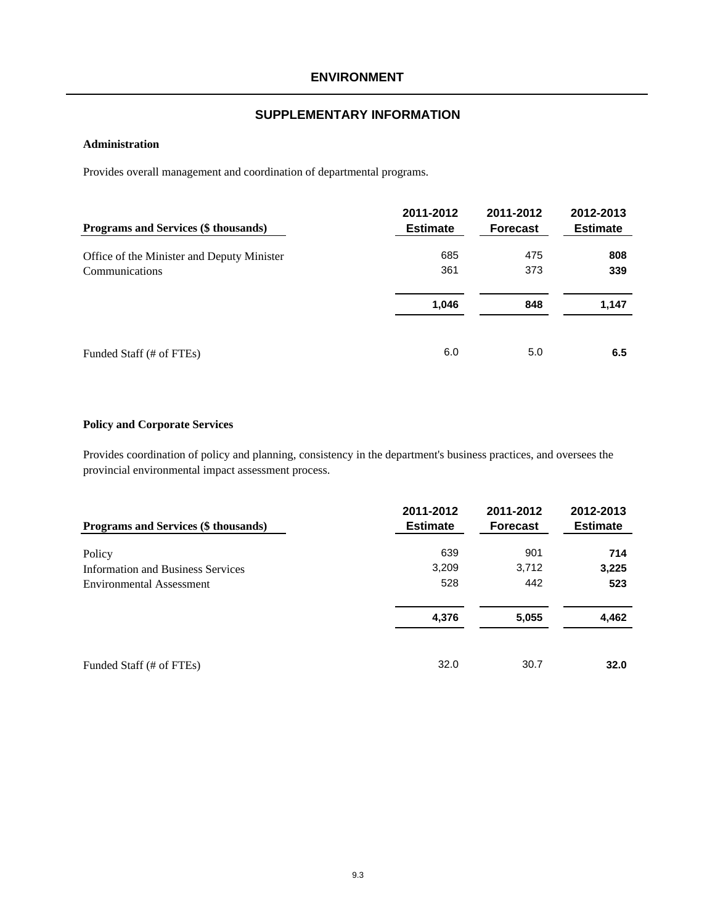#### **Administration**

Provides overall management and coordination of departmental programs.

| Programs and Services (\$ thousands)       | 2011-2012<br><b>Estimate</b> | 2011-2012<br><b>Forecast</b> | 2012-2013<br><b>Estimate</b> |
|--------------------------------------------|------------------------------|------------------------------|------------------------------|
| Office of the Minister and Deputy Minister | 685                          | 475                          | 808                          |
| Communications                             | 361                          | 373                          | 339                          |
|                                            | 1,046                        | 848                          | 1,147                        |
| Funded Staff (# of FTEs)                   | 6.0                          | 5.0                          | 6.5                          |

#### **Policy and Corporate Services**

Provides coordination of policy and planning, consistency in the department's business practices, and oversees the provincial environmental impact assessment process.

| <b>Programs and Services (\$ thousands)</b> | 2011-2012<br><b>Estimate</b> | 2011-2012<br><b>Forecast</b> | 2012-2013<br><b>Estimate</b> |
|---------------------------------------------|------------------------------|------------------------------|------------------------------|
| Policy                                      | 639                          | 901                          | 714                          |
| <b>Information and Business Services</b>    | 3,209                        | 3,712                        | 3,225                        |
| Environmental Assessment                    | 528                          | 442                          | 523                          |
|                                             | 4,376                        | 5,055                        | 4,462                        |
| Funded Staff (# of FTEs)                    | 32.0                         | 30.7                         | 32.0                         |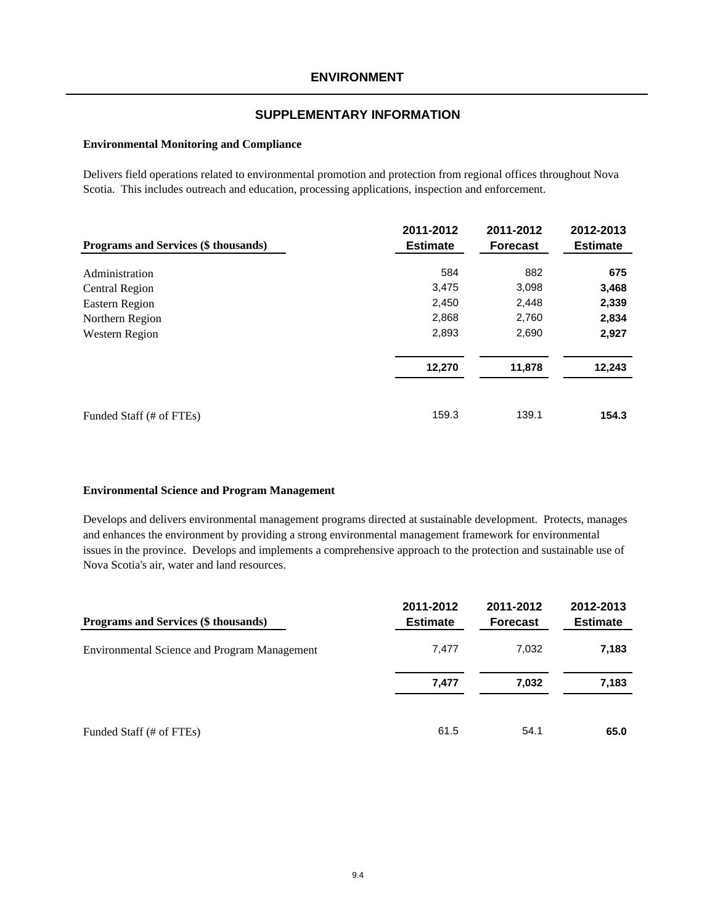#### **Environmental Monitoring and Compliance**

Delivers field operations related to environmental promotion and protection from regional offices throughout Nova Scotia. This includes outreach and education, processing applications, inspection and enforcement.

| Programs and Services (\$ thousands) | 2011-2012<br><b>Estimate</b> | 2011-2012<br><b>Forecast</b> | 2012-2013<br><b>Estimate</b> |
|--------------------------------------|------------------------------|------------------------------|------------------------------|
|                                      |                              |                              |                              |
| Administration                       | 584                          | 882                          | 675                          |
| Central Region                       | 3,475                        | 3,098                        | 3,468                        |
| Eastern Region                       | 2,450                        | 2,448                        | 2,339                        |
| Northern Region                      | 2,868                        | 2,760                        | 2,834                        |
| Western Region                       | 2,893                        | 2,690                        | 2,927                        |
|                                      | 12,270                       | 11,878                       | 12,243                       |
| Funded Staff (# of FTEs)             | 159.3                        | 139.1                        | 154.3                        |

#### **Environmental Science and Program Management**

Develops and delivers environmental management programs directed at sustainable development. Protects, manages and enhances the environment by providing a strong environmental management framework for environmental issues in the province. Develops and implements a comprehensive approach to the protection and sustainable use of Nova Scotia's air, water and land resources.

| <b>Programs and Services (\$ thousands)</b>         | 2011-2012<br><b>Estimate</b> | 2011-2012<br><b>Forecast</b> | 2012-2013<br><b>Estimate</b> |
|-----------------------------------------------------|------------------------------|------------------------------|------------------------------|
| <b>Environmental Science and Program Management</b> | 7.477                        | 7,032                        | 7,183                        |
|                                                     | 7,477                        | 7,032                        | 7,183                        |
| Funded Staff (# of FTEs)                            | 61.5                         | 54.1                         | 65.0                         |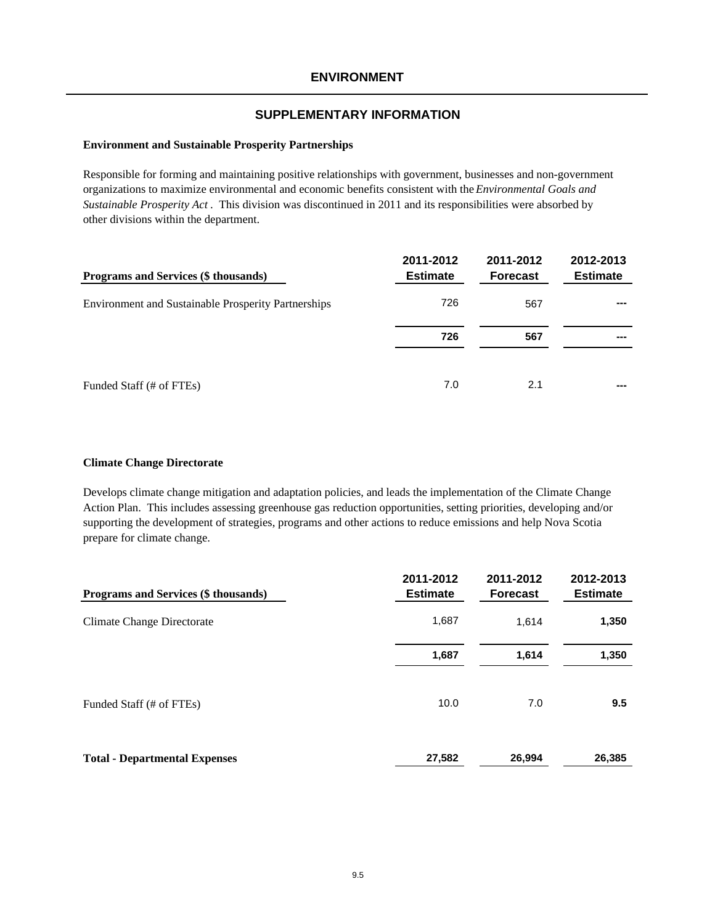#### **Environment and Sustainable Prosperity Partnerships**

Responsible for forming and maintaining positive relationships with government, businesses and non-government organizations to maximize environmental and economic benefits consistent with the *Environmental Goals and Sustainable Prosperity Act* . This division was discontinued in 2011 and its responsibilities were absorbed by other divisions within the department.

| Programs and Services (\$ thousands)                       | 2011-2012<br><b>Estimate</b> | 2011-2012<br><b>Forecast</b> | 2012-2013<br><b>Estimate</b> |
|------------------------------------------------------------|------------------------------|------------------------------|------------------------------|
| <b>Environment and Sustainable Prosperity Partnerships</b> | 726                          | 567                          | ---                          |
|                                                            | 726                          | 567                          | ---                          |
| Funded Staff (# of FTEs)                                   | 7.0                          | 2.1                          | ---                          |

#### **Climate Change Directorate**

Develops climate change mitigation and adaptation policies, and leads the implementation of the Climate Change Action Plan. This includes assessing greenhouse gas reduction opportunities, setting priorities, developing and/or supporting the development of strategies, programs and other actions to reduce emissions and help Nova Scotia prepare for climate change.

| Programs and Services (\$ thousands) | 2011-2012<br><b>Estimate</b> | 2011-2012<br><b>Forecast</b> | 2012-2013<br><b>Estimate</b> |
|--------------------------------------|------------------------------|------------------------------|------------------------------|
| Climate Change Directorate           | 1,687                        | 1.614                        | 1,350                        |
|                                      | 1,687                        | 1,614                        | 1,350                        |
| Funded Staff (# of FTEs)             | 10.0                         | 7.0                          | 9.5                          |
| <b>Total - Departmental Expenses</b> | 27,582                       | 26,994                       | 26,385                       |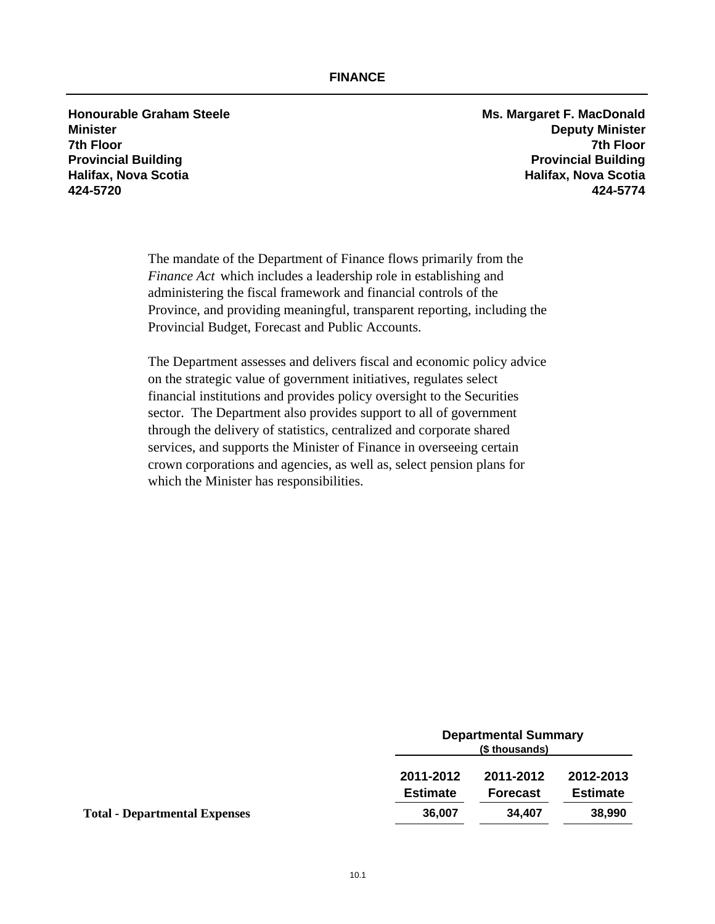**Honourable Graham Steele Ms. Margaret F. MacDonald 424-5720 424-5774**

**Minister Deputy Minister 7th Floor 7th Floor Provincial Building Provincial Building Halifax, Nova Scotia Halifax, Nova Scotia**

> The mandate of the Department of Finance flows primarily from the *Finance Act* which includes a leadership role in establishing and administering the fiscal framework and financial controls of the Province, and providing meaningful, transparent reporting, including the Provincial Budget, Forecast and Public Accounts.

> The Department assesses and delivers fiscal and economic policy advice on the strategic value of government initiatives, regulates select financial institutions and provides policy oversight to the Securities sector. The Department also provides support to all of government through the delivery of statistics, centralized and corporate shared services, and supports the Minister of Finance in overseeing certain crown corporations and agencies, as well as, select pension plans for which the Minister has responsibilities.

|                                      | <b>Departmental Summary</b><br>(\$ thousands) |                              |                              |
|--------------------------------------|-----------------------------------------------|------------------------------|------------------------------|
|                                      | 2011-2012<br><b>Estimate</b>                  | 2011-2012<br><b>Forecast</b> | 2012-2013<br><b>Estimate</b> |
| <b>Total - Departmental Expenses</b> | 36,007                                        | 34.407                       | 38,990                       |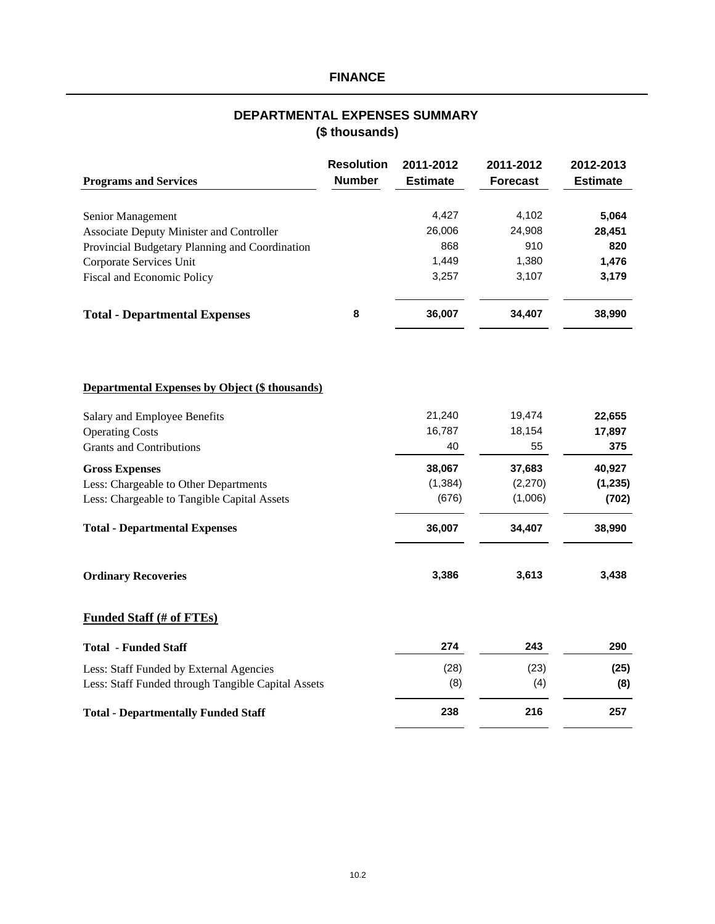# **FINANCE**

# **(\$ thousands) DEPARTMENTAL EXPENSES SUMMARY**

| <b>Programs and Services</b>                          | <b>Resolution</b><br><b>Number</b> | 2011-2012<br><b>Estimate</b> | 2011-2012<br><b>Forecast</b> | 2012-2013<br><b>Estimate</b> |
|-------------------------------------------------------|------------------------------------|------------------------------|------------------------------|------------------------------|
|                                                       |                                    |                              |                              |                              |
| Senior Management                                     |                                    | 4,427                        | 4,102                        | 5,064                        |
| <b>Associate Deputy Minister and Controller</b>       |                                    | 26,006                       | 24,908                       | 28,451                       |
| Provincial Budgetary Planning and Coordination        |                                    | 868                          | 910                          | 820                          |
| Corporate Services Unit                               |                                    | 1,449                        | 1,380                        | 1,476                        |
| Fiscal and Economic Policy                            |                                    | 3,257                        | 3,107                        | 3,179                        |
| <b>Total - Departmental Expenses</b>                  | 8                                  | 36,007                       | 34,407                       | 38,990                       |
| <b>Departmental Expenses by Object (\$ thousands)</b> |                                    |                              |                              |                              |
|                                                       |                                    |                              |                              |                              |
| Salary and Employee Benefits                          |                                    | 21,240                       | 19,474                       | 22,655                       |
| <b>Operating Costs</b>                                |                                    | 16,787                       | 18,154                       | 17,897                       |
| <b>Grants and Contributions</b>                       |                                    | 40                           | 55                           | 375                          |
| <b>Gross Expenses</b>                                 |                                    | 38,067                       | 37,683                       | 40,927                       |
| Less: Chargeable to Other Departments                 |                                    | (1, 384)                     | (2,270)                      | (1, 235)                     |
| Less: Chargeable to Tangible Capital Assets           |                                    | (676)                        | (1,006)                      | (702)                        |
| <b>Total - Departmental Expenses</b>                  |                                    | 36,007                       | 34,407                       | 38,990                       |
| <b>Ordinary Recoveries</b>                            |                                    | 3,386                        | 3,613                        | 3,438                        |
| <b>Funded Staff (# of FTEs)</b>                       |                                    |                              |                              |                              |
| <b>Total - Funded Staff</b>                           |                                    | 274                          | 243                          | 290                          |
| Less: Staff Funded by External Agencies               |                                    | (28)                         | (23)                         | (25)                         |
| Less: Staff Funded through Tangible Capital Assets    |                                    | (8)                          | (4)                          | (8)                          |
|                                                       |                                    |                              |                              |                              |
| <b>Total - Departmentally Funded Staff</b>            |                                    | 238                          | 216                          | 257                          |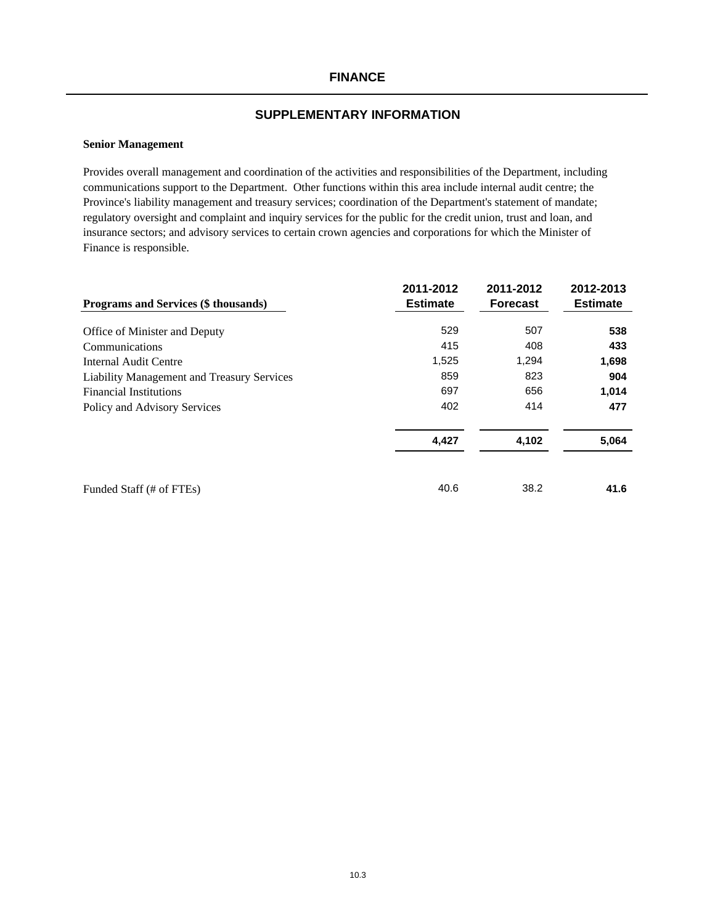## **FINANCE**

#### **SUPPLEMENTARY INFORMATION**

#### **Senior Management**

Provides overall management and coordination of the activities and responsibilities of the Department, including communications support to the Department. Other functions within this area include internal audit centre; the Province's liability management and treasury services; coordination of the Department's statement of mandate; regulatory oversight and complaint and inquiry services for the public for the credit union, trust and loan, and insurance sectors; and advisory services to certain crown agencies and corporations for which the Minister of Finance is responsible.

| <b>Programs and Services (\$ thousands)</b> | 2011-2012<br><b>Estimate</b> | 2011-2012<br><b>Forecast</b> | 2012-2013<br><b>Estimate</b> |
|---------------------------------------------|------------------------------|------------------------------|------------------------------|
|                                             |                              |                              |                              |
| Office of Minister and Deputy               | 529                          | 507                          | 538                          |
| Communications                              | 415                          | 408                          | 433                          |
| Internal Audit Centre                       | 1,525                        | 1,294                        | 1,698                        |
| Liability Management and Treasury Services  | 859                          | 823                          | 904                          |
| <b>Financial Institutions</b>               | 697                          | 656                          | 1,014                        |
| Policy and Advisory Services                | 402                          | 414                          | 477                          |
|                                             | 4,427                        | 4,102                        | 5,064                        |
| Funded Staff (# of FTEs)                    | 40.6                         | 38.2                         | 41.6                         |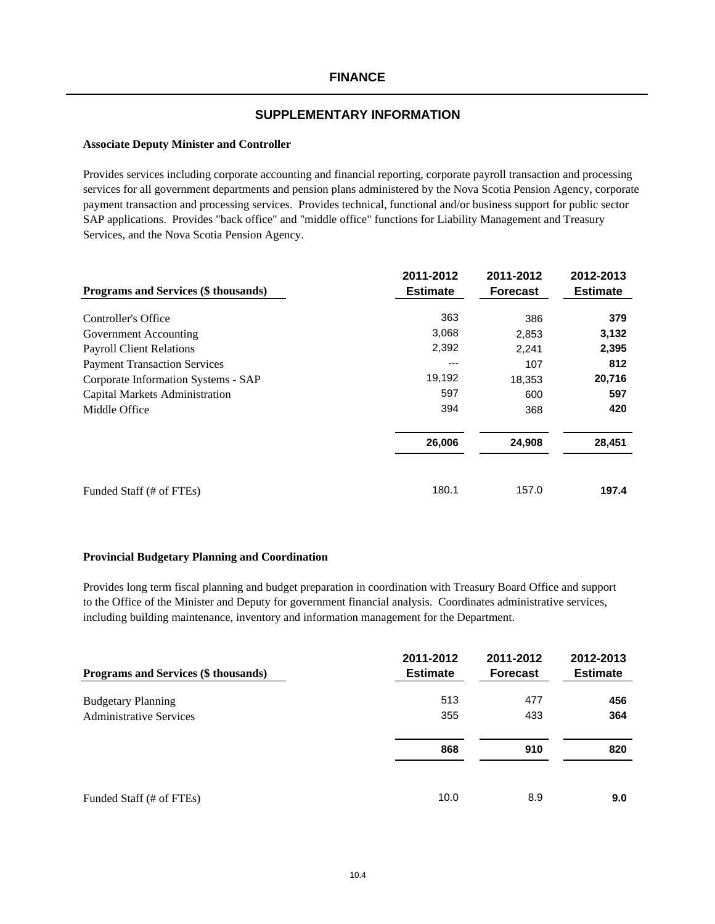#### **Associate Deputy Minister and Controller**

Provides services including corporate accounting and financial reporting, corporate payroll transaction and processing services for all government departments and pension plans administered by the Nova Scotia Pension Agency, corporate payment transaction and processing services. Provides technical, functional and/or business support for public sector SAP applications. Provides "back office" and "middle office" functions for Liability Management and Treasury Services, and the Nova Scotia Pension Agency.

|                                      | 2011-2012       | 2011-2012       | 2012-2013       |
|--------------------------------------|-----------------|-----------------|-----------------|
| Programs and Services (\$ thousands) | <b>Estimate</b> | <b>Forecast</b> | <b>Estimate</b> |
| Controller's Office                  | 363             | 386             | 379             |
| Government Accounting                | 3,068           | 2,853           | 3,132           |
| <b>Payroll Client Relations</b>      | 2,392           | 2,241           | 2,395           |
| <b>Payment Transaction Services</b>  | ---             | 107             | 812             |
| Corporate Information Systems - SAP  | 19,192          | 18,353          | 20,716          |
| Capital Markets Administration       | 597             | 600             | 597             |
| Middle Office                        | 394             | 368             | 420             |
|                                      | 26,006          | 24,908          | 28,451          |
| Funded Staff (# of FTEs)             | 180.1           | 157.0           | 197.4           |

#### **Provincial Budgetary Planning and Coordination**

Provides long term fiscal planning and budget preparation in coordination with Treasury Board Office and support to the Office of the Minister and Deputy for government financial analysis. Coordinates administrative services, including building maintenance, inventory and information management for the Department.

| Programs and Services (\$ thousands) | 2011-2012<br><b>Estimate</b> | 2011-2012<br><b>Forecast</b> | 2012-2013<br><b>Estimate</b> |
|--------------------------------------|------------------------------|------------------------------|------------------------------|
| <b>Budgetary Planning</b>            | 513                          | 477                          | 456                          |
| <b>Administrative Services</b>       | 355                          | 433                          | 364                          |
|                                      | 868                          | 910                          | 820                          |
| Funded Staff (# of FTEs)             | 10.0                         | 8.9                          | 9.0                          |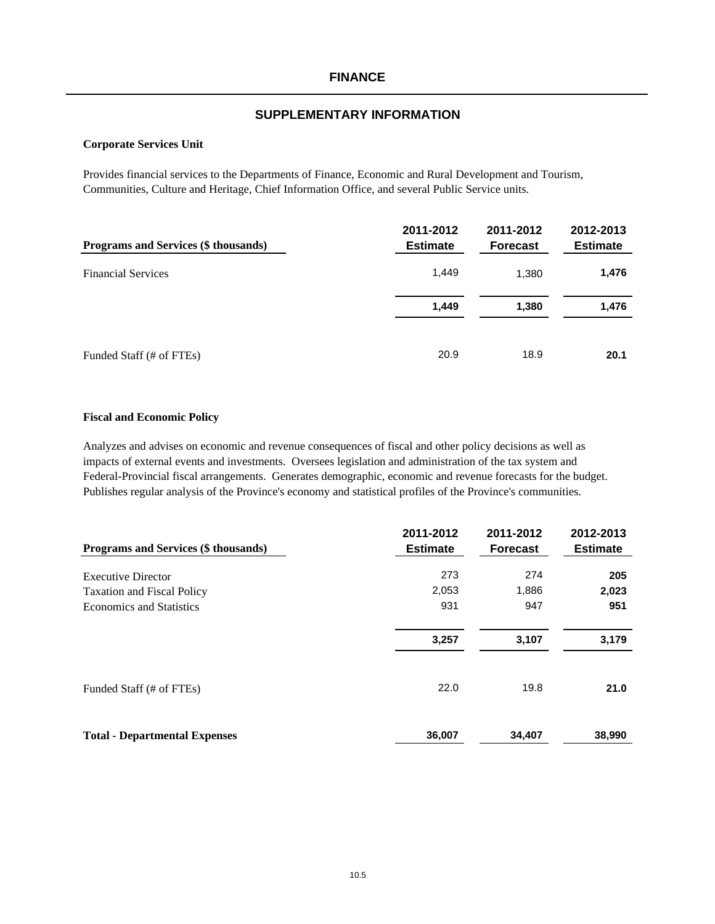#### **Corporate Services Unit**

Provides financial services to the Departments of Finance, Economic and Rural Development and Tourism, Communities, Culture and Heritage, Chief Information Office, and several Public Service units.

| <b>Programs and Services (\$ thousands)</b> | 2011-2012<br><b>Estimate</b> | 2011-2012<br><b>Forecast</b> | 2012-2013<br><b>Estimate</b> |
|---------------------------------------------|------------------------------|------------------------------|------------------------------|
| <b>Financial Services</b>                   | 1,449                        | 1,380                        | 1,476                        |
|                                             | 1,449                        | 1,380                        | 1,476                        |
| Funded Staff (# of FTEs)                    | 20.9                         | 18.9                         | 20.1                         |

#### **Fiscal and Economic Policy**

Analyzes and advises on economic and revenue consequences of fiscal and other policy decisions as well as impacts of external events and investments. Oversees legislation and administration of the tax system and Federal-Provincial fiscal arrangements. Generates demographic, economic and revenue forecasts for the budget. Publishes regular analysis of the Province's economy and statistical profiles of the Province's communities.

| Programs and Services (\$ thousands) | 2011-2012<br><b>Estimate</b> | 2011-2012<br><b>Forecast</b> | 2012-2013<br><b>Estimate</b> |
|--------------------------------------|------------------------------|------------------------------|------------------------------|
| <b>Executive Director</b>            | 273                          | 274                          | 205                          |
| <b>Taxation and Fiscal Policy</b>    | 2,053                        | 1,886                        | 2,023                        |
| <b>Economics and Statistics</b>      | 931                          | 947                          | 951                          |
|                                      | 3,257                        | 3,107                        | 3,179                        |
| Funded Staff (# of FTEs)             | 22.0                         | 19.8                         | 21.0                         |
| <b>Total - Departmental Expenses</b> | 36,007                       | 34,407                       | 38,990                       |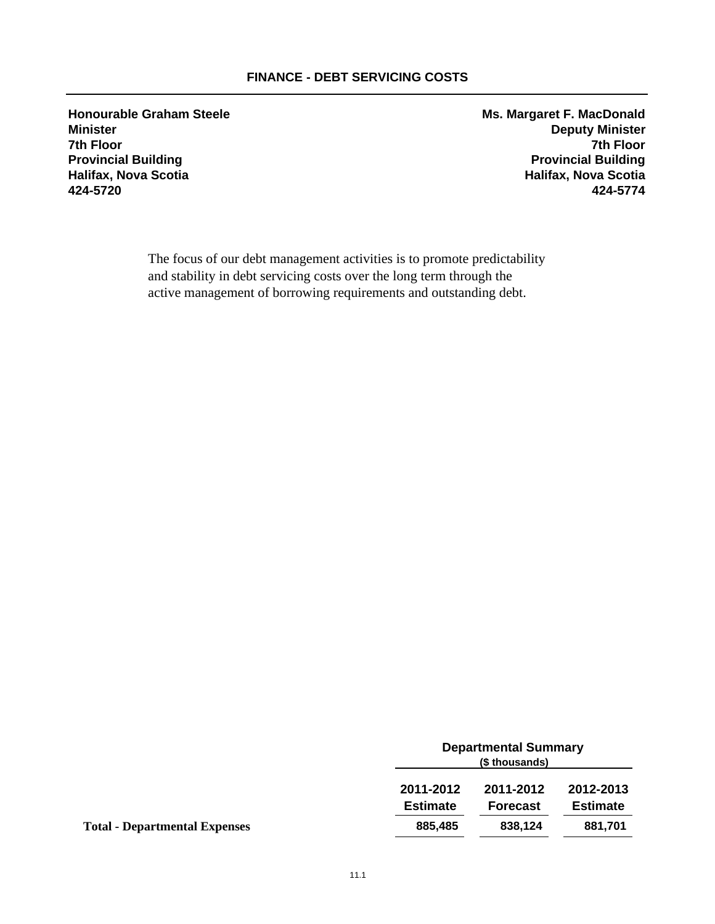# **FINANCE - DEBT SERVICING COSTS**

**Honourable Graham Steele Ms. Margaret F. MacDonald 7th Floor 7th Floor 424-5720 424-5774**

**Minister Deputy Minister Provincial Building Provincial Building Halifax, Nova Scotia Halifax, Nova Scotia**

> The focus of our debt management activities is to promote predictability and stability in debt servicing costs over the long term through the active management of borrowing requirements and outstanding debt.

|                                      | <b>Departmental Summary</b><br>(\$ thousands) |                 |                 |
|--------------------------------------|-----------------------------------------------|-----------------|-----------------|
|                                      | 2011-2012                                     | 2011-2012       | 2012-2013       |
|                                      | <b>Estimate</b>                               | <b>Forecast</b> | <b>Estimate</b> |
| <b>Total - Departmental Expenses</b> | 885,485                                       | 838,124         | 881,701         |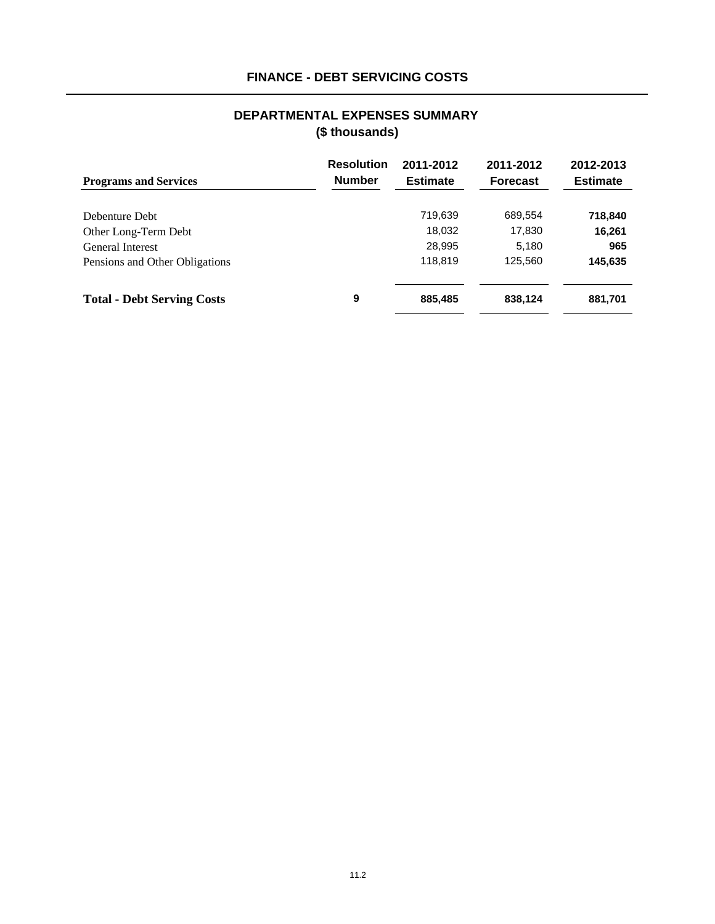# **FINANCE - DEBT SERVICING COSTS**

# **(\$ thousands) DEPARTMENTAL EXPENSES SUMMARY**

| <b>Programs and Services</b>      | <b>Resolution</b><br><b>Number</b> | 2011-2012<br><b>Estimate</b> | 2011-2012<br><b>Forecast</b> | 2012-2013<br><b>Estimate</b> |
|-----------------------------------|------------------------------------|------------------------------|------------------------------|------------------------------|
| Debenture Debt                    |                                    | 719,639                      | 689,554                      | 718,840                      |
| Other Long-Term Debt              |                                    | 18,032                       | 17,830                       | 16,261                       |
| <b>General Interest</b>           |                                    | 28,995                       | 5,180                        | 965                          |
| Pensions and Other Obligations    |                                    | 118,819                      | 125,560                      | 145,635                      |
| <b>Total - Debt Serving Costs</b> | 9                                  | 885,485                      | 838,124                      | 881,701                      |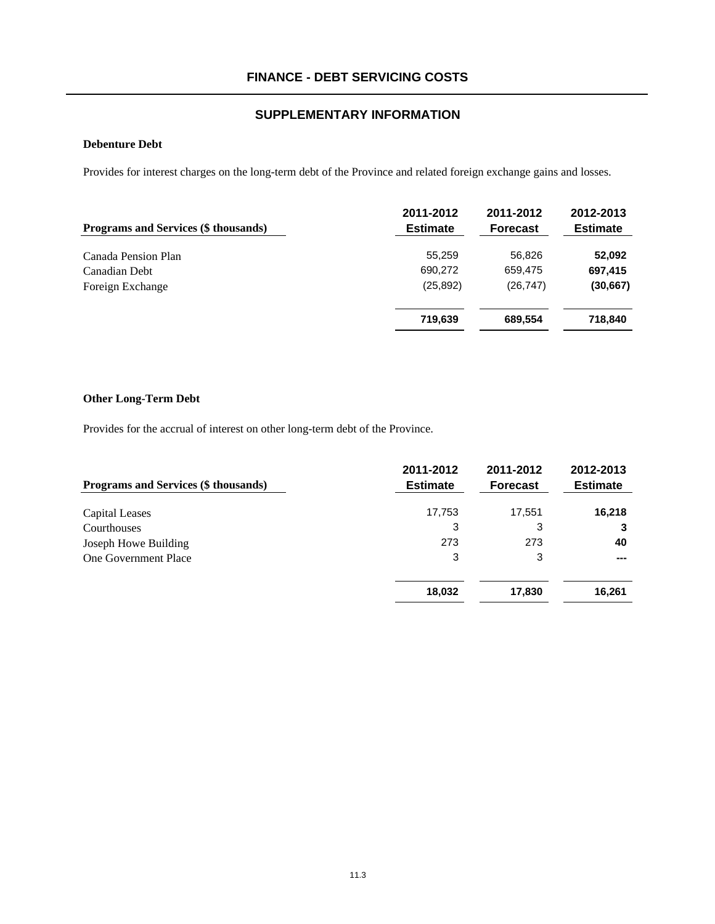## **Debenture Debt**

Provides for interest charges on the long-term debt of the Province and related foreign exchange gains and losses.

| Programs and Services (\$ thousands) | 2011-2012<br><b>Estimate</b> | 2011-2012<br><b>Forecast</b> | 2012-2013<br><b>Estimate</b> |
|--------------------------------------|------------------------------|------------------------------|------------------------------|
| Canada Pension Plan                  | 55.259                       | 56,826                       | 52,092                       |
| Canadian Debt                        | 690,272                      | 659,475                      | 697,415                      |
| Foreign Exchange                     | (25, 892)                    | (26, 747)                    | (30, 667)                    |
|                                      | 719,639                      | 689,554                      | 718,840                      |

## **Other Long-Term Debt**

Provides for the accrual of interest on other long-term debt of the Province.

| Programs and Services (\$ thousands) | 2011-2012<br><b>Estimate</b> | 2011-2012<br><b>Forecast</b> | 2012-2013<br><b>Estimate</b> |
|--------------------------------------|------------------------------|------------------------------|------------------------------|
| Capital Leases                       | 17,753                       | 17,551                       | 16,218                       |
| Courthouses                          | 3                            | 3                            | 3                            |
| Joseph Howe Building                 | 273                          | 273                          | 40                           |
| <b>One Government Place</b>          | 3                            | 3                            |                              |
|                                      | 18,032                       | 17,830                       | 16,261                       |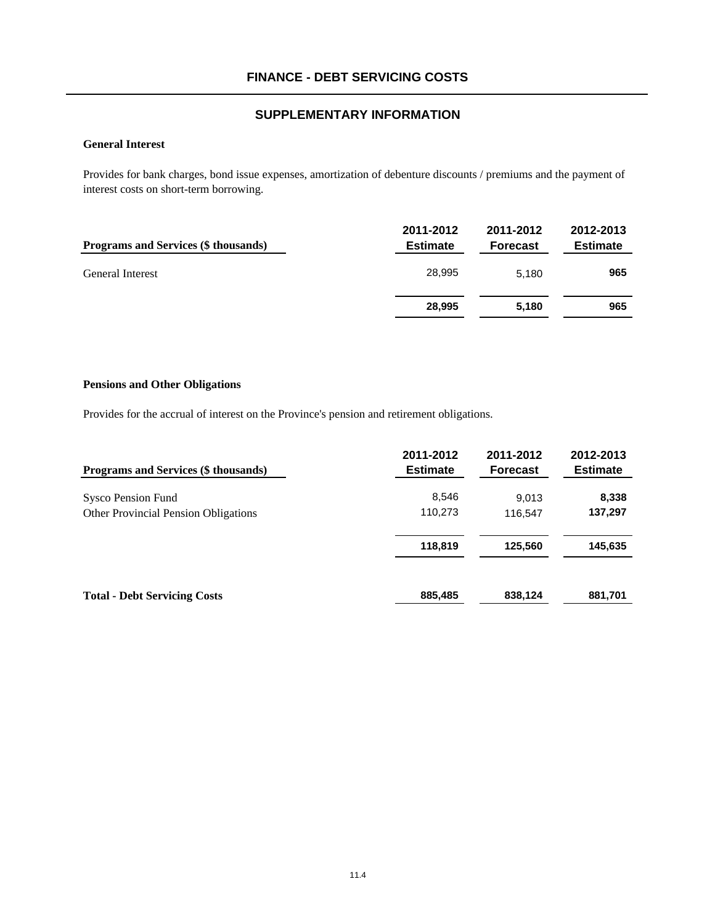#### **General Interest**

Provides for bank charges, bond issue expenses, amortization of debenture discounts / premiums and the payment of interest costs on short-term borrowing.

| Programs and Services (\$ thousands) | 2011-2012<br><b>Estimate</b> | 2011-2012<br><b>Forecast</b> | 2012-2013<br><b>Estimate</b> |
|--------------------------------------|------------------------------|------------------------------|------------------------------|
| <b>General Interest</b>              | 28.995                       | 5.180                        | 965                          |
|                                      | 28.995                       | 5.180                        | 965                          |

#### **Pensions and Other Obligations**

Provides for the accrual of interest on the Province's pension and retirement obligations.

| <b>Programs and Services (\$ thousands)</b> | 2011-2012<br><b>Estimate</b> | 2011-2012<br><b>Forecast</b> | 2012-2013<br><b>Estimate</b> |
|---------------------------------------------|------------------------------|------------------------------|------------------------------|
| Sysco Pension Fund                          | 8,546                        | 9,013                        | 8,338                        |
| Other Provincial Pension Obligations        | 110,273                      | 116,547                      | 137,297                      |
|                                             | 118,819                      | 125,560                      | 145,635                      |
| <b>Total - Debt Servicing Costs</b>         | 885,485                      | 838,124                      | 881,701                      |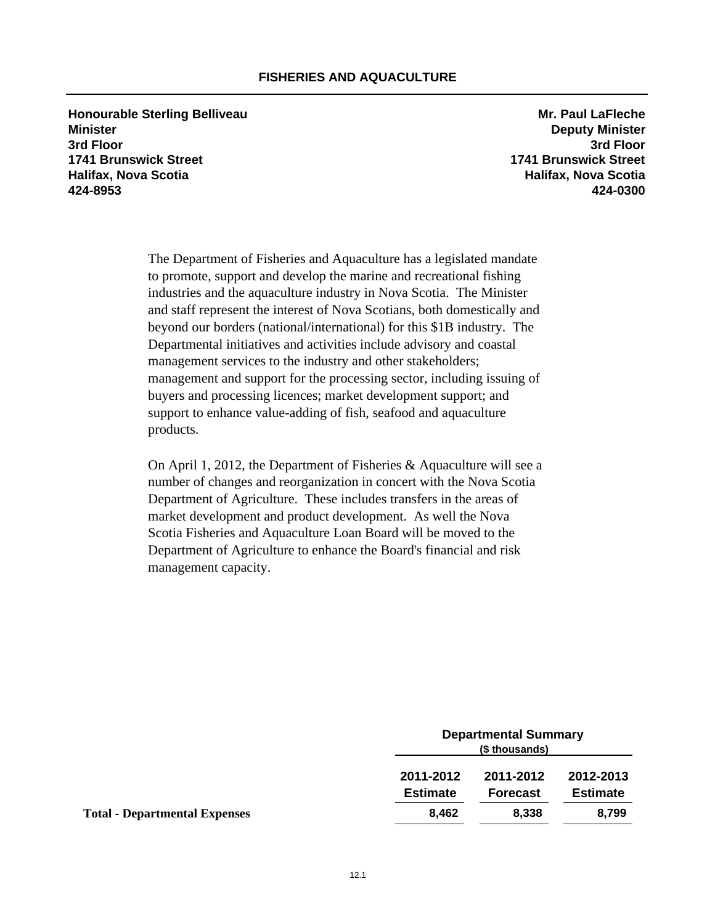**Honourable Sterling Belliveau** *Mr. Paul LaFleche* Mr. Paul LaFleche **Minister Deputy Minister 3rd Floor 3rd Floor 1741 Brunswick Street 1741 Brunswick Street Halifax, Nova Scotia Halifax, Nova Scotia 424-8953 424-0300**

The Department of Fisheries and Aquaculture has a legislated mandate to promote, support and develop the marine and recreational fishing industries and the aquaculture industry in Nova Scotia. The Minister and staff represent the interest of Nova Scotians, both domestically and beyond our borders (national/international) for this \$1B industry. The Departmental initiatives and activities include advisory and coastal management services to the industry and other stakeholders; management and support for the processing sector, including issuing of buyers and processing licences; market development support; and support to enhance value-adding of fish, seafood and aquaculture products.

On April 1, 2012, the Department of Fisheries & Aquaculture will see a number of changes and reorganization in concert with the Nova Scotia Department of Agriculture. These includes transfers in the areas of market development and product development. As well the Nova Scotia Fisheries and Aquaculture Loan Board will be moved to the Department of Agriculture to enhance the Board's financial and risk management capacity.

| <b>Departmental Summary</b><br>(\$ thousands) |  |  |
|-----------------------------------------------|--|--|
| 2012-2013                                     |  |  |
| <b>Estimate</b>                               |  |  |
| 8,799                                         |  |  |
|                                               |  |  |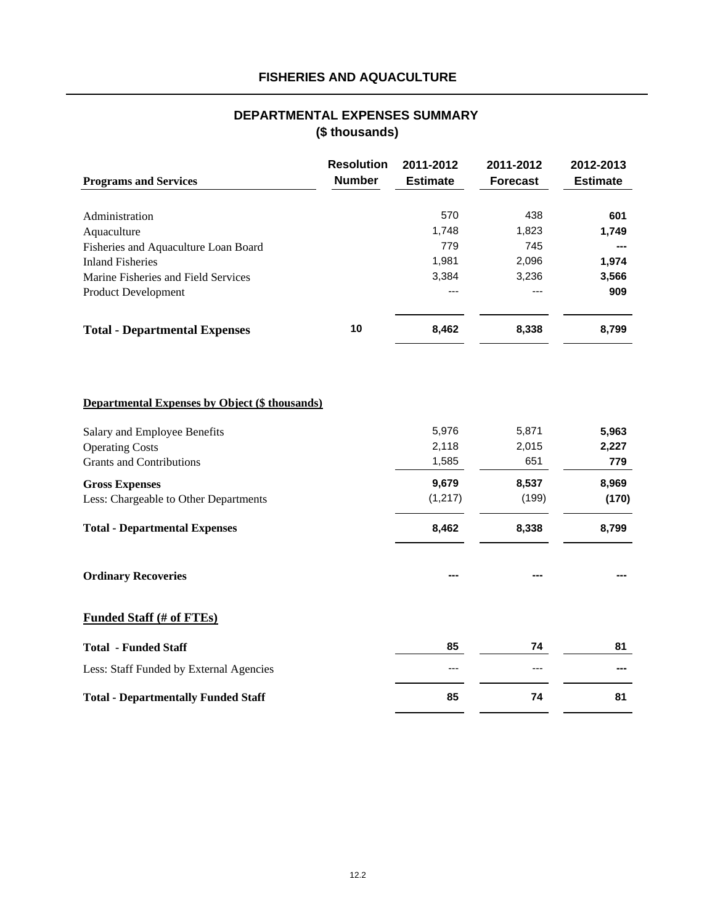# **FISHERIES AND AQUACULTURE**

# **DEPARTMENTAL EXPENSES SUMMARY (\$ thousands)**

|                                                       | <b>Resolution</b> | 2011-2012       | 2011-2012       | 2012-2013       |
|-------------------------------------------------------|-------------------|-----------------|-----------------|-----------------|
| <b>Programs and Services</b>                          | <b>Number</b>     | <b>Estimate</b> | <b>Forecast</b> | <b>Estimate</b> |
|                                                       |                   |                 |                 |                 |
| Administration                                        |                   | 570             | 438             | 601             |
| Aquaculture                                           |                   | 1,748           | 1,823           | 1,749           |
| Fisheries and Aquaculture Loan Board                  |                   | 779             | 745             |                 |
| <b>Inland Fisheries</b>                               |                   | 1,981           | 2,096           | 1,974           |
| Marine Fisheries and Field Services                   |                   | 3,384           | 3,236           | 3,566           |
| <b>Product Development</b>                            |                   | ---             |                 | 909             |
| <b>Total - Departmental Expenses</b>                  | 10                | 8,462           | 8,338           | 8,799           |
|                                                       |                   |                 |                 |                 |
| <b>Departmental Expenses by Object (\$ thousands)</b> |                   |                 |                 |                 |
| Salary and Employee Benefits                          |                   | 5,976           | 5,871           | 5,963           |
| <b>Operating Costs</b>                                |                   | 2,118           | 2,015           | 2,227           |
| <b>Grants and Contributions</b>                       |                   | 1,585           | 651             | 779             |
| <b>Gross Expenses</b>                                 |                   | 9,679           | 8,537           | 8,969           |
| Less: Chargeable to Other Departments                 |                   | (1, 217)        | (199)           | (170)           |
| <b>Total - Departmental Expenses</b>                  |                   | 8,462           | 8,338           | 8,799           |
| <b>Ordinary Recoveries</b>                            |                   |                 |                 |                 |
| <b>Funded Staff (# of FTEs)</b>                       |                   |                 |                 |                 |
| <b>Total - Funded Staff</b>                           |                   | 85              | 74              | 81              |
| Less: Staff Funded by External Agencies               |                   | ---             | ---             |                 |
| <b>Total - Departmentally Funded Staff</b>            |                   | 85              | 74              | 81              |
|                                                       |                   |                 |                 |                 |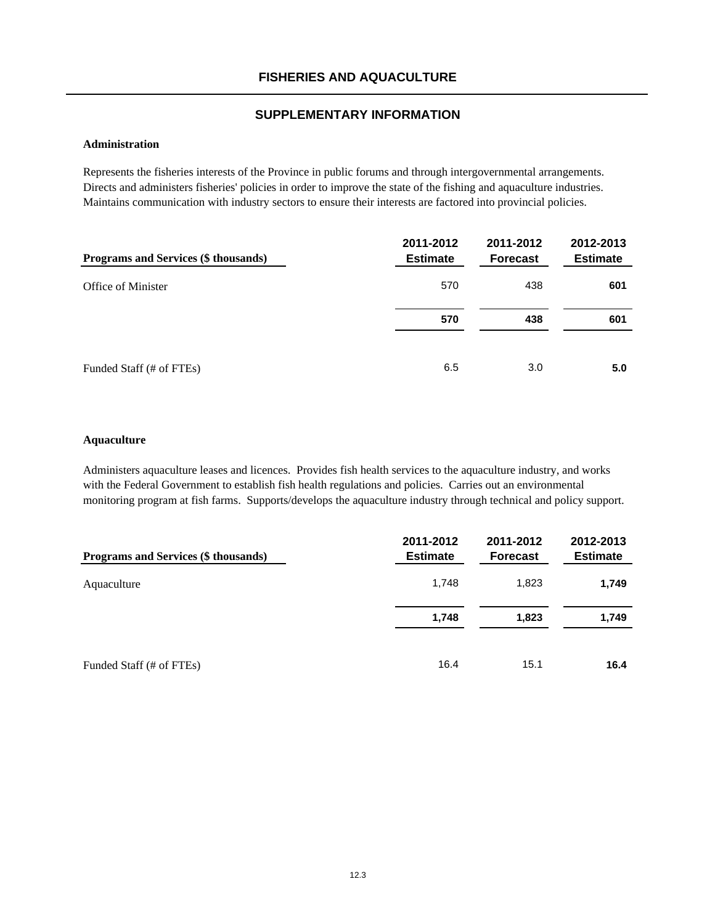#### **Administration**

Represents the fisheries interests of the Province in public forums and through intergovernmental arrangements. Directs and administers fisheries' policies in order to improve the state of the fishing and aquaculture industries. Maintains communication with industry sectors to ensure their interests are factored into provincial policies.

| Programs and Services (\$ thousands) | 2011-2012<br><b>Estimate</b> | 2011-2012<br><b>Forecast</b> | 2012-2013<br><b>Estimate</b> |
|--------------------------------------|------------------------------|------------------------------|------------------------------|
| Office of Minister                   | 570                          | 438                          | 601                          |
|                                      | 570                          | 438                          | 601                          |
| Funded Staff (# of FTEs)             | 6.5                          | 3.0                          | 5.0                          |

#### **Aquaculture**

Administers aquaculture leases and licences. Provides fish health services to the aquaculture industry, and works with the Federal Government to establish fish health regulations and policies. Carries out an environmental monitoring program at fish farms. Supports/develops the aquaculture industry through technical and policy support.

| Programs and Services (\$ thousands) | 2011-2012<br><b>Estimate</b> | 2011-2012<br><b>Forecast</b> | 2012-2013<br><b>Estimate</b> |
|--------------------------------------|------------------------------|------------------------------|------------------------------|
| Aquaculture                          | 1,748                        | 1,823                        | 1,749                        |
|                                      | 1,748                        | 1,823                        | 1.749                        |
| Funded Staff (# of FTEs)             | 16.4                         | 15.1                         | 16.4                         |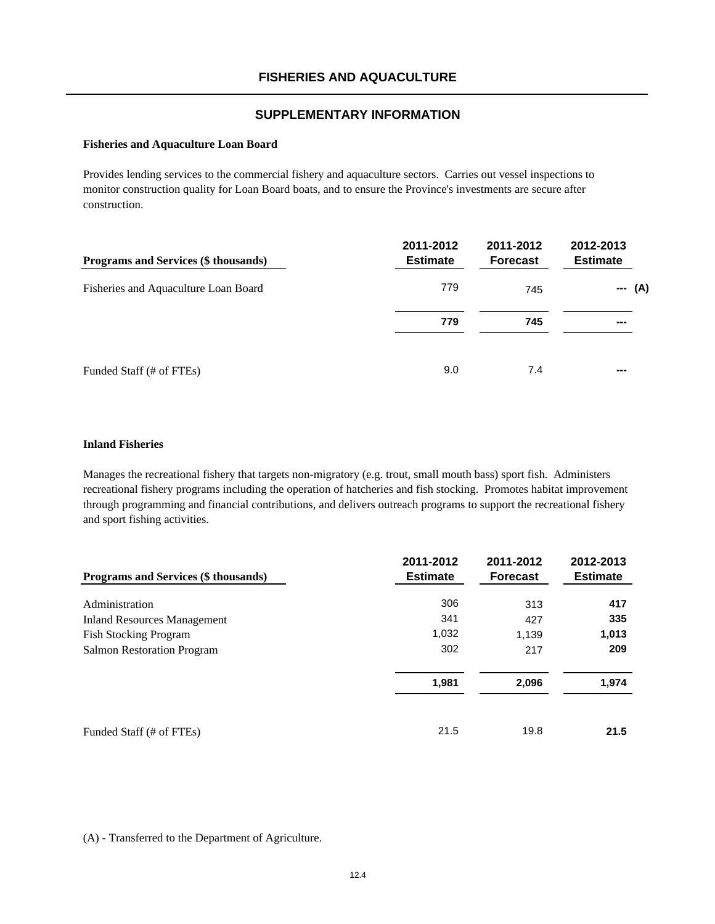#### **Fisheries and Aquaculture Loan Board**

Provides lending services to the commercial fishery and aquaculture sectors. Carries out vessel inspections to monitor construction quality for Loan Board boats, and to ensure the Province's investments are secure after construction.

| <b>Programs and Services (\$ thousands)</b> | 2011-2012<br><b>Estimate</b> | 2011-2012<br><b>Forecast</b> | 2012-2013<br><b>Estimate</b>    |
|---------------------------------------------|------------------------------|------------------------------|---------------------------------|
| Fisheries and Aquaculture Loan Board        | 779                          | 745                          | (A)<br>$\hspace{0.05cm} \ldots$ |
|                                             | 779                          | 745                          |                                 |
| Funded Staff (# of FTEs)                    | 9.0                          | 7.4                          |                                 |

#### **Inland Fisheries**

Manages the recreational fishery that targets non-migratory (e.g. trout, small mouth bass) sport fish. Administers recreational fishery programs including the operation of hatcheries and fish stocking. Promotes habitat improvement through programming and financial contributions, and delivers outreach programs to support the recreational fishery and sport fishing activities.

| <b>Programs and Services (\$ thousands)</b> | 2011-2012<br><b>Estimate</b> | 2011-2012<br><b>Forecast</b> | 2012-2013<br><b>Estimate</b> |
|---------------------------------------------|------------------------------|------------------------------|------------------------------|
|                                             |                              |                              |                              |
| Administration                              | 306                          | 313                          | 417                          |
| <b>Inland Resources Management</b>          | 341                          | 427                          | 335                          |
| <b>Fish Stocking Program</b>                | 1,032                        | 1,139                        | 1,013                        |
| <b>Salmon Restoration Program</b>           | 302                          | 217                          | 209                          |
|                                             | 1,981                        | 2,096                        | 1,974                        |
| Funded Staff (# of FTEs)                    | 21.5                         | 19.8                         | 21.5                         |

#### (A) - Transferred to the Department of Agriculture.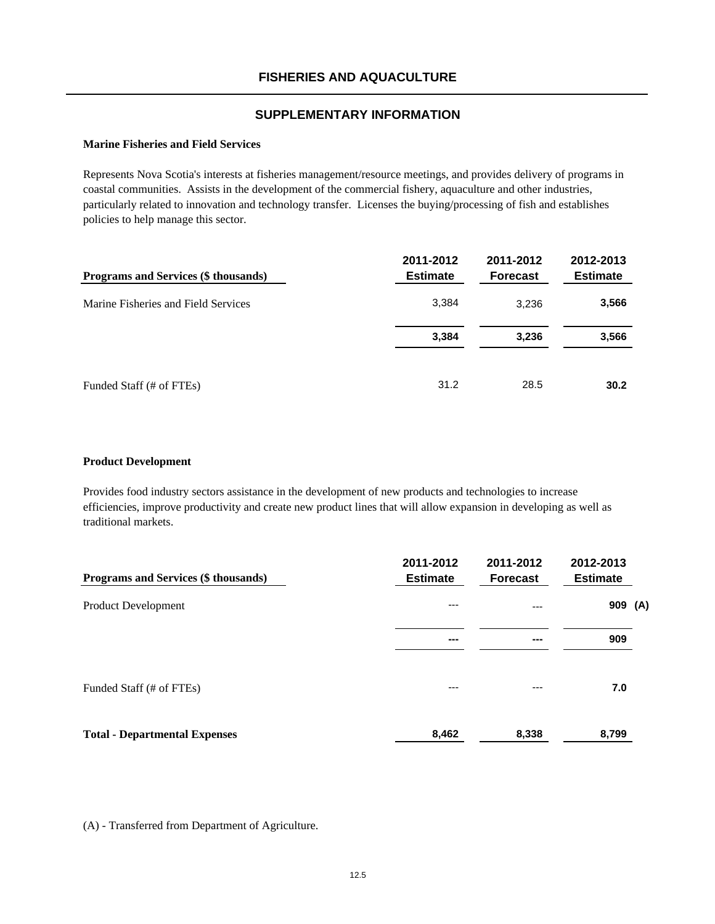#### **Marine Fisheries and Field Services**

Represents Nova Scotia's interests at fisheries management/resource meetings, and provides delivery of programs in coastal communities. Assists in the development of the commercial fishery, aquaculture and other industries, particularly related to innovation and technology transfer. Licenses the buying/processing of fish and establishes policies to help manage this sector.

| Programs and Services (\$ thousands) | 2011-2012<br><b>Estimate</b> | 2011-2012<br><b>Forecast</b> | 2012-2013<br><b>Estimate</b> |
|--------------------------------------|------------------------------|------------------------------|------------------------------|
| Marine Fisheries and Field Services  | 3,384                        | 3.236                        | 3,566                        |
|                                      | 3,384                        | 3,236                        | 3,566                        |
| Funded Staff (# of FTEs)             | 31.2                         | 28.5                         | 30.2                         |

#### **Product Development**

Provides food industry sectors assistance in the development of new products and technologies to increase efficiencies, improve productivity and create new product lines that will allow expansion in developing as well as traditional markets.

| Programs and Services (\$ thousands) | 2011-2012<br><b>Estimate</b> | 2011-2012<br><b>Forecast</b> | 2012-2013<br><b>Estimate</b> |
|--------------------------------------|------------------------------|------------------------------|------------------------------|
| <b>Product Development</b>           | $---$                        | ---                          | 909 (A)                      |
|                                      | ---                          | ---                          | 909                          |
| Funded Staff (# of FTEs)             | $---$                        | ---                          | 7.0                          |
| <b>Total - Departmental Expenses</b> | 8,462                        | 8,338                        | 8,799                        |

(A) - Transferred from Department of Agriculture.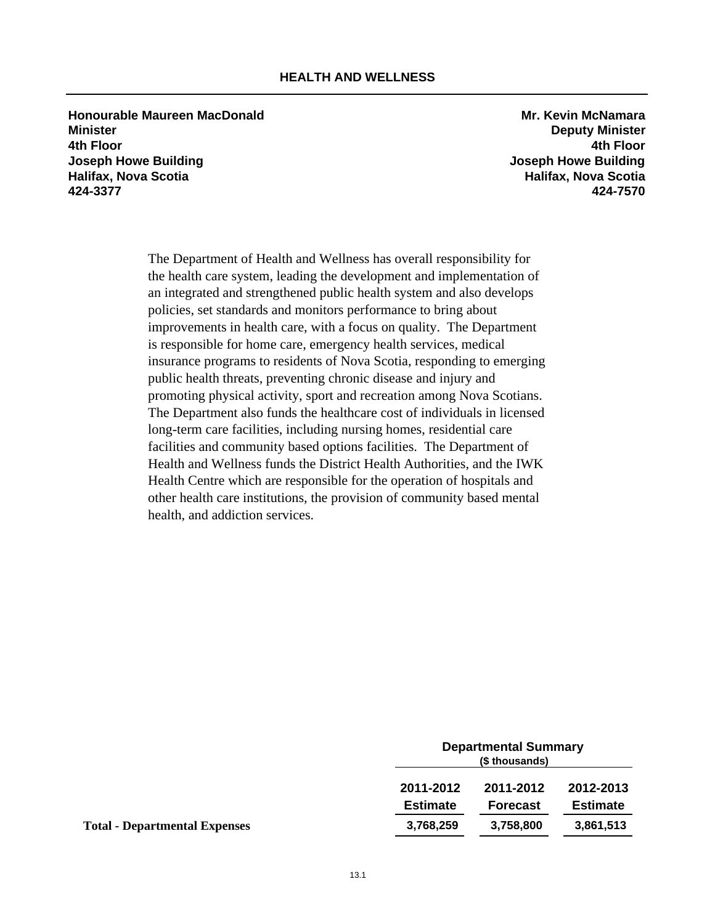**Honourable Maureen MacDonald Mr. Kevin McNamara Minister Deputy Minister 4th Floor 4th Floor Joseph Howe Building Joseph Howe Building Halifax, Nova Scotia Halifax, Nova Scotia 424-3377 424-7570**

The Department of Health and Wellness has overall responsibility for the health care system, leading the development and implementation of an integrated and strengthened public health system and also develops policies, set standards and monitors performance to bring about improvements in health care, with a focus on quality. The Department is responsible for home care, emergency health services, medical insurance programs to residents of Nova Scotia, responding to emerging public health threats, preventing chronic disease and injury and promoting physical activity, sport and recreation among Nova Scotians. The Department also funds the healthcare cost of individuals in licensed long-term care facilities, including nursing homes, residential care facilities and community based options facilities. The Department of Health and Wellness funds the District Health Authorities, and the IWK Health Centre which are responsible for the operation of hospitals and other health care institutions, the provision of community based mental health, and addiction services.

|                                      | <b>Departmental Summary</b><br>(\$ thousands) |                 |                 |
|--------------------------------------|-----------------------------------------------|-----------------|-----------------|
|                                      | 2011-2012                                     | 2011-2012       | 2012-2013       |
|                                      | <b>Estimate</b>                               | <b>Forecast</b> | <b>Estimate</b> |
| <b>Total - Departmental Expenses</b> | 3,768,259                                     | 3,758,800       | 3,861,513       |
|                                      |                                               |                 |                 |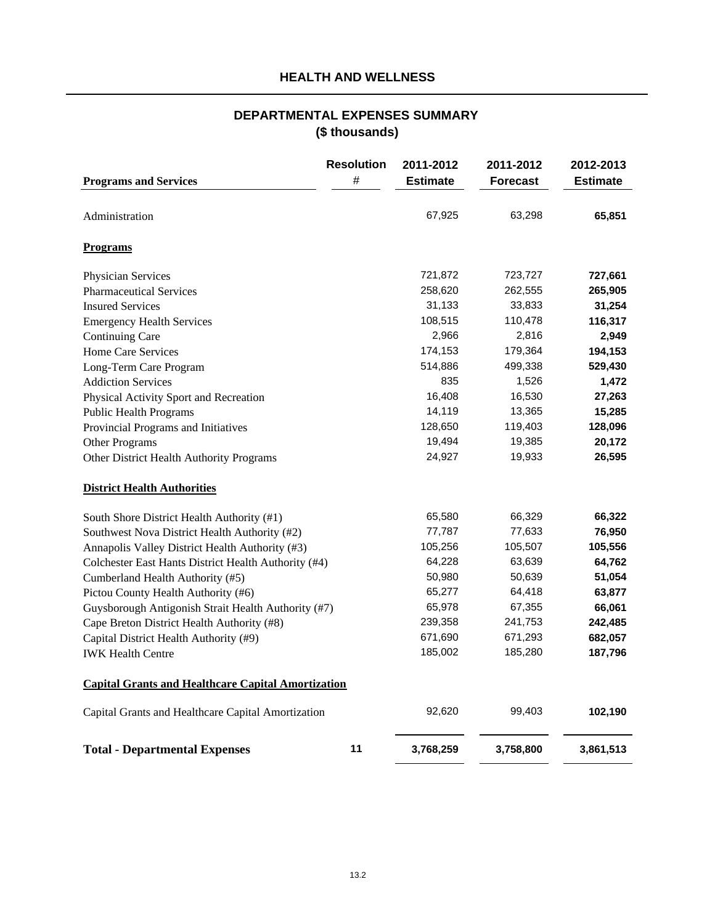# **HEALTH AND WELLNESS**

# **DEPARTMENTAL EXPENSES SUMMARY (\$ thousands)**

|                                                           | <b>Resolution</b> | 2011-2012       | 2011-2012       | 2012-2013       |
|-----------------------------------------------------------|-------------------|-----------------|-----------------|-----------------|
| <b>Programs and Services</b>                              | #                 | <b>Estimate</b> | <b>Forecast</b> | <b>Estimate</b> |
| Administration                                            |                   | 67,925          | 63,298          | 65,851          |
| Programs                                                  |                   |                 |                 |                 |
| Physician Services                                        |                   | 721,872         | 723,727         | 727,661         |
| <b>Pharmaceutical Services</b>                            |                   | 258,620         | 262,555         | 265,905         |
| <b>Insured Services</b>                                   |                   | 31,133          | 33,833          | 31,254          |
| <b>Emergency Health Services</b>                          |                   | 108,515         | 110,478         | 116,317         |
| <b>Continuing Care</b>                                    |                   | 2,966           | 2,816           | 2,949           |
| Home Care Services                                        |                   | 174,153         | 179,364         | 194,153         |
| Long-Term Care Program                                    |                   | 514,886         | 499,338         | 529,430         |
| <b>Addiction Services</b>                                 |                   | 835             | 1,526           | 1,472           |
| Physical Activity Sport and Recreation                    |                   | 16,408          | 16,530          | 27,263          |
| <b>Public Health Programs</b>                             |                   | 14,119          | 13,365          | 15,285          |
| Provincial Programs and Initiatives                       |                   | 128,650         | 119,403         | 128,096         |
| Other Programs                                            |                   | 19,494          | 19,385          | 20,172          |
| Other District Health Authority Programs                  |                   | 24,927          | 19,933          | 26,595          |
| <b>District Health Authorities</b>                        |                   |                 |                 |                 |
| South Shore District Health Authority (#1)                |                   | 65,580          | 66,329          | 66,322          |
| Southwest Nova District Health Authority (#2)             |                   | 77,787          | 77,633          | 76,950          |
| Annapolis Valley District Health Authority (#3)           |                   | 105,256         | 105,507         | 105,556         |
| Colchester East Hants District Health Authority (#4)      |                   | 64,228          | 63,639          | 64,762          |
| Cumberland Health Authority (#5)                          |                   | 50,980          | 50,639          | 51,054          |
| Pictou County Health Authority (#6)                       |                   | 65,277          | 64,418          | 63,877          |
| Guysborough Antigonish Strait Health Authority (#7)       |                   | 65,978          | 67,355          | 66,061          |
| Cape Breton District Health Authority (#8)                |                   | 239,358         | 241,753         | 242,485         |
| Capital District Health Authority (#9)                    |                   | 671,690         | 671,293         | 682,057         |
| <b>IWK Health Centre</b>                                  |                   | 185,002         | 185,280         | 187,796         |
| <b>Capital Grants and Healthcare Capital Amortization</b> |                   |                 |                 |                 |
| Capital Grants and Healthcare Capital Amortization        |                   | 92,620          | 99,403          | 102,190         |
| <b>Total - Departmental Expenses</b>                      | 11                | 3,768,259       | 3,758,800       | 3,861,513       |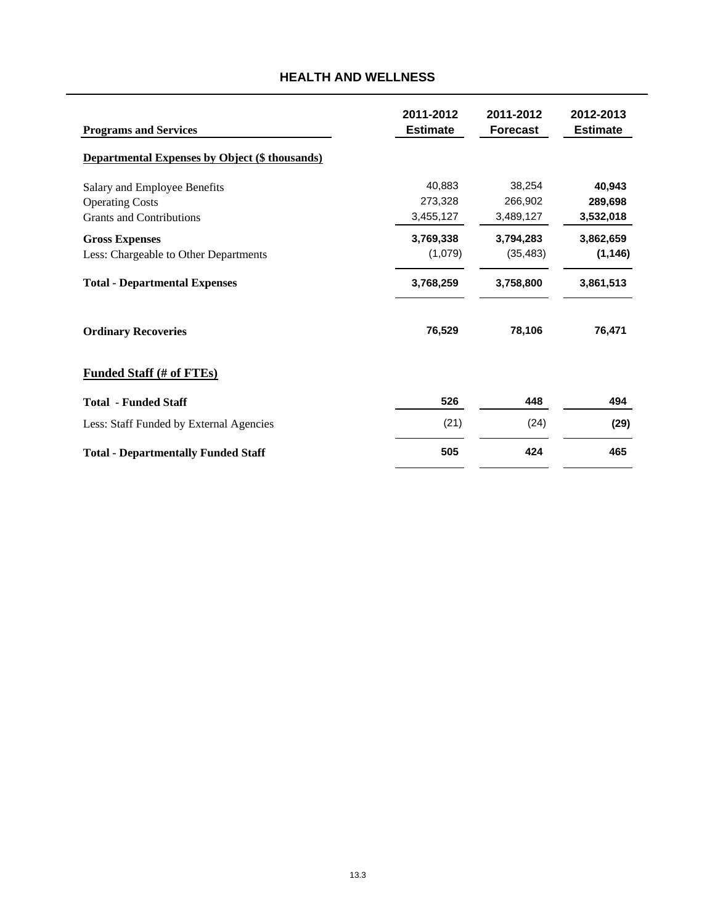# **2011-2012 2011-2012 2012-2013 Programs and Services Estimate Estimate Estimate Estimate Estimate Departmental Expenses by Object (\$ thousands)** Salary and Employee Benefits 38,254 **40,943** 40,883 Operating Costs 266,902 273,328 **289,698** Grants and Contributions **3,455,127** 3,489,127 3,532,018 **Gross Expenses 3,794,283 3,769,338 3,862,659**  Less: Chargeable to Other Departments (1,079) (35,483) **(1,146) Total - Departmental Expenses 3,758,800 3,768,259 3,861,513 Ordinary Recoveries 78,106 76,529 76,471 Funded Staff (# of FTEs) Total - Funded Staff 526 448 494** Less: Staff Funded by External Agencies (24) (21) **(29)** Total - Departmentally Funded Staff **505** 424 465

# **HEALTH AND WELLNESS**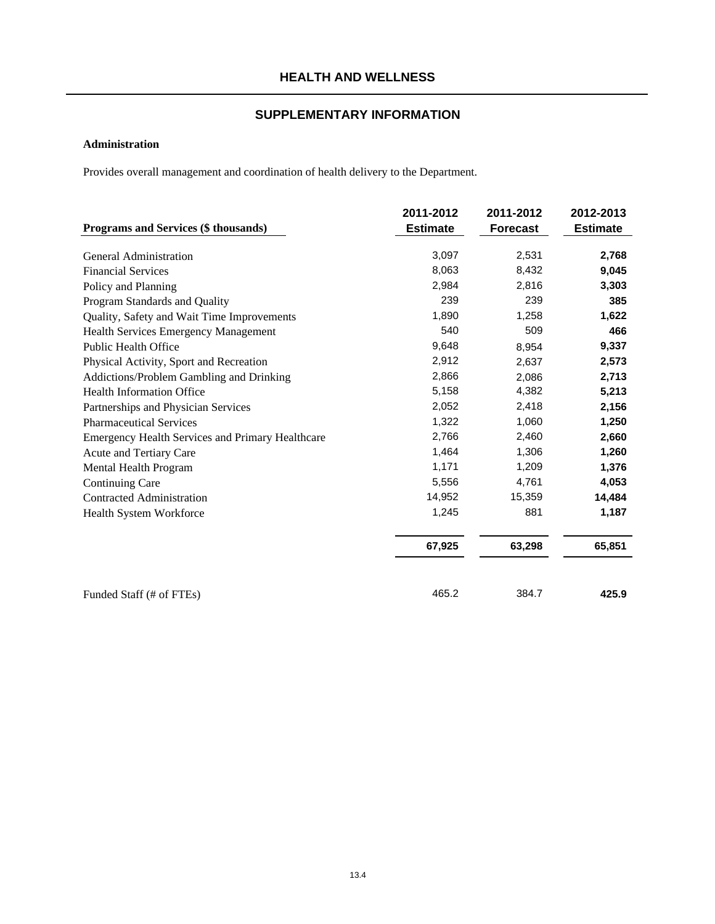## **Administration**

Provides overall management and coordination of health delivery to the Department.

|                                                  | 2011-2012       | 2011-2012       | 2012-2013       |
|--------------------------------------------------|-----------------|-----------------|-----------------|
| Programs and Services (\$ thousands)             | <b>Estimate</b> | <b>Forecast</b> | <b>Estimate</b> |
| General Administration                           | 3,097           | 2,531           | 2,768           |
| <b>Financial Services</b>                        | 8,063           | 8,432           | 9,045           |
| Policy and Planning                              | 2,984           | 2,816           | 3,303           |
| Program Standards and Quality                    | 239             | 239             | 385             |
| Quality, Safety and Wait Time Improvements       | 1,890           | 1,258           | 1,622           |
| <b>Health Services Emergency Management</b>      | 540             | 509             | 466             |
| <b>Public Health Office</b>                      | 9,648           | 8,954           | 9,337           |
| Physical Activity, Sport and Recreation          | 2,912           | 2,637           | 2,573           |
| Addictions/Problem Gambling and Drinking         | 2,866           | 2,086           | 2,713           |
| <b>Health Information Office</b>                 | 5,158           | 4,382           | 5,213           |
| Partnerships and Physician Services              | 2,052           | 2,418           | 2,156           |
| <b>Pharmaceutical Services</b>                   | 1,322           | 1,060           | 1,250           |
| Emergency Health Services and Primary Healthcare | 2,766           | 2,460           | 2,660           |
| Acute and Tertiary Care                          | 1,464           | 1,306           | 1,260           |
| Mental Health Program                            | 1,171           | 1,209           | 1,376           |
| Continuing Care                                  | 5,556           | 4,761           | 4,053           |
| <b>Contracted Administration</b>                 | 14,952          | 15,359          | 14,484          |
| Health System Workforce                          | 1,245           | 881             | 1,187           |
|                                                  | 67,925          | 63,298          | 65,851          |
|                                                  |                 |                 |                 |
| Funded Staff (# of FTEs)                         | 465.2           | 384.7           | 425.9           |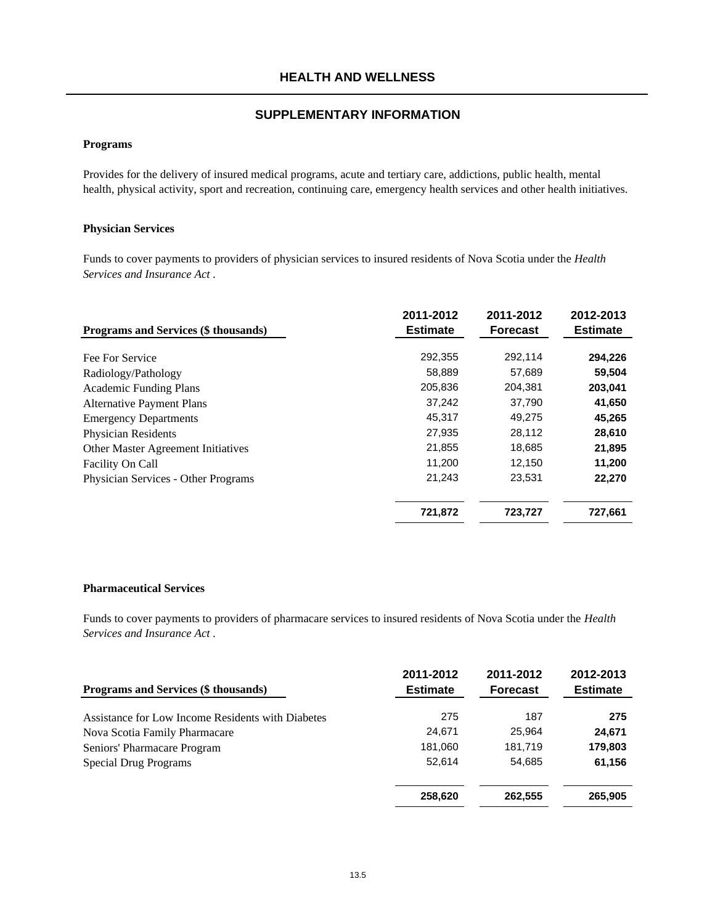#### **Programs**

Provides for the delivery of insured medical programs, acute and tertiary care, addictions, public health, mental health, physical activity, sport and recreation, continuing care, emergency health services and other health initiatives.

#### **Physician Services**

Funds to cover payments to providers of physician services to insured residents of Nova Scotia under the *Health Services and Insurance Act* .

| Programs and Services (\$ thousands) | 2011-2012<br><b>Estimate</b> | 2011-2012<br><b>Forecast</b> | 2012-2013<br><b>Estimate</b> |
|--------------------------------------|------------------------------|------------------------------|------------------------------|
| Fee For Service                      | 292,355                      | 292,114                      | 294,226                      |
| Radiology/Pathology                  | 58,889                       | 57,689                       | 59,504                       |
| <b>Academic Funding Plans</b>        | 205,836                      | 204,381                      | 203,041                      |
| <b>Alternative Payment Plans</b>     | 37,242                       | 37,790                       | 41,650                       |
| <b>Emergency Departments</b>         | 45,317                       | 49,275                       | 45,265                       |
| <b>Physician Residents</b>           | 27,935                       | 28,112                       | 28,610                       |
| Other Master Agreement Initiatives   | 21,855                       | 18,685                       | 21,895                       |
| Facility On Call                     | 11,200                       | 12,150                       | 11,200                       |
| Physician Services - Other Programs  | 21,243                       | 23,531                       | 22,270                       |
|                                      | 721,872                      | 723,727                      | 727,661                      |

#### **Pharmaceutical Services**

Funds to cover payments to providers of pharmacare services to insured residents of Nova Scotia under the *Health Services and Insurance Act* .

| <b>Programs and Services (\$ thousands)</b>       | 2011-2012<br><b>Estimate</b> | 2011-2012<br><b>Forecast</b> | 2012-2013<br><b>Estimate</b> |
|---------------------------------------------------|------------------------------|------------------------------|------------------------------|
| Assistance for Low Income Residents with Diabetes | 275                          | 187                          | 275                          |
| Nova Scotia Family Pharmacare                     | 24,671                       | 25,964                       | 24,671                       |
| Seniors' Pharmacare Program                       | 181,060                      | 181,719                      | 179,803                      |
| <b>Special Drug Programs</b>                      | 52.614                       | 54,685                       | 61,156                       |
|                                                   | 258,620                      | 262,555                      | 265,905                      |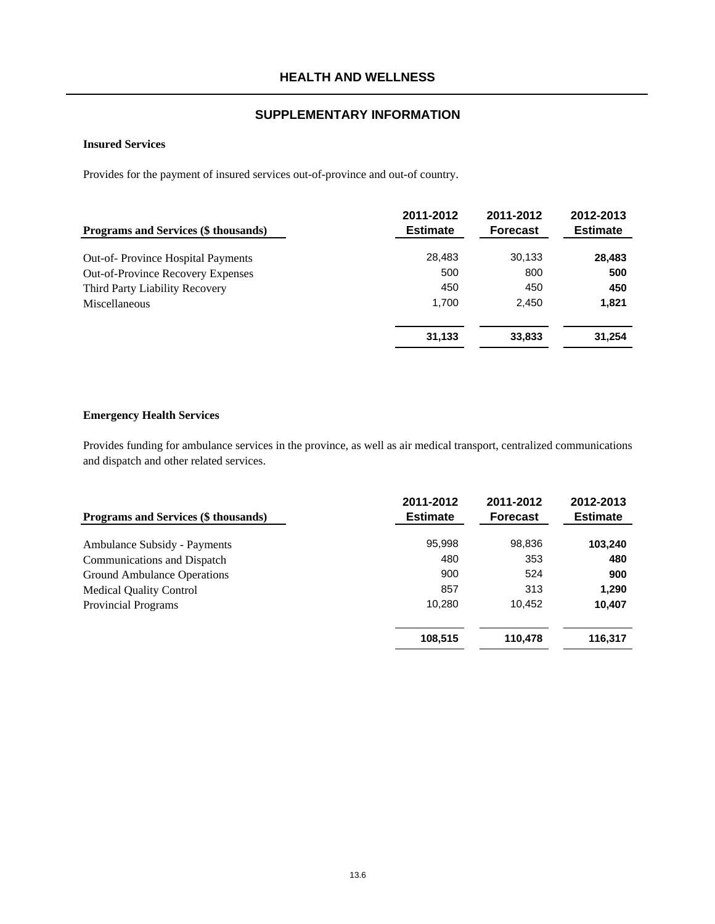#### **Insured Services**

Provides for the payment of insured services out-of-province and out-of country.

| Programs and Services (\$ thousands)     | 2011-2012<br><b>Estimate</b> | 2011-2012<br><b>Forecast</b> | 2012-2013<br><b>Estimate</b> |
|------------------------------------------|------------------------------|------------------------------|------------------------------|
| <b>Out-of-Province Hospital Payments</b> | 28.483                       | 30,133                       | 28,483                       |
| <b>Out-of-Province Recovery Expenses</b> | 500                          | 800                          | 500                          |
| Third Party Liability Recovery           | 450                          | 450                          | 450                          |
| Miscellaneous                            | 1.700                        | 2.450                        | 1,821                        |
|                                          | 31,133                       | 33,833                       | 31,254                       |

# **Emergency Health Services**

Provides funding for ambulance services in the province, as well as air medical transport, centralized communications and dispatch and other related services.

| <b>Programs and Services (\$ thousands)</b> | 2011-2012<br><b>Estimate</b> | 2011-2012<br><b>Forecast</b> | 2012-2013<br><b>Estimate</b> |
|---------------------------------------------|------------------------------|------------------------------|------------------------------|
| Ambulance Subsidy - Payments                | 95,998                       | 98,836                       | 103,240                      |
| Communications and Dispatch                 | 480                          | 353                          | 480                          |
| Ground Ambulance Operations                 | 900                          | 524                          | 900                          |
| <b>Medical Quality Control</b>              | 857                          | 313                          | 1,290                        |
| <b>Provincial Programs</b>                  | 10.280                       | 10.452                       | 10,407                       |
|                                             | 108,515                      | 110,478                      | 116,317                      |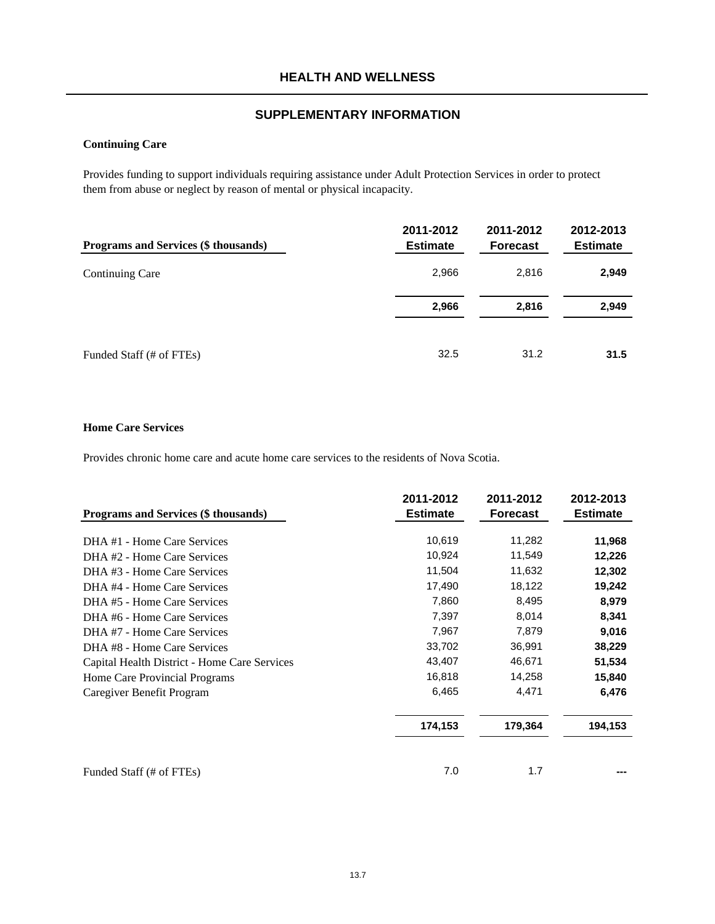# **Continuing Care**

Provides funding to support individuals requiring assistance under Adult Protection Services in order to protect them from abuse or neglect by reason of mental or physical incapacity.

| Programs and Services (\$ thousands) | 2011-2012<br><b>Estimate</b> | 2011-2012<br><b>Forecast</b> | 2012-2013<br><b>Estimate</b> |
|--------------------------------------|------------------------------|------------------------------|------------------------------|
| Continuing Care                      | 2,966                        | 2,816                        | 2,949                        |
|                                      | 2,966                        | 2,816                        | 2,949                        |
| Funded Staff (# of FTEs)             | 32.5                         | 31.2                         | 31.5                         |

#### **Home Care Services**

Provides chronic home care and acute home care services to the residents of Nova Scotia.

|                                              | 2011-2012       | 2011-2012       | 2012-2013       |
|----------------------------------------------|-----------------|-----------------|-----------------|
| Programs and Services (\$ thousands)         | <b>Estimate</b> | <b>Forecast</b> | <b>Estimate</b> |
| DHA#1 - Home Care Services                   | 10,619          | 11,282          | 11,968          |
| DHA#2 - Home Care Services                   | 10,924          | 11,549          | 12,226          |
| DHA#3 - Home Care Services                   | 11,504          | 11,632          | 12,302          |
| DHA#4 - Home Care Services                   | 17,490          | 18,122          | 19,242          |
| DHA#5 - Home Care Services                   | 7,860           | 8,495           | 8,979           |
| DHA#6 - Home Care Services                   | 7,397           | 8,014           | 8,341           |
| DHA#7 - Home Care Services                   | 7,967           | 7,879           | 9,016           |
| DHA#8 - Home Care Services                   | 33,702          | 36,991          | 38,229          |
| Capital Health District - Home Care Services | 43,407          | 46,671          | 51,534          |
| Home Care Provincial Programs                | 16,818          | 14,258          | 15,840          |
| Caregiver Benefit Program                    | 6,465           | 4,471           | 6,476           |
|                                              | 174,153         | 179,364         | 194,153         |
|                                              |                 |                 |                 |
| Funded Staff (# of FTEs)                     | 7.0             | 1.7             |                 |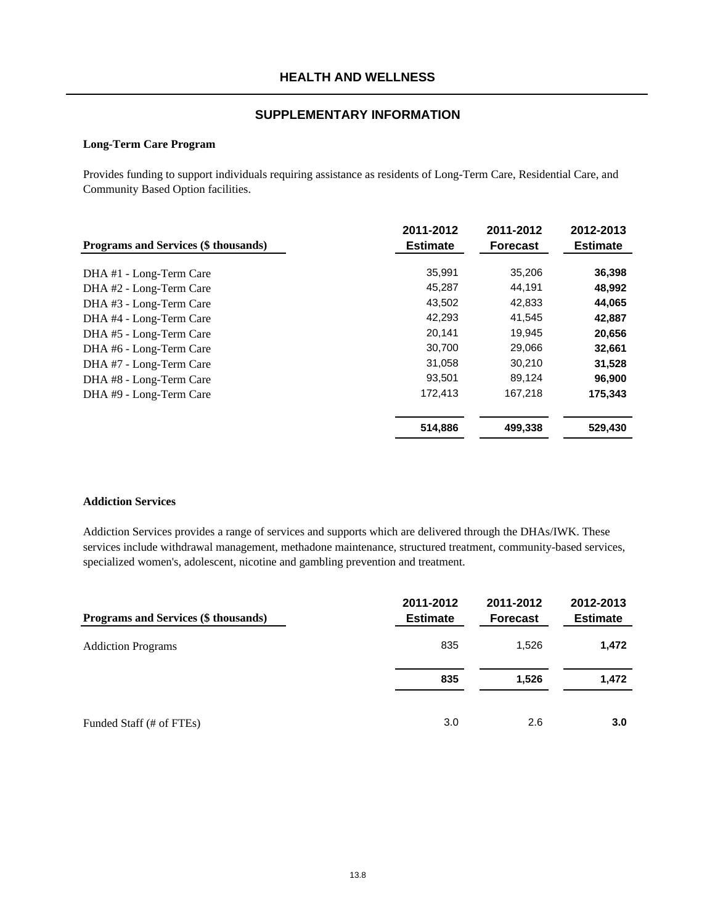#### **Long-Term Care Program**

Provides funding to support individuals requiring assistance as residents of Long-Term Care, Residential Care, and Community Based Option facilities.

| Programs and Services (\$ thousands) | 2011-2012<br><b>Estimate</b> | 2011-2012<br><b>Forecast</b> | 2012-2013<br><b>Estimate</b> |
|--------------------------------------|------------------------------|------------------------------|------------------------------|
| DHA #1 - Long-Term Care              | 35,991                       | 35,206                       | 36,398                       |
| DHA #2 - Long-Term Care              | 45,287                       | 44,191                       | 48,992                       |
| DHA #3 - Long-Term Care              | 43,502                       | 42,833                       | 44,065                       |
| DHA #4 - Long-Term Care              | 42,293                       | 41,545                       | 42,887                       |
| DHA #5 - Long-Term Care              | 20,141                       | 19,945                       | 20,656                       |
| DHA #6 - Long-Term Care              | 30,700                       | 29,066                       | 32,661                       |
| DHA #7 - Long-Term Care              | 31,058                       | 30,210                       | 31,528                       |
| DHA #8 - Long-Term Care              | 93,501                       | 89,124                       | 96,900                       |
| DHA #9 - Long-Term Care              | 172,413                      | 167,218                      | 175,343                      |
|                                      | 514,886                      | 499,338                      | 529,430                      |

#### **Addiction Services**

Addiction Services provides a range of services and supports which are delivered through the DHAs/IWK. These services include withdrawal management, methadone maintenance, structured treatment, community-based services, specialized women's, adolescent, nicotine and gambling prevention and treatment.

| Programs and Services (\$ thousands) | 2011-2012<br><b>Estimate</b> | 2011-2012<br><b>Forecast</b> | 2012-2013<br><b>Estimate</b> |
|--------------------------------------|------------------------------|------------------------------|------------------------------|
| <b>Addiction Programs</b>            | 835                          | 1,526                        | 1,472                        |
|                                      | 835                          | 1,526                        | 1,472                        |
| Funded Staff (# of FTEs)             | 3.0                          | 2.6                          | 3.0                          |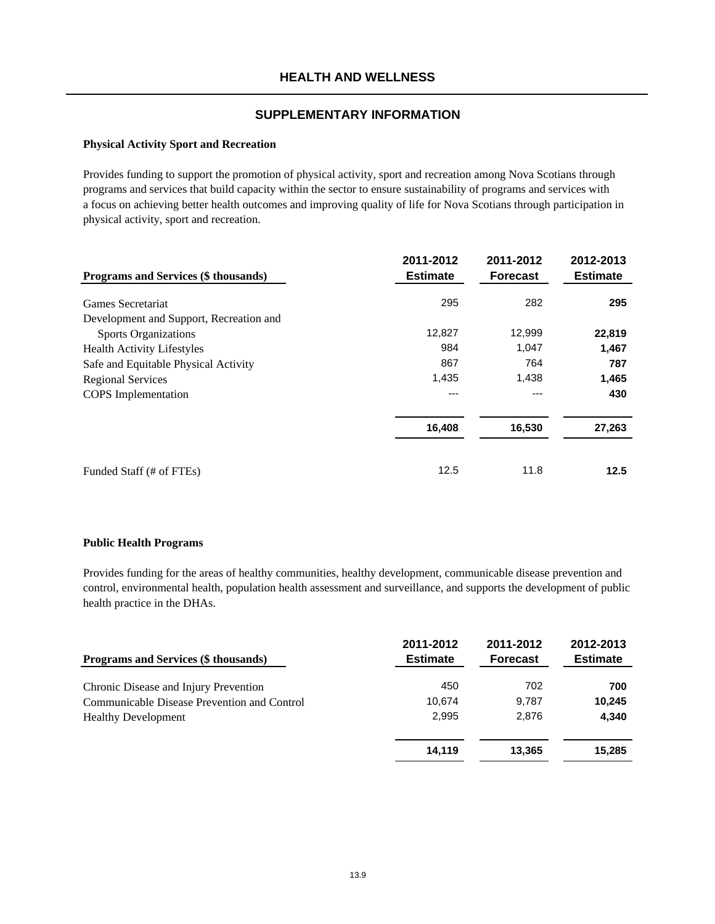#### **Physical Activity Sport and Recreation**

Provides funding to support the promotion of physical activity, sport and recreation among Nova Scotians through programs and services that build capacity within the sector to ensure sustainability of programs and services with a focus on achieving better health outcomes and improving quality of life for Nova Scotians through participation in physical activity, sport and recreation.

| Programs and Services (\$ thousands)    | 2011-2012<br><b>Estimate</b> | 2011-2012<br><b>Forecast</b> | 2012-2013<br><b>Estimate</b> |
|-----------------------------------------|------------------------------|------------------------------|------------------------------|
| Games Secretariat                       | 295                          | 282                          | 295                          |
| Development and Support, Recreation and |                              |                              |                              |
| <b>Sports Organizations</b>             | 12,827                       | 12,999                       | 22,819                       |
| <b>Health Activity Lifestyles</b>       | 984                          | 1,047                        | 1,467                        |
| Safe and Equitable Physical Activity    | 867                          | 764                          | 787                          |
| <b>Regional Services</b>                | 1,435                        | 1,438                        | 1,465                        |
| <b>COPS</b> Implementation              | ---                          | ---                          | 430                          |
|                                         | 16,408                       | 16,530                       | 27,263                       |
| Funded Staff (# of FTEs)                | 12.5                         | 11.8                         | 12.5                         |

#### **Public Health Programs**

Provides funding for the areas of healthy communities, healthy development, communicable disease prevention and control, environmental health, population health assessment and surveillance, and supports the development of public health practice in the DHAs.

| Programs and Services (\$ thousands)        | 2011-2012<br><b>Estimate</b> | 2011-2012<br><b>Forecast</b> | 2012-2013<br><b>Estimate</b> |
|---------------------------------------------|------------------------------|------------------------------|------------------------------|
| Chronic Disease and Injury Prevention       | 450                          | 702                          | 700                          |
| Communicable Disease Prevention and Control | 10.674                       | 9.787                        | 10,245                       |
| <b>Healthy Development</b>                  | 2,995                        | 2.876                        | 4,340                        |
|                                             | 14.119                       | 13,365                       | 15,285                       |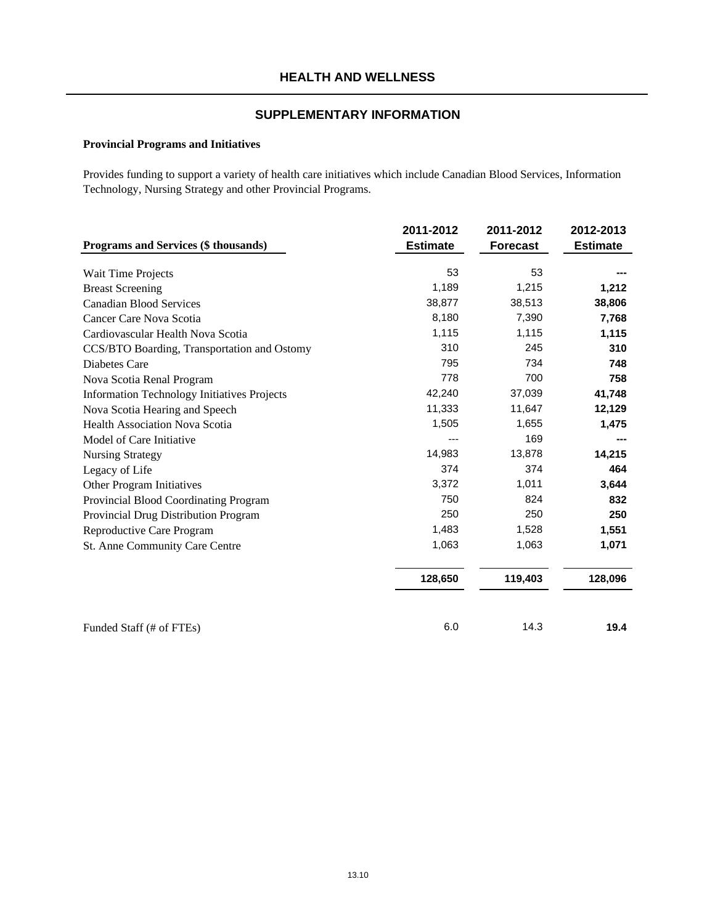# **Provincial Programs and Initiatives**

Provides funding to support a variety of health care initiatives which include Canadian Blood Services, Information Technology, Nursing Strategy and other Provincial Programs.

|                                                    | 2011-2012       | 2011-2012       | 2012-2013       |
|----------------------------------------------------|-----------------|-----------------|-----------------|
| Programs and Services (\$ thousands)               | <b>Estimate</b> | <b>Forecast</b> | <b>Estimate</b> |
|                                                    | 53              | 53              |                 |
| Wait Time Projects                                 |                 |                 |                 |
| <b>Breast Screening</b>                            | 1,189           | 1,215           | 1,212           |
| <b>Canadian Blood Services</b>                     | 38,877          | 38,513          | 38,806          |
| Cancer Care Nova Scotia                            | 8,180           | 7,390           | 7,768           |
| Cardiovascular Health Nova Scotia                  | 1,115           | 1,115           | 1,115           |
| CCS/BTO Boarding, Transportation and Ostomy        | 310             | 245             | 310             |
| Diabetes Care                                      | 795             | 734             | 748             |
| Nova Scotia Renal Program                          | 778             | 700             | 758             |
| <b>Information Technology Initiatives Projects</b> | 42,240          | 37,039          | 41,748          |
| Nova Scotia Hearing and Speech                     | 11,333          | 11,647          | 12,129          |
| <b>Health Association Nova Scotia</b>              | 1,505           | 1,655           | 1,475           |
| Model of Care Initiative                           |                 | 169             |                 |
| <b>Nursing Strategy</b>                            | 14,983          | 13,878          | 14,215          |
| Legacy of Life                                     | 374             | 374             | 464             |
| Other Program Initiatives                          | 3,372           | 1,011           | 3,644           |
| Provincial Blood Coordinating Program              | 750             | 824             | 832             |
| Provincial Drug Distribution Program               | 250             | 250             | 250             |
| Reproductive Care Program                          | 1,483           | 1,528           | 1,551           |
| St. Anne Community Care Centre                     | 1,063           | 1,063           | 1,071           |
|                                                    | 128,650         | 119,403         | 128,096         |
|                                                    |                 |                 |                 |
| Funded Staff (# of FTEs)                           | 6.0             | 14.3            | 19.4            |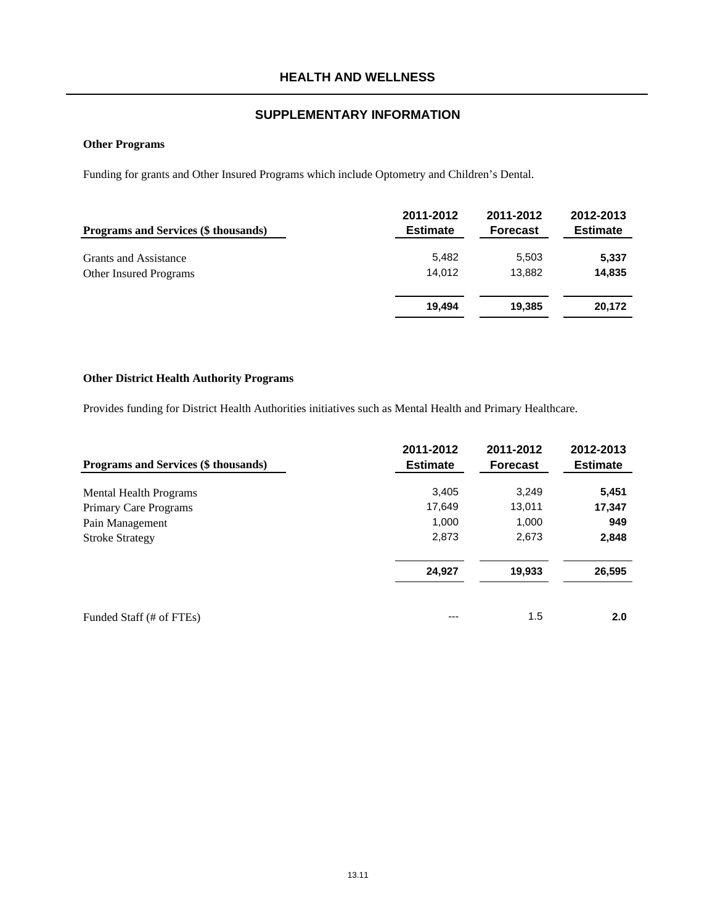#### **Other Programs**

Funding for grants and Other Insured Programs which include Optometry and Children's Dental.

| <b>Programs and Services (\$ thousands)</b> | 2011-2012<br><b>Estimate</b> | 2011-2012<br><b>Forecast</b> | 2012-2013<br><b>Estimate</b> |
|---------------------------------------------|------------------------------|------------------------------|------------------------------|
| <b>Grants and Assistance</b>                | 5,482                        | 5,503                        | 5,337                        |
| <b>Other Insured Programs</b>               | 14.012                       | 13.882                       | 14,835                       |
|                                             | 19.494                       | 19,385                       | 20,172                       |

## **Other District Health Authority Programs**

Provides funding for District Health Authorities initiatives such as Mental Health and Primary Healthcare.

|                                      | 2011-2012       | 2011-2012       | 2012-2013       |
|--------------------------------------|-----------------|-----------------|-----------------|
| Programs and Services (\$ thousands) | <b>Estimate</b> | <b>Forecast</b> | <b>Estimate</b> |
| <b>Mental Health Programs</b>        | 3,405           | 3,249           | 5,451           |
| Primary Care Programs                | 17,649          | 13,011          | 17,347          |
| Pain Management                      | 1,000           | 1,000           | 949             |
| <b>Stroke Strategy</b>               | 2,873           | 2,673           | 2,848           |
|                                      | 24,927          | 19,933          | 26,595          |
| Funded Staff (# of FTEs)             | $---$           | 1.5             | 2.0             |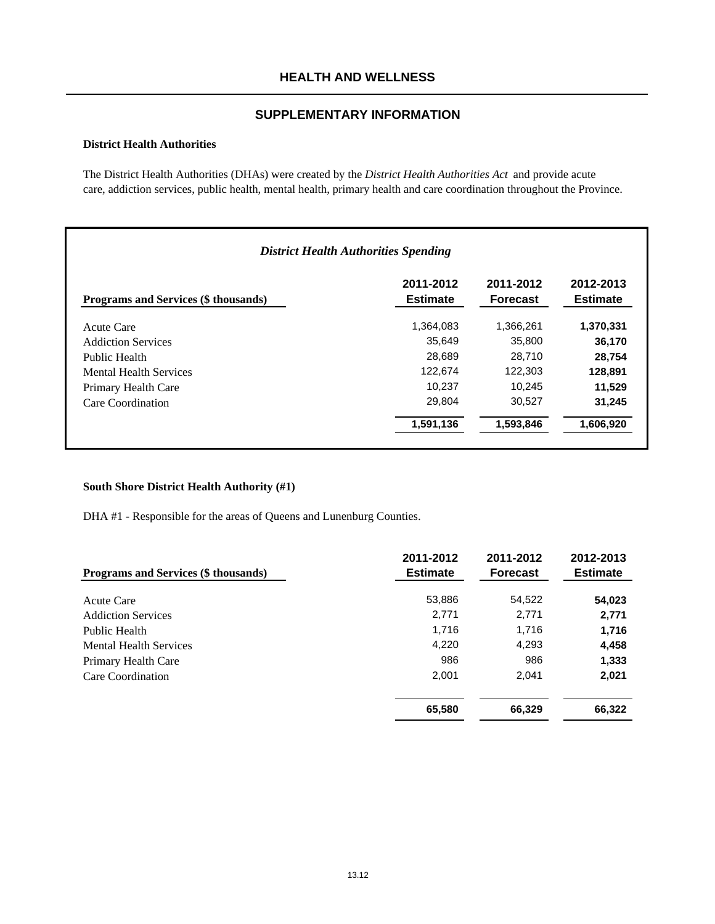# **HEALTH AND WELLNESS**

## **SUPPLEMENTARY INFORMATION**

#### **District Health Authorities**

The District Health Authorities (DHAs) were created by the *District Health Authorities Act* and provide acute care, addiction services, public health, mental health, primary health and care coordination throughout the Province.

| <b>District Health Authorities Spending</b> |                              |                              |                              |
|---------------------------------------------|------------------------------|------------------------------|------------------------------|
| Programs and Services (\$ thousands)        | 2011-2012<br><b>Estimate</b> | 2011-2012<br><b>Forecast</b> | 2012-2013<br><b>Estimate</b> |
| Acute Care                                  | 1,364,083                    | 1,366,261                    | 1,370,331                    |
| <b>Addiction Services</b>                   | 35,649                       | 35,800                       | 36,170                       |
| Public Health                               | 28,689                       | 28.710                       | 28,754                       |
| <b>Mental Health Services</b>               | 122.674                      | 122,303                      | 128,891                      |
| Primary Health Care                         | 10,237                       | 10.245                       | 11,529                       |
| Care Coordination                           | 29,804                       | 30,527                       | 31,245                       |
|                                             | 1,591,136                    | 1,593,846                    | 1,606,920                    |

#### **South Shore District Health Authority (#1)**

DHA #1 - Responsible for the areas of Queens and Lunenburg Counties.

| Programs and Services (\$ thousands) | 2011-2012<br><b>Estimate</b> | 2011-2012<br><b>Forecast</b> | 2012-2013<br><b>Estimate</b> |
|--------------------------------------|------------------------------|------------------------------|------------------------------|
| Acute Care                           | 53,886                       | 54,522                       | 54,023                       |
| <b>Addiction Services</b>            | 2,771                        | 2,771                        | 2,771                        |
| Public Health                        | 1,716                        | 1,716                        | 1,716                        |
| <b>Mental Health Services</b>        | 4,220                        | 4,293                        | 4,458                        |
| Primary Health Care                  | 986                          | 986                          | 1,333                        |
| Care Coordination                    | 2,001                        | 2,041                        | 2,021                        |
|                                      | 65,580                       | 66,329                       | 66,322                       |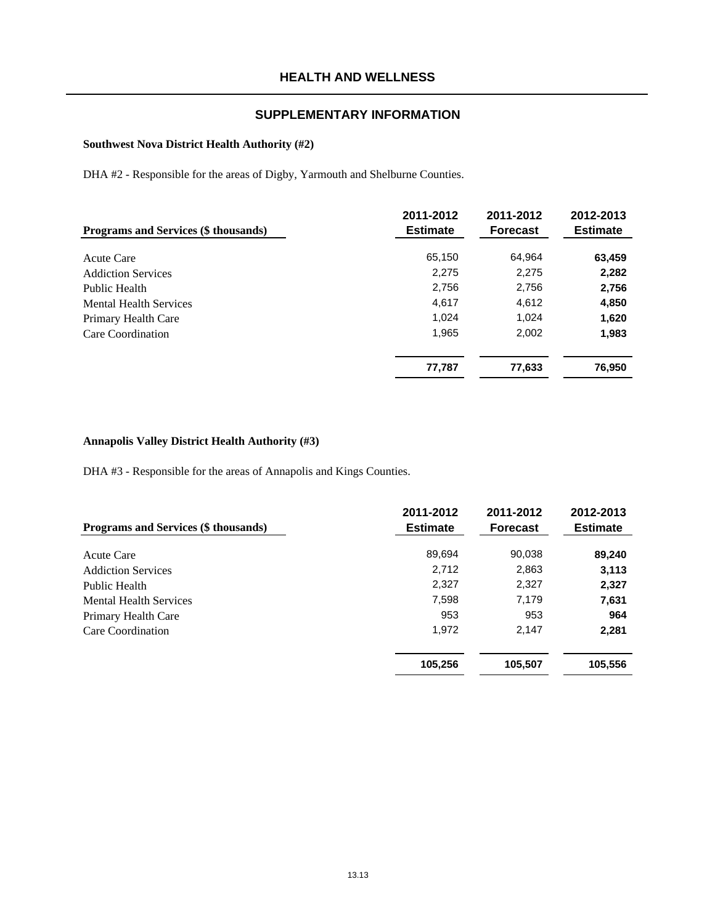## **Southwest Nova District Health Authority (#2)**

DHA #2 - Responsible for the areas of Digby, Yarmouth and Shelburne Counties.

| Programs and Services (\$ thousands) | 2011-2012<br><b>Estimate</b> | 2011-2012<br><b>Forecast</b> | 2012-2013<br><b>Estimate</b> |
|--------------------------------------|------------------------------|------------------------------|------------------------------|
| Acute Care                           | 65,150                       | 64,964                       | 63,459                       |
| <b>Addiction Services</b>            | 2,275                        | 2,275                        | 2,282                        |
| Public Health                        | 2,756                        | 2,756                        | 2,756                        |
| <b>Mental Health Services</b>        | 4,617                        | 4,612                        | 4,850                        |
| Primary Health Care                  | 1,024                        | 1,024                        | 1,620                        |
| Care Coordination                    | 1,965                        | 2,002                        | 1,983                        |
|                                      | 77,787                       | 77,633                       | 76,950                       |

#### **Annapolis Valley District Health Authority (#3)**

DHA #3 - Responsible for the areas of Annapolis and Kings Counties.

| <b>Programs and Services (\$ thousands)</b> | 2011-2012<br><b>Estimate</b> | 2011-2012<br><b>Forecast</b> | 2012-2013<br><b>Estimate</b> |
|---------------------------------------------|------------------------------|------------------------------|------------------------------|
| Acute Care                                  | 89,694                       | 90,038                       | 89,240                       |
| <b>Addiction Services</b>                   | 2,712                        | 2,863                        | 3,113                        |
| Public Health                               | 2,327                        | 2,327                        | 2,327                        |
| <b>Mental Health Services</b>               | 7,598                        | 7,179                        | 7,631                        |
| Primary Health Care                         | 953                          | 953                          | 964                          |
| Care Coordination                           | 1,972                        | 2.147                        | 2,281                        |
|                                             | 105,256                      | 105,507                      | 105,556                      |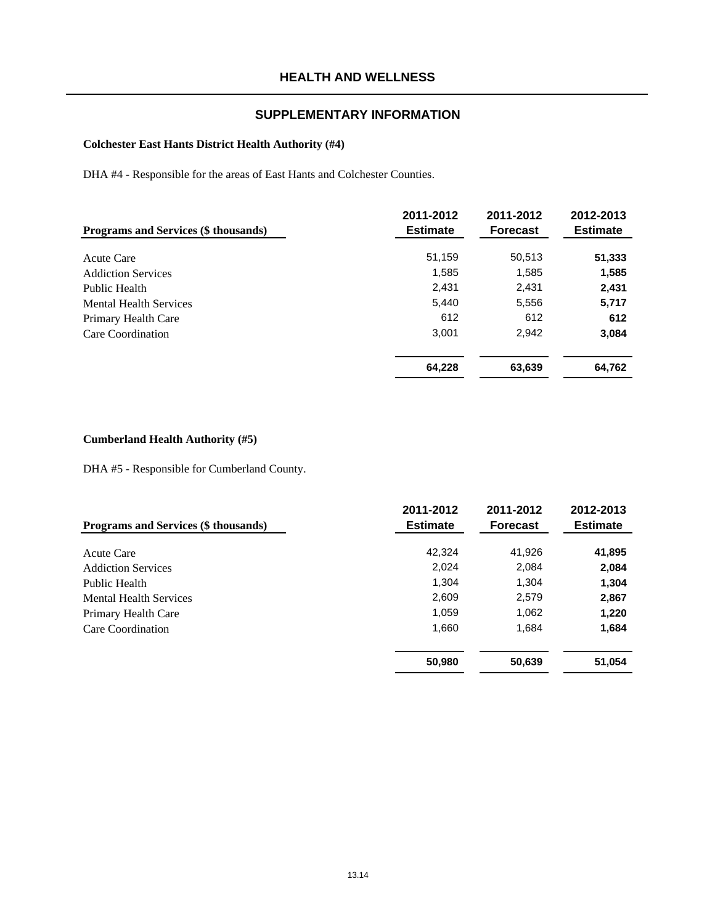## **Colchester East Hants District Health Authority (#4)**

DHA #4 - Responsible for the areas of East Hants and Colchester Counties.

| <b>Programs and Services (\$ thousands)</b> | 2011-2012<br><b>Estimate</b> | 2011-2012<br><b>Forecast</b> | 2012-2013<br><b>Estimate</b> |
|---------------------------------------------|------------------------------|------------------------------|------------------------------|
| Acute Care                                  | 51,159                       | 50,513                       | 51,333                       |
| <b>Addiction Services</b>                   | 1,585                        | 1,585                        | 1,585                        |
| Public Health                               | 2,431                        | 2,431                        | 2,431                        |
| <b>Mental Health Services</b>               | 5,440                        | 5,556                        | 5,717                        |
| Primary Health Care                         | 612                          | 612                          | 612                          |
| Care Coordination                           | 3,001                        | 2,942                        | 3,084                        |
|                                             | 64,228                       | 63,639                       | 64,762                       |

#### **Cumberland Health Authority (#5)**

DHA #5 - Responsible for Cumberland County.

| <b>Programs and Services (\$ thousands)</b> | 2011-2012<br><b>Estimate</b> | 2011-2012<br><b>Forecast</b> | 2012-2013<br><b>Estimate</b> |
|---------------------------------------------|------------------------------|------------------------------|------------------------------|
| Acute Care                                  | 42.324                       | 41,926                       | 41,895                       |
| <b>Addiction Services</b>                   | 2,024                        | 2,084                        | 2,084                        |
| Public Health                               | 1,304                        | 1,304                        | 1,304                        |
| <b>Mental Health Services</b>               | 2,609                        | 2,579                        | 2,867                        |
| Primary Health Care                         | 1,059                        | 1,062                        | 1,220                        |
| Care Coordination                           | 1,660                        | 1,684                        | 1,684                        |
|                                             | 50,980                       | 50,639                       | 51,054                       |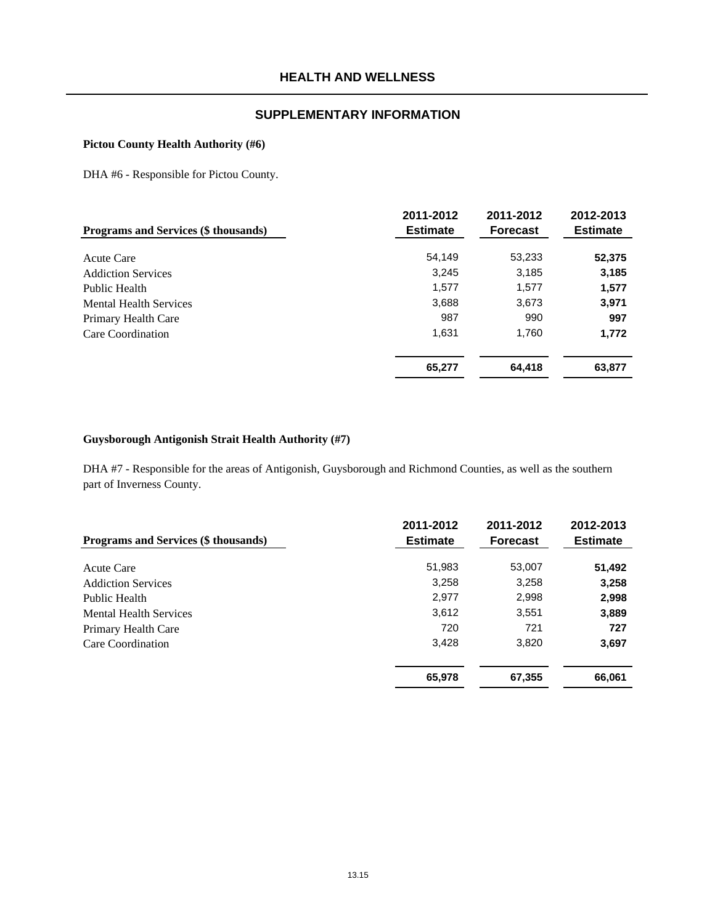#### **Pictou County Health Authority (#6)**

DHA #6 - Responsible for Pictou County.

| Programs and Services (\$ thousands) | 2011-2012<br><b>Estimate</b> | 2011-2012<br><b>Forecast</b> | 2012-2013<br><b>Estimate</b> |
|--------------------------------------|------------------------------|------------------------------|------------------------------|
| Acute Care                           | 54,149                       | 53,233                       | 52,375                       |
| <b>Addiction Services</b>            | 3,245                        | 3,185                        | 3,185                        |
| Public Health                        | 1,577                        | 1,577                        | 1,577                        |
| <b>Mental Health Services</b>        | 3,688                        | 3,673                        | 3,971                        |
| Primary Health Care                  | 987                          | 990                          | 997                          |
| Care Coordination                    | 1,631                        | 1,760                        | 1,772                        |
|                                      | 65,277                       | 64,418                       | 63,877                       |

#### **Guysborough Antigonish Strait Health Authority (#7)**

DHA #7 - Responsible for the areas of Antigonish, Guysborough and Richmond Counties, as well as the southern part of Inverness County.

| <b>Programs and Services (\$ thousands)</b> | 2011-2012<br><b>Estimate</b> | 2011-2012<br><b>Forecast</b> | 2012-2013<br><b>Estimate</b> |
|---------------------------------------------|------------------------------|------------------------------|------------------------------|
| Acute Care                                  | 51,983                       | 53,007                       | 51,492                       |
| <b>Addiction Services</b>                   | 3,258                        | 3,258                        | 3,258                        |
| Public Health                               | 2,977                        | 2,998                        | 2,998                        |
| <b>Mental Health Services</b>               | 3,612                        | 3,551                        | 3,889                        |
| Primary Health Care                         | 720                          | 721                          | 727                          |
| Care Coordination                           | 3,428                        | 3.820                        | 3,697                        |
|                                             | 65,978                       | 67,355                       | 66,061                       |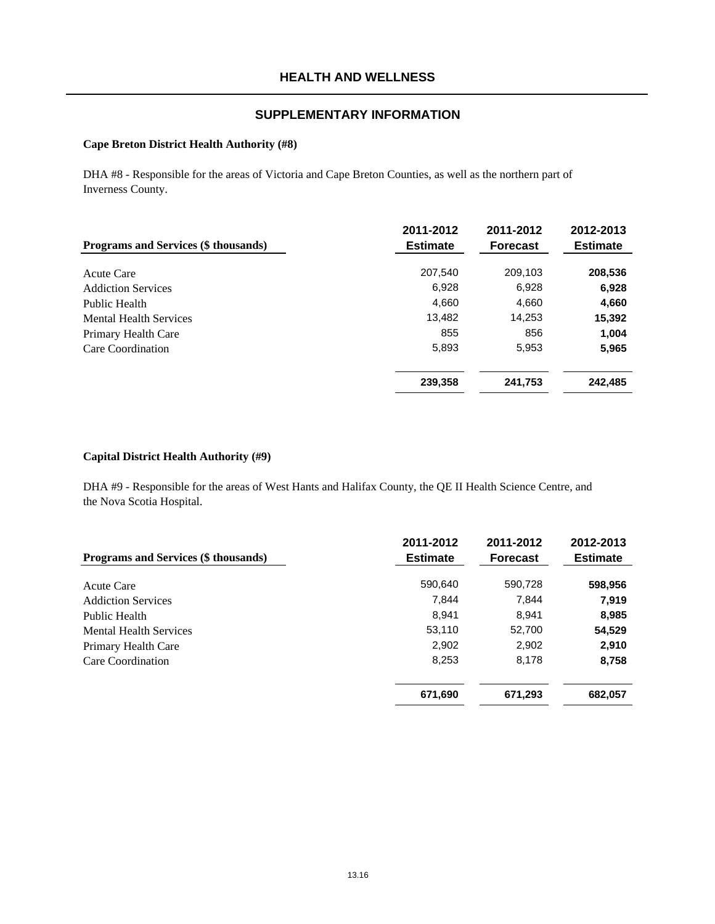#### **Cape Breton District Health Authority (#8)**

DHA #8 - Responsible for the areas of Victoria and Cape Breton Counties, as well as the northern part of Inverness County.

| <b>Programs and Services (\$ thousands)</b> | 2011-2012<br><b>Estimate</b> | 2011-2012<br><b>Forecast</b> | 2012-2013<br><b>Estimate</b> |
|---------------------------------------------|------------------------------|------------------------------|------------------------------|
| Acute Care                                  | 207,540                      | 209,103                      | 208,536                      |
| <b>Addiction Services</b>                   | 6,928                        | 6,928                        | 6,928                        |
| Public Health                               | 4,660                        | 4,660                        | 4,660                        |
| <b>Mental Health Services</b>               | 13.482                       | 14,253                       | 15,392                       |
| Primary Health Care                         | 855                          | 856                          | 1,004                        |
| Care Coordination                           | 5,893                        | 5,953                        | 5,965                        |
|                                             | 239,358                      | 241,753                      | 242,485                      |

#### **Capital District Health Authority (#9)**

DHA #9 - Responsible for the areas of West Hants and Halifax County, the QE II Health Science Centre, and the Nova Scotia Hospital.

| <b>Programs and Services (\$ thousands)</b> | 2011-2012<br><b>Estimate</b> | 2011-2012<br><b>Forecast</b> | 2012-2013<br><b>Estimate</b> |
|---------------------------------------------|------------------------------|------------------------------|------------------------------|
| Acute Care                                  | 590,640                      | 590,728                      | 598,956                      |
| <b>Addiction Services</b>                   | 7,844                        | 7,844                        | 7,919                        |
| Public Health                               | 8.941                        | 8,941                        | 8,985                        |
| <b>Mental Health Services</b>               | 53,110                       | 52,700                       | 54,529                       |
| Primary Health Care                         | 2,902                        | 2,902                        | 2,910                        |
| Care Coordination                           | 8,253                        | 8,178                        | 8,758                        |
|                                             | 671,690                      | 671,293                      | 682,057                      |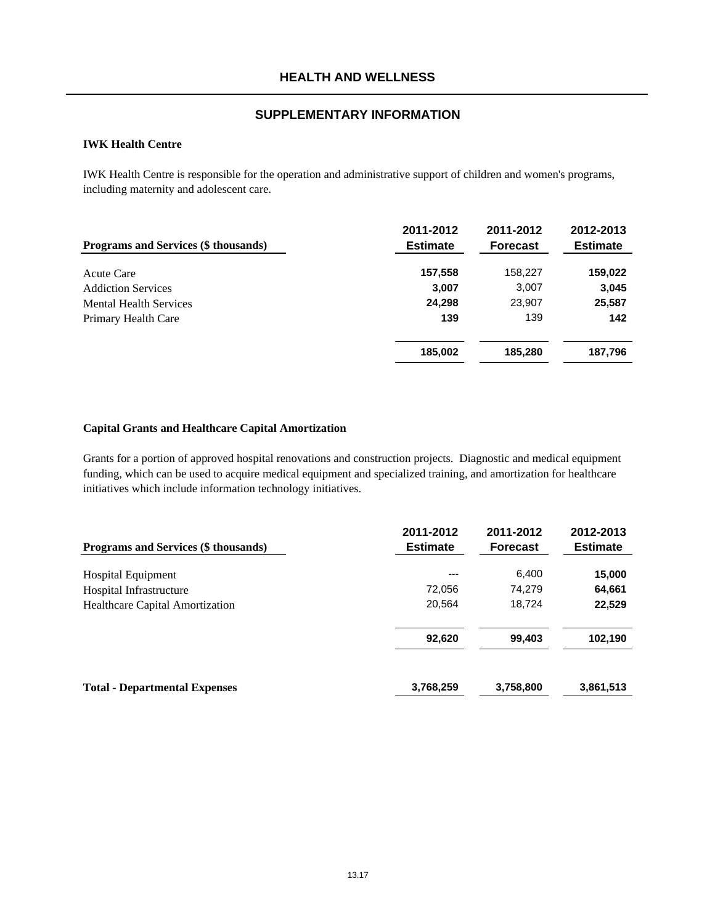### **IWK Health Centre**

IWK Health Centre is responsible for the operation and administrative support of children and women's programs, including maternity and adolescent care.

| Programs and Services (\$ thousands) | 2011-2012<br><b>Estimate</b> | 2011-2012<br><b>Forecast</b> | 2012-2013<br><b>Estimate</b> |
|--------------------------------------|------------------------------|------------------------------|------------------------------|
| Acute Care                           | 157,558                      | 158,227                      | 159,022                      |
| <b>Addiction Services</b>            | 3,007                        | 3,007                        | 3,045                        |
| <b>Mental Health Services</b>        | 24,298                       | 23,907                       | 25,587                       |
| Primary Health Care                  | 139                          | 139                          | 142                          |
|                                      | 185,002                      | 185,280                      | 187,796                      |

#### **Capital Grants and Healthcare Capital Amortization**

Grants for a portion of approved hospital renovations and construction projects. Diagnostic and medical equipment funding, which can be used to acquire medical equipment and specialized training, and amortization for healthcare initiatives which include information technology initiatives.

| <b>Programs and Services (\$ thousands)</b> | 2011-2012<br><b>Estimate</b> | 2011-2012<br><b>Forecast</b> | 2012-2013<br><b>Estimate</b> |
|---------------------------------------------|------------------------------|------------------------------|------------------------------|
| <b>Hospital Equipment</b>                   | $---$                        | 6,400                        | 15,000                       |
| Hospital Infrastructure                     | 72,056                       | 74,279                       | 64,661                       |
| <b>Healthcare Capital Amortization</b>      | 20,564                       | 18,724                       | 22,529                       |
|                                             | 92,620                       | 99,403                       | 102,190                      |
| <b>Total - Departmental Expenses</b>        | 3,768,259                    | 3,758,800                    | 3,861,513                    |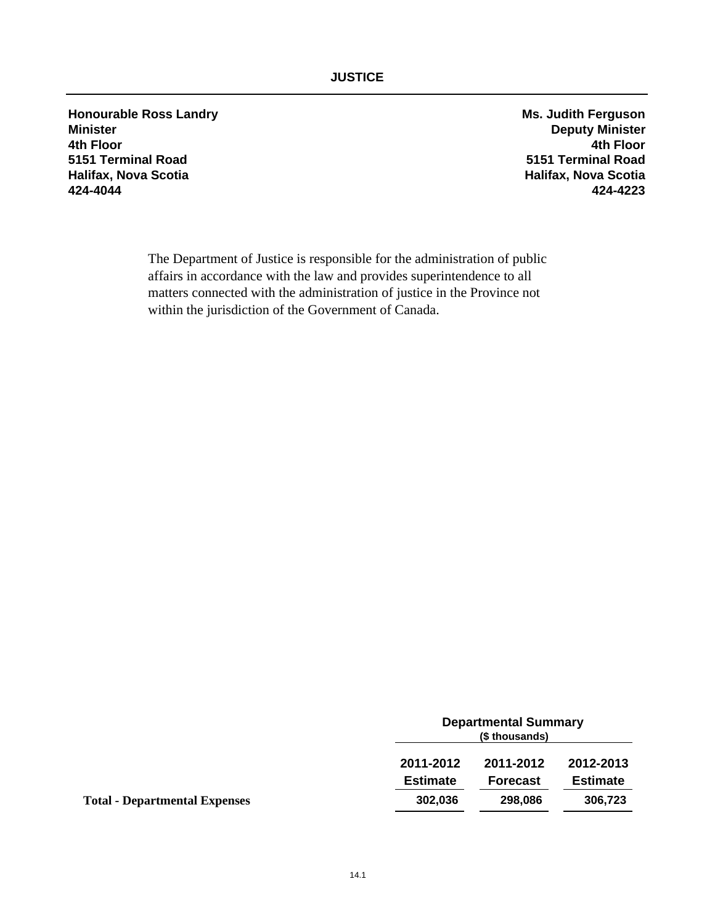**Honourable Ross Landry Ms. Judith Ferguson Minister Deputy Minister 4th Floor 4th Floor 5151 Terminal Road 5151 Terminal Road Halifax, Nova Scotia Halifax, Nova Scotia 424-4044 424-4223**

The Department of Justice is responsible for the administration of public affairs in accordance with the law and provides superintendence to all matters connected with the administration of justice in the Province not within the jurisdiction of the Government of Canada.

|                                      |                 | <b>Departmental Summary</b><br>(\$ thousands) |                 |  |
|--------------------------------------|-----------------|-----------------------------------------------|-----------------|--|
|                                      | 2011-2012       | 2011-2012                                     | 2012-2013       |  |
|                                      | <b>Estimate</b> | <b>Forecast</b>                               | <b>Estimate</b> |  |
| <b>Total - Departmental Expenses</b> | 302,036         | 298,086                                       | 306,723         |  |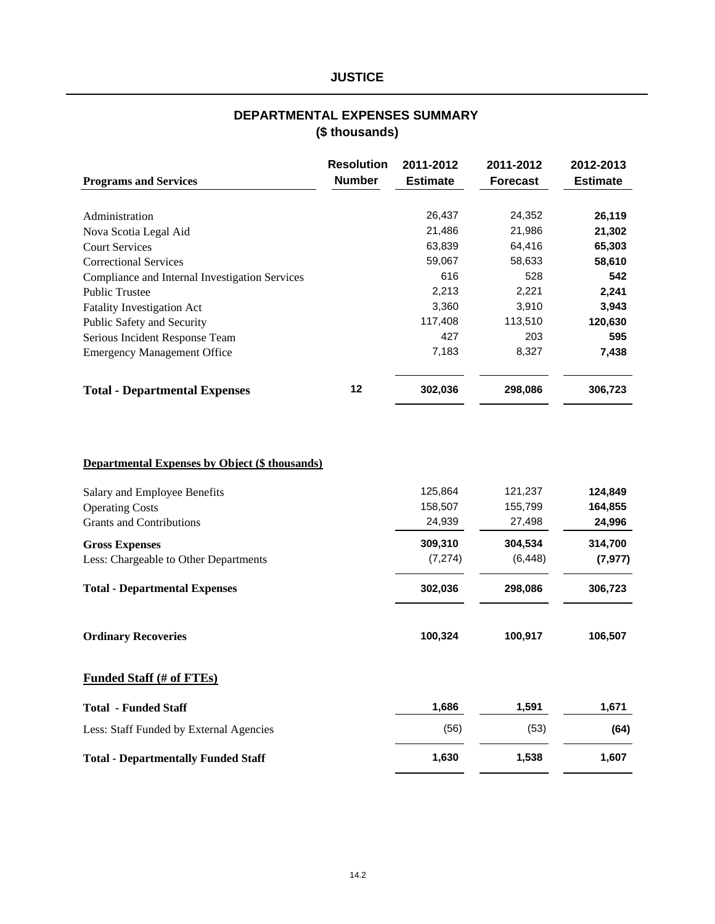# **(\$ thousands) DEPARTMENTAL EXPENSES SUMMARY**

| <b>Programs and Services</b>                          | <b>Resolution</b><br><b>Number</b> | 2011-2012<br><b>Estimate</b> | 2011-2012<br><b>Forecast</b> | 2012-2013<br><b>Estimate</b> |
|-------------------------------------------------------|------------------------------------|------------------------------|------------------------------|------------------------------|
|                                                       |                                    |                              |                              |                              |
| Administration                                        |                                    | 26,437                       | 24,352                       | 26,119                       |
| Nova Scotia Legal Aid                                 |                                    | 21,486                       | 21,986                       | 21,302                       |
| <b>Court Services</b>                                 |                                    | 63,839                       | 64,416                       | 65,303                       |
| <b>Correctional Services</b>                          |                                    | 59,067                       | 58,633                       | 58,610                       |
| Compliance and Internal Investigation Services        |                                    | 616                          | 528                          | 542                          |
| <b>Public Trustee</b>                                 |                                    | 2,213                        | 2,221                        | 2,241                        |
| <b>Fatality Investigation Act</b>                     |                                    | 3,360                        | 3,910                        | 3,943                        |
| Public Safety and Security                            |                                    | 117,408                      | 113,510                      | 120,630                      |
| Serious Incident Response Team                        |                                    | 427                          | 203                          | 595                          |
| <b>Emergency Management Office</b>                    |                                    | 7,183                        | 8,327                        | 7,438                        |
| <b>Total - Departmental Expenses</b>                  | 12                                 | 302,036                      | 298,086                      | 306,723                      |
| <b>Departmental Expenses by Object (\$ thousands)</b> |                                    |                              |                              |                              |
| Salary and Employee Benefits                          |                                    | 125,864                      | 121,237                      | 124,849                      |
| <b>Operating Costs</b>                                |                                    | 158,507                      | 155,799                      | 164,855                      |
| <b>Grants and Contributions</b>                       |                                    | 24,939                       | 27,498                       | 24,996                       |
| <b>Gross Expenses</b>                                 |                                    | 309,310                      | 304,534                      | 314,700                      |
| Less: Chargeable to Other Departments                 |                                    | (7, 274)                     | (6, 448)                     | (7, 977)                     |
| <b>Total - Departmental Expenses</b>                  |                                    | 302,036                      | 298,086                      | 306,723                      |
| <b>Ordinary Recoveries</b>                            |                                    | 100,324                      | 100,917                      | 106,507                      |
| <b>Funded Staff (# of FTEs)</b>                       |                                    |                              |                              |                              |
| <b>Total - Funded Staff</b>                           |                                    | 1,686                        | 1,591                        | 1,671                        |
| Less: Staff Funded by External Agencies               |                                    | (56)                         | (53)                         | (64)                         |
| <b>Total - Departmentally Funded Staff</b>            |                                    | 1,630                        | 1,538                        | 1,607                        |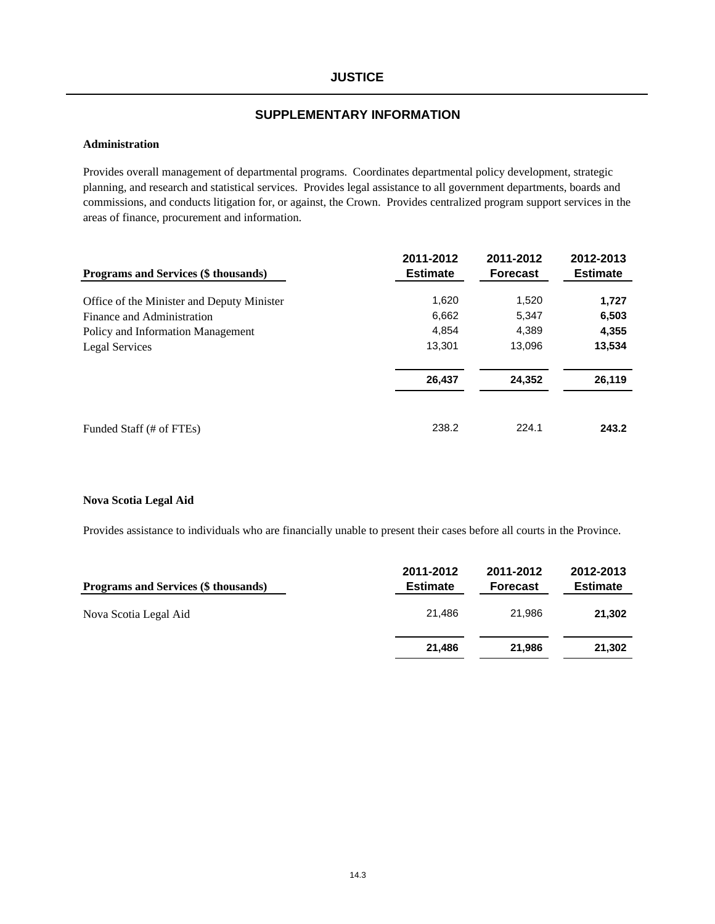## **SUPPLEMENTARY INFORMATION**

### **Administration**

Provides overall management of departmental programs. Coordinates departmental policy development, strategic planning, and research and statistical services. Provides legal assistance to all government departments, boards and commissions, and conducts litigation for, or against, the Crown. Provides centralized program support services in the areas of finance, procurement and information.

|                                             | 2011-2012       | 2011-2012       | 2012-2013       |
|---------------------------------------------|-----------------|-----------------|-----------------|
| <b>Programs and Services (\$ thousands)</b> | <b>Estimate</b> | <b>Forecast</b> | <b>Estimate</b> |
| Office of the Minister and Deputy Minister  | 1,620           | 1,520           | 1,727           |
| Finance and Administration                  | 6,662           | 5.347           | 6,503           |
| Policy and Information Management           | 4.854           | 4.389           | 4,355           |
| Legal Services                              | 13,301          | 13,096          | 13,534          |
|                                             | 26,437          | 24,352          | 26,119          |
| Funded Staff (# of FTEs)                    | 238.2           | 224.1           | 243.2           |

#### **Nova Scotia Legal Aid**

Provides assistance to individuals who are financially unable to present their cases before all courts in the Province.

| Programs and Services (\$ thousands) | 2011-2012<br><b>Estimate</b> | 2011-2012<br><b>Forecast</b> | 2012-2013<br><b>Estimate</b> |
|--------------------------------------|------------------------------|------------------------------|------------------------------|
| Nova Scotia Legal Aid                | 21.486                       | 21.986                       | 21,302                       |
|                                      | 21.486                       | 21.986                       | 21,302                       |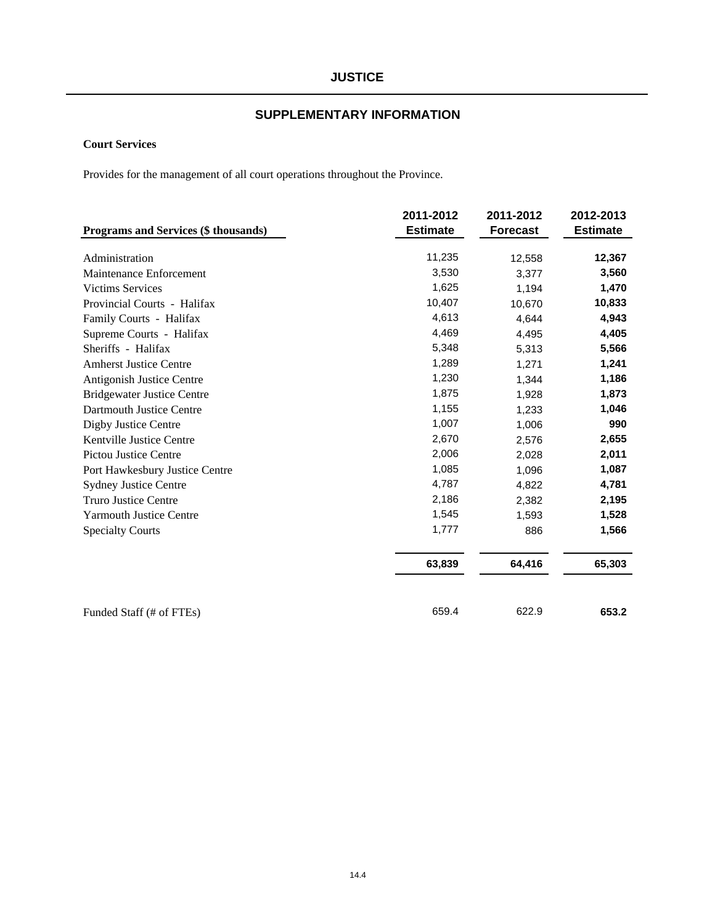# **SUPPLEMENTARY INFORMATION**

## **Court Services**

Provides for the management of all court operations throughout the Province.

|                                      | 2011-2012       | 2011-2012       | 2012-2013       |
|--------------------------------------|-----------------|-----------------|-----------------|
| Programs and Services (\$ thousands) | <b>Estimate</b> | <b>Forecast</b> | <b>Estimate</b> |
| Administration                       | 11,235          | 12,558          | 12,367          |
| Maintenance Enforcement              | 3,530           | 3,377           | 3,560           |
| <b>Victims Services</b>              | 1,625           | 1,194           | 1,470           |
| Provincial Courts - Halifax          | 10,407          | 10,670          | 10,833          |
| Family Courts - Halifax              | 4,613           | 4,644           | 4,943           |
| Supreme Courts - Halifax             | 4,469           | 4,495           | 4,405           |
| Sheriffs - Halifax                   | 5,348           | 5,313           | 5,566           |
| <b>Amherst Justice Centre</b>        | 1,289           | 1,271           | 1,241           |
| Antigonish Justice Centre            | 1,230           | 1,344           | 1,186           |
| <b>Bridgewater Justice Centre</b>    | 1,875           | 1,928           | 1,873           |
| Dartmouth Justice Centre             | 1,155           | 1,233           | 1,046           |
| Digby Justice Centre                 | 1,007           | 1,006           | 990             |
| Kentville Justice Centre             | 2,670           | 2,576           | 2,655           |
| <b>Pictou Justice Centre</b>         | 2,006           | 2,028           | 2,011           |
| Port Hawkesbury Justice Centre       | 1,085           | 1,096           | 1,087           |
| <b>Sydney Justice Centre</b>         | 4,787           | 4,822           | 4,781           |
| <b>Truro Justice Centre</b>          | 2,186           | 2,382           | 2,195           |
| <b>Yarmouth Justice Centre</b>       | 1,545           | 1,593           | 1,528           |
| <b>Specialty Courts</b>              | 1,777           | 886             | 1,566           |
|                                      | 63,839          | 64,416          | 65,303          |
| Funded Staff (# of FTEs)             | 659.4           | 622.9           | 653.2           |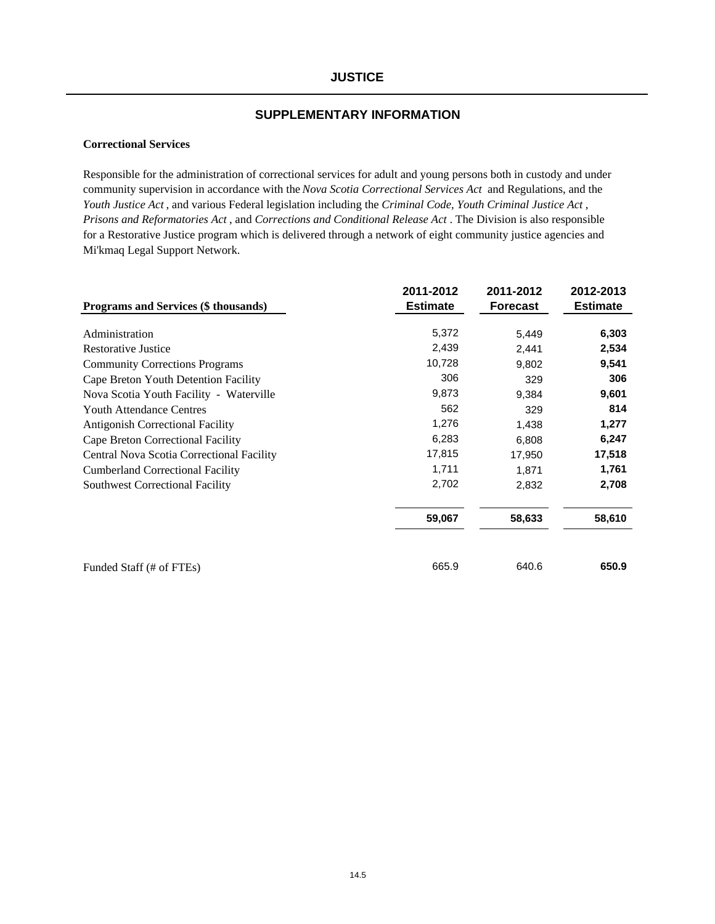#### **Correctional Services**

Responsible for the administration of correctional services for adult and young persons both in custody and under community supervision in accordance with the *Nova Scotia Correctional Services Act* and Regulations, and the *Youth Justice Act* , and various Federal legislation including the *Criminal Code, Youth Criminal Justice Act* , *Prisons and Reformatories Act* , and *Corrections and Conditional Release Act* . The Division is also responsible for a Restorative Justice program which is delivered through a network of eight community justice agencies and Mi'kmaq Legal Support Network.

|                                           | 2011-2012       | 2011-2012       | 2012-2013       |
|-------------------------------------------|-----------------|-----------------|-----------------|
| Programs and Services (\$ thousands)      | <b>Estimate</b> | <b>Forecast</b> | <b>Estimate</b> |
| Administration                            | 5,372           | 5,449           | 6,303           |
| <b>Restorative Justice</b>                | 2,439           | 2,441           | 2,534           |
| <b>Community Corrections Programs</b>     | 10,728          | 9,802           | 9,541           |
| Cape Breton Youth Detention Facility      | 306             | 329             | 306             |
| Nova Scotia Youth Facility - Waterville   | 9,873           | 9,384           | 9,601           |
| <b>Youth Attendance Centres</b>           | 562             | 329             | 814             |
| <b>Antigonish Correctional Facility</b>   | 1,276           | 1,438           | 1,277           |
| Cape Breton Correctional Facility         | 6,283           | 6,808           | 6,247           |
| Central Nova Scotia Correctional Facility | 17,815          | 17,950          | 17,518          |
| <b>Cumberland Correctional Facility</b>   | 1,711           | 1.871           | 1,761           |
| <b>Southwest Correctional Facility</b>    | 2,702           | 2,832           | 2,708           |
|                                           | 59,067          | 58,633          | 58,610          |
|                                           |                 |                 |                 |
| Funded Staff (# of FTEs)                  | 665.9           | 640.6           | 650.9           |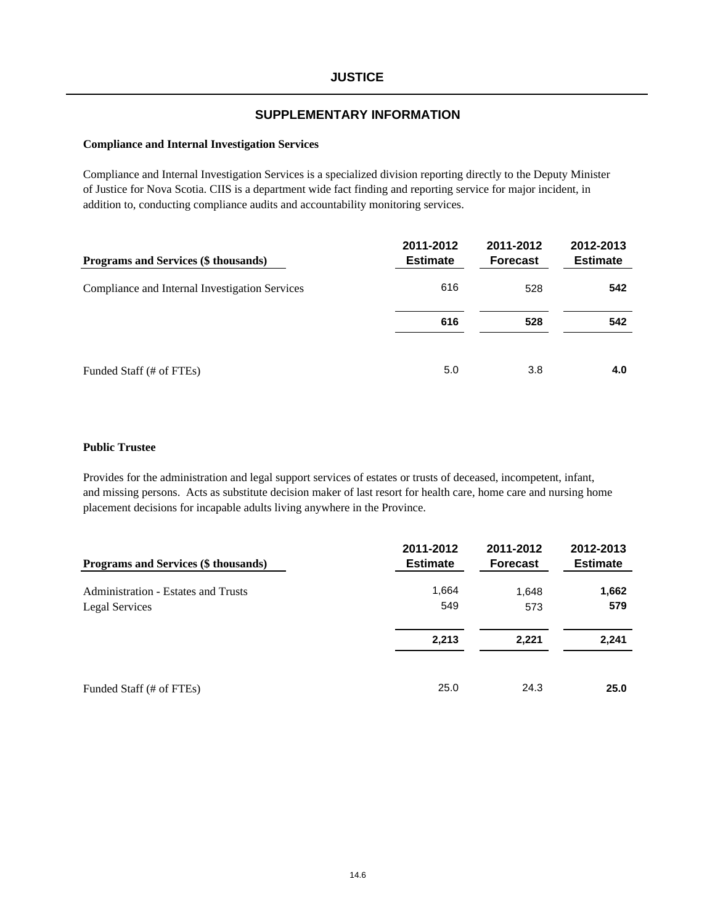#### **Compliance and Internal Investigation Services**

Compliance and Internal Investigation Services is a specialized division reporting directly to the Deputy Minister of Justice for Nova Scotia. CIIS is a department wide fact finding and reporting service for major incident, in addition to, conducting compliance audits and accountability monitoring services.

| <b>Programs and Services (\$ thousands)</b>    | 2011-2012<br><b>Estimate</b> | 2011-2012<br><b>Forecast</b> | 2012-2013<br><b>Estimate</b> |
|------------------------------------------------|------------------------------|------------------------------|------------------------------|
| Compliance and Internal Investigation Services | 616                          | 528                          | 542                          |
|                                                | 616                          | 528                          | 542                          |
| Funded Staff (# of FTEs)                       | 5.0                          | 3.8                          | 4.0                          |

#### **Public Trustee**

Provides for the administration and legal support services of estates or trusts of deceased, incompetent, infant, and missing persons. Acts as substitute decision maker of last resort for health care, home care and nursing home placement decisions for incapable adults living anywhere in the Province.

| Programs and Services (\$ thousands)       | 2011-2012<br><b>Estimate</b> | 2011-2012<br><b>Forecast</b> | 2012-2013<br><b>Estimate</b> |
|--------------------------------------------|------------------------------|------------------------------|------------------------------|
| <b>Administration - Estates and Trusts</b> | 1,664                        | 1,648                        | 1,662                        |
| Legal Services                             | 549                          | 573                          | 579                          |
|                                            | 2,213                        | 2,221                        | 2,241                        |
| Funded Staff (# of FTEs)                   | 25.0                         | 24.3                         | 25.0                         |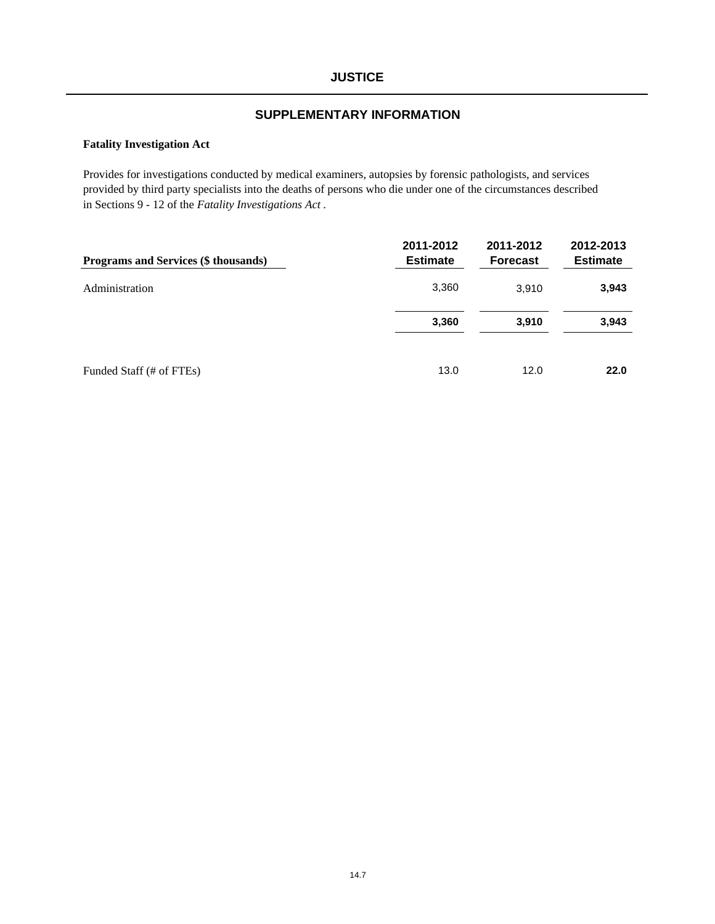#### **Fatality Investigation Act**

Provides for investigations conducted by medical examiners, autopsies by forensic pathologists, and services provided by third party specialists into the deaths of persons who die under one of the circumstances described in Sections 9 - 12 of the *Fatality Investigations Act* .

| Programs and Services (\$ thousands) | 2011-2012<br><b>Estimate</b> | 2011-2012<br><b>Forecast</b> | 2012-2013<br><b>Estimate</b> |
|--------------------------------------|------------------------------|------------------------------|------------------------------|
| Administration                       | 3,360                        | 3.910                        | 3,943                        |
|                                      | 3,360                        | 3,910                        | 3,943                        |
| Funded Staff (# of FTEs)             | 13.0                         | 12.0                         | 22.0                         |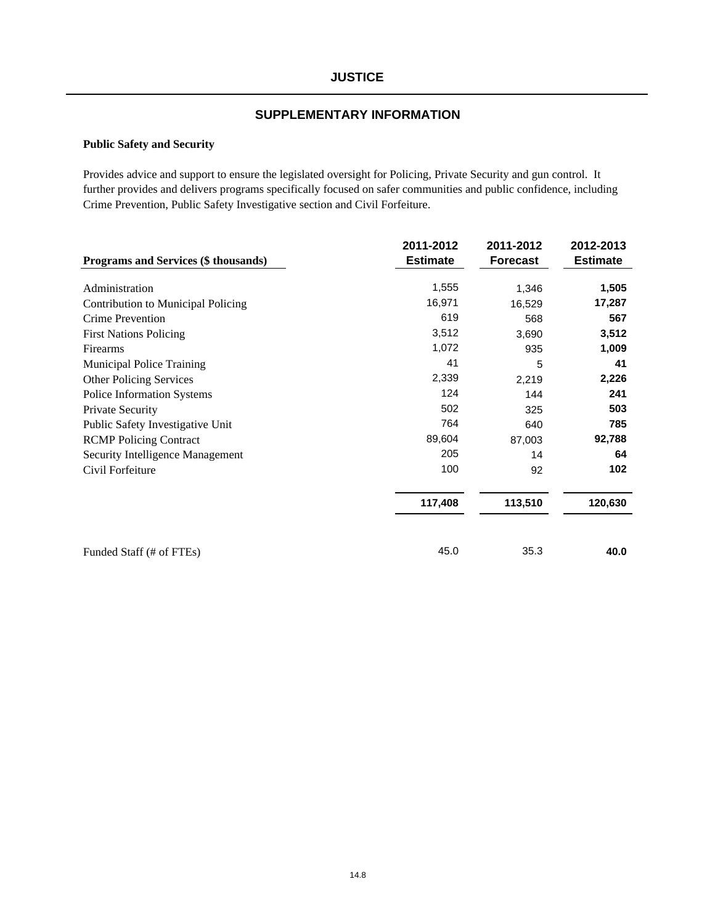#### **Public Safety and Security**

Provides advice and support to ensure the legislated oversight for Policing, Private Security and gun control. It further provides and delivers programs specifically focused on safer communities and public confidence, including Crime Prevention, Public Safety Investigative section and Civil Forfeiture.

| Programs and Services (\$ thousands) | 2011-2012<br><b>Estimate</b> | 2011-2012<br><b>Forecast</b> | 2012-2013<br><b>Estimate</b> |
|--------------------------------------|------------------------------|------------------------------|------------------------------|
| Administration                       | 1,555                        | 1,346                        | 1,505                        |
| Contribution to Municipal Policing   | 16,971                       | 16,529                       | 17,287                       |
| Crime Prevention                     | 619                          | 568                          | 567                          |
| <b>First Nations Policing</b>        | 3,512                        | 3,690                        | 3,512                        |
| Firearms                             | 1,072                        | 935                          | 1,009                        |
| <b>Municipal Police Training</b>     | 41                           | 5                            | 41                           |
| <b>Other Policing Services</b>       | 2,339                        | 2,219                        | 2,226                        |
| Police Information Systems           | 124                          | 144                          | 241                          |
| Private Security                     | 502                          | 325                          | 503                          |
| Public Safety Investigative Unit     | 764                          | 640                          | 785                          |
| <b>RCMP</b> Policing Contract        | 89,604                       | 87,003                       | 92,788                       |
| Security Intelligence Management     | 205                          | 14                           | 64                           |
| Civil Forfeiture                     | 100                          | 92                           | 102                          |
|                                      | 117,408                      | 113,510                      | 120,630                      |
| Funded Staff (# of FTEs)             | 45.0                         | 35.3                         | 40.0                         |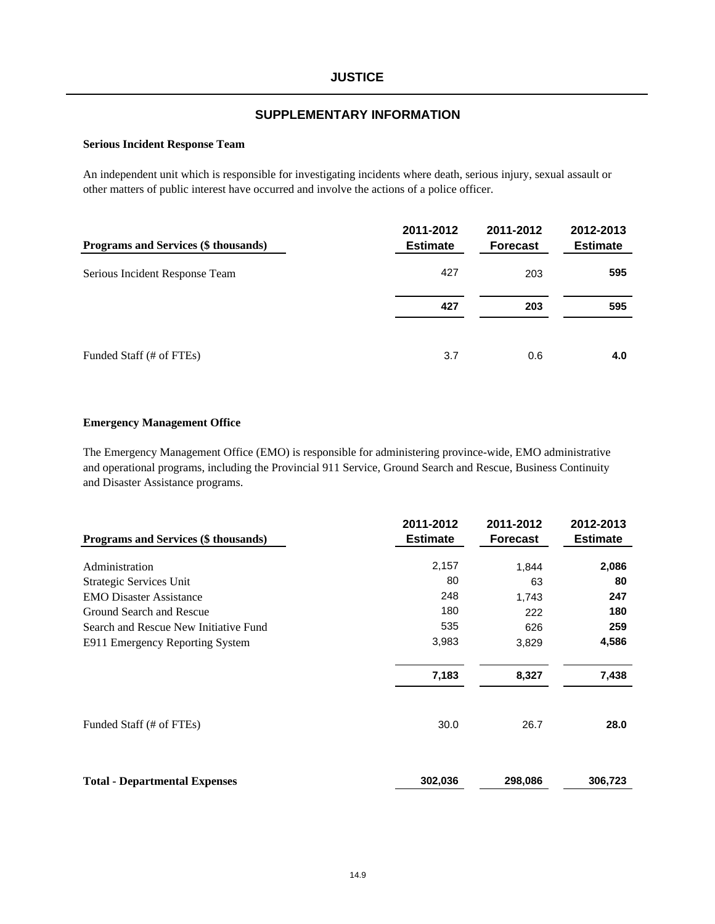#### **Serious Incident Response Team**

An independent unit which is responsible for investigating incidents where death, serious injury, sexual assault or other matters of public interest have occurred and involve the actions of a police officer.

| Programs and Services (\$ thousands) | 2011-2012<br><b>Estimate</b> | 2011-2012<br><b>Forecast</b> | 2012-2013<br><b>Estimate</b> |
|--------------------------------------|------------------------------|------------------------------|------------------------------|
| Serious Incident Response Team       | 427                          | 203                          | 595                          |
|                                      | 427                          | 203                          | 595                          |
| Funded Staff (# of FTEs)             | 3.7                          | 0.6                          | 4.0                          |

#### **Emergency Management Office**

The Emergency Management Office (EMO) is responsible for administering province-wide, EMO administrative and operational programs, including the Provincial 911 Service, Ground Search and Rescue, Business Continuity and Disaster Assistance programs.

| Programs and Services (\$ thousands)  | 2011-2012<br><b>Estimate</b> | 2011-2012<br><b>Forecast</b> | 2012-2013<br><b>Estimate</b> |  |
|---------------------------------------|------------------------------|------------------------------|------------------------------|--|
| Administration                        | 2,157                        | 1,844                        | 2,086                        |  |
| Strategic Services Unit               | 80                           | 63                           | 80                           |  |
| <b>EMO</b> Disaster Assistance        | 248                          | 1,743                        | 247                          |  |
| Ground Search and Rescue              | 180                          | 222                          | 180                          |  |
| Search and Rescue New Initiative Fund | 535                          | 626                          | 259                          |  |
| E911 Emergency Reporting System       | 3,983                        | 3,829                        | 4,586                        |  |
|                                       | 7,183                        | 8,327                        | 7,438                        |  |
| Funded Staff (# of FTEs)              | 30.0                         | 26.7                         | 28.0                         |  |
| <b>Total - Departmental Expenses</b>  | 302,036                      | 298,086                      | 306,723                      |  |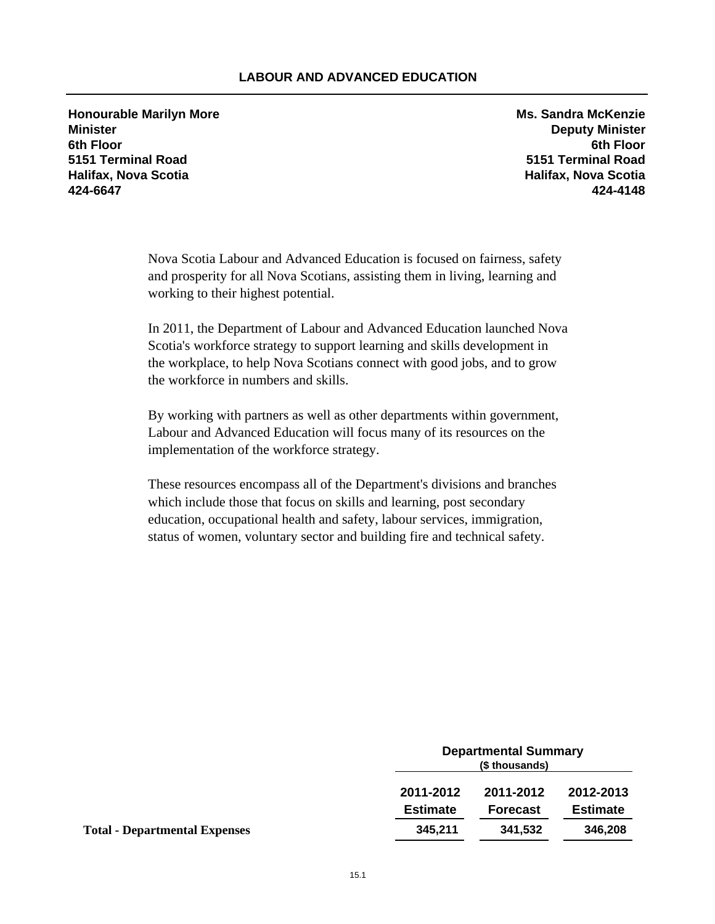## **LABOUR AND ADVANCED EDUCATION**

**Honourable Marilyn More Ms. Sandra McKenzie Minister Deputy Minister 6th Floor 6th Floor 5151 Terminal Road 5151 Terminal Road Halifax, Nova Scotia Halifax, Nova Scotia 424-6647 424-4148**

Nova Scotia Labour and Advanced Education is focused on fairness, safety and prosperity for all Nova Scotians, assisting them in living, learning and working to their highest potential.

In 2011, the Department of Labour and Advanced Education launched Nova Scotia's workforce strategy to support learning and skills development in the workplace, to help Nova Scotians connect with good jobs, and to grow the workforce in numbers and skills.

By working with partners as well as other departments within government, Labour and Advanced Education will focus many of its resources on the implementation of the workforce strategy.

These resources encompass all of the Department's divisions and branches which include those that focus on skills and learning, post secondary education, occupational health and safety, labour services, immigration, status of women, voluntary sector and building fire and technical safety.

|                                      | <b>Departmental Summary</b><br>(\$ thousands) |                 |           |
|--------------------------------------|-----------------------------------------------|-----------------|-----------|
|                                      | 2011-2012                                     | 2011-2012       | 2012-2013 |
|                                      | <b>Estimate</b><br><b>Forecast</b>            | <b>Estimate</b> |           |
| <b>Total - Departmental Expenses</b> | 345.211                                       | 341.532         | 346,208   |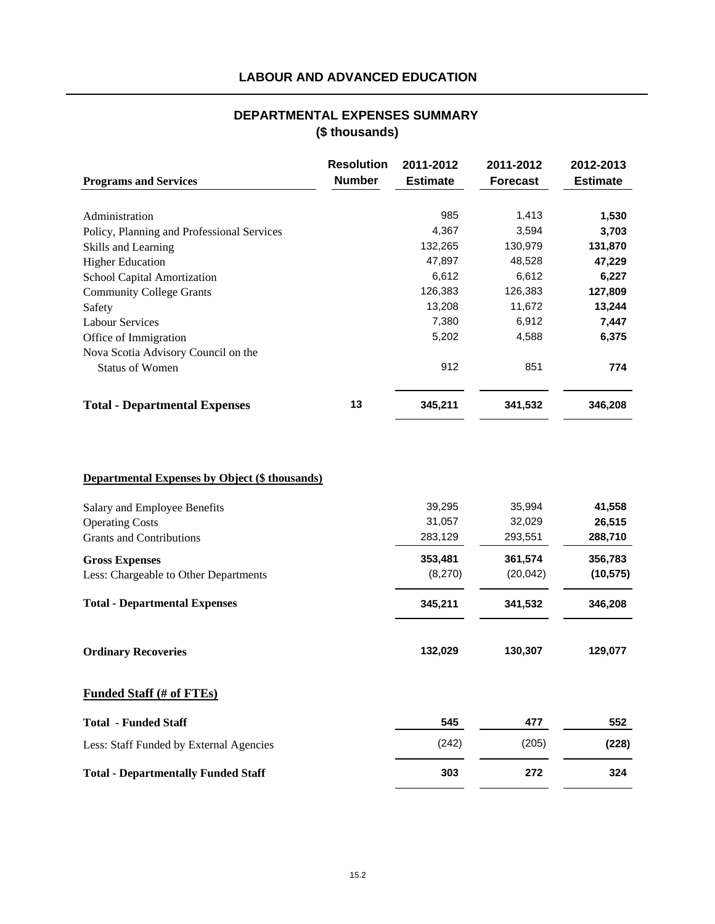# **LABOUR AND ADVANCED EDUCATION**

## **(\$ thousands) DEPARTMENTAL EXPENSES SUMMARY**

| <b>Programs and Services</b>               | <b>Resolution</b><br><b>Number</b> | 2011-2012<br><b>Estimate</b> | 2011-2012<br><b>Forecast</b> | 2012-2013<br><b>Estimate</b> |
|--------------------------------------------|------------------------------------|------------------------------|------------------------------|------------------------------|
| Administration                             |                                    | 985                          | 1,413                        | 1,530                        |
| Policy, Planning and Professional Services |                                    | 4,367                        | 3,594                        | 3,703                        |
| Skills and Learning                        |                                    | 132,265                      | 130,979                      | 131,870                      |
| <b>Higher Education</b>                    |                                    | 47,897                       | 48,528                       | 47,229                       |
| School Capital Amortization                |                                    | 6,612                        | 6,612                        | 6,227                        |
| <b>Community College Grants</b>            |                                    | 126,383                      | 126,383                      | 127,809                      |
| Safety                                     |                                    | 13,208                       | 11,672                       | 13,244                       |
| <b>Labour Services</b>                     |                                    | 7,380                        | 6,912                        | 7,447                        |
| Office of Immigration                      |                                    | 5,202                        | 4,588                        | 6,375                        |
| Nova Scotia Advisory Council on the        |                                    |                              |                              |                              |
| <b>Status of Women</b>                     |                                    | 912                          | 851                          | 774                          |
| <b>Total - Departmental Expenses</b>       | 13                                 | 345,211                      | 341,532                      | 346,208                      |

## **Departmental Expenses by Object (\$ thousands)**

| Salary and Employee Benefits<br><b>Operating Costs</b><br><b>Grants and Contributions</b> | 39,295<br>31,057<br>283,129 | 35,994<br>32,029<br>293,551 | 41,558<br>26,515<br>288,710 |
|-------------------------------------------------------------------------------------------|-----------------------------|-----------------------------|-----------------------------|
| <b>Gross Expenses</b><br>Less: Chargeable to Other Departments                            | 353,481<br>(8,270)          | 361,574<br>(20, 042)        | 356,783<br>(10, 575)        |
| <b>Total - Departmental Expenses</b>                                                      | 345,211                     | 341,532                     | 346,208                     |
| <b>Ordinary Recoveries</b>                                                                | 132,029                     | 130,307                     | 129,077                     |
| <b>Funded Staff (# of FTEs)</b>                                                           |                             |                             |                             |
| <b>Total - Funded Staff</b>                                                               | 545                         | 477                         | 552                         |
| Less: Staff Funded by External Agencies                                                   | (242)                       | (205)                       | (228)                       |
| <b>Total - Departmentally Funded Staff</b>                                                | 303                         | 272                         | 324                         |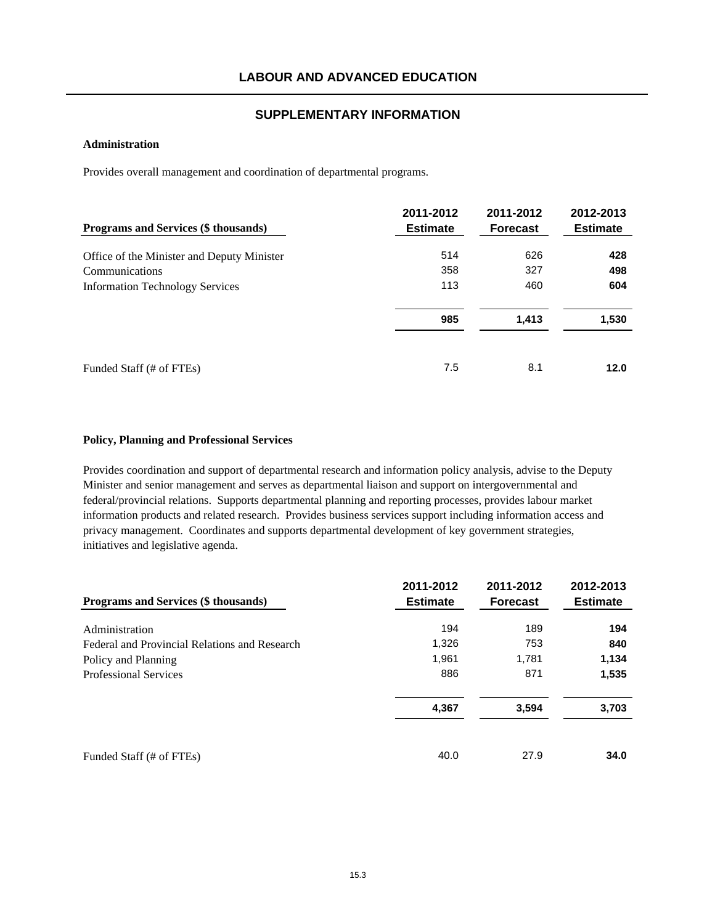### **Administration**

Provides overall management and coordination of departmental programs.

| <b>Programs and Services (\$ thousands)</b> | 2011-2012<br><b>Estimate</b> | 2011-2012<br><b>Forecast</b> | 2012-2013<br><b>Estimate</b> |
|---------------------------------------------|------------------------------|------------------------------|------------------------------|
| Office of the Minister and Deputy Minister  | 514                          | 626                          | 428                          |
| Communications                              | 358                          | 327                          | 498                          |
| <b>Information Technology Services</b>      | 113                          | 460                          | 604                          |
|                                             | 985                          | 1,413                        | 1,530                        |
| Funded Staff (# of FTEs)                    | 7.5                          | 8.1                          | 12.0                         |

#### **Policy, Planning and Professional Services**

Provides coordination and support of departmental research and information policy analysis, advise to the Deputy Minister and senior management and serves as departmental liaison and support on intergovernmental and federal/provincial relations. Supports departmental planning and reporting processes, provides labour market information products and related research. Provides business services support including information access and privacy management. Coordinates and supports departmental development of key government strategies, initiatives and legislative agenda.

| <b>Programs and Services (\$ thousands)</b>   | 2011-2012<br><b>Estimate</b> | 2011-2012<br><b>Forecast</b> | 2012-2013<br><b>Estimate</b> |
|-----------------------------------------------|------------------------------|------------------------------|------------------------------|
| Administration                                | 194                          | 189                          | 194                          |
| Federal and Provincial Relations and Research | 1,326                        | 753                          | 840                          |
| Policy and Planning                           | 1,961                        | 1,781                        | 1,134                        |
| <b>Professional Services</b>                  | 886                          | 871                          | 1,535                        |
|                                               | 4,367                        | 3,594                        | 3,703                        |
| Funded Staff (# of FTEs)                      | 40.0                         | 27.9                         | 34.0                         |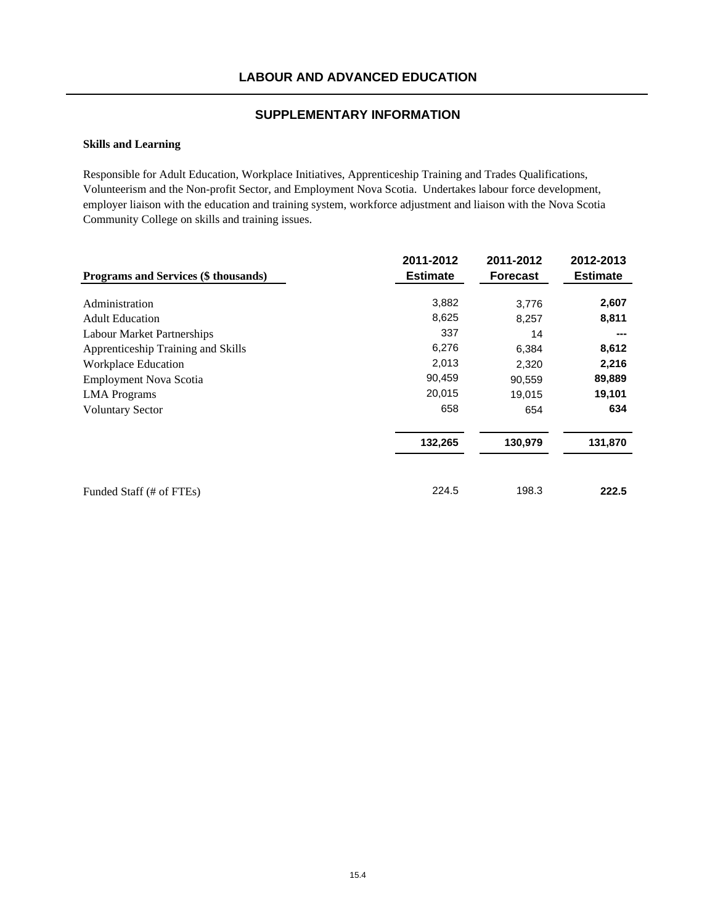### **Skills and Learning**

Responsible for Adult Education, Workplace Initiatives, Apprenticeship Training and Trades Qualifications, Volunteerism and the Non-profit Sector, and Employment Nova Scotia. Undertakes labour force development, employer liaison with the education and training system, workforce adjustment and liaison with the Nova Scotia Community College on skills and training issues.

|                                             | 2011-2012       | 2011-2012       | 2012-2013       |
|---------------------------------------------|-----------------|-----------------|-----------------|
| <b>Programs and Services (\$ thousands)</b> | <b>Estimate</b> | <b>Forecast</b> | <b>Estimate</b> |
| Administration                              | 3,882           | 3,776           | 2,607           |
| <b>Adult Education</b>                      | 8,625           | 8,257           | 8,811           |
| <b>Labour Market Partnerships</b>           | 337             | 14              | ---             |
| Apprenticeship Training and Skills          | 6,276           | 6,384           | 8,612           |
| <b>Workplace Education</b>                  | 2,013           | 2,320           | 2,216           |
| <b>Employment Nova Scotia</b>               | 90,459          | 90,559          | 89,889          |
| <b>LMA</b> Programs                         | 20,015          | 19,015          | 19,101          |
| <b>Voluntary Sector</b>                     | 658             | 654             | 634             |
|                                             | 132,265         | 130,979         | 131,870         |
| Funded Staff (# of FTEs)                    | 224.5           | 198.3           | 222.5           |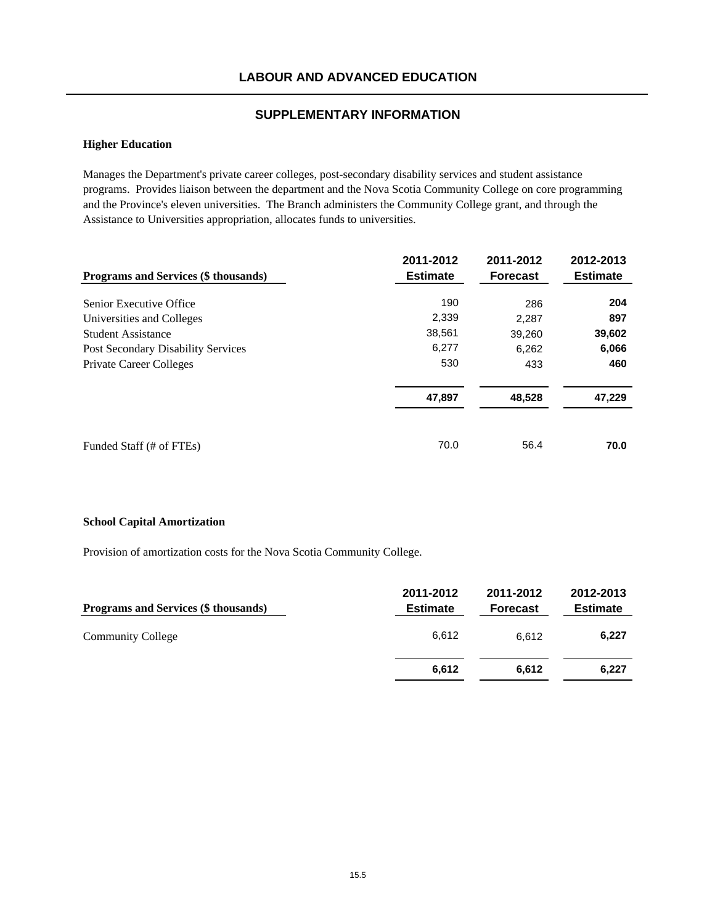### **Higher Education**

Manages the Department's private career colleges, post-secondary disability services and student assistance programs. Provides liaison between the department and the Nova Scotia Community College on core programming and the Province's eleven universities. The Branch administers the Community College grant, and through the Assistance to Universities appropriation, allocates funds to universities.

| Programs and Services (\$ thousands)      | 2011-2012<br><b>Estimate</b> | 2011-2012<br><b>Forecast</b> | 2012-2013<br><b>Estimate</b> |
|-------------------------------------------|------------------------------|------------------------------|------------------------------|
| Senior Executive Office                   | 190                          | 286                          | 204                          |
| Universities and Colleges                 | 2,339                        | 2,287                        | 897                          |
| <b>Student Assistance</b>                 | 38,561                       | 39,260                       | 39,602                       |
| <b>Post Secondary Disability Services</b> | 6.277                        | 6,262                        | 6,066                        |
| <b>Private Career Colleges</b>            | 530                          | 433                          | 460                          |
|                                           | 47,897                       | 48,528                       | 47,229                       |
| Funded Staff (# of FTEs)                  | 70.0                         | 56.4                         | 70.0                         |

#### **School Capital Amortization**

Provision of amortization costs for the Nova Scotia Community College.

| Programs and Services (\$ thousands) | 2011-2012<br><b>Estimate</b> | 2011-2012<br><b>Forecast</b> | 2012-2013<br><b>Estimate</b> |
|--------------------------------------|------------------------------|------------------------------|------------------------------|
| <b>Community College</b>             | 6.612                        | 6.612                        | 6,227                        |
|                                      | 6,612                        | 6.612                        | 6,227                        |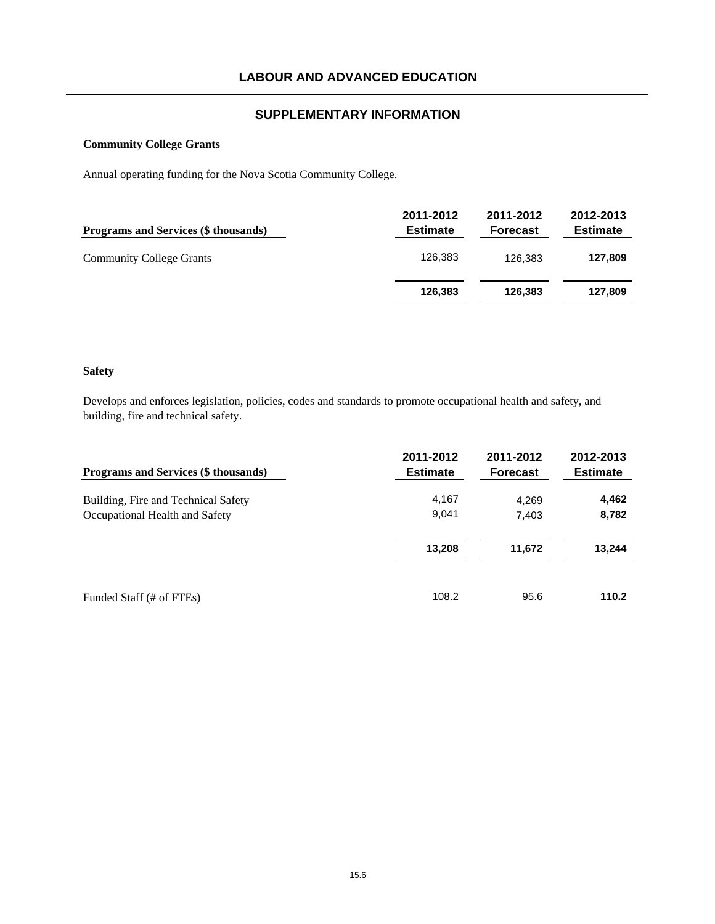### **Community College Grants**

Annual operating funding for the Nova Scotia Community College.

| <b>Programs and Services (\$ thousands)</b> | 2011-2012<br><b>Estimate</b> | 2011-2012<br><b>Forecast</b> | 2012-2013<br><b>Estimate</b> |
|---------------------------------------------|------------------------------|------------------------------|------------------------------|
| <b>Community College Grants</b>             | 126.383                      | 126.383                      | 127,809                      |
|                                             | 126,383                      | 126,383                      | 127,809                      |

#### **Safety**

Develops and enforces legislation, policies, codes and standards to promote occupational health and safety, and building, fire and technical safety.

| Programs and Services (\$ thousands) | 2011-2012<br><b>Estimate</b> | 2011-2012<br><b>Forecast</b> | 2012-2013<br><b>Estimate</b> |
|--------------------------------------|------------------------------|------------------------------|------------------------------|
| Building, Fire and Technical Safety  | 4,167                        | 4.269                        | 4,462                        |
| Occupational Health and Safety       | 9,041                        | 7,403                        | 8,782                        |
|                                      | 13,208                       | 11,672                       | 13,244                       |
| Funded Staff (# of FTEs)             | 108.2                        | 95.6                         | 110.2                        |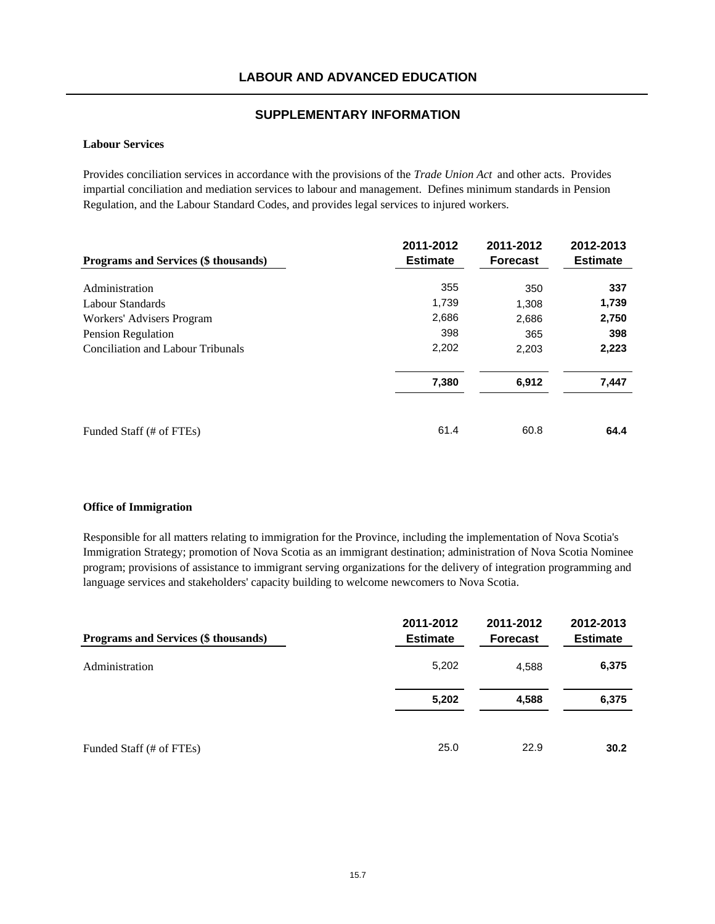#### **Labour Services**

Provides conciliation services in accordance with the provisions of the *Trade Union Act* and other acts. Provides impartial conciliation and mediation services to labour and management. Defines minimum standards in Pension Regulation, and the Labour Standard Codes, and provides legal services to injured workers.

| Programs and Services (\$ thousands)     | 2011-2012<br><b>Estimate</b> | 2011-2012<br><b>Forecast</b> | 2012-2013<br><b>Estimate</b> |
|------------------------------------------|------------------------------|------------------------------|------------------------------|
| Administration                           | 355                          | 350                          | 337                          |
| Labour Standards                         | 1,739                        | 1,308                        | 1,739                        |
| Workers' Advisers Program                | 2,686                        | 2,686                        | 2,750                        |
| Pension Regulation                       | 398                          | 365                          | 398                          |
| <b>Conciliation and Labour Tribunals</b> | 2,202                        | 2,203                        | 2,223                        |
|                                          | 7,380                        | 6,912                        | 7,447                        |
| Funded Staff (# of FTEs)                 | 61.4                         | 60.8                         | 64.4                         |

#### **Office of Immigration**

Responsible for all matters relating to immigration for the Province, including the implementation of Nova Scotia's Immigration Strategy; promotion of Nova Scotia as an immigrant destination; administration of Nova Scotia Nominee program; provisions of assistance to immigrant serving organizations for the delivery of integration programming and language services and stakeholders' capacity building to welcome newcomers to Nova Scotia.

| Programs and Services (\$ thousands) | 2011-2012<br><b>Estimate</b> | 2011-2012<br><b>Forecast</b> | 2012-2013<br><b>Estimate</b> |
|--------------------------------------|------------------------------|------------------------------|------------------------------|
| Administration                       | 5,202                        | 4,588                        | 6,375                        |
|                                      | 5,202                        | 4,588                        | 6,375                        |
| Funded Staff (# of FTEs)             | 25.0                         | 22.9                         | 30.2                         |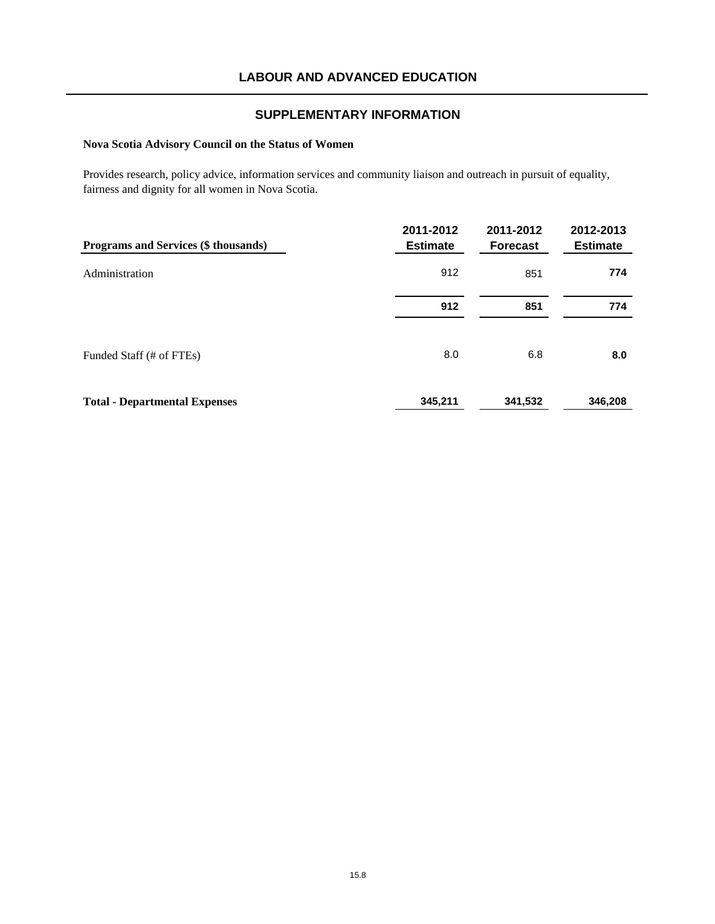## **Nova Scotia Advisory Council on the Status of Women**

Provides research, policy advice, information services and community liaison and outreach in pursuit of equality, fairness and dignity for all women in Nova Scotia.

| Programs and Services (\$ thousands) | 2011-2012<br><b>Estimate</b> | 2011-2012<br><b>Forecast</b> | 2012-2013<br><b>Estimate</b> |
|--------------------------------------|------------------------------|------------------------------|------------------------------|
| Administration                       | 912                          | 851                          | 774                          |
|                                      | 912                          | 851                          | 774                          |
| Funded Staff (# of FTEs)             | 8.0                          | 6.8                          | 8.0                          |
| <b>Total - Departmental Expenses</b> | 345,211                      | 341,532                      | 346,208                      |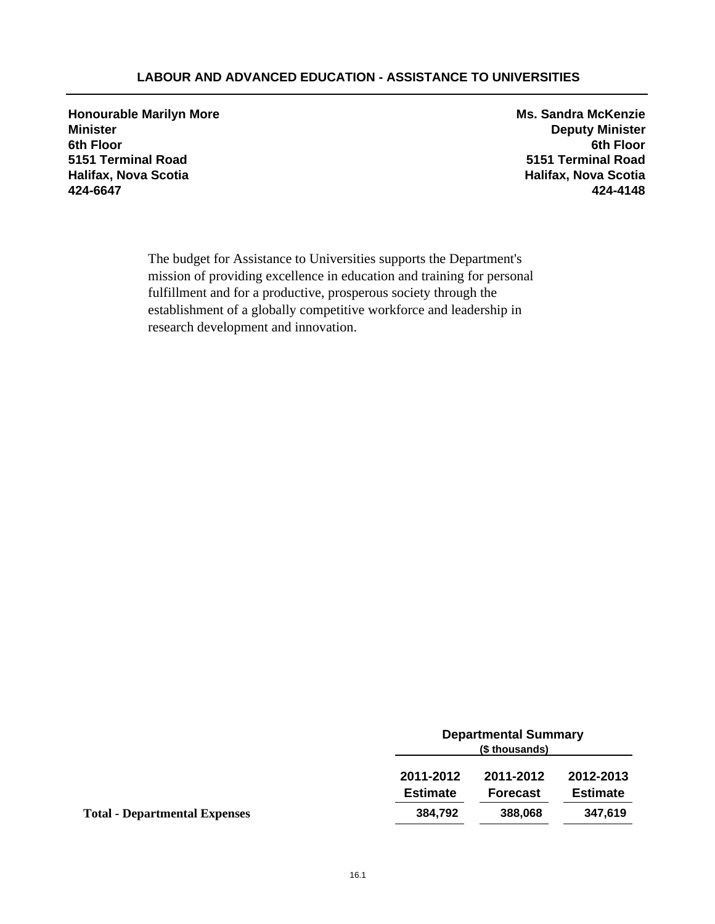## **LABOUR AND ADVANCED EDUCATION - ASSISTANCE TO UNIVERSITIES**

**Honourable Marilyn More Ms. Sandra McKenzie Minister Deputy Minister 6th Floor 6th Floor 5151 Terminal Road 5151 Terminal Road Halifax, Nova Scotia Halifax, Nova Scotia 424-6647 424-4148**

The budget for Assistance to Universities supports the Department's mission of providing excellence in education and training for personal fulfillment and for a productive, prosperous society through the establishment of a globally competitive workforce and leadership in research development and innovation.

|                                      |                              | <b>Departmental Summary</b><br>(\$ thousands) |                              |  |
|--------------------------------------|------------------------------|-----------------------------------------------|------------------------------|--|
|                                      | 2011-2012<br><b>Estimate</b> | 2011-2012<br><b>Forecast</b>                  | 2012-2013<br><b>Estimate</b> |  |
| <b>Total - Departmental Expenses</b> | 384,792                      | 388,068                                       | 347,619                      |  |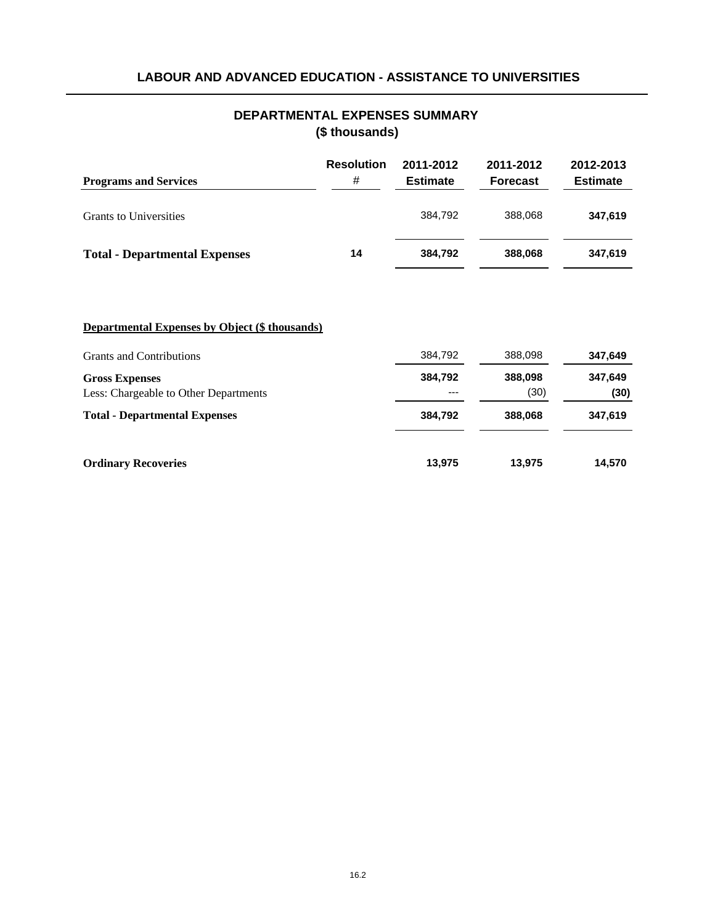# **LABOUR AND ADVANCED EDUCATION - ASSISTANCE TO UNIVERSITIES**

## **DEPARTMENTAL EXPENSES SUMMARY (\$ thousands)**

| <b>Programs and Services</b>         | <b>Resolution</b><br># | 2011-2012<br><b>Estimate</b> | 2011-2012<br><b>Forecast</b> | 2012-2013<br><b>Estimate</b> |
|--------------------------------------|------------------------|------------------------------|------------------------------|------------------------------|
| <b>Grants to Universities</b>        |                        | 384.792                      | 388,068                      | 347,619                      |
| <b>Total - Departmental Expenses</b> | 14                     | 384.792                      | 388.068                      | 347,619                      |

| Departmental Expenses by Object (\$ thousands) |
|------------------------------------------------|
|------------------------------------------------|

| <b>Grants and Contributions</b>                                | 384,792          | 388,098         | 347,649         |
|----------------------------------------------------------------|------------------|-----------------|-----------------|
| <b>Gross Expenses</b><br>Less: Chargeable to Other Departments | 384,792<br>$---$ | 388,098<br>(30) | 347,649<br>(30) |
| <b>Total - Departmental Expenses</b>                           | 384,792          | 388,068         | 347,619         |
| <b>Ordinary Recoveries</b>                                     | 13,975           | 13,975          | 14,570          |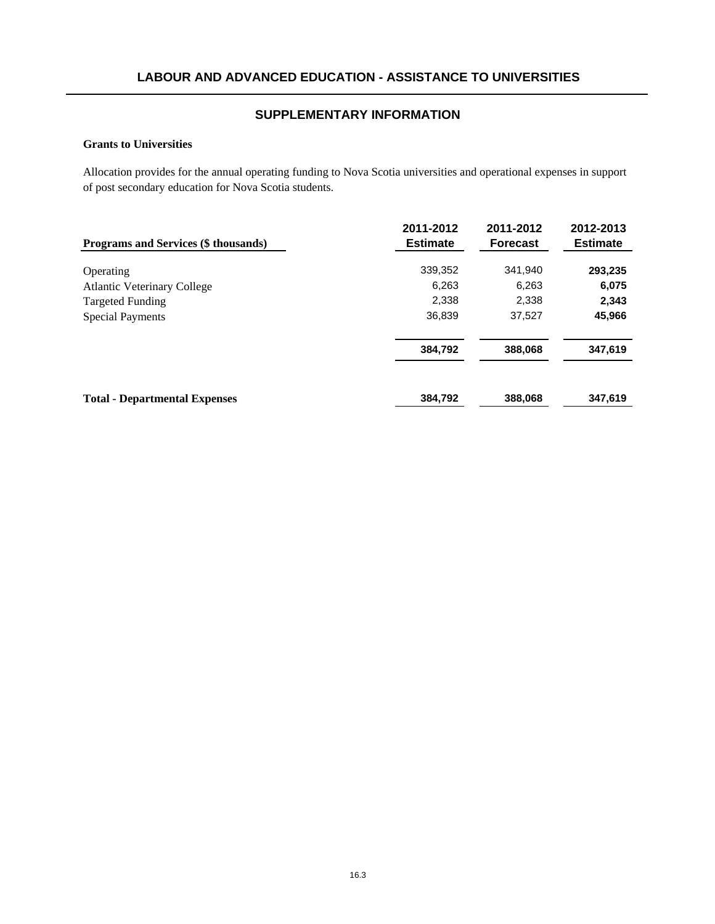#### **Grants to Universities**

Allocation provides for the annual operating funding to Nova Scotia universities and operational expenses in support of post secondary education for Nova Scotia students.

| Programs and Services (\$ thousands) | 2011-2012<br><b>Estimate</b> | 2011-2012<br><b>Forecast</b> | 2012-2013<br><b>Estimate</b> |
|--------------------------------------|------------------------------|------------------------------|------------------------------|
| Operating                            | 339,352                      | 341.940                      | 293,235                      |
| <b>Atlantic Veterinary College</b>   | 6,263                        | 6,263                        | 6,075                        |
| <b>Targeted Funding</b>              | 2,338                        | 2,338                        | 2,343                        |
| <b>Special Payments</b>              | 36,839                       | 37,527                       | 45,966                       |
|                                      | 384,792                      | 388,068                      | 347,619                      |
| <b>Total - Departmental Expenses</b> | 384,792                      | 388,068                      | 347.619                      |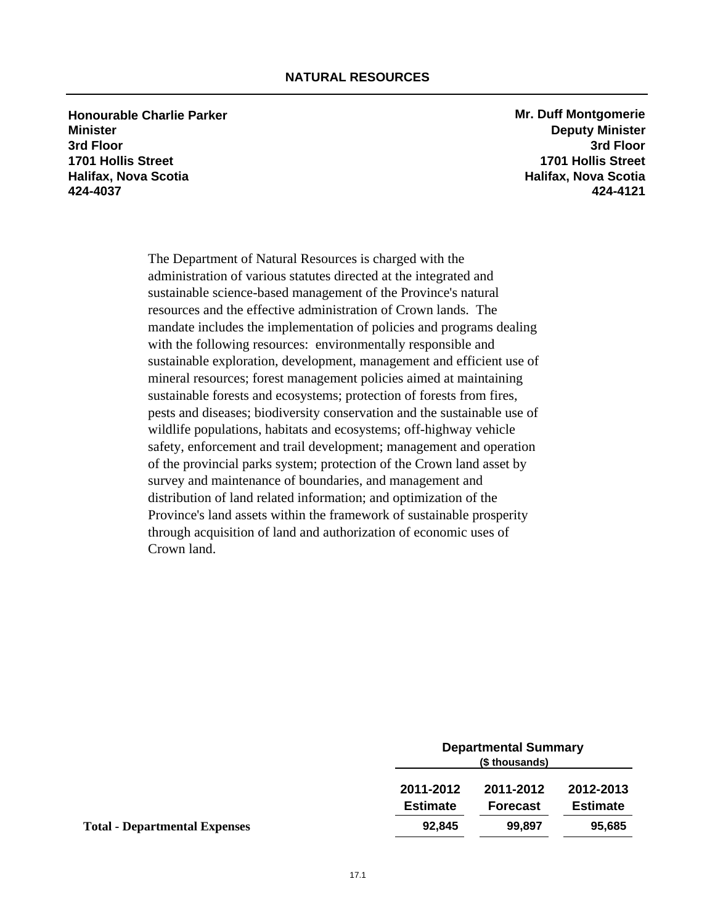**Honourable Charlie Parker Mr. Duff Montgomerie Mr. Duff Montgomerie Minister Deputy Minister 3rd Floor 3rd Floor 1701 Hollis Street 1701 Hollis Street Halifax, Nova Scotia Halifax, Nova Scotia 424-4037 424-4121**

The Department of Natural Resources is charged with the administration of various statutes directed at the integrated and sustainable science-based management of the Province's natural resources and the effective administration of Crown lands. The mandate includes the implementation of policies and programs dealing with the following resources: environmentally responsible and sustainable exploration, development, management and efficient use of mineral resources; forest management policies aimed at maintaining sustainable forests and ecosystems; protection of forests from fires, pests and diseases; biodiversity conservation and the sustainable use of wildlife populations, habitats and ecosystems; off-highway vehicle safety, enforcement and trail development; management and operation of the provincial parks system; protection of the Crown land asset by survey and maintenance of boundaries, and management and distribution of land related information; and optimization of the Province's land assets within the framework of sustainable prosperity through acquisition of land and authorization of economic uses of Crown land.

| <b>Departmental Summary</b><br>(\$ thousands) |                 |                 |
|-----------------------------------------------|-----------------|-----------------|
| 2011-2012                                     | 2011-2012       | 2012-2013       |
| <b>Estimate</b>                               | <b>Forecast</b> | <b>Estimate</b> |
| 92,845                                        | 99.897          | 95,685          |
|                                               |                 |                 |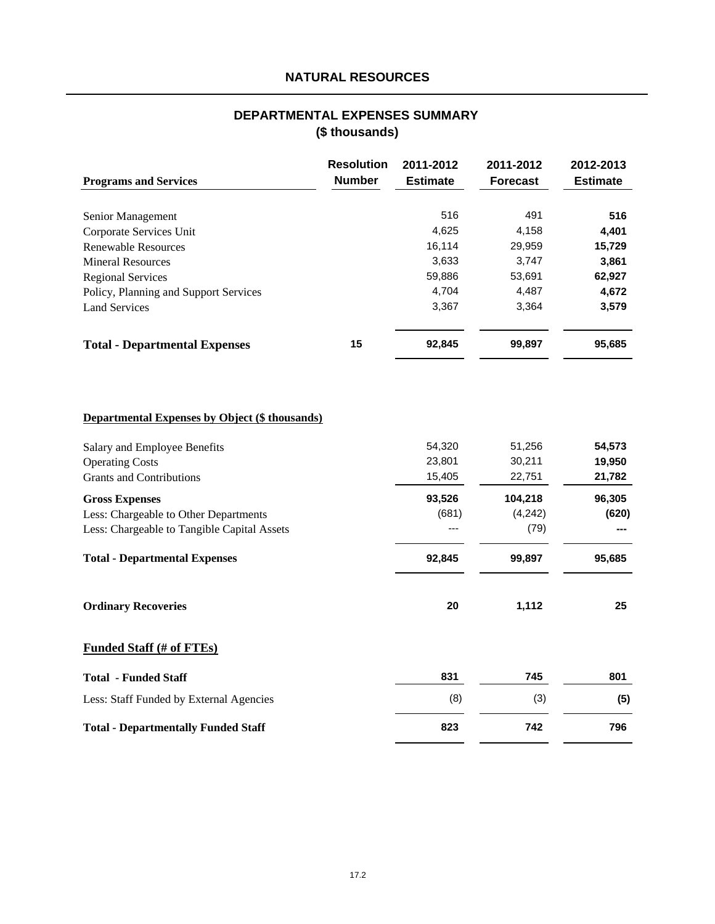# **NATURAL RESOURCES**

## **(\$ thousands) DEPARTMENTAL EXPENSES SUMMARY**

| <b>Programs and Services</b>          | <b>Resolution</b><br><b>Number</b> | 2011-2012<br><b>Estimate</b> | 2011-2012<br><b>Forecast</b> | 2012-2013<br><b>Estimate</b> |
|---------------------------------------|------------------------------------|------------------------------|------------------------------|------------------------------|
| Senior Management                     |                                    | 516                          | 491                          | 516                          |
| Corporate Services Unit               |                                    | 4,625                        | 4,158                        | 4,401                        |
| <b>Renewable Resources</b>            |                                    | 16,114                       | 29,959                       | 15,729                       |
| <b>Mineral Resources</b>              |                                    | 3,633                        | 3.747                        | 3.861                        |
| <b>Regional Services</b>              |                                    | 59,886                       | 53,691                       | 62,927                       |
| Policy, Planning and Support Services |                                    | 4,704                        | 4,487                        | 4,672                        |
| <b>Land Services</b>                  |                                    | 3,367                        | 3,364                        | 3,579                        |
| <b>Total - Departmental Expenses</b>  | 15                                 | 92,845                       | 99,897                       | 95,685                       |

## **Departmental Expenses by Object (\$ thousands)**

| Salary and Employee Benefits                | 54,320 | 51,256  | 54,573 |
|---------------------------------------------|--------|---------|--------|
| <b>Operating Costs</b>                      | 23,801 | 30,211  | 19,950 |
| <b>Grants and Contributions</b>             | 15,405 | 22,751  | 21,782 |
| <b>Gross Expenses</b>                       | 93,526 | 104,218 | 96,305 |
| Less: Chargeable to Other Departments       | (681)  | (4,242) | (620)  |
| Less: Chargeable to Tangible Capital Assets | ---    | (79)    |        |
| <b>Total - Departmental Expenses</b>        | 92,845 | 99,897  | 95,685 |
| <b>Ordinary Recoveries</b>                  | 20     | 1,112   | 25     |
| <b>Funded Staff (# of FTEs)</b>             |        |         |        |
| <b>Total - Funded Staff</b>                 | 831    | 745     | 801    |
| Less: Staff Funded by External Agencies     | (8)    | (3)     | (5)    |
| <b>Total - Departmentally Funded Staff</b>  | 823    | 742     | 796    |
|                                             |        |         |        |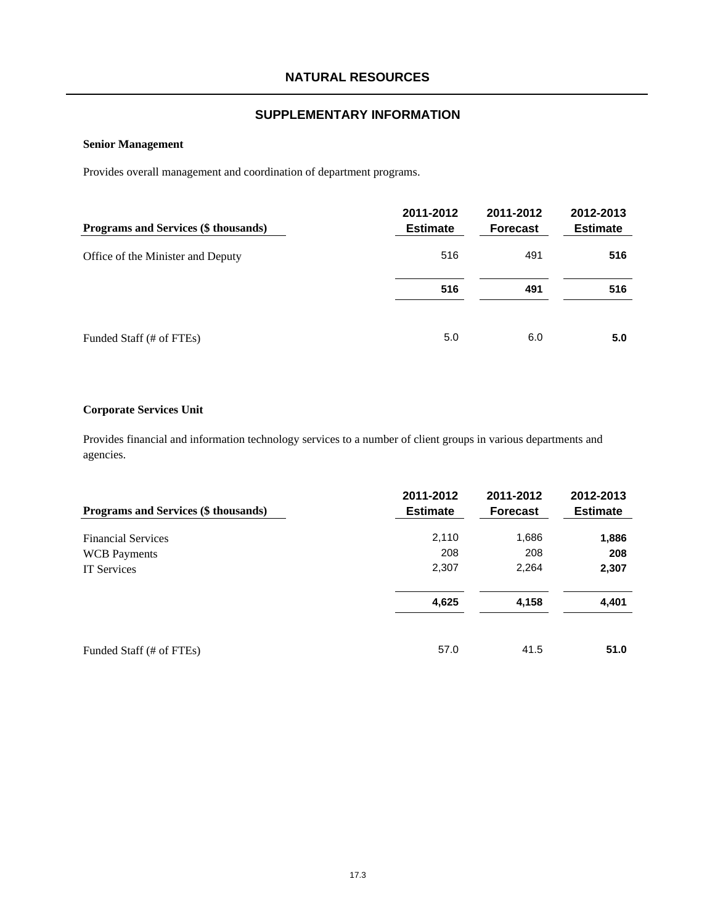### **Senior Management**

Provides overall management and coordination of department programs.

| Programs and Services (\$ thousands) | 2011-2012<br><b>Estimate</b> | 2011-2012<br><b>Forecast</b> | 2012-2013<br><b>Estimate</b> |
|--------------------------------------|------------------------------|------------------------------|------------------------------|
| Office of the Minister and Deputy    | 516                          | 491                          | 516                          |
|                                      | 516                          | 491                          | 516                          |
| Funded Staff (# of FTEs)             | 5.0                          | 6.0                          | 5.0                          |

#### **Corporate Services Unit**

Provides financial and information technology services to a number of client groups in various departments and agencies.

| Programs and Services (\$ thousands) | 2011-2012<br><b>Estimate</b> | 2011-2012<br><b>Forecast</b> | 2012-2013<br><b>Estimate</b> |
|--------------------------------------|------------------------------|------------------------------|------------------------------|
| <b>Financial Services</b>            | 2,110                        | 1,686                        | 1,886                        |
| <b>WCB</b> Payments                  | 208                          | 208                          | 208                          |
| <b>IT Services</b>                   | 2,307                        | 2,264                        | 2,307                        |
|                                      | 4,625                        | 4,158                        | 4,401                        |
| Funded Staff (# of FTEs)             | 57.0                         | 41.5                         | 51.0                         |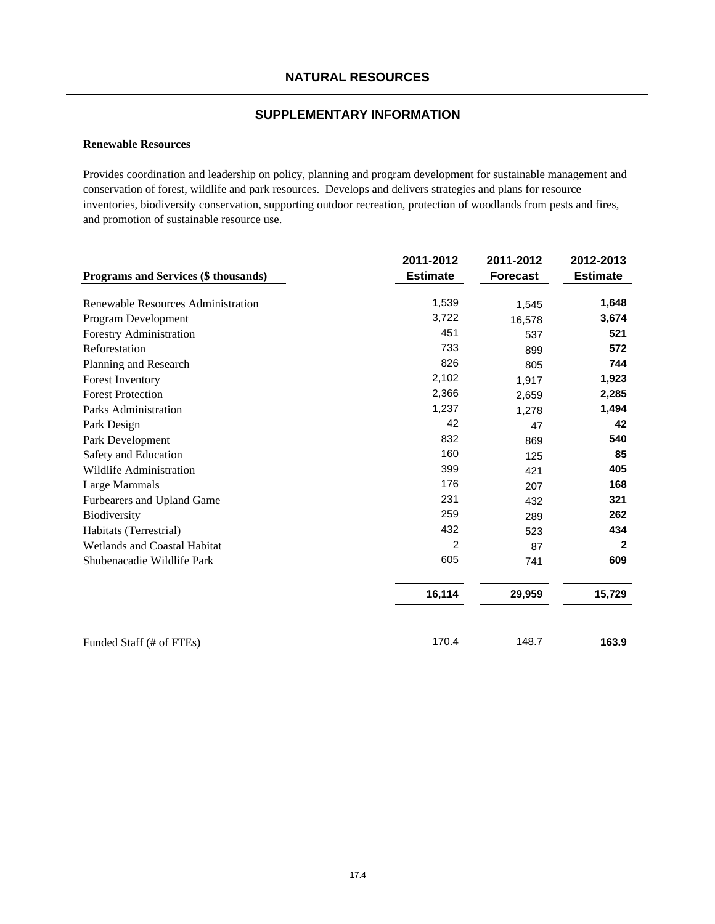#### **Renewable Resources**

Provides coordination and leadership on policy, planning and program development for sustainable management and conservation of forest, wildlife and park resources. Develops and delivers strategies and plans for resource inventories, biodiversity conservation, supporting outdoor recreation, protection of woodlands from pests and fires, and promotion of sustainable resource use.

|                                      | 2011-2012       | 2011-2012       | 2012-2013       |
|--------------------------------------|-----------------|-----------------|-----------------|
| Programs and Services (\$ thousands) | <b>Estimate</b> | <b>Forecast</b> | <b>Estimate</b> |
| Renewable Resources Administration   | 1,539           | 1,545           | 1,648           |
| Program Development                  | 3,722           | 16,578          | 3,674           |
| Forestry Administration              | 451             | 537             | 521             |
| Reforestation                        | 733             | 899             | 572             |
| Planning and Research                | 826             | 805             | 744             |
| <b>Forest Inventory</b>              | 2,102           | 1,917           | 1,923           |
| <b>Forest Protection</b>             | 2,366           | 2,659           | 2,285           |
| Parks Administration                 | 1,237           | 1,278           | 1,494           |
| Park Design                          | 42              | 47              | 42              |
| Park Development                     | 832             | 869             | 540             |
| Safety and Education                 | 160             | 125             | 85              |
| Wildlife Administration              | 399             | 421             | 405             |
| Large Mammals                        | 176             | 207             | 168             |
| Furbearers and Upland Game           | 231             | 432             | 321             |
| <b>Biodiversity</b>                  | 259             | 289             | 262             |
| Habitats (Terrestrial)               | 432             | 523             | 434             |
| <b>Wetlands and Coastal Habitat</b>  | $\overline{2}$  | 87              | $\mathbf{2}$    |
| Shubenacadie Wildlife Park           | 605             | 741             | 609             |
|                                      | 16,114          | 29,959          | 15,729          |
| Funded Staff (# of FTEs)             | 170.4           | 148.7           | 163.9           |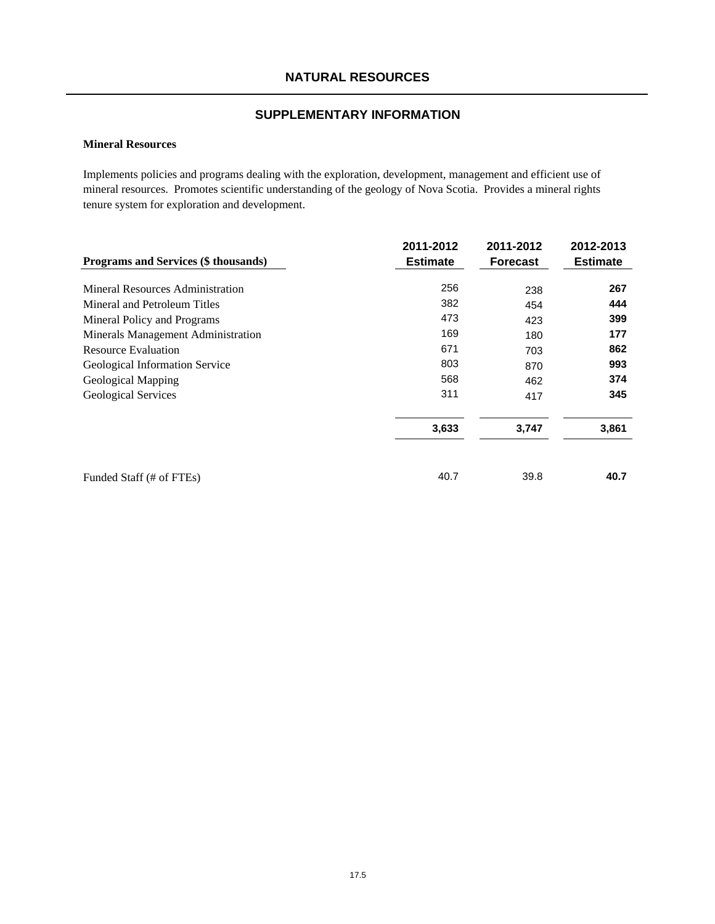## **NATURAL RESOURCES**

## **SUPPLEMENTARY INFORMATION**

### **Mineral Resources**

Implements policies and programs dealing with the exploration, development, management and efficient use of mineral resources. Promotes scientific understanding of the geology of Nova Scotia. Provides a mineral rights tenure system for exploration and development.

|                                      | 2011-2012       | 2011-2012       | 2012-2013       |
|--------------------------------------|-----------------|-----------------|-----------------|
| Programs and Services (\$ thousands) | <b>Estimate</b> | <b>Forecast</b> | <b>Estimate</b> |
| Mineral Resources Administration     | 256             | 238             | 267             |
| Mineral and Petroleum Titles         | 382             | 454             | 444             |
| Mineral Policy and Programs          | 473             | 423             | 399             |
| Minerals Management Administration   | 169             | 180             | 177             |
| <b>Resource Evaluation</b>           | 671             | 703             | 862             |
| Geological Information Service       | 803             | 870             | 993             |
| Geological Mapping                   | 568             | 462             | 374             |
| <b>Geological Services</b>           | 311             | 417             | 345             |
|                                      | 3,633           | 3,747           | 3,861           |
| Funded Staff (# of FTEs)             | 40.7            | 39.8            | 40.7            |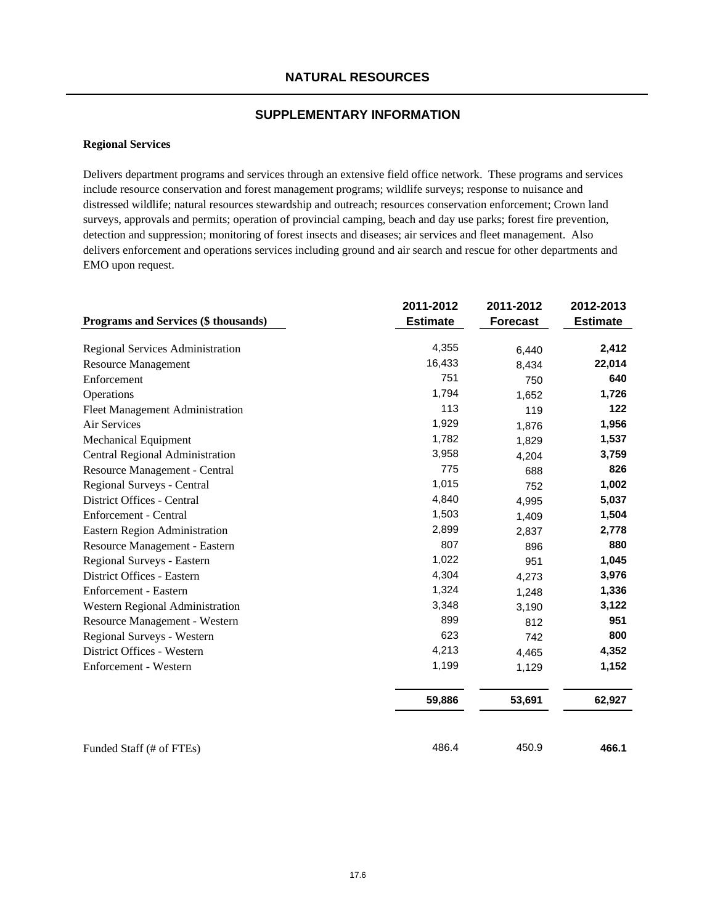#### **Regional Services**

Delivers department programs and services through an extensive field office network. These programs and services include resource conservation and forest management programs; wildlife surveys; response to nuisance and distressed wildlife; natural resources stewardship and outreach; resources conservation enforcement; Crown land surveys, approvals and permits; operation of provincial camping, beach and day use parks; forest fire prevention, detection and suppression; monitoring of forest insects and diseases; air services and fleet management. Also delivers enforcement and operations services including ground and air search and rescue for other departments and EMO upon request.

|                                      | 2011-2012       | 2011-2012       | 2012-2013       |
|--------------------------------------|-----------------|-----------------|-----------------|
| Programs and Services (\$ thousands) | <b>Estimate</b> | <b>Forecast</b> | <b>Estimate</b> |
| Regional Services Administration     | 4,355           | 6,440           | 2,412           |
| <b>Resource Management</b>           | 16,433          | 8,434           | 22,014          |
| Enforcement                          | 751             | 750             | 640             |
| Operations                           | 1,794           | 1,652           | 1,726           |
| Fleet Management Administration      | 113             | 119             | 122             |
| Air Services                         | 1,929           | 1,876           | 1,956           |
| <b>Mechanical Equipment</b>          | 1,782           | 1,829           | 1,537           |
| Central Regional Administration      | 3,958           | 4,204           | 3,759           |
| Resource Management - Central        | 775             | 688             | 826             |
| Regional Surveys - Central           | 1,015           | 752             | 1,002           |
| District Offices - Central           | 4,840           | 4,995           | 5,037           |
| Enforcement - Central                | 1,503           | 1,409           | 1,504           |
| Eastern Region Administration        | 2,899           | 2,837           | 2,778           |
| Resource Management - Eastern        | 807             | 896             | 880             |
| Regional Surveys - Eastern           | 1,022           | 951             | 1,045           |
| District Offices - Eastern           | 4,304           | 4,273           | 3,976           |
| Enforcement - Eastern                | 1,324           | 1,248           | 1,336           |
| Western Regional Administration      | 3,348           | 3,190           | 3,122           |
| Resource Management - Western        | 899             | 812             | 951             |
| Regional Surveys - Western           | 623             | 742             | 800             |
| District Offices - Western           | 4,213           | 4,465           | 4,352           |
| Enforcement - Western                | 1,199           | 1,129           | 1,152           |
|                                      | 59,886          | 53,691          | 62,927          |
| Funded Staff (# of FTEs)             | 486.4           | 450.9           | 466.1           |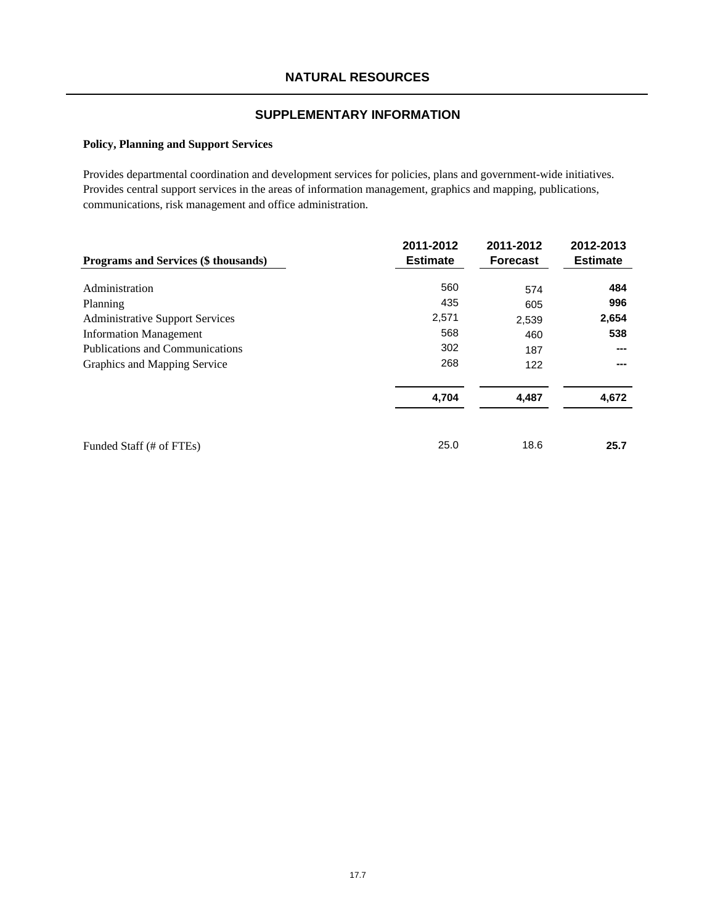#### **Policy, Planning and Support Services**

Provides departmental coordination and development services for policies, plans and government-wide initiatives. Provides central support services in the areas of information management, graphics and mapping, publications, communications, risk management and office administration.

| Programs and Services (\$ thousands)   | 2011-2012<br><b>Estimate</b> | 2011-2012<br><b>Forecast</b> | 2012-2013<br><b>Estimate</b> |
|----------------------------------------|------------------------------|------------------------------|------------------------------|
| Administration                         | 560                          | 574                          | 484                          |
| Planning                               | 435                          | 605                          | 996                          |
| <b>Administrative Support Services</b> | 2,571                        | 2,539                        | 2,654                        |
| <b>Information Management</b>          | 568                          | 460                          | 538                          |
| <b>Publications and Communications</b> | 302                          | 187                          | ---                          |
| Graphics and Mapping Service           | 268                          | 122                          | ---                          |
|                                        | 4,704                        | 4,487                        | 4,672                        |
| Funded Staff (# of FTEs)               | 25.0                         | 18.6                         | 25.7                         |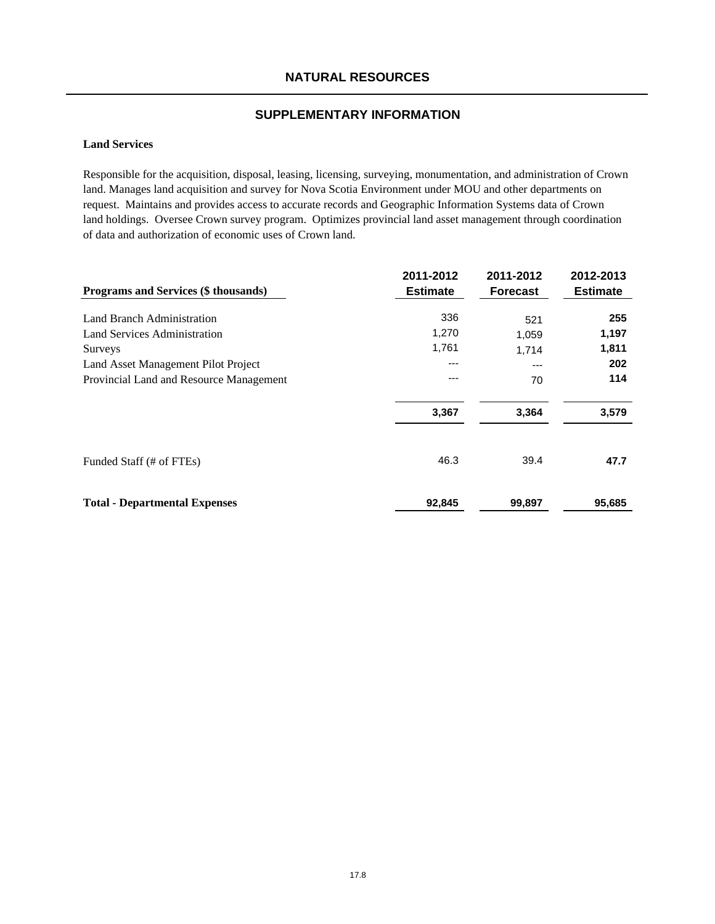## **NATURAL RESOURCES**

## **SUPPLEMENTARY INFORMATION**

### **Land Services**

Responsible for the acquisition, disposal, leasing, licensing, surveying, monumentation, and administration of Crown land. Manages land acquisition and survey for Nova Scotia Environment under MOU and other departments on request. Maintains and provides access to accurate records and Geographic Information Systems data of Crown land holdings. Oversee Crown survey program. Optimizes provincial land asset management through coordination of data and authorization of economic uses of Crown land.

| Programs and Services (\$ thousands)    | 2011-2012<br><b>Estimate</b> | 2011-2012<br><b>Forecast</b> | 2012-2013<br><b>Estimate</b> |
|-----------------------------------------|------------------------------|------------------------------|------------------------------|
| Land Branch Administration              | 336                          | 521                          | 255                          |
| Land Services Administration            | 1,270                        | 1,059                        | 1,197                        |
| Surveys                                 | 1,761                        | 1,714                        | 1,811                        |
| Land Asset Management Pilot Project     | ---                          | ---                          | 202                          |
| Provincial Land and Resource Management | ---                          | 70                           | 114                          |
|                                         | 3,367                        | 3,364                        | 3,579                        |
| Funded Staff (# of FTEs)                | 46.3                         | 39.4                         | 47.7                         |
| <b>Total - Departmental Expenses</b>    | 92,845                       | 99,897                       | 95,685                       |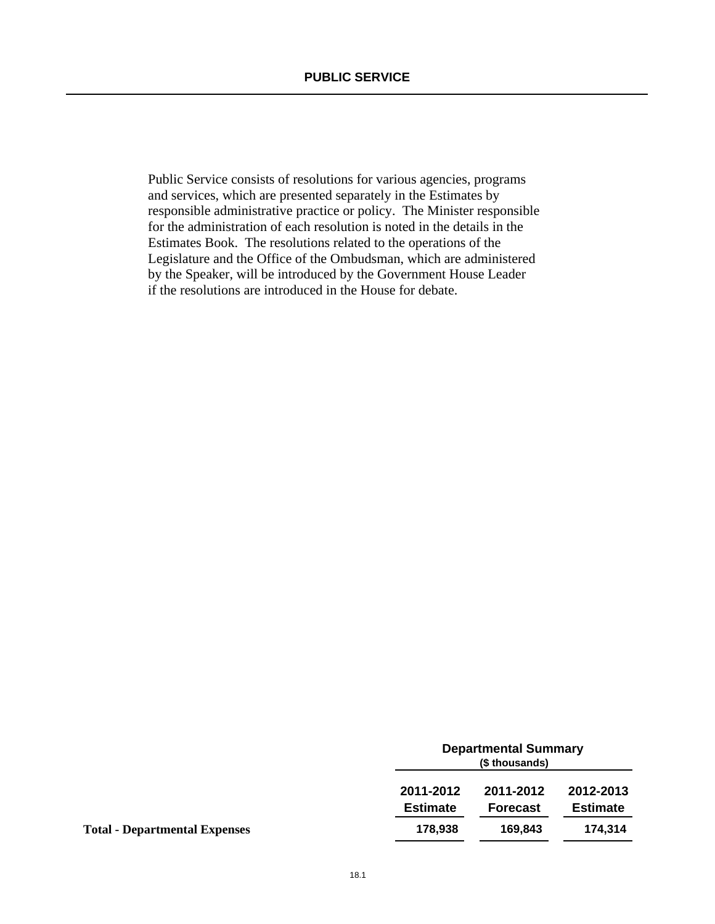Public Service consists of resolutions for various agencies, programs and services, which are presented separately in the Estimates by responsible administrative practice or policy. The Minister responsible for the administration of each resolution is noted in the details in the Estimates Book. The resolutions related to the operations of the Legislature and the Office of the Ombudsman, which are administered by the Speaker, will be introduced by the Government House Leader if the resolutions are introduced in the House for debate.

|                                      |                              | <b>Departmental Summary</b><br>(\$ thousands) |                              |  |
|--------------------------------------|------------------------------|-----------------------------------------------|------------------------------|--|
|                                      | 2011-2012<br><b>Estimate</b> | 2011-2012<br><b>Forecast</b>                  | 2012-2013<br><b>Estimate</b> |  |
| <b>Total - Departmental Expenses</b> | 178,938                      | 169.843                                       | 174.314                      |  |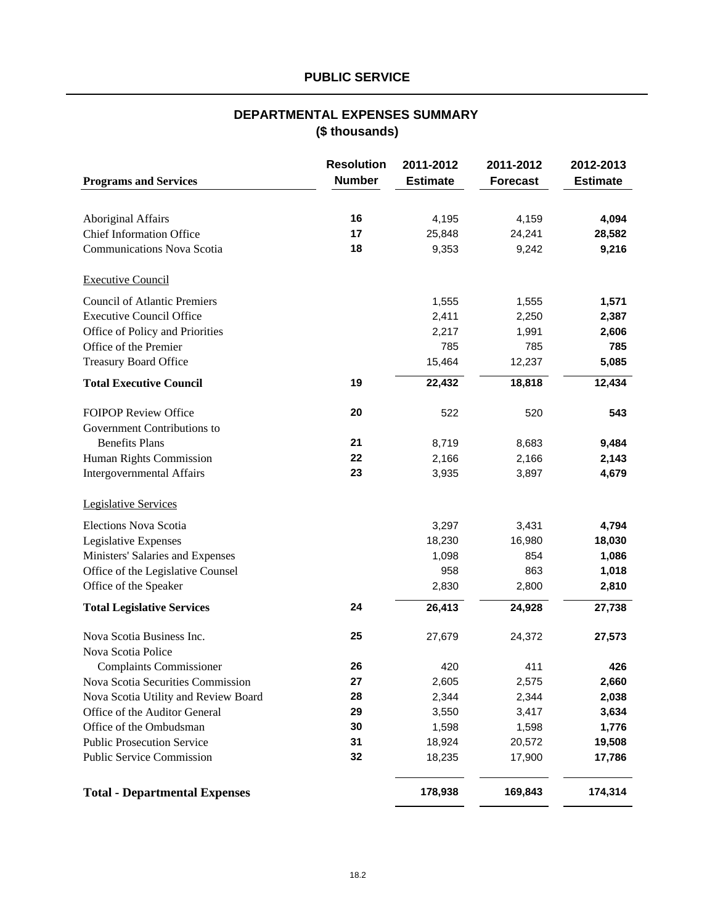# **PUBLIC SERVICE**

# **(\$ thousands) DEPARTMENTAL EXPENSES SUMMARY**

| <b>Programs and Services</b>         | <b>Resolution</b><br><b>Number</b> | 2011-2012<br><b>Estimate</b> | 2011-2012<br><b>Forecast</b> | 2012-2013<br><b>Estimate</b> |
|--------------------------------------|------------------------------------|------------------------------|------------------------------|------------------------------|
|                                      |                                    |                              |                              |                              |
| <b>Aboriginal Affairs</b>            | 16                                 | 4,195                        | 4,159                        | 4,094                        |
| <b>Chief Information Office</b>      | 17                                 | 25,848                       | 24,241                       | 28,582                       |
| <b>Communications Nova Scotia</b>    | 18                                 | 9,353                        | 9,242                        | 9,216                        |
| <b>Executive Council</b>             |                                    |                              |                              |                              |
| <b>Council of Atlantic Premiers</b>  |                                    | 1,555                        | 1,555                        | 1,571                        |
| <b>Executive Council Office</b>      |                                    | 2,411                        | 2,250                        | 2,387                        |
| Office of Policy and Priorities      |                                    | 2,217                        | 1,991                        | 2,606                        |
| Office of the Premier                |                                    | 785                          | 785                          | 785                          |
| Treasury Board Office                |                                    | 15,464                       | 12,237                       | 5,085                        |
| <b>Total Executive Council</b>       | 19                                 | 22,432                       | 18,818                       | 12,434                       |
| <b>FOIPOP Review Office</b>          | 20                                 | 522                          | 520                          | 543                          |
| Government Contributions to          |                                    |                              |                              |                              |
| <b>Benefits Plans</b>                | 21                                 | 8,719                        | 8,683                        | 9,484                        |
| Human Rights Commission              | 22                                 | 2,166                        | 2,166                        | 2,143                        |
| Intergovernmental Affairs            | 23                                 | 3,935                        | 3,897                        | 4,679                        |
| <b>Legislative Services</b>          |                                    |                              |                              |                              |
| Elections Nova Scotia                |                                    | 3,297                        | 3,431                        | 4,794                        |
| Legislative Expenses                 |                                    | 18,230                       | 16,980                       | 18,030                       |
| Ministers' Salaries and Expenses     |                                    | 1,098                        | 854                          | 1,086                        |
| Office of the Legislative Counsel    |                                    | 958                          | 863                          | 1,018                        |
| Office of the Speaker                |                                    | 2,830                        | 2,800                        | 2,810                        |
| <b>Total Legislative Services</b>    | 24                                 | 26,413                       | 24,928                       | 27,738                       |
| Nova Scotia Business Inc.            | 25                                 | 27,679                       | 24,372                       | 27,573                       |
| Nova Scotia Police                   |                                    |                              |                              |                              |
| <b>Complaints Commissioner</b>       | 26                                 | 420                          | 411                          | 426                          |
| Nova Scotia Securities Commission    | 27                                 | 2,605                        | 2,575                        | 2,660                        |
| Nova Scotia Utility and Review Board | 28                                 | 2,344                        | 2,344                        | 2,038                        |
| Office of the Auditor General        | 29                                 | 3,550                        | 3,417                        | 3,634                        |
| Office of the Ombudsman              | 30                                 | 1,598                        | 1,598                        | 1,776                        |
| <b>Public Prosecution Service</b>    | 31                                 | 18,924                       | 20,572                       | 19,508                       |
| <b>Public Service Commission</b>     | 32                                 | 18,235                       | 17,900                       | 17,786                       |
| <b>Total - Departmental Expenses</b> |                                    | 178,938                      | 169,843                      | 174,314                      |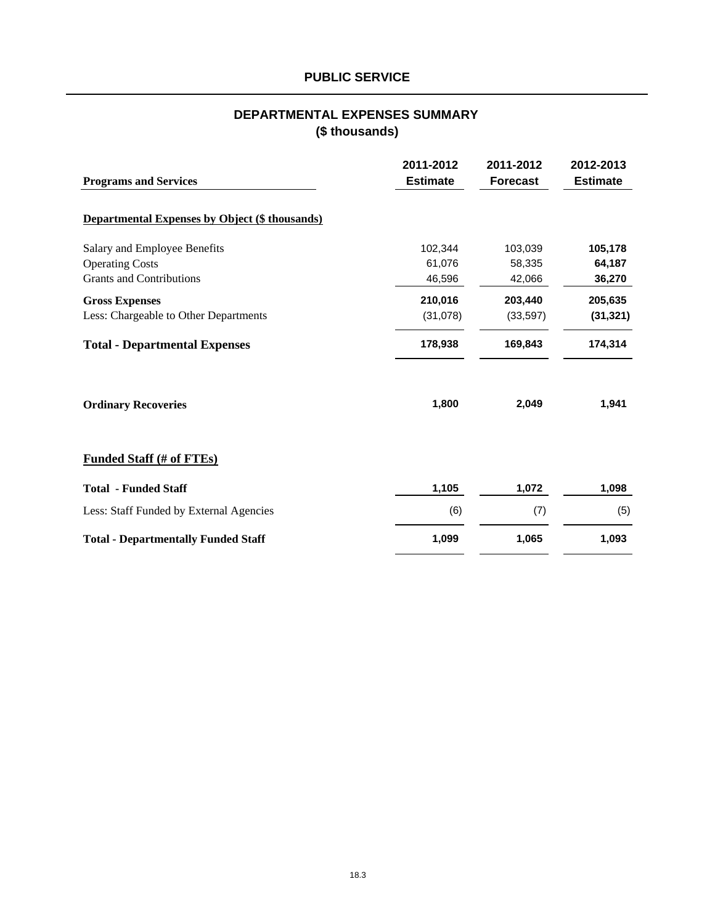# **PUBLIC SERVICE**

# **DEPARTMENTAL EXPENSES SUMMARY (\$ thousands)**

| <b>Programs and Services</b>                          | 2011-2012<br><b>Estimate</b> | 2011-2012<br><b>Forecast</b> | 2012-2013<br><b>Estimate</b> |
|-------------------------------------------------------|------------------------------|------------------------------|------------------------------|
| <b>Departmental Expenses by Object (\$ thousands)</b> |                              |                              |                              |
| Salary and Employee Benefits                          | 102,344                      | 103,039                      | 105,178                      |
| <b>Operating Costs</b>                                | 61,076                       | 58,335                       | 64,187                       |
| <b>Grants and Contributions</b>                       | 46,596                       | 42,066                       | 36,270                       |
| <b>Gross Expenses</b>                                 | 210,016                      | 203,440                      | 205,635                      |
| Less: Chargeable to Other Departments                 | (31,078)                     | (33, 597)                    | (31, 321)                    |
| <b>Total - Departmental Expenses</b>                  | 178,938                      | 169,843                      | 174,314                      |
| <b>Ordinary Recoveries</b>                            | 1,800                        | 2,049                        | 1,941                        |
| <b>Funded Staff (# of FTEs)</b>                       |                              |                              |                              |
| <b>Total - Funded Staff</b>                           | 1,105                        | 1,072                        | 1,098                        |
| Less: Staff Funded by External Agencies               | (6)                          | (7)                          | (5)                          |
| <b>Total - Departmentally Funded Staff</b>            | 1,099                        | 1,065                        | 1,093                        |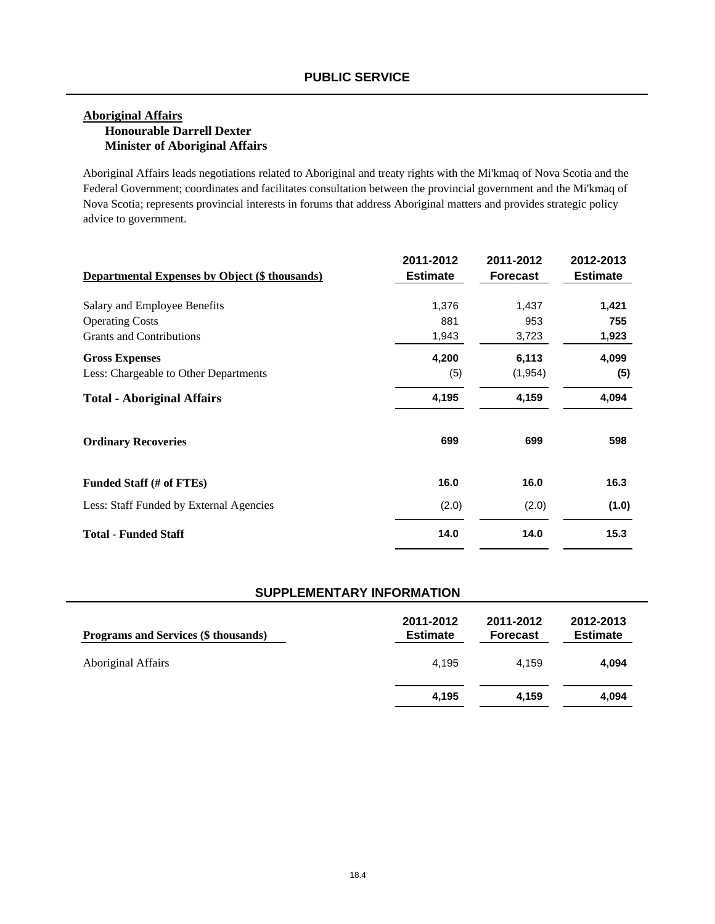## **Aboriginal Affairs Honourable Darrell Dexter Minister of Aboriginal Affairs**

Aboriginal Affairs leads negotiations related to Aboriginal and treaty rights with the Mi'kmaq of Nova Scotia and the Federal Government; coordinates and facilitates consultation between the provincial government and the Mi'kmaq of Nova Scotia; represents provincial interests in forums that address Aboriginal matters and provides strategic policy advice to government.

|                                                       | 2011-2012       | 2011-2012       | 2012-2013       |
|-------------------------------------------------------|-----------------|-----------------|-----------------|
| <b>Departmental Expenses by Object (\$ thousands)</b> | <b>Estimate</b> | <b>Forecast</b> | <b>Estimate</b> |
| Salary and Employee Benefits                          | 1,376           | 1,437           | 1,421           |
| <b>Operating Costs</b>                                | 881             | 953             | 755             |
| <b>Grants and Contributions</b>                       | 1,943           | 3,723           | 1,923           |
| <b>Gross Expenses</b>                                 | 4,200           | 6,113           | 4,099           |
| Less: Chargeable to Other Departments                 | (5)             | (1, 954)        | (5)             |
| <b>Total - Aboriginal Affairs</b>                     | 4,195           | 4,159           | 4,094           |
| <b>Ordinary Recoveries</b>                            | 699             | 699             | 598             |
| Funded Staff (# of FTEs)                              | 16.0            | 16.0            | 16.3            |
| Less: Staff Funded by External Agencies               | (2.0)           | (2.0)           | (1.0)           |
| <b>Total - Funded Staff</b>                           | 14.0            | 14.0            | 15.3            |

| <b>Programs and Services (\$ thousands)</b> | 2011-2012<br><b>Estimate</b> | 2011-2012<br><b>Forecast</b> | 2012-2013<br><b>Estimate</b> |
|---------------------------------------------|------------------------------|------------------------------|------------------------------|
| <b>Aboriginal Affairs</b>                   | 4.195                        | 4.159                        | 4,094                        |
|                                             | 4,195                        | 4.159                        | 4,094                        |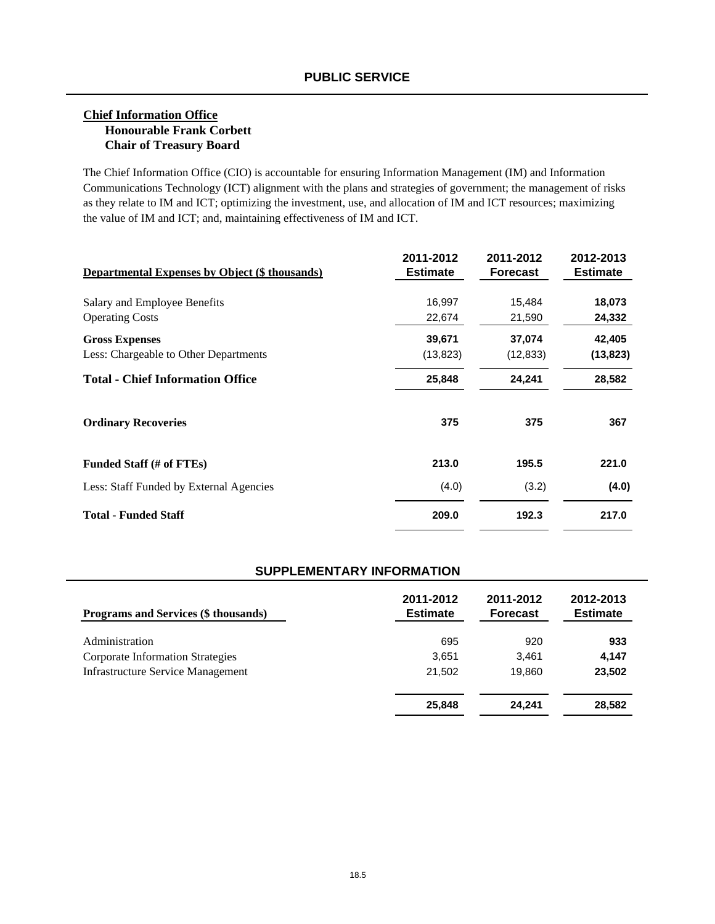### **Chief Information Office Honourable Frank Corbett Chair of Treasury Board**

The Chief Information Office (CIO) is accountable for ensuring Information Management (IM) and Information Communications Technology (ICT) alignment with the plans and strategies of government; the management of risks as they relate to IM and ICT; optimizing the investment, use, and allocation of IM and ICT resources; maximizing the value of IM and ICT; and, maintaining effectiveness of IM and ICT.

| <b>Departmental Expenses by Object (\$ thousands)</b> | 2011-2012<br><b>Estimate</b> | 2011-2012<br><b>Forecast</b> | 2012-2013<br><b>Estimate</b> |
|-------------------------------------------------------|------------------------------|------------------------------|------------------------------|
| Salary and Employee Benefits                          | 16,997                       | 15,484                       | 18,073                       |
| <b>Operating Costs</b>                                | 22,674                       | 21,590                       | 24,332                       |
| <b>Gross Expenses</b>                                 | 39,671                       | 37,074                       | 42,405                       |
| Less: Chargeable to Other Departments                 | (13, 823)                    | (12, 833)                    | (13, 823)                    |
| <b>Total - Chief Information Office</b>               | 25,848                       | 24,241                       | 28,582                       |
| <b>Ordinary Recoveries</b>                            | 375                          | 375                          | 367                          |
| Funded Staff (# of FTEs)                              | 213.0                        | 195.5                        | 221.0                        |
| Less: Staff Funded by External Agencies               | (4.0)                        | (3.2)                        | (4.0)                        |
| <b>Total - Funded Staff</b>                           | 209.0                        | 192.3                        | 217.0                        |

| Programs and Services (\$ thousands)     | 2011-2012<br><b>Estimate</b> | 2011-2012<br><b>Forecast</b> | 2012-2013<br><b>Estimate</b> |
|------------------------------------------|------------------------------|------------------------------|------------------------------|
| Administration                           | 695                          | 920                          | 933                          |
| Corporate Information Strategies         | 3,651                        | 3.461                        | 4.147                        |
| <b>Infrastructure Service Management</b> | 21,502                       | 19.860                       | 23,502                       |
|                                          | 25,848                       | 24,241                       | 28,582                       |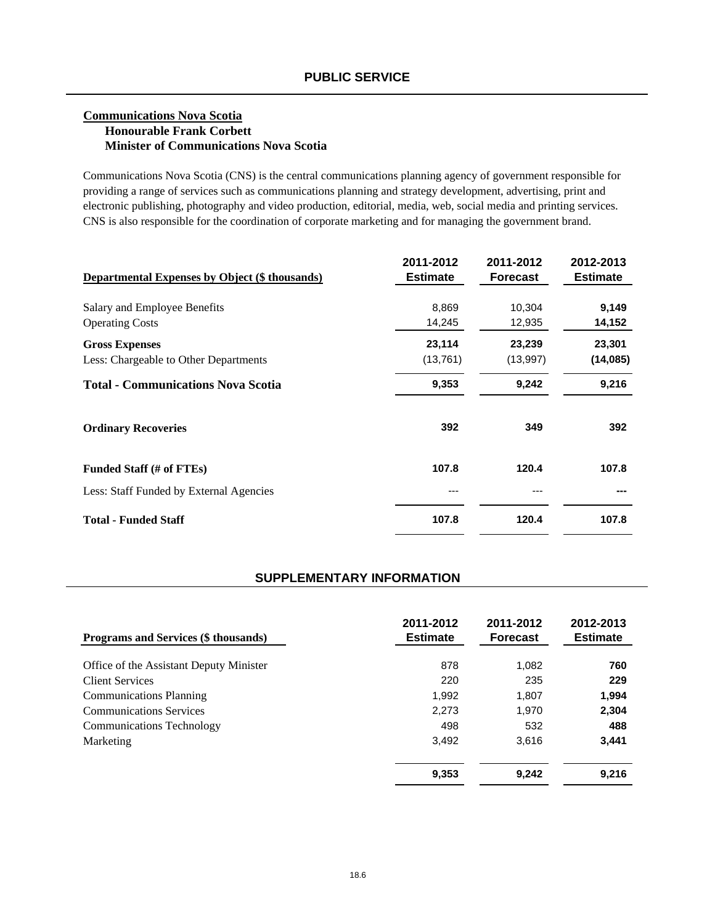#### **Communications Nova Scotia Honourable Frank Corbett Minister of Communications Nova Scotia**

Communications Nova Scotia (CNS) is the central communications planning agency of government responsible for providing a range of services such as communications planning and strategy development, advertising, print and electronic publishing, photography and video production, editorial, media, web, social media and printing services. CNS is also responsible for the coordination of corporate marketing and for managing the government brand.

| <b>Departmental Expenses by Object (\$ thousands)</b> | 2011-2012<br><b>Estimate</b> | 2011-2012<br><b>Forecast</b> | 2012-2013<br><b>Estimate</b> |
|-------------------------------------------------------|------------------------------|------------------------------|------------------------------|
| Salary and Employee Benefits                          | 8,869                        | 10,304                       | 9,149                        |
| <b>Operating Costs</b>                                | 14,245                       | 12,935                       | 14,152                       |
| <b>Gross Expenses</b>                                 | 23,114                       | 23,239                       | 23,301                       |
| Less: Chargeable to Other Departments                 | (13,761)                     | (13,997)                     | (14,085)                     |
| <b>Total - Communications Nova Scotia</b>             | 9,353                        | 9,242                        | 9,216                        |
| <b>Ordinary Recoveries</b>                            | 392                          | 349                          | 392                          |
| Funded Staff (# of FTEs)                              | 107.8                        | 120.4                        | 107.8                        |
| Less: Staff Funded by External Agencies               | ---                          |                              |                              |
| <b>Total - Funded Staff</b>                           | 107.8                        | 120.4                        | 107.8                        |

| <b>Programs and Services (\$ thousands)</b> | 2011-2012<br><b>Estimate</b> | 2011-2012<br><b>Forecast</b> | 2012-2013<br><b>Estimate</b> |
|---------------------------------------------|------------------------------|------------------------------|------------------------------|
| Office of the Assistant Deputy Minister     | 878                          | 1,082                        | 760                          |
| <b>Client Services</b>                      | 220                          | 235                          | 229                          |
| <b>Communications Planning</b>              | 1,992                        | 1,807                        | 1,994                        |
| <b>Communications Services</b>              | 2.273                        | 1,970                        | 2,304                        |
| <b>Communications Technology</b>            | 498                          | 532                          | 488                          |
| Marketing                                   | 3,492                        | 3.616                        | 3,441                        |
|                                             | 9,353                        | 9,242                        | 9,216                        |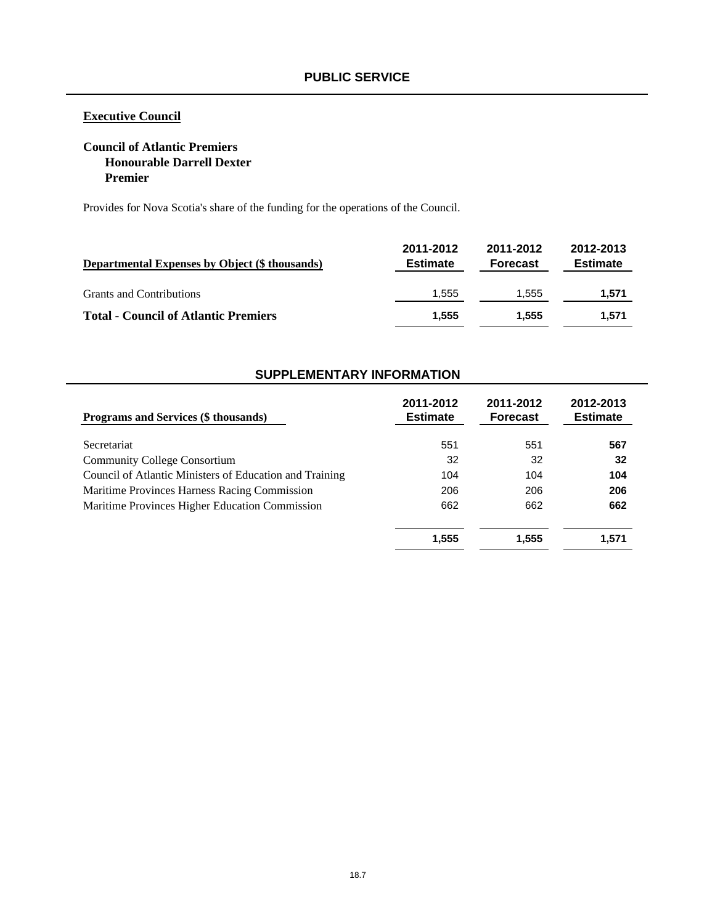## **Executive Council**

### **Council of Atlantic Premiers Honourable Darrell Dexter Premier**

Provides for Nova Scotia's share of the funding for the operations of the Council.

| <b>Departmental Expenses by Object (\$ thousands)</b> | 2011-2012<br><b>Estimate</b> | 2011-2012<br><b>Forecast</b> | 2012-2013<br><b>Estimate</b> |
|-------------------------------------------------------|------------------------------|------------------------------|------------------------------|
| <b>Grants and Contributions</b>                       | 1.555                        | 1.555                        | 1,571                        |
| <b>Total - Council of Atlantic Premiers</b>           | 1.555                        | 1.555                        | 1.571                        |

| Programs and Services (\$ thousands)                    | 2011-2012<br><b>Estimate</b> | 2011-2012<br><b>Forecast</b> | 2012-2013<br><b>Estimate</b> |
|---------------------------------------------------------|------------------------------|------------------------------|------------------------------|
| Secretariat                                             | 551                          | 551                          | 567                          |
| <b>Community College Consortium</b>                     | 32                           | 32                           | 32                           |
| Council of Atlantic Ministers of Education and Training | 104                          | 104                          | 104                          |
| Maritime Provinces Harness Racing Commission            | 206                          | 206                          | 206                          |
| Maritime Provinces Higher Education Commission          | 662                          | 662                          | 662                          |
|                                                         | 1,555                        | 1.555                        | 1,571                        |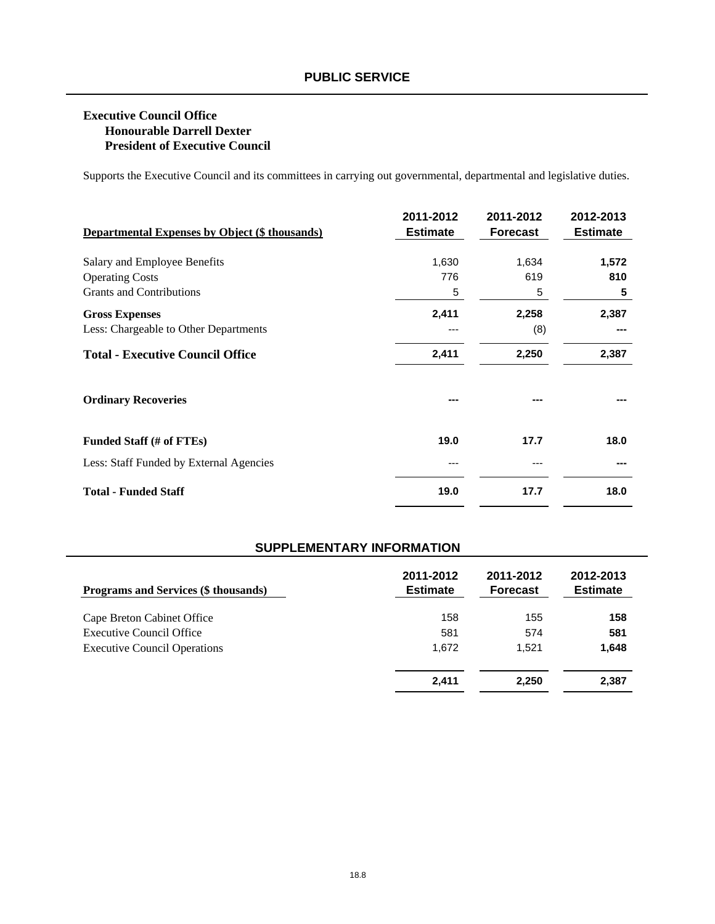## **Executive Council Office Honourable Darrell Dexter President of Executive Council**

Supports the Executive Council and its committees in carrying out governmental, departmental and legislative duties.

| <b>Departmental Expenses by Object (\$ thousands)</b> | 2011-2012<br><b>Estimate</b> | 2011-2012<br><b>Forecast</b> | 2012-2013<br><b>Estimate</b> |
|-------------------------------------------------------|------------------------------|------------------------------|------------------------------|
| Salary and Employee Benefits                          | 1,630                        | 1,634                        | 1,572                        |
| <b>Operating Costs</b>                                | 776                          | 619                          | 810                          |
| <b>Grants and Contributions</b>                       | 5                            | 5                            | 5                            |
| <b>Gross Expenses</b>                                 | 2,411                        | 2,258                        | 2,387                        |
| Less: Chargeable to Other Departments                 | ---                          | (8)                          |                              |
| <b>Total - Executive Council Office</b>               | 2,411                        | 2,250                        | 2,387                        |
| <b>Ordinary Recoveries</b>                            |                              |                              |                              |
| Funded Staff (# of FTEs)                              | 19.0                         | 17.7                         | 18.0                         |
| Less: Staff Funded by External Agencies               | ---                          |                              |                              |
| <b>Total - Funded Staff</b>                           | 19.0                         | 17.7                         | 18.0                         |

| Programs and Services (\$ thousands) | 2011-2012<br><b>Estimate</b> | 2011-2012<br><b>Forecast</b> | 2012-2013<br><b>Estimate</b> |
|--------------------------------------|------------------------------|------------------------------|------------------------------|
| Cape Breton Cabinet Office           | 158                          | 155                          | 158                          |
| <b>Executive Council Office</b>      | 581                          | 574                          | 581                          |
| <b>Executive Council Operations</b>  | 1.672                        | 1.521                        | 1,648                        |
|                                      | 2,411                        | 2,250                        | 2,387                        |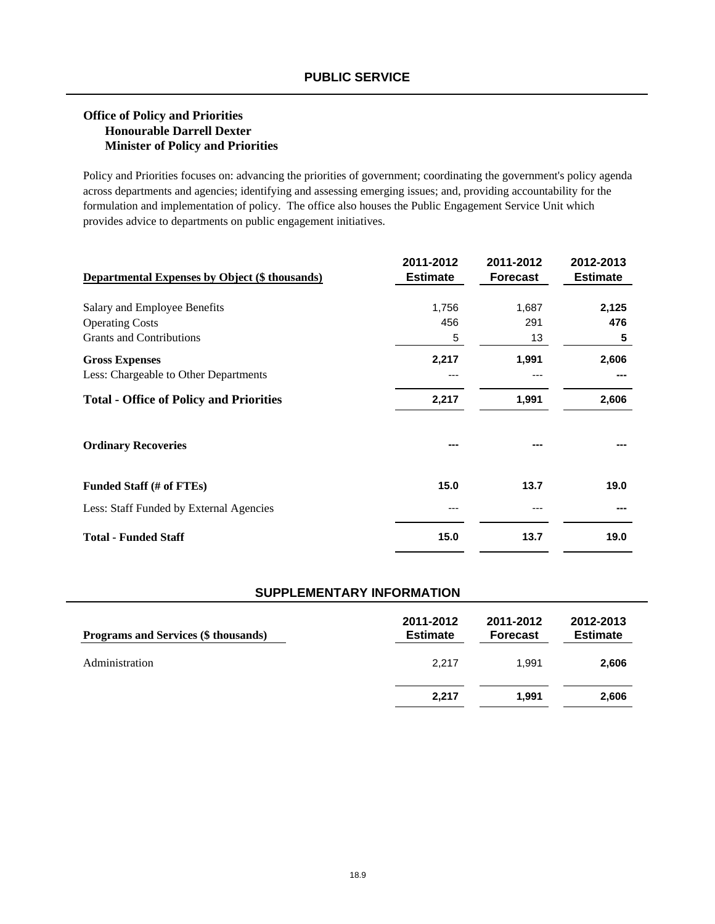### **Office of Policy and Priorities Honourable Darrell Dexter Minister of Policy and Priorities**

Policy and Priorities focuses on: advancing the priorities of government; coordinating the government's policy agenda across departments and agencies; identifying and assessing emerging issues; and, providing accountability for the formulation and implementation of policy. The office also houses the Public Engagement Service Unit which provides advice to departments on public engagement initiatives.

| <b>Departmental Expenses by Object (\$ thousands)</b> | 2011-2012<br><b>Estimate</b> | 2011-2012<br><b>Forecast</b> | 2012-2013<br><b>Estimate</b> |
|-------------------------------------------------------|------------------------------|------------------------------|------------------------------|
| Salary and Employee Benefits                          | 1,756                        | 1,687                        | 2,125                        |
| <b>Operating Costs</b>                                | 456                          | 291                          | 476                          |
| <b>Grants and Contributions</b>                       | 5                            | 13                           | 5                            |
| <b>Gross Expenses</b>                                 | 2,217                        | 1,991                        | 2,606                        |
| Less: Chargeable to Other Departments                 | ---                          |                              |                              |
| <b>Total - Office of Policy and Priorities</b>        | 2,217                        | 1,991                        | 2,606                        |
| <b>Ordinary Recoveries</b>                            |                              |                              |                              |
| Funded Staff (# of FTEs)                              | 15.0                         | 13.7                         | 19.0                         |
| Less: Staff Funded by External Agencies               | ---                          |                              |                              |
| <b>Total - Funded Staff</b>                           | 15.0                         | 13.7                         | 19.0                         |

| <b>Programs and Services (\$ thousands)</b> | 2011-2012<br><b>Estimate</b> | 2011-2012<br><b>Forecast</b> | 2012-2013<br><b>Estimate</b> |
|---------------------------------------------|------------------------------|------------------------------|------------------------------|
| Administration                              | 2.217                        | 1.991                        | 2,606                        |
|                                             | 2.217                        | 1.991                        | 2,606                        |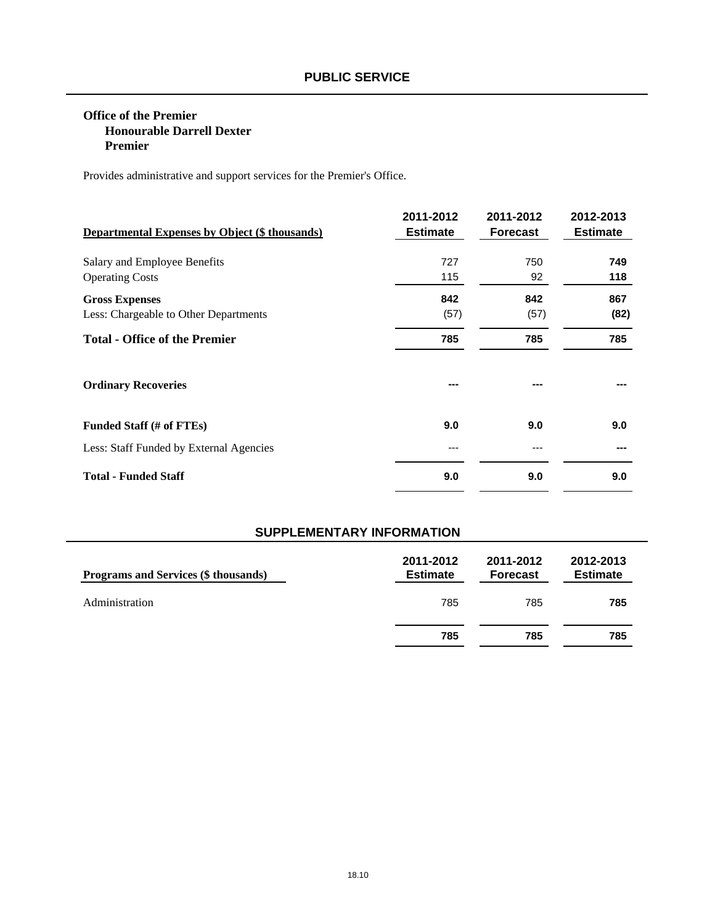### **Office of the Premier Honourable Darrell Dexter Premier**

Provides administrative and support services for the Premier's Office.

| <b>Departmental Expenses by Object (\$ thousands)</b> | 2011-2012<br><b>Estimate</b> | 2011-2012<br><b>Forecast</b> | 2012-2013<br><b>Estimate</b> |
|-------------------------------------------------------|------------------------------|------------------------------|------------------------------|
| Salary and Employee Benefits                          | 727                          | 750                          | 749                          |
| <b>Operating Costs</b>                                | 115                          | 92                           | 118                          |
| <b>Gross Expenses</b>                                 | 842                          | 842                          | 867                          |
| Less: Chargeable to Other Departments                 | (57)                         | (57)                         | (82)                         |
| <b>Total - Office of the Premier</b>                  | 785                          | 785                          | 785                          |
| <b>Ordinary Recoveries</b>                            | ---                          |                              |                              |
| Funded Staff (# of FTEs)                              | 9.0                          | 9.0                          | 9.0                          |
| Less: Staff Funded by External Agencies               | ---                          |                              |                              |
| <b>Total - Funded Staff</b>                           | 9.0                          | 9.0                          | 9.0                          |

| <b>Programs and Services (\$ thousands)</b> | 2011-2012<br><b>Estimate</b> | 2011-2012<br><b>Forecast</b> | 2012-2013<br><b>Estimate</b> |
|---------------------------------------------|------------------------------|------------------------------|------------------------------|
| Administration                              | 785                          | 785                          | 785                          |
|                                             | 785                          | 785                          | 785                          |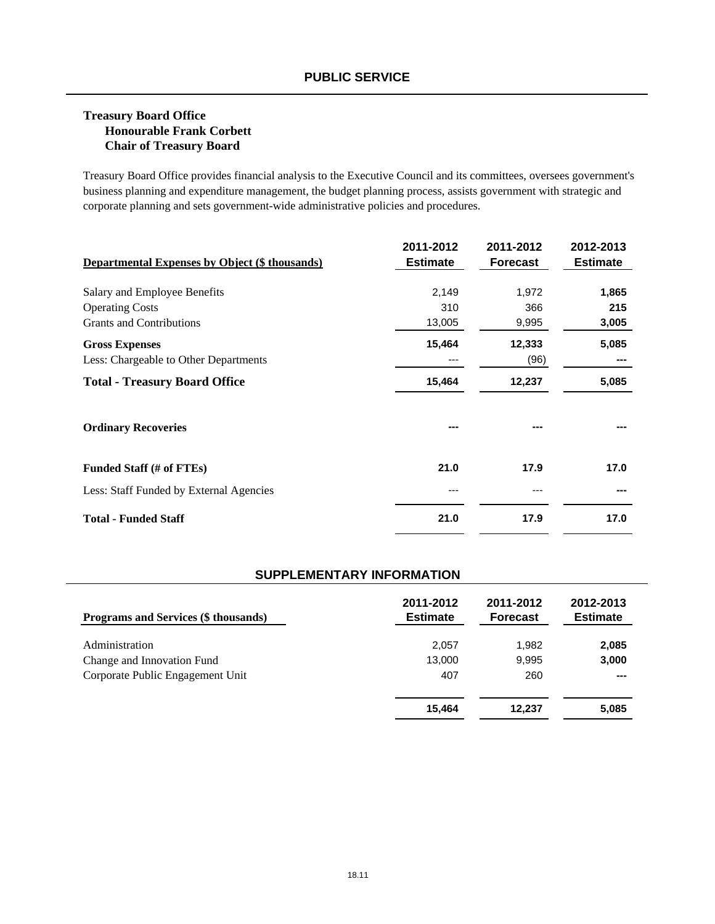## **Treasury Board Office Honourable Frank Corbett Chair of Treasury Board**

Treasury Board Office provides financial analysis to the Executive Council and its committees, oversees government's business planning and expenditure management, the budget planning process, assists government with strategic and corporate planning and sets government-wide administrative policies and procedures.

| <b>Departmental Expenses by Object (\$ thousands)</b> | 2011-2012<br><b>Estimate</b> | 2011-2012<br><b>Forecast</b> | 2012-2013<br><b>Estimate</b> |
|-------------------------------------------------------|------------------------------|------------------------------|------------------------------|
|                                                       |                              |                              |                              |
| Salary and Employee Benefits                          | 2,149                        | 1,972                        | 1,865                        |
| <b>Operating Costs</b>                                | 310                          | 366                          | 215                          |
| <b>Grants and Contributions</b>                       | 13,005                       | 9,995                        | 3,005                        |
| <b>Gross Expenses</b>                                 | 15,464                       | 12,333                       | 5,085                        |
| Less: Chargeable to Other Departments                 | ---                          | (96)                         |                              |
| <b>Total - Treasury Board Office</b>                  | 15,464                       | 12,237                       | 5,085                        |
| <b>Ordinary Recoveries</b>                            |                              |                              |                              |
| Funded Staff (# of FTEs)                              | 21.0                         | 17.9                         | 17.0                         |
| Less: Staff Funded by External Agencies               | ---                          |                              |                              |
| <b>Total - Funded Staff</b>                           | 21.0                         | 17.9                         | 17.0                         |

| <b>Programs and Services (\$ thousands)</b> | 2011-2012<br><b>Estimate</b> | 2011-2012<br><b>Forecast</b> | 2012-2013<br><b>Estimate</b> |
|---------------------------------------------|------------------------------|------------------------------|------------------------------|
| Administration                              | 2,057                        | 1,982                        | 2,085                        |
| Change and Innovation Fund                  | 13.000                       | 9,995                        | 3,000                        |
| Corporate Public Engagement Unit            | 407                          | 260                          | $-- -$                       |
|                                             | 15.464                       | 12.237                       | 5,085                        |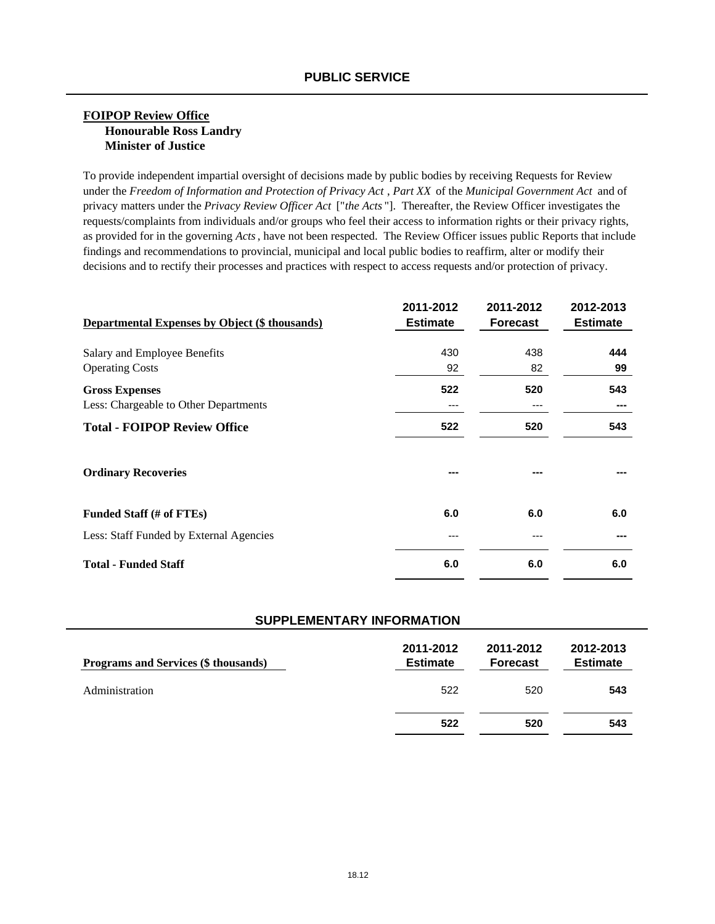#### **FOIPOP Review Office Honourable Ross Landry Minister of Justice**

To provide independent impartial oversight of decisions made by public bodies by receiving Requests for Review under the *Freedom of Information and Protection of Privacy Act* , *Part XX* of the *Municipal Government Act* and of privacy matters under the *Privacy Review Officer Act* ["*the Acts* "]. Thereafter, the Review Officer investigates the requests/complaints from individuals and/or groups who feel their access to information rights or their privacy rights, as provided for in the governing *Acts*, have not been respected. The Review Officer issues public Reports that include findings and recommendations to provincial, municipal and local public bodies to reaffirm, alter or modify their decisions and to rectify their processes and practices with respect to access requests and/or protection of privacy.

| <b>Departmental Expenses by Object (\$ thousands)</b>          | 2011-2012<br><b>Estimate</b> | 2011-2012<br><b>Forecast</b> | 2012-2013<br><b>Estimate</b> |
|----------------------------------------------------------------|------------------------------|------------------------------|------------------------------|
| Salary and Employee Benefits<br><b>Operating Costs</b>         | 430<br>92                    | 438<br>82                    | 444<br>99                    |
| <b>Gross Expenses</b><br>Less: Chargeable to Other Departments | 522<br>---                   | 520<br>---                   | 543                          |
| <b>Total - FOIPOP Review Office</b>                            | 522                          | 520                          | 543                          |
| <b>Ordinary Recoveries</b>                                     | ---                          |                              |                              |
| Funded Staff (# of FTEs)                                       | 6.0                          | 6.0                          | 6.0                          |
| Less: Staff Funded by External Agencies                        | ---                          |                              |                              |
| <b>Total - Funded Staff</b>                                    | 6.0                          | 6.0                          | 6.0                          |

| Programs and Services (\$ thousands) | 2011-2012<br><b>Estimate</b> | 2011-2012<br><b>Forecast</b> | 2012-2013<br><b>Estimate</b> |
|--------------------------------------|------------------------------|------------------------------|------------------------------|
| Administration                       | 522                          | 520                          | 543                          |
|                                      | 522                          | 520                          | 543                          |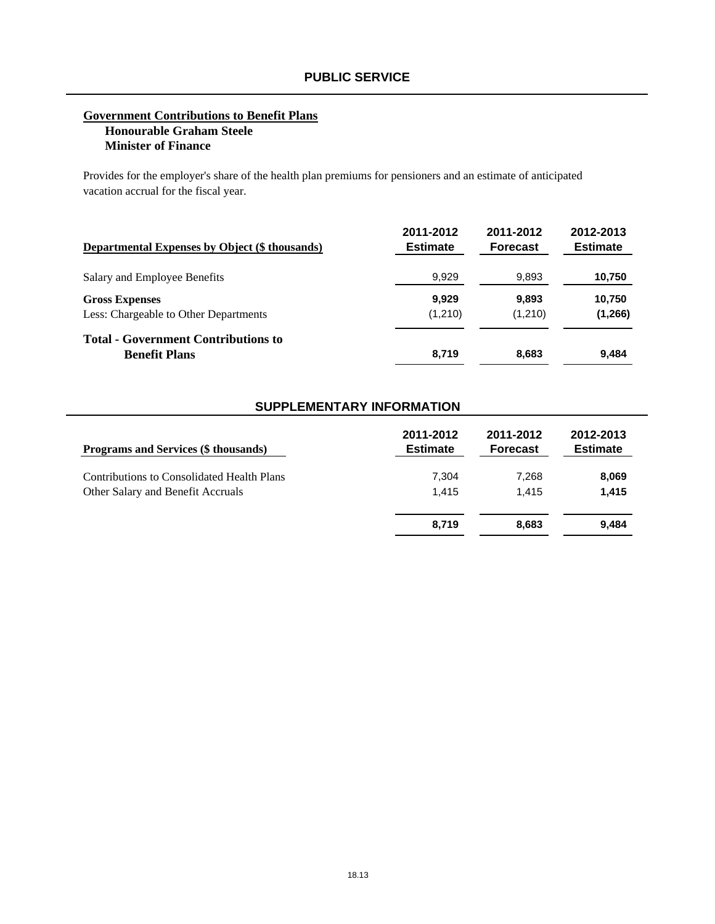#### **Government Contributions to Benefit Plans Honourable Graham Steele Minister of Finance**

Provides for the employer's share of the health plan premiums for pensioners and an estimate of anticipated vacation accrual for the fiscal year.

| Departmental Expenses by Object (\$ thousands)                     | 2011-2012       | 2011-2012       | 2012-2013       |
|--------------------------------------------------------------------|-----------------|-----------------|-----------------|
|                                                                    | <b>Estimate</b> | <b>Forecast</b> | <b>Estimate</b> |
| Salary and Employee Benefits                                       | 9,929           | 9,893           | 10,750          |
| <b>Gross Expenses</b>                                              | 9.929           | 9.893           | 10,750          |
| Less: Chargeable to Other Departments                              | (1,210)         | (1,210)         | (1, 266)        |
| <b>Total - Government Contributions to</b><br><b>Benefit Plans</b> | 8.719           | 8,683           | 9,484           |

| <b>Programs and Services (\$ thousands)</b> | 2011-2012       | 2011-2012       | 2012-2013       |
|---------------------------------------------|-----------------|-----------------|-----------------|
|                                             | <b>Estimate</b> | <b>Forecast</b> | <b>Estimate</b> |
| Contributions to Consolidated Health Plans  | 7,304           | 7,268           | 8,069           |
| Other Salary and Benefit Accruals           | 1.415           | 1.415           | 1,415           |
|                                             | 8,719           | 8.683           | 9,484           |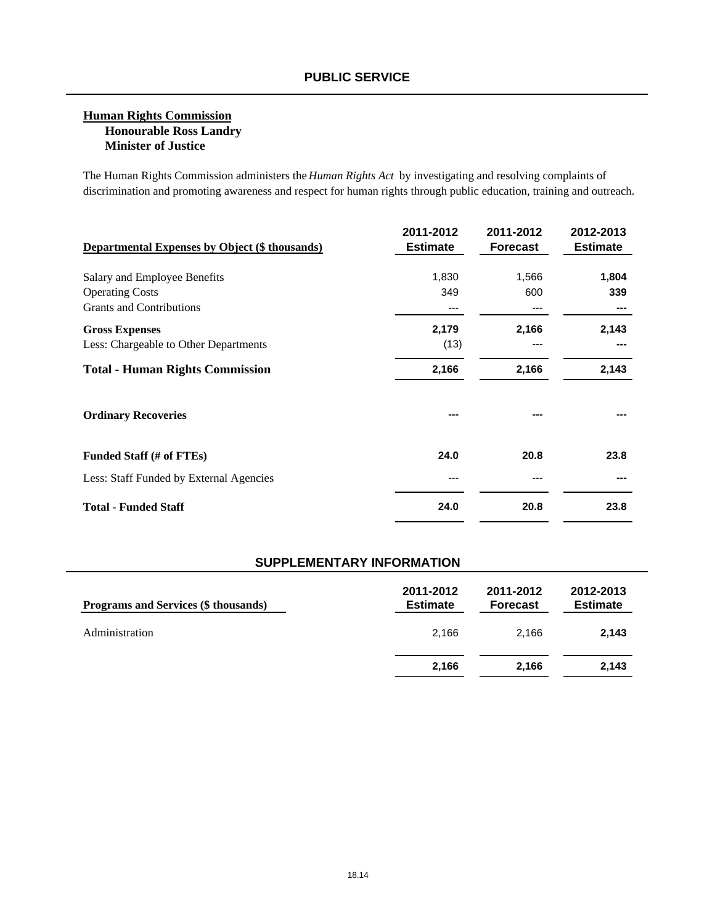### **Human Rights Commission Honourable Ross Landry Minister of Justice**

The Human Rights Commission administers the *Human Rights Act* by investigating and resolving complaints of discrimination and promoting awareness and respect for human rights through public education, training and outreach.

| <b>Departmental Expenses by Object (\$ thousands)</b> | 2011-2012<br><b>Estimate</b> | 2011-2012<br><b>Forecast</b> | 2012-2013<br><b>Estimate</b> |
|-------------------------------------------------------|------------------------------|------------------------------|------------------------------|
| Salary and Employee Benefits                          | 1,830                        | 1,566                        | 1,804                        |
| <b>Operating Costs</b>                                | 349                          | 600                          | 339                          |
| <b>Grants and Contributions</b>                       |                              |                              |                              |
| <b>Gross Expenses</b>                                 | 2,179                        | 2,166                        | 2,143                        |
| Less: Chargeable to Other Departments                 | (13)                         | ---                          |                              |
| <b>Total - Human Rights Commission</b>                | 2,166                        | 2,166                        | 2,143                        |
| <b>Ordinary Recoveries</b>                            |                              |                              |                              |
| Funded Staff (# of FTEs)                              | 24.0                         | 20.8                         | 23.8                         |
| Less: Staff Funded by External Agencies               |                              |                              |                              |
| <b>Total - Funded Staff</b>                           | 24.0                         | 20.8                         | 23.8                         |

| Programs and Services (\$ thousands) | 2011-2012<br><b>Estimate</b> | 2011-2012<br><b>Forecast</b> | 2012-2013<br><b>Estimate</b> |
|--------------------------------------|------------------------------|------------------------------|------------------------------|
| Administration                       | 2.166                        | 2.166                        | 2,143                        |
|                                      | 2,166                        | 2.166                        | 2,143                        |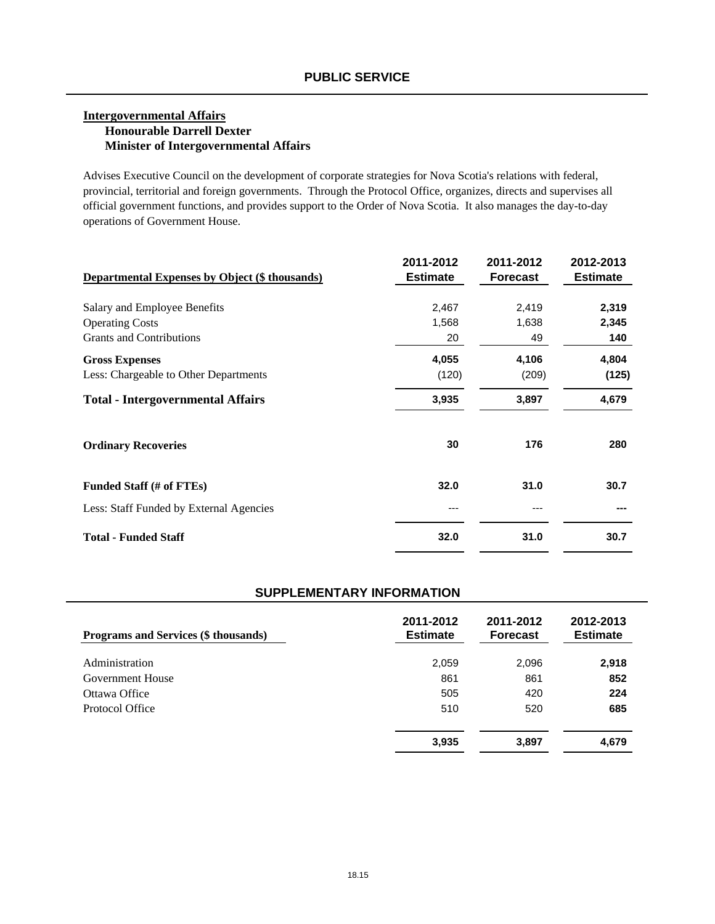### **Intergovernmental Affairs Honourable Darrell Dexter Minister of Intergovernmental Affairs**

Advises Executive Council on the development of corporate strategies for Nova Scotia's relations with federal, provincial, territorial and foreign governments. Through the Protocol Office, organizes, directs and supervises all official government functions, and provides support to the Order of Nova Scotia. It also manages the day-to-day operations of Government House.

| <b>Departmental Expenses by Object (\$ thousands)</b> | 2011-2012<br><b>Estimate</b> | 2011-2012<br><b>Forecast</b> | 2012-2013<br><b>Estimate</b> |
|-------------------------------------------------------|------------------------------|------------------------------|------------------------------|
| Salary and Employee Benefits                          | 2,467                        | 2,419                        | 2,319                        |
| <b>Operating Costs</b>                                | 1,568                        | 1,638                        | 2,345                        |
| <b>Grants and Contributions</b>                       | 20                           | 49                           | 140                          |
| <b>Gross Expenses</b>                                 | 4,055                        | 4,106                        | 4,804                        |
| Less: Chargeable to Other Departments                 | (120)                        | (209)                        | (125)                        |
| <b>Total - Intergovernmental Affairs</b>              | 3,935                        | 3,897                        | 4,679                        |
| <b>Ordinary Recoveries</b>                            | 30                           | 176                          | 280                          |
| Funded Staff (# of FTEs)                              | 32.0                         | 31.0                         | 30.7                         |
| Less: Staff Funded by External Agencies               | ---                          |                              |                              |
| <b>Total - Funded Staff</b>                           | 32.0                         | 31.0                         | 30.7                         |

| <b>Programs and Services (\$ thousands)</b> | 2011-2012<br><b>Estimate</b> | 2011-2012<br><b>Forecast</b> | 2012-2013<br><b>Estimate</b> |
|---------------------------------------------|------------------------------|------------------------------|------------------------------|
| Administration                              | 2,059                        | 2,096                        | 2,918                        |
| Government House                            | 861                          | 861                          | 852                          |
| Ottawa Office                               | 505                          | 420                          | 224                          |
| Protocol Office                             | 510                          | 520                          | 685                          |
|                                             | 3,935                        | 3,897                        | 4,679                        |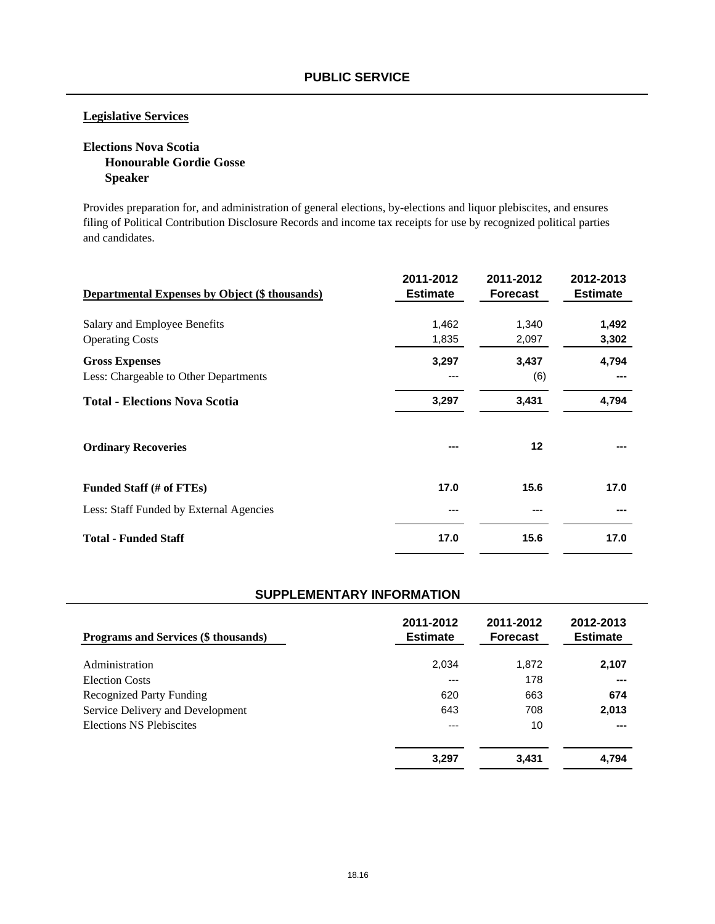## **Legislative Services**

## **Elections Nova Scotia Honourable Gordie Gosse Speaker**

Provides preparation for, and administration of general elections, by-elections and liquor plebiscites, and ensures filing of Political Contribution Disclosure Records and income tax receipts for use by recognized political parties and candidates.

| <b>Departmental Expenses by Object (\$ thousands)</b> | 2011-2012<br><b>Estimate</b> | 2011-2012<br><b>Forecast</b> | 2012-2013<br><b>Estimate</b> |
|-------------------------------------------------------|------------------------------|------------------------------|------------------------------|
| Salary and Employee Benefits                          | 1,462                        | 1,340                        | 1,492                        |
| <b>Operating Costs</b>                                | 1,835                        | 2,097                        | 3,302                        |
| <b>Gross Expenses</b>                                 | 3,297                        | 3,437                        | 4,794                        |
| Less: Chargeable to Other Departments                 | ---                          | (6)                          |                              |
| <b>Total - Elections Nova Scotia</b>                  | 3,297                        | 3,431                        | 4,794                        |
| <b>Ordinary Recoveries</b>                            | ---                          | 12                           |                              |
| Funded Staff (# of FTEs)                              | 17.0                         | 15.6                         | 17.0                         |
| Less: Staff Funded by External Agencies               | ---                          |                              |                              |
| <b>Total - Funded Staff</b>                           | 17.0                         | 15.6                         | 17.0                         |

| <b>Programs and Services (\$ thousands)</b> | 2011-2012<br><b>Estimate</b> | 2011-2012<br><b>Forecast</b> | 2012-2013<br><b>Estimate</b> |
|---------------------------------------------|------------------------------|------------------------------|------------------------------|
| Administration                              | 2,034                        | 1,872                        | 2,107                        |
| <b>Election Costs</b>                       | ---                          | 178                          | $- - -$                      |
| <b>Recognized Party Funding</b>             | 620                          | 663                          | 674                          |
| Service Delivery and Development            | 643                          | 708                          | 2,013                        |
| Elections NS Plebiscites                    | ---                          | 10                           | ---                          |
|                                             | 3,297                        | 3,431                        | 4,794                        |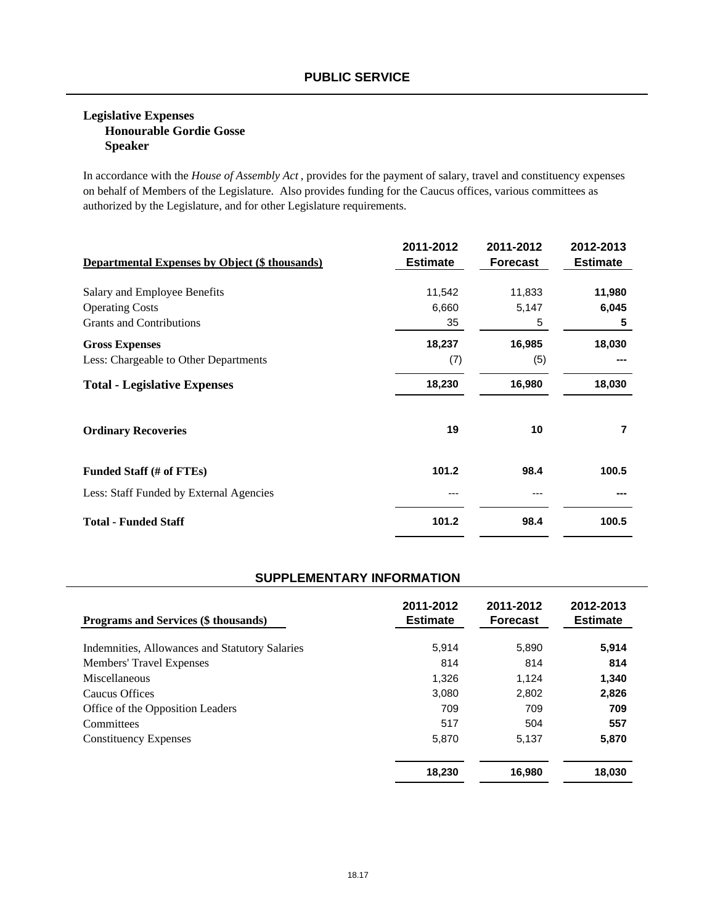### **Legislative Expenses Honourable Gordie Gosse Speaker**

In accordance with the *House of Assembly Act* , provides for the payment of salary, travel and constituency expenses on behalf of Members of the Legislature. Also provides funding for the Caucus offices, various committees as authorized by the Legislature, and for other Legislature requirements.

| <b>Departmental Expenses by Object (\$ thousands)</b> | 2011-2012<br><b>Estimate</b> | 2011-2012<br><b>Forecast</b> | 2012-2013<br><b>Estimate</b> |
|-------------------------------------------------------|------------------------------|------------------------------|------------------------------|
| Salary and Employee Benefits                          | 11,542                       | 11,833                       | 11,980                       |
| <b>Operating Costs</b>                                | 6,660                        | 5,147                        | 6,045                        |
| <b>Grants and Contributions</b>                       | 35                           | 5                            | 5                            |
| <b>Gross Expenses</b>                                 | 18,237                       | 16,985                       | 18,030                       |
| Less: Chargeable to Other Departments                 | (7)                          | (5)                          |                              |
| <b>Total - Legislative Expenses</b>                   | 18,230                       | 16,980                       | 18,030                       |
| <b>Ordinary Recoveries</b>                            | 19                           | 10                           | 7                            |
| Funded Staff (# of FTEs)                              | 101.2                        | 98.4                         | 100.5                        |
| Less: Staff Funded by External Agencies               | ---                          |                              |                              |
| <b>Total - Funded Staff</b>                           | 101.2                        | 98.4                         | 100.5                        |

| <b>Programs and Services (\$ thousands)</b>    | 2011-2012<br><b>Estimate</b> | 2011-2012<br><b>Forecast</b> | 2012-2013<br><b>Estimate</b> |
|------------------------------------------------|------------------------------|------------------------------|------------------------------|
| Indemnities, Allowances and Statutory Salaries | 5,914                        | 5,890                        | 5.914                        |
| <b>Members' Travel Expenses</b>                | 814                          | 814                          | 814                          |
| Miscellaneous                                  | 1.326                        | 1.124                        | 1.340                        |
| Caucus Offices                                 | 3.080                        | 2.802                        | 2,826                        |
| Office of the Opposition Leaders               | 709                          | 709                          | 709                          |
| Committees                                     | 517                          | 504                          | 557                          |
| <b>Constituency Expenses</b>                   | 5,870                        | 5.137                        | 5,870                        |
|                                                | 18,230                       | 16,980                       | 18.030                       |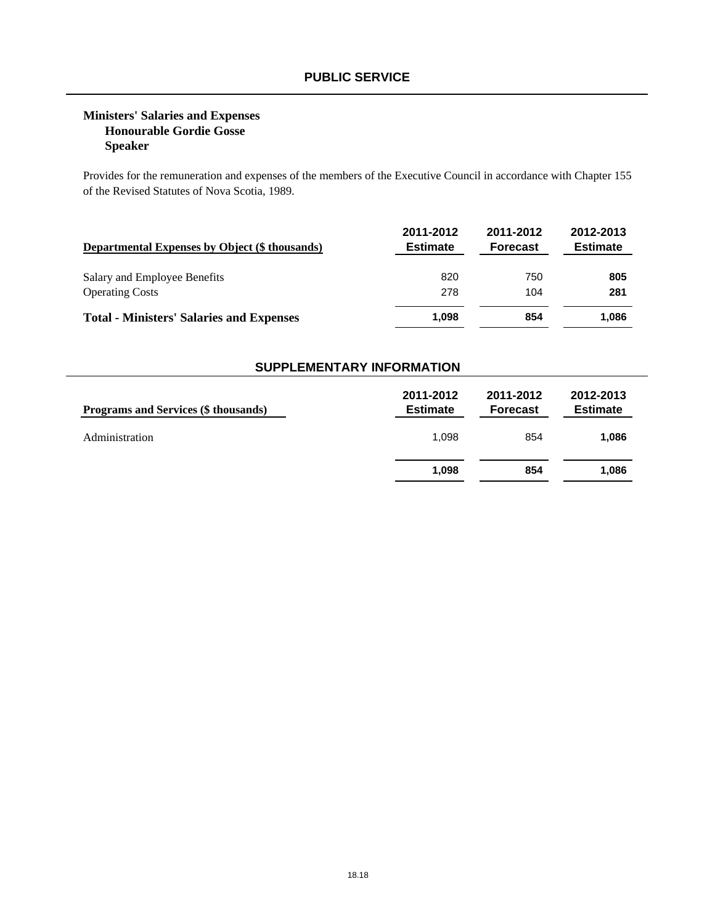## **Ministers' Salaries and Expenses Honourable Gordie Gosse Speaker**

Provides for the remuneration and expenses of the members of the Executive Council in accordance with Chapter 155 of the Revised Statutes of Nova Scotia, 1989.

| <b>Departmental Expenses by Object (\$ thousands)</b> | 2011-2012<br><b>Estimate</b> | 2011-2012<br><b>Forecast</b> | 2012-2013<br><b>Estimate</b> |
|-------------------------------------------------------|------------------------------|------------------------------|------------------------------|
| Salary and Employee Benefits                          | 820                          | 750                          | 805                          |
| <b>Operating Costs</b>                                | 278                          | 104                          | 281                          |
| <b>Total - Ministers' Salaries and Expenses</b>       | 1.098                        | 854                          | 1.086                        |

| <b>Programs and Services (\$ thousands)</b> | 2011-2012<br><b>Estimate</b> | 2011-2012<br><b>Forecast</b> | 2012-2013<br><b>Estimate</b> |
|---------------------------------------------|------------------------------|------------------------------|------------------------------|
| Administration                              | 1.098                        | 854                          | 1,086                        |
|                                             | 1,098                        | 854                          | 1,086                        |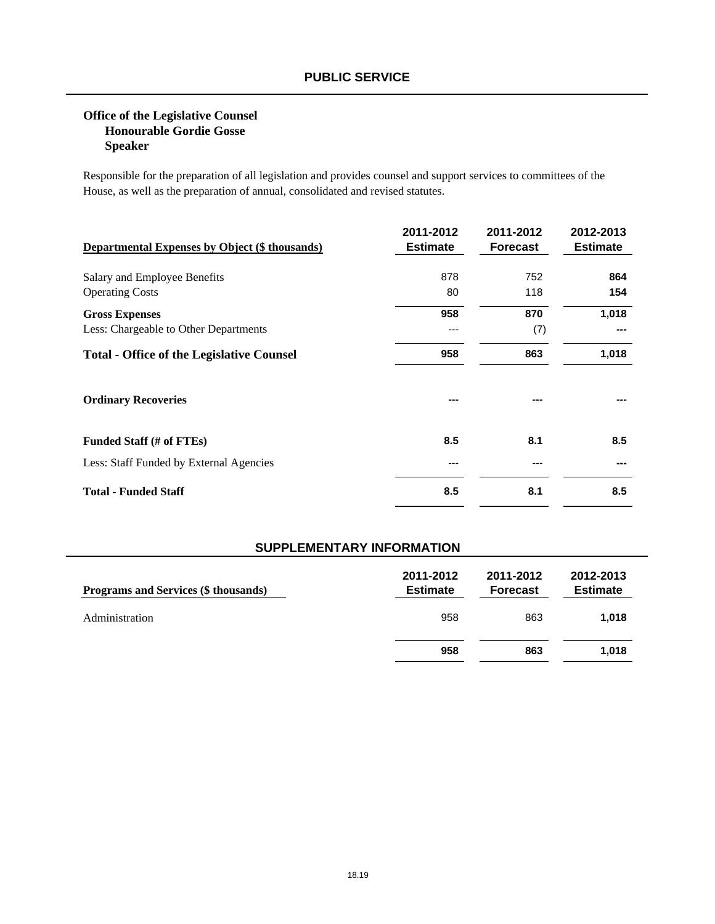## **Office of the Legislative Counsel Honourable Gordie Gosse Speaker**

Responsible for the preparation of all legislation and provides counsel and support services to committees of the House, as well as the preparation of annual, consolidated and revised statutes.

| <b>Departmental Expenses by Object (\$ thousands)</b> | 2011-2012<br><b>Estimate</b> | 2011-2012<br><b>Forecast</b> | 2012-2013<br><b>Estimate</b> |
|-------------------------------------------------------|------------------------------|------------------------------|------------------------------|
| Salary and Employee Benefits                          | 878                          | 752                          | 864                          |
| <b>Operating Costs</b>                                | 80                           | 118                          | 154                          |
| <b>Gross Expenses</b>                                 | 958                          | 870                          | 1,018                        |
| Less: Chargeable to Other Departments                 | ---                          | (7)                          |                              |
| <b>Total - Office of the Legislative Counsel</b>      | 958                          | 863                          | 1,018                        |
| <b>Ordinary Recoveries</b>                            |                              |                              |                              |
| Funded Staff (# of FTEs)                              | 8.5                          | 8.1                          | 8.5                          |
| Less: Staff Funded by External Agencies               | ---                          |                              |                              |
| <b>Total - Funded Staff</b>                           | 8.5                          | 8.1                          | 8.5                          |

| <b>Programs and Services (\$ thousands)</b> | 2011-2012<br><b>Estimate</b> | 2011-2012<br><b>Forecast</b> | 2012-2013<br><b>Estimate</b> |
|---------------------------------------------|------------------------------|------------------------------|------------------------------|
| Administration                              | 958                          | 863                          | 1.018                        |
|                                             | 958                          | 863                          | 1,018                        |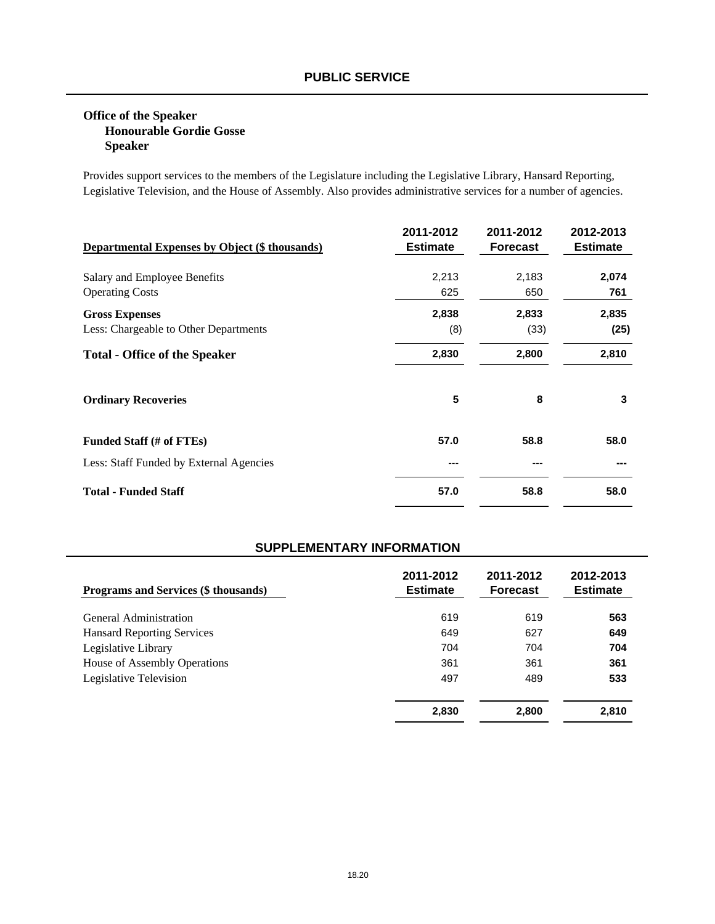## **Office of the Speaker Honourable Gordie Gosse Speaker**

Provides support services to the members of the Legislature including the Legislative Library, Hansard Reporting, Legislative Television, and the House of Assembly. Also provides administrative services for a number of agencies.

| <b>Departmental Expenses by Object (\$ thousands)</b>          | 2011-2012<br><b>Estimate</b> | 2011-2012<br><b>Forecast</b> | 2012-2013<br><b>Estimate</b> |
|----------------------------------------------------------------|------------------------------|------------------------------|------------------------------|
| Salary and Employee Benefits<br><b>Operating Costs</b>         | 2,213<br>625                 | 2,183<br>650                 | 2,074<br>761                 |
| <b>Gross Expenses</b><br>Less: Chargeable to Other Departments | 2,838<br>(8)                 | 2,833<br>(33)                | 2,835<br>(25)                |
| <b>Total - Office of the Speaker</b>                           | 2,830                        | 2,800                        | 2,810                        |
| <b>Ordinary Recoveries</b>                                     | 5                            | 8                            | 3                            |
| Funded Staff (# of FTEs)                                       | 57.0                         | 58.8                         | 58.0                         |
| Less: Staff Funded by External Agencies                        | ---                          |                              |                              |
| <b>Total - Funded Staff</b>                                    | 57.0                         | 58.8                         | 58.0                         |

| <b>Programs and Services (\$ thousands)</b> | 2011-2012<br><b>Estimate</b> | 2011-2012<br><b>Forecast</b> | 2012-2013<br><b>Estimate</b> |
|---------------------------------------------|------------------------------|------------------------------|------------------------------|
| General Administration                      | 619                          | 619                          | 563                          |
| <b>Hansard Reporting Services</b>           | 649                          | 627                          | 649                          |
| Legislative Library                         | 704                          | 704                          | 704                          |
| House of Assembly Operations                | 361                          | 361                          | 361                          |
| Legislative Television                      | 497                          | 489                          | 533                          |
|                                             | 2,830                        | 2,800                        | 2,810                        |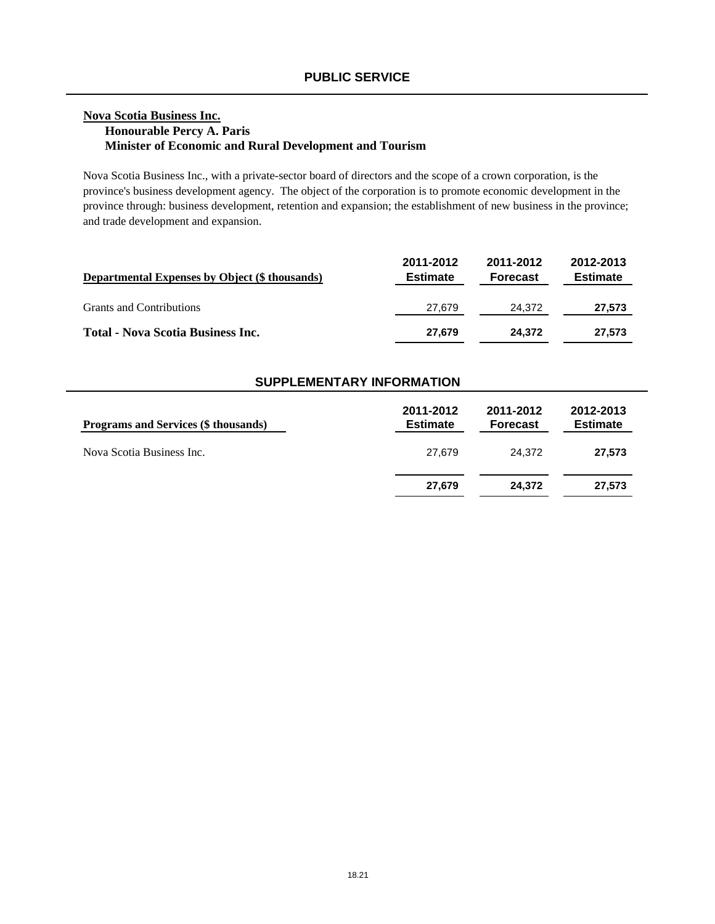## **Nova Scotia Business Inc. Honourable Percy A. Paris Minister of Economic and Rural Development and Tourism**

Nova Scotia Business Inc., with a private-sector board of directors and the scope of a crown corporation, is the province's business development agency. The object of the corporation is to promote economic development in the province through: business development, retention and expansion; the establishment of new business in the province; and trade development and expansion.

| Departmental Expenses by Object (\$ thousands) | 2011-2012<br><b>Estimate</b> | 2011-2012<br><b>Forecast</b> | 2012-2013<br><b>Estimate</b> |
|------------------------------------------------|------------------------------|------------------------------|------------------------------|
| <b>Grants and Contributions</b>                | 27.679                       | 24.372                       | 27,573                       |
| Total - Nova Scotia Business Inc.              | 27.679                       | 24.372                       | 27,573                       |

| Programs and Services (\$ thousands) | 2011-2012<br><b>Estimate</b> | 2011-2012<br><b>Forecast</b> | 2012-2013<br><b>Estimate</b> |
|--------------------------------------|------------------------------|------------------------------|------------------------------|
| Nova Scotia Business Inc.            | 27.679                       | 24.372                       | 27.573                       |
|                                      | 27,679                       | 24.372                       | 27.573                       |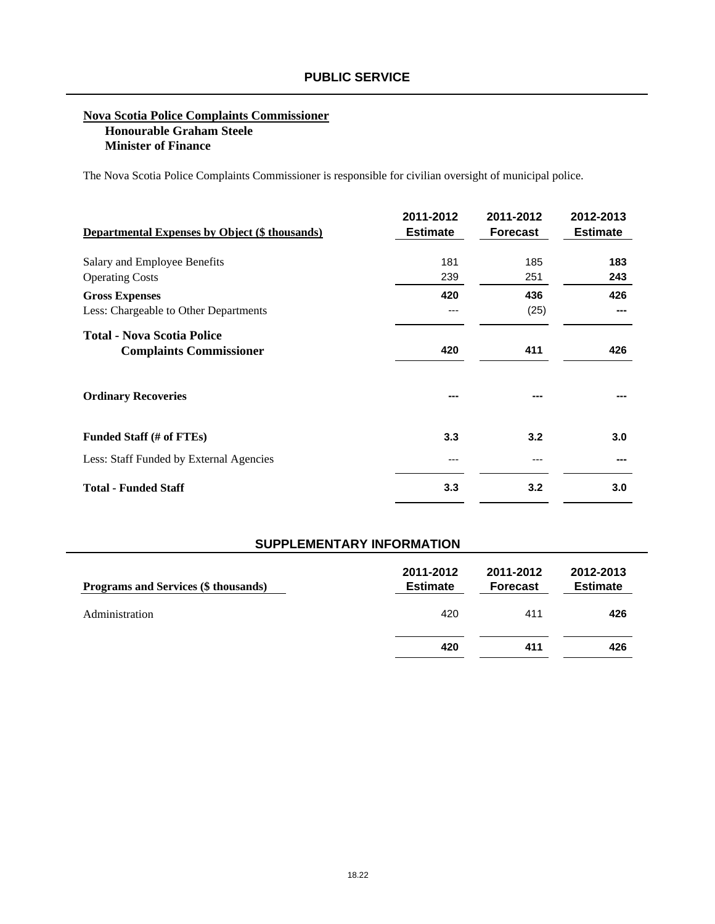#### **Nova Scotia Police Complaints Commissioner Honourable Graham Steele Minister of Finance**

The Nova Scotia Police Complaints Commissioner is responsible for civilian oversight of municipal police.

| <b>Departmental Expenses by Object (\$ thousands)</b>               | 2011-2012<br><b>Estimate</b> | 2011-2012<br><b>Forecast</b> | 2012-2013<br><b>Estimate</b> |
|---------------------------------------------------------------------|------------------------------|------------------------------|------------------------------|
| Salary and Employee Benefits                                        | 181                          | 185                          | 183                          |
| <b>Operating Costs</b>                                              | 239                          | 251                          | 243                          |
| <b>Gross Expenses</b>                                               | 420                          | 436                          | 426                          |
| Less: Chargeable to Other Departments                               | ---                          | (25)                         | ---                          |
| <b>Total - Nova Scotia Police</b><br><b>Complaints Commissioner</b> | 420                          | 411                          | 426                          |
| <b>Ordinary Recoveries</b>                                          |                              |                              |                              |
| Funded Staff (# of FTEs)                                            | 3.3                          | 3.2                          | 3.0                          |
| Less: Staff Funded by External Agencies                             | ---                          |                              |                              |
| <b>Total - Funded Staff</b>                                         | 3.3                          | 3.2                          | 3.0                          |

| Programs and Services (\$ thousands) | 2011-2012<br><b>Estimate</b> | 2011-2012<br><b>Forecast</b> | 2012-2013<br><b>Estimate</b> |
|--------------------------------------|------------------------------|------------------------------|------------------------------|
| Administration                       | 420                          | 411                          | 426                          |
|                                      | 420                          | 411                          | 426                          |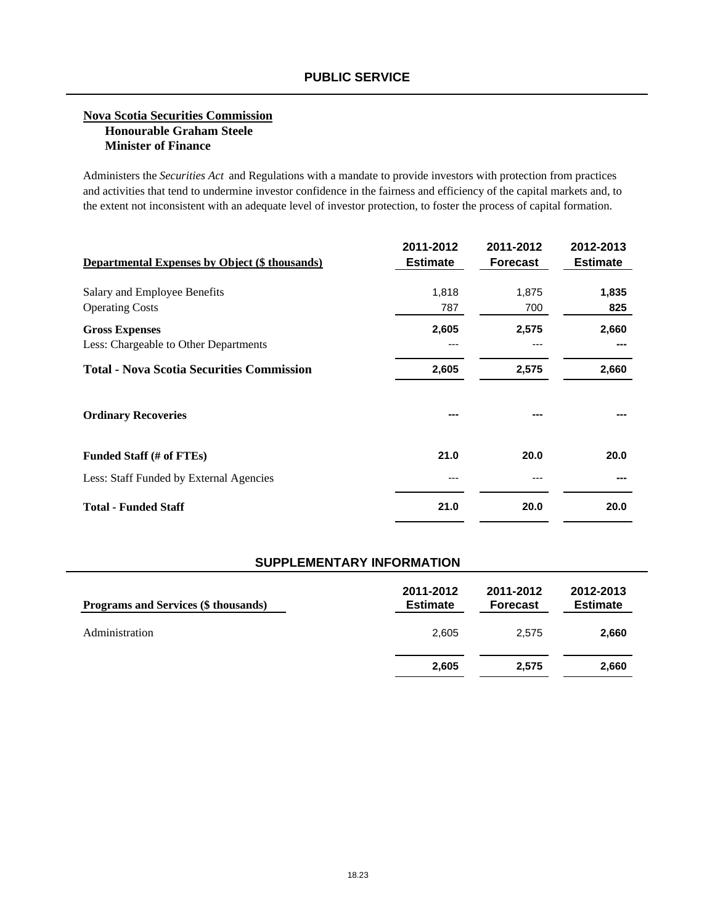#### **Nova Scotia Securities Commission Honourable Graham Steele Minister of Finance**

Administers the *Securities Act* and Regulations with a mandate to provide investors with protection from practices and activities that tend to undermine investor confidence in the fairness and efficiency of the capital markets and, to the extent not inconsistent with an adequate level of investor protection, to foster the process of capital formation.

| <b>Departmental Expenses by Object (\$ thousands)</b> | 2011-2012<br><b>Estimate</b> | 2011-2012<br><b>Forecast</b> | 2012-2013<br><b>Estimate</b> |
|-------------------------------------------------------|------------------------------|------------------------------|------------------------------|
| Salary and Employee Benefits                          | 1,818                        | 1,875                        | 1,835                        |
| <b>Operating Costs</b>                                | 787                          | 700                          | 825                          |
| <b>Gross Expenses</b>                                 | 2,605                        | 2,575                        | 2,660                        |
| Less: Chargeable to Other Departments                 | ---                          |                              |                              |
| <b>Total - Nova Scotia Securities Commission</b>      | 2,605                        | 2,575                        | 2,660                        |
| <b>Ordinary Recoveries</b>                            | ---                          |                              |                              |
| Funded Staff (# of FTEs)                              | 21.0                         | 20.0                         | 20.0                         |
| Less: Staff Funded by External Agencies               | ---                          |                              |                              |
| <b>Total - Funded Staff</b>                           | 21.0                         | 20.0                         | 20.0                         |

| <b>Programs and Services (\$ thousands)</b> | 2011-2012<br><b>Estimate</b> | 2011-2012<br><b>Forecast</b> | 2012-2013<br><b>Estimate</b> |
|---------------------------------------------|------------------------------|------------------------------|------------------------------|
| Administration                              | 2,605                        | 2.575                        | 2,660                        |
|                                             | 2,605                        | 2.575                        | 2,660                        |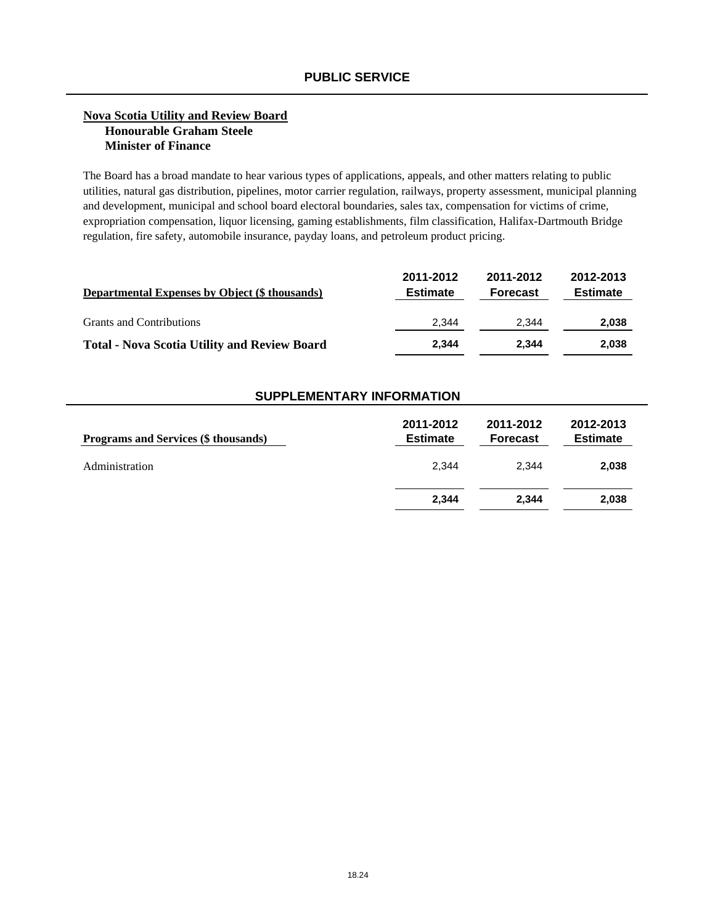#### **Nova Scotia Utility and Review Board Honourable Graham Steele Minister of Finance**

The Board has a broad mandate to hear various types of applications, appeals, and other matters relating to public utilities, natural gas distribution, pipelines, motor carrier regulation, railways, property assessment, municipal planning and development, municipal and school board electoral boundaries, sales tax, compensation for victims of crime, expropriation compensation, liquor licensing, gaming establishments, film classification, Halifax-Dartmouth Bridge regulation, fire safety, automobile insurance, payday loans, and petroleum product pricing.

| <b>Departmental Expenses by Object (\$ thousands)</b> | 2011-2012<br><b>Estimate</b> | 2011-2012<br><b>Forecast</b> | 2012-2013<br><b>Estimate</b> |
|-------------------------------------------------------|------------------------------|------------------------------|------------------------------|
| <b>Grants and Contributions</b>                       | 2.344                        | 2.344                        | 2,038                        |
| <b>Total - Nova Scotia Utility and Review Board</b>   | 2.344                        | 2.344                        | 2,038                        |

| Programs and Services (\$ thousands) | 2011-2012<br><b>Estimate</b> | 2011-2012<br><b>Forecast</b> | 2012-2013<br><b>Estimate</b> |
|--------------------------------------|------------------------------|------------------------------|------------------------------|
| Administration                       | 2.344                        | 2.344                        | 2,038                        |
|                                      | 2,344                        | 2.344                        | 2,038                        |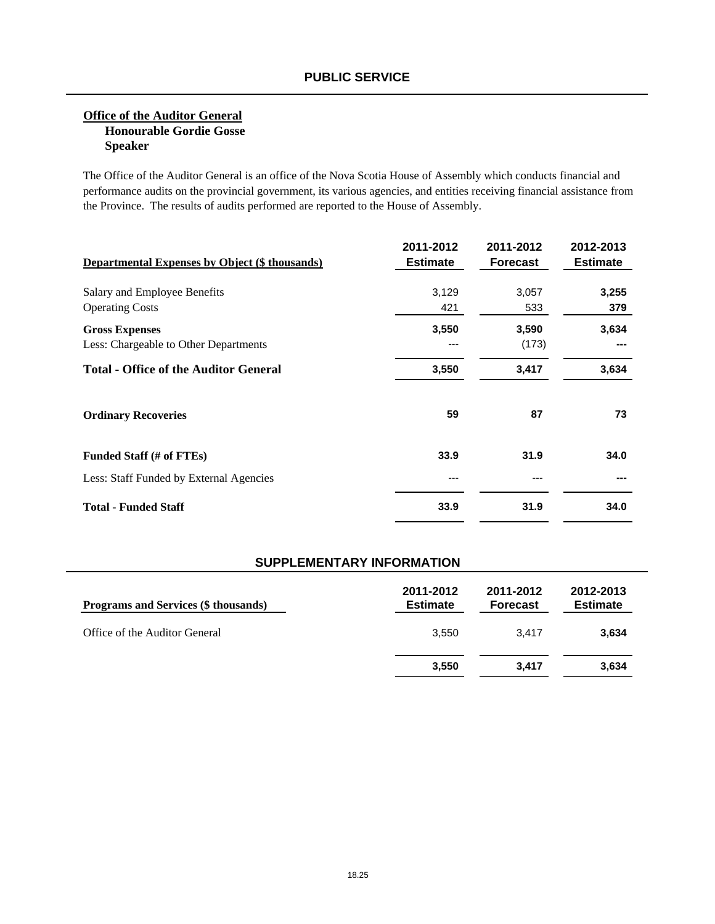### **Office of the Auditor General Honourable Gordie Gosse Speaker**

The Office of the Auditor General is an office of the Nova Scotia House of Assembly which conducts financial and performance audits on the provincial government, its various agencies, and entities receiving financial assistance from the Province. The results of audits performed are reported to the House of Assembly.

| <b>Departmental Expenses by Object (\$ thousands)</b> | 2011-2012<br><b>Estimate</b> | 2011-2012<br><b>Forecast</b> | 2012-2013<br><b>Estimate</b> |
|-------------------------------------------------------|------------------------------|------------------------------|------------------------------|
| Salary and Employee Benefits                          | 3,129                        | 3,057                        | 3,255                        |
| <b>Operating Costs</b>                                | 421                          | 533                          | 379                          |
| <b>Gross Expenses</b>                                 | 3,550                        | 3,590                        | 3,634                        |
| Less: Chargeable to Other Departments                 |                              | (173)                        |                              |
| <b>Total - Office of the Auditor General</b>          | 3,550                        | 3,417                        | 3,634                        |
| <b>Ordinary Recoveries</b>                            | 59                           | 87                           | 73                           |
| Funded Staff (# of FTEs)                              | 33.9                         | 31.9                         | 34.0                         |
| Less: Staff Funded by External Agencies               |                              |                              |                              |
| <b>Total - Funded Staff</b>                           | 33.9                         | 31.9                         | 34.0                         |

| <b>Programs and Services (\$ thousands)</b> | 2011-2012<br><b>Estimate</b> | 2011-2012<br><b>Forecast</b> | 2012-2013<br><b>Estimate</b> |
|---------------------------------------------|------------------------------|------------------------------|------------------------------|
| Office of the Auditor General               | 3.550                        | 3.417                        | 3,634                        |
|                                             | 3,550                        | 3.417                        | 3,634                        |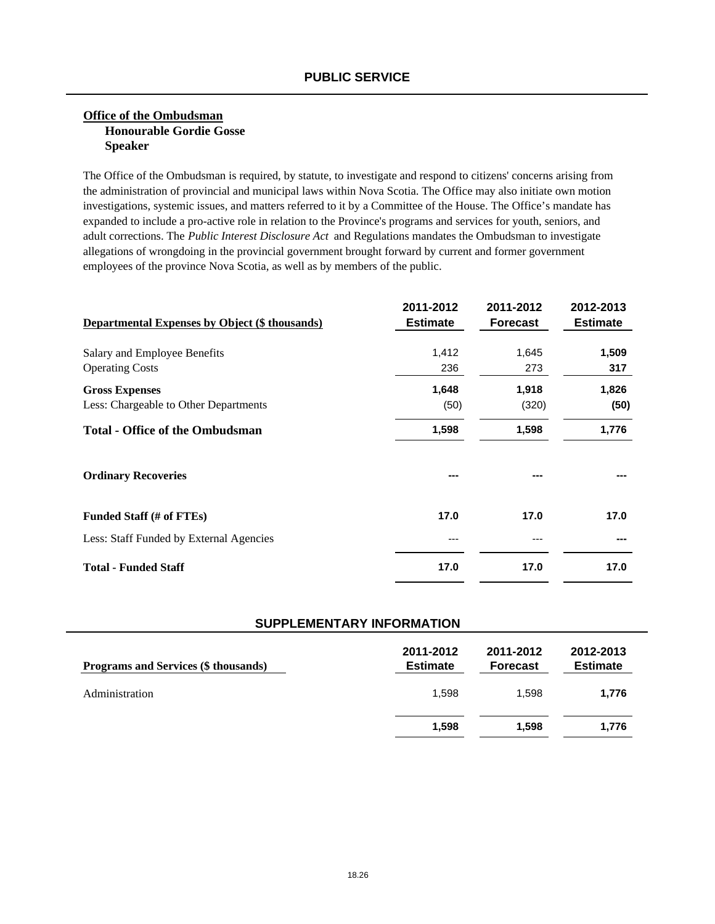### **Office of the Ombudsman Honourable Gordie Gosse Speaker**

The Office of the Ombudsman is required, by statute, to investigate and respond to citizens' concerns arising from the administration of provincial and municipal laws within Nova Scotia. The Office may also initiate own motion investigations, systemic issues, and matters referred to it by a Committee of the House. The Office's mandate has expanded to include a pro-active role in relation to the Province's programs and services for youth, seniors, and adult corrections. The *Public Interest Disclosure Act* and Regulations mandates the Ombudsman to investigate allegations of wrongdoing in the provincial government brought forward by current and former government employees of the province Nova Scotia, as well as by members of the public.

| <b>Departmental Expenses by Object (\$ thousands)</b>          | 2011-2012<br><b>Estimate</b> | 2011-2012<br><b>Forecast</b> | 2012-2013<br><b>Estimate</b> |
|----------------------------------------------------------------|------------------------------|------------------------------|------------------------------|
| Salary and Employee Benefits<br><b>Operating Costs</b>         | 1,412<br>236                 | 1,645<br>273                 | 1,509<br>317                 |
| <b>Gross Expenses</b><br>Less: Chargeable to Other Departments | 1,648<br>(50)                | 1,918<br>(320)               | 1,826<br>(50)                |
| <b>Total - Office of the Ombudsman</b>                         | 1,598                        | 1,598                        | 1,776                        |
| <b>Ordinary Recoveries</b>                                     |                              |                              |                              |
| Funded Staff (# of FTEs)                                       | 17.0                         | 17.0                         | 17.0                         |
| Less: Staff Funded by External Agencies                        | ---                          |                              |                              |
| <b>Total - Funded Staff</b>                                    | 17.0                         | 17.0                         | 17.0                         |

| Programs and Services (\$ thousands) | 2011-2012<br><b>Estimate</b> | 2011-2012<br><b>Forecast</b> | 2012-2013<br><b>Estimate</b> |
|--------------------------------------|------------------------------|------------------------------|------------------------------|
| Administration                       | 1,598                        | 1.598                        | 1,776                        |
|                                      | 1,598                        | 1.598                        | 1.776                        |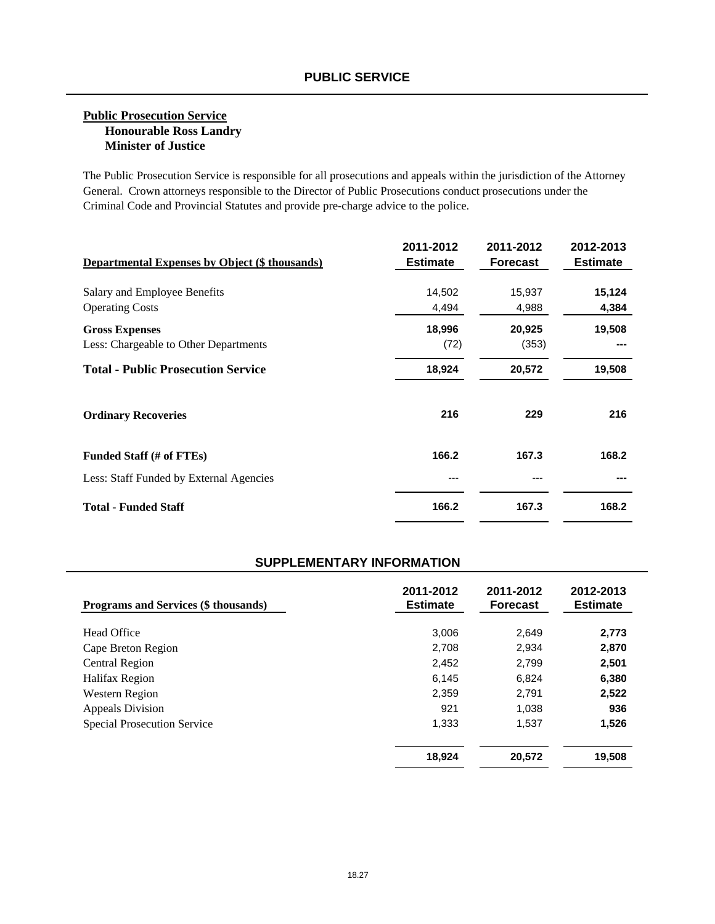### **Public Prosecution Service Honourable Ross Landry Minister of Justice**

The Public Prosecution Service is responsible for all prosecutions and appeals within the jurisdiction of the Attorney General. Crown attorneys responsible to the Director of Public Prosecutions conduct prosecutions under the Criminal Code and Provincial Statutes and provide pre-charge advice to the police.

| <b>Departmental Expenses by Object (\$ thousands)</b> | 2011-2012<br><b>Estimate</b> | 2011-2012<br><b>Forecast</b> | 2012-2013<br><b>Estimate</b> |
|-------------------------------------------------------|------------------------------|------------------------------|------------------------------|
| Salary and Employee Benefits                          | 14,502                       | 15,937                       | 15,124                       |
| <b>Operating Costs</b>                                | 4,494                        | 4,988                        | 4,384                        |
| <b>Gross Expenses</b>                                 | 18,996                       | 20,925                       | 19,508                       |
| Less: Chargeable to Other Departments                 | (72)                         | (353)                        |                              |
| <b>Total - Public Prosecution Service</b>             | 18,924                       | 20,572                       | 19,508                       |
| <b>Ordinary Recoveries</b>                            | 216                          | 229                          | 216                          |
| Funded Staff (# of FTEs)                              | 166.2                        | 167.3                        | 168.2                        |
| Less: Staff Funded by External Agencies               | ---                          |                              |                              |
| <b>Total - Funded Staff</b>                           | 166.2                        | 167.3                        | 168.2                        |

| <b>Programs and Services (\$ thousands)</b> | 2011-2012<br><b>Estimate</b> | 2011-2012<br><b>Forecast</b> | 2012-2013<br><b>Estimate</b> |
|---------------------------------------------|------------------------------|------------------------------|------------------------------|
| Head Office                                 | 3,006                        | 2,649                        | 2,773                        |
| Cape Breton Region                          | 2.708                        | 2.934                        | 2,870                        |
| <b>Central Region</b>                       | 2.452                        | 2.799                        | 2,501                        |
| Halifax Region                              | 6.145                        | 6.824                        | 6,380                        |
| Western Region                              | 2,359                        | 2.791                        | 2,522                        |
| Appeals Division                            | 921                          | 1.038                        | 936                          |
| <b>Special Prosecution Service</b>          | 1.333                        | 1,537                        | 1,526                        |
|                                             | 18,924                       | 20,572                       | 19,508                       |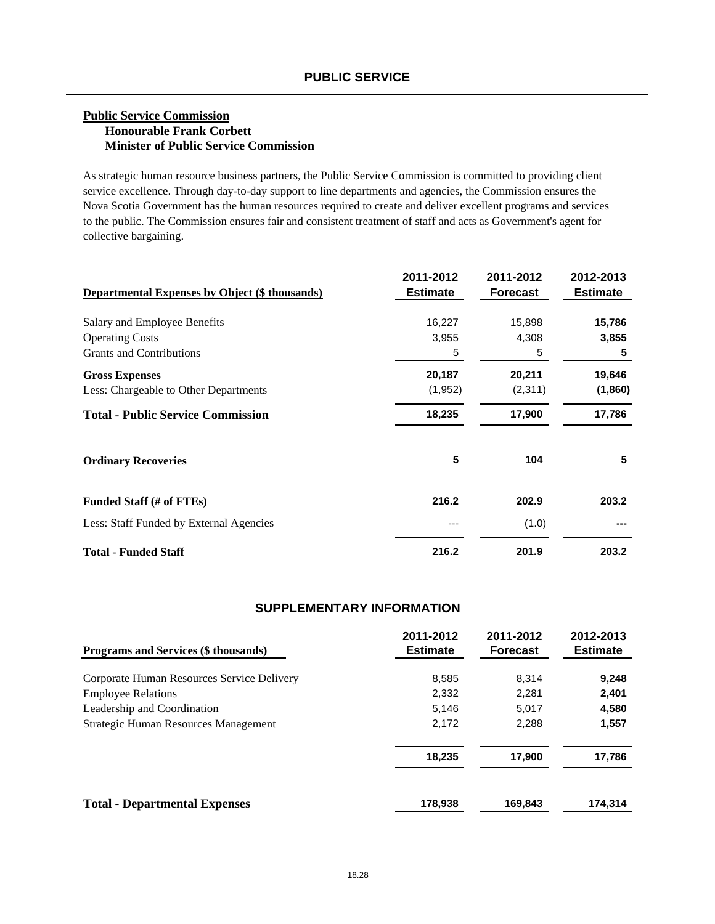#### **Public Service Commission Honourable Frank Corbett Minister of Public Service Commission**

As strategic human resource business partners, the Public Service Commission is committed to providing client service excellence. Through day-to-day support to line departments and agencies, the Commission ensures the Nova Scotia Government has the human resources required to create and deliver excellent programs and services to the public. The Commission ensures fair and consistent treatment of staff and acts as Government's agent for collective bargaining.

| <b>Departmental Expenses by Object (\$ thousands)</b> | 2011-2012<br><b>Estimate</b> | 2011-2012<br><b>Forecast</b> | 2012-2013<br><b>Estimate</b> |
|-------------------------------------------------------|------------------------------|------------------------------|------------------------------|
| Salary and Employee Benefits                          | 16,227                       | 15,898                       | 15,786                       |
| <b>Operating Costs</b>                                | 3,955                        | 4,308                        | 3,855                        |
| <b>Grants and Contributions</b>                       | 5                            | 5                            | 5                            |
| <b>Gross Expenses</b>                                 | 20,187                       | 20,211                       | 19,646                       |
| Less: Chargeable to Other Departments                 | (1, 952)                     | (2,311)                      | (1,860)                      |
| <b>Total - Public Service Commission</b>              | 18,235                       | 17,900                       | 17,786                       |
| <b>Ordinary Recoveries</b>                            | 5                            | 104                          | 5                            |
| Funded Staff (# of FTEs)                              | 216.2                        | 202.9                        | 203.2                        |
| Less: Staff Funded by External Agencies               | ---                          | (1.0)                        |                              |
| <b>Total - Funded Staff</b>                           | 216.2                        | 201.9                        | 203.2                        |

| <b>Programs and Services (\$ thousands)</b> | 2011-2012<br><b>Estimate</b> | 2011-2012<br><b>Forecast</b> | 2012-2013<br><b>Estimate</b> |
|---------------------------------------------|------------------------------|------------------------------|------------------------------|
| Corporate Human Resources Service Delivery  | 8.585                        | 8.314                        | 9,248                        |
| <b>Employee Relations</b>                   | 2.332                        | 2.281                        | 2,401                        |
| Leadership and Coordination                 | 5,146                        | 5.017                        | 4,580                        |
| Strategic Human Resources Management        | 2,172                        | 2,288                        | 1,557                        |
|                                             | 18,235                       | 17.900                       | 17,786                       |
| <b>Total - Departmental Expenses</b>        | 178,938                      | 169,843                      | 174,314                      |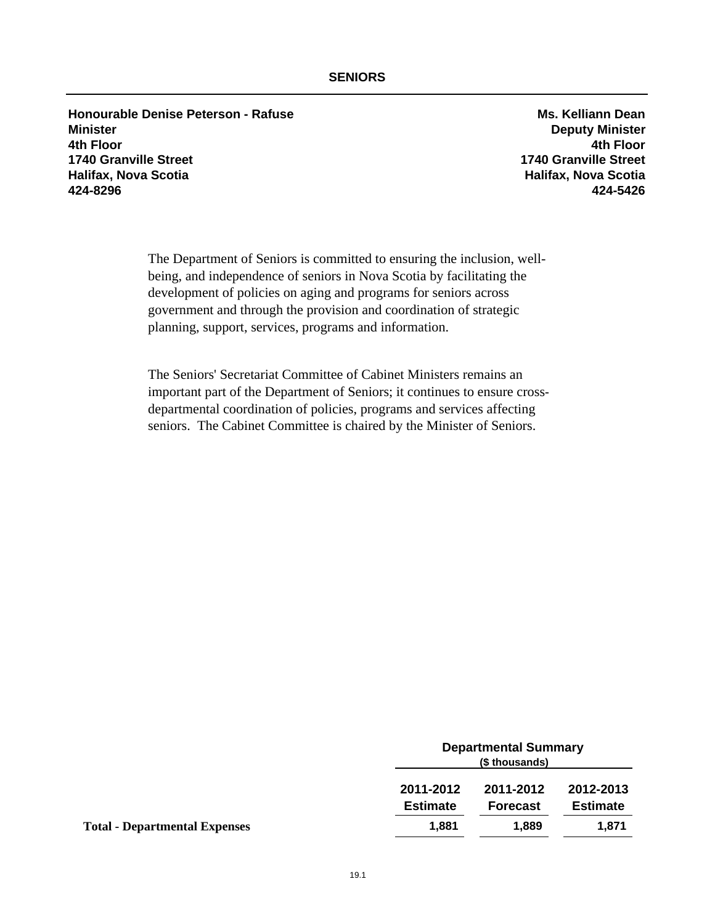**Honourable Denise Peterson - Rafuse Ms. Kelliann Dean Minister Deputy Minister 4th Floor 4th Floor 1740 Granville Street 1740 Granville Street Halifax, Nova Scotia Halifax, Nova Scotia 424-8296 424-5426**

The Department of Seniors is committed to ensuring the inclusion, wellbeing, and independence of seniors in Nova Scotia by facilitating the development of policies on aging and programs for seniors across government and through the provision and coordination of strategic planning, support, services, programs and information.

The Seniors' Secretariat Committee of Cabinet Ministers remains an important part of the Department of Seniors; it continues to ensure crossdepartmental coordination of policies, programs and services affecting seniors. The Cabinet Committee is chaired by the Minister of Seniors.

|                                      |                              | <b>Departmental Summary</b><br>(\$ thousands) |                              |  |
|--------------------------------------|------------------------------|-----------------------------------------------|------------------------------|--|
|                                      | 2011-2012<br><b>Estimate</b> | 2011-2012<br><b>Forecast</b>                  | 2012-2013<br><b>Estimate</b> |  |
| <b>Total - Departmental Expenses</b> | 1,881                        | 1.889                                         | 1,871                        |  |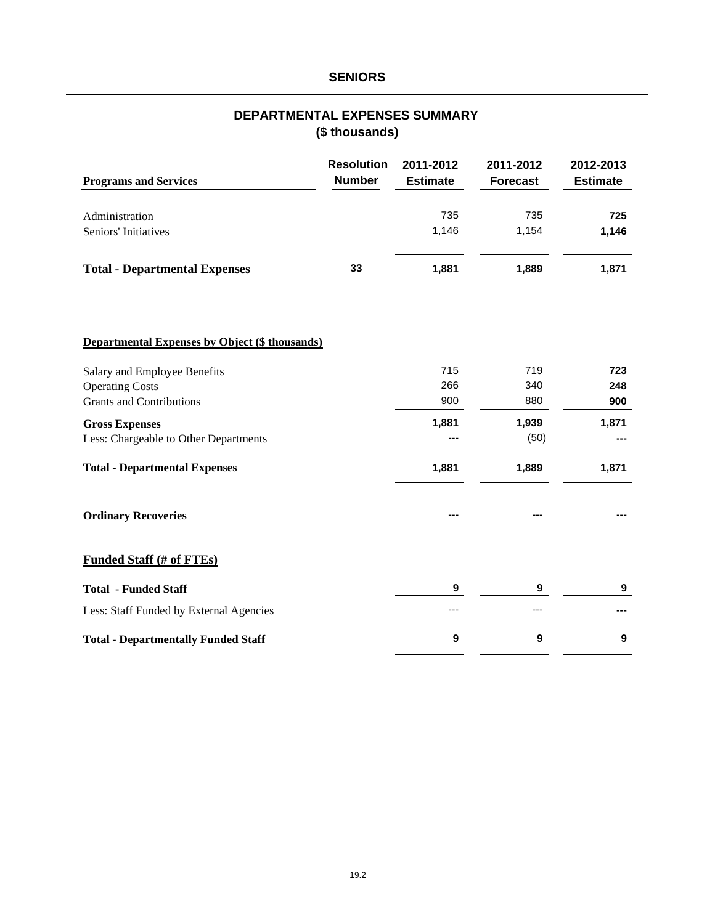## **SENIORS**

## **(\$ thousands) DEPARTMENTAL EXPENSES SUMMARY**

| <b>Programs and Services</b>                          | <b>Resolution</b><br><b>Number</b> | 2011-2012<br><b>Estimate</b> | 2011-2012<br><b>Forecast</b> | 2012-2013<br><b>Estimate</b> |
|-------------------------------------------------------|------------------------------------|------------------------------|------------------------------|------------------------------|
| Administration                                        |                                    | 735                          | 735                          | 725                          |
| Seniors' Initiatives                                  |                                    | 1,146                        | 1,154                        | 1,146                        |
| <b>Total - Departmental Expenses</b>                  | 33                                 | 1,881                        | 1,889                        | 1,871                        |
|                                                       |                                    |                              |                              |                              |
| <b>Departmental Expenses by Object (\$ thousands)</b> |                                    |                              |                              |                              |
| Salary and Employee Benefits                          |                                    | 715                          | 719                          | 723                          |
| <b>Operating Costs</b>                                |                                    | 266                          | 340                          | 248                          |
| <b>Grants and Contributions</b>                       |                                    | 900                          | 880                          | 900                          |
| <b>Gross Expenses</b>                                 |                                    | 1,881                        | 1,939                        | 1,871                        |
| Less: Chargeable to Other Departments                 |                                    |                              | (50)                         |                              |
| <b>Total - Departmental Expenses</b>                  |                                    | 1,881                        | 1,889                        | 1,871                        |
| <b>Ordinary Recoveries</b>                            |                                    |                              |                              |                              |
| <b>Funded Staff (# of FTEs)</b>                       |                                    |                              |                              |                              |
| <b>Total - Funded Staff</b>                           |                                    | 9                            | 9                            | 9                            |
| Less: Staff Funded by External Agencies               |                                    | ---                          | ---                          | ---                          |
| <b>Total - Departmentally Funded Staff</b>            |                                    | 9                            | 9                            | 9                            |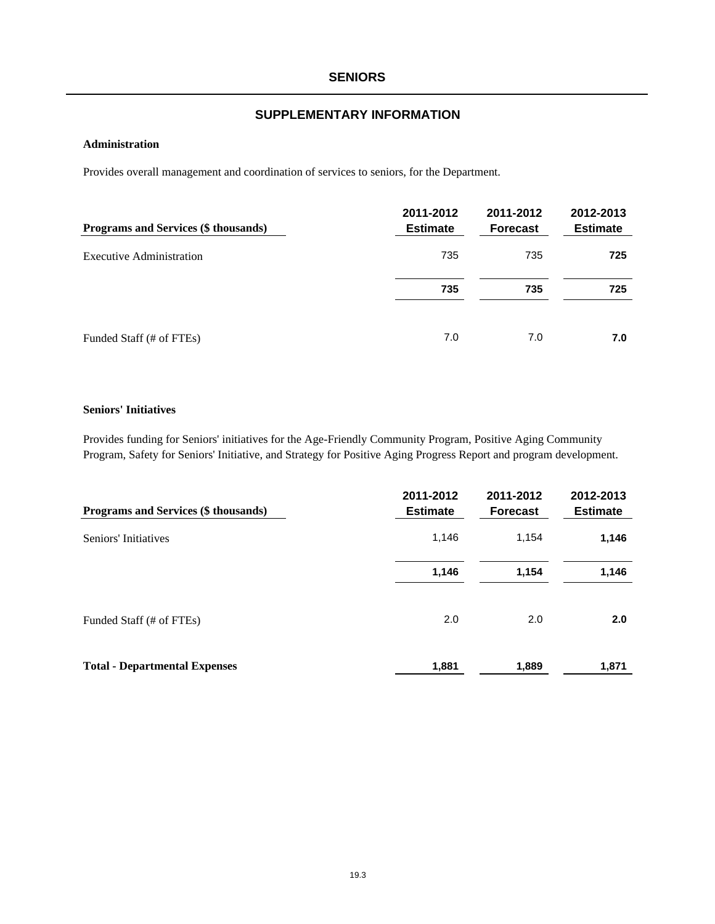#### **SENIORS**

## **SUPPLEMENTARY INFORMATION**

#### **Administration**

Provides overall management and coordination of services to seniors, for the Department.

| Programs and Services (\$ thousands) | 2011-2012<br><b>Estimate</b> | 2011-2012<br><b>Forecast</b> | 2012-2013<br><b>Estimate</b> |
|--------------------------------------|------------------------------|------------------------------|------------------------------|
| <b>Executive Administration</b>      | 735                          | 735                          | 725                          |
|                                      | 735                          | 735                          | 725                          |
| Funded Staff (# of FTEs)             | 7.0                          | 7.0                          | 7.0                          |

#### **Seniors' Initiatives**

Provides funding for Seniors' initiatives for the Age-Friendly Community Program, Positive Aging Community Program, Safety for Seniors' Initiative, and Strategy for Positive Aging Progress Report and program development.

| Programs and Services (\$ thousands) | 2011-2012<br><b>Estimate</b> | 2011-2012<br><b>Forecast</b> | 2012-2013<br><b>Estimate</b> |
|--------------------------------------|------------------------------|------------------------------|------------------------------|
| Seniors' Initiatives                 | 1,146                        | 1,154                        | 1,146                        |
|                                      | 1,146                        | 1,154                        | 1,146                        |
| Funded Staff (# of FTEs)             | 2.0                          | 2.0                          | 2.0                          |
| <b>Total - Departmental Expenses</b> | 1,881                        | 1,889                        | 1,871                        |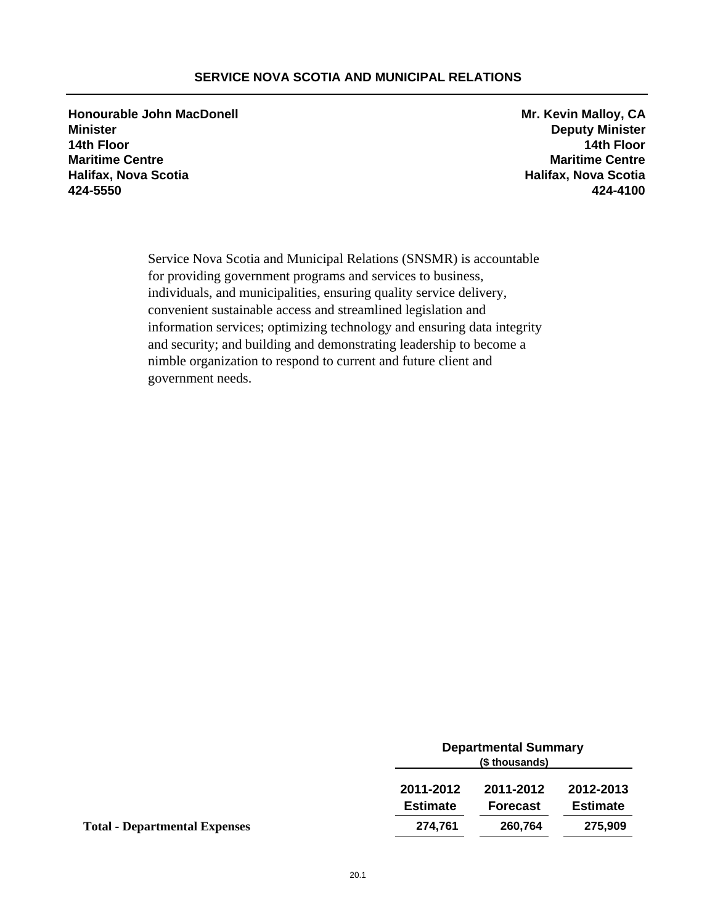## **SERVICE NOVA SCOTIA AND MUNICIPAL RELATIONS**

**Honourable John MacDonell Mr. Kevin Malloy, CA Minister Deputy Minister 14th Floor 14th Floor Maritime Centre Maritime Centre Halifax, Nova Scotia Halifax, Nova Scotia 424-5550 424-4100**

Service Nova Scotia and Municipal Relations (SNSMR) is accountable for providing government programs and services to business, individuals, and municipalities, ensuring quality service delivery, convenient sustainable access and streamlined legislation and information services; optimizing technology and ensuring data integrity and security; and building and demonstrating leadership to become a nimble organization to respond to current and future client and government needs.

|                                      | <b>Departmental Summary</b><br>(\$ thousands) |                 |                 |
|--------------------------------------|-----------------------------------------------|-----------------|-----------------|
|                                      | 2011-2012                                     | 2011-2012       | 2012-2013       |
|                                      | <b>Estimate</b>                               | <b>Forecast</b> | <b>Estimate</b> |
| <b>Total - Departmental Expenses</b> | 274,761                                       | 260,764         | 275,909         |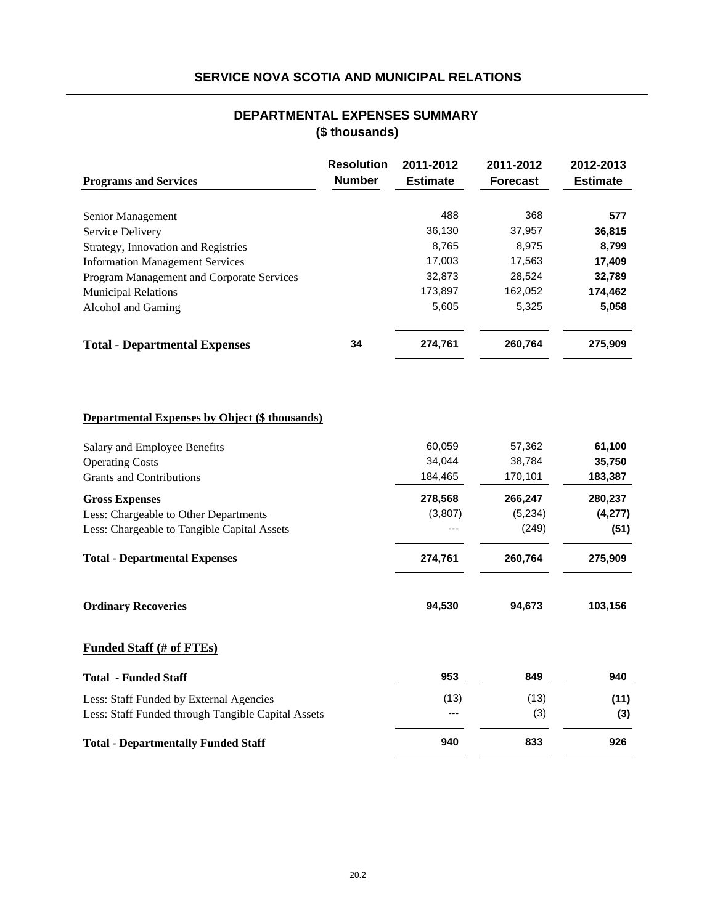## **SERVICE NOVA SCOTIA AND MUNICIPAL RELATIONS**

## **(\$ thousands) DEPARTMENTAL EXPENSES SUMMARY**

| <b>Programs and Services</b>                          | <b>Resolution</b><br><b>Number</b> | 2011-2012<br><b>Estimate</b> | 2011-2012<br><b>Forecast</b> | 2012-2013<br><b>Estimate</b> |
|-------------------------------------------------------|------------------------------------|------------------------------|------------------------------|------------------------------|
|                                                       |                                    |                              |                              |                              |
| Senior Management                                     |                                    | 488                          | 368                          | 577                          |
| Service Delivery                                      |                                    | 36,130                       | 37,957                       | 36,815                       |
| Strategy, Innovation and Registries                   |                                    | 8,765                        | 8,975                        | 8,799                        |
| <b>Information Management Services</b>                |                                    | 17,003                       | 17,563                       | 17,409                       |
| Program Management and Corporate Services             |                                    | 32,873                       | 28,524                       | 32,789                       |
| <b>Municipal Relations</b>                            |                                    | 173,897                      | 162,052                      | 174,462                      |
| Alcohol and Gaming                                    |                                    | 5,605                        | 5,325                        | 5,058                        |
| <b>Total - Departmental Expenses</b>                  | 34                                 | 274,761                      | 260,764                      | 275,909                      |
| <b>Departmental Expenses by Object (\$ thousands)</b> |                                    |                              |                              |                              |
| Salary and Employee Benefits                          |                                    | 60,059                       | 57,362                       | 61,100                       |
| <b>Operating Costs</b>                                |                                    | 34,044                       | 38,784                       | 35,750                       |
| <b>Grants and Contributions</b>                       |                                    | 184,465                      | 170,101                      | 183,387                      |
| <b>Gross Expenses</b>                                 |                                    | 278,568                      | 266,247                      | 280,237                      |
| Less: Chargeable to Other Departments                 |                                    | (3,807)                      | (5,234)                      | (4, 277)                     |
| Less: Chargeable to Tangible Capital Assets           |                                    |                              | (249)                        | (51)                         |
| <b>Total - Departmental Expenses</b>                  |                                    | 274,761                      | 260,764                      | 275,909                      |
| <b>Ordinary Recoveries</b>                            |                                    | 94,530                       | 94,673                       | 103,156                      |
| <b>Funded Staff (# of FTEs)</b>                       |                                    |                              |                              |                              |
| <b>Total - Funded Staff</b>                           |                                    | 953                          | 849                          | 940                          |
| Less: Staff Funded by External Agencies               |                                    | (13)                         | (13)                         | (11)                         |
| Less: Staff Funded through Tangible Capital Assets    |                                    |                              | (3)                          | (3)                          |
| <b>Total - Departmentally Funded Staff</b>            |                                    | 940                          | 833                          | 926                          |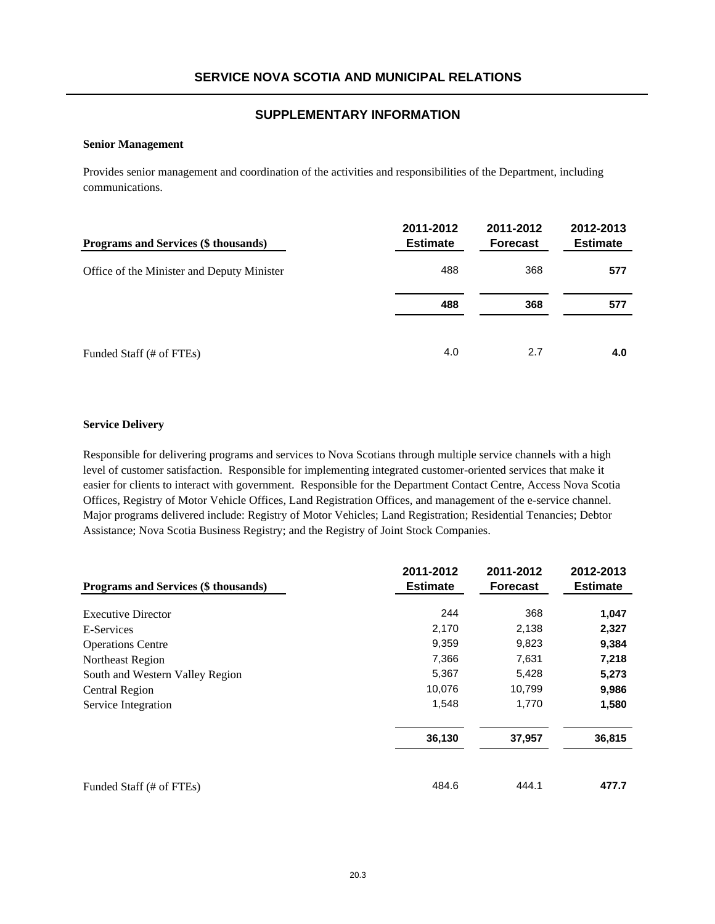#### **Senior Management**

Provides senior management and coordination of the activities and responsibilities of the Department, including communications.

| Programs and Services (\$ thousands)       | 2011-2012<br><b>Estimate</b> | 2011-2012<br><b>Forecast</b> | 2012-2013<br><b>Estimate</b> |
|--------------------------------------------|------------------------------|------------------------------|------------------------------|
| Office of the Minister and Deputy Minister | 488                          | 368                          | 577                          |
|                                            | 488                          | 368                          | 577                          |
| Funded Staff (# of FTEs)                   | 4.0                          | 2.7                          | 4.0                          |

#### **Service Delivery**

Responsible for delivering programs and services to Nova Scotians through multiple service channels with a high level of customer satisfaction. Responsible for implementing integrated customer-oriented services that make it easier for clients to interact with government. Responsible for the Department Contact Centre, Access Nova Scotia Offices, Registry of Motor Vehicle Offices, Land Registration Offices, and management of the e-service channel. Major programs delivered include: Registry of Motor Vehicles; Land Registration; Residential Tenancies; Debtor Assistance; Nova Scotia Business Registry; and the Registry of Joint Stock Companies.

|                                             | 2011-2012       | 2011-2012       | 2012-2013       |
|---------------------------------------------|-----------------|-----------------|-----------------|
| <b>Programs and Services (\$ thousands)</b> | <b>Estimate</b> | <b>Forecast</b> | <b>Estimate</b> |
| <b>Executive Director</b>                   | 244             | 368             | 1,047           |
| E-Services                                  | 2,170           | 2,138           | 2,327           |
| <b>Operations Centre</b>                    | 9,359           | 9,823           | 9,384           |
| Northeast Region                            | 7,366           | 7,631           | 7,218           |
| South and Western Valley Region             | 5,367           | 5,428           | 5,273           |
| Central Region                              | 10,076          | 10,799          | 9,986           |
| Service Integration                         | 1,548           | 1,770           | 1,580           |
|                                             | 36,130          | 37,957          | 36,815          |
| Funded Staff (# of FTEs)                    | 484.6           | 444.1           | 477.7           |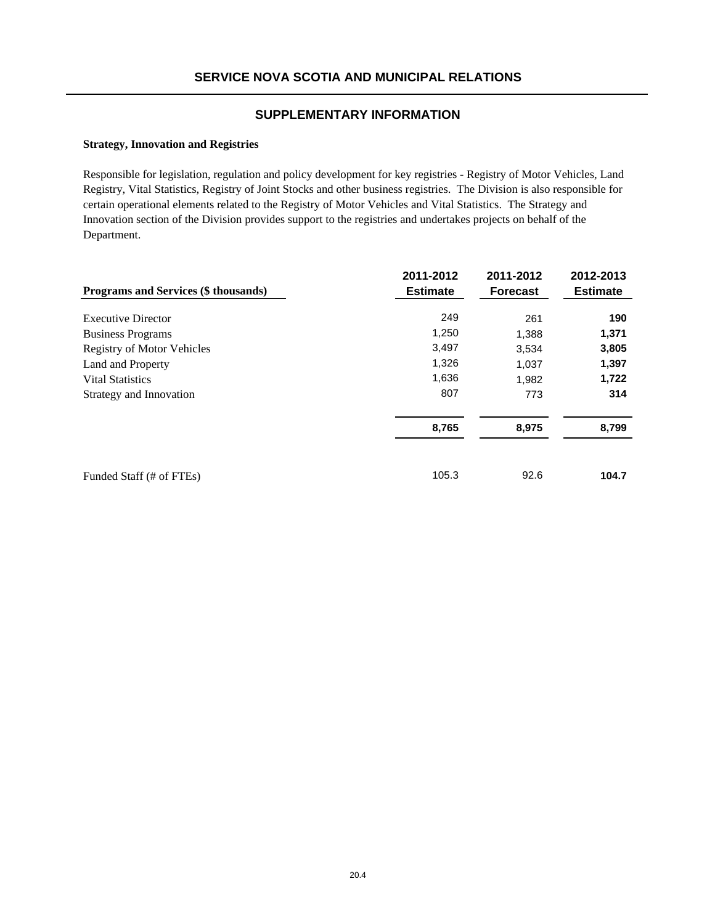#### **Strategy, Innovation and Registries**

Responsible for legislation, regulation and policy development for key registries - Registry of Motor Vehicles, Land Registry, Vital Statistics, Registry of Joint Stocks and other business registries. The Division is also responsible for certain operational elements related to the Registry of Motor Vehicles and Vital Statistics. The Strategy and Innovation section of the Division provides support to the registries and undertakes projects on behalf of the Department.

|                                      | 2011-2012       | 2011-2012       | 2012-2013       |
|--------------------------------------|-----------------|-----------------|-----------------|
| Programs and Services (\$ thousands) | <b>Estimate</b> | <b>Forecast</b> | <b>Estimate</b> |
| <b>Executive Director</b>            | 249             | 261             | 190             |
| <b>Business Programs</b>             | 1,250           | 1,388           | 1,371           |
| <b>Registry of Motor Vehicles</b>    | 3,497           | 3,534           | 3,805           |
| Land and Property                    | 1,326           | 1,037           | 1,397           |
| <b>Vital Statistics</b>              | 1,636           | 1,982           | 1,722           |
| Strategy and Innovation              | 807             | 773             | 314             |
|                                      | 8,765           | 8,975           | 8,799           |
| Funded Staff (# of FTEs)             | 105.3           | 92.6            | 104.7           |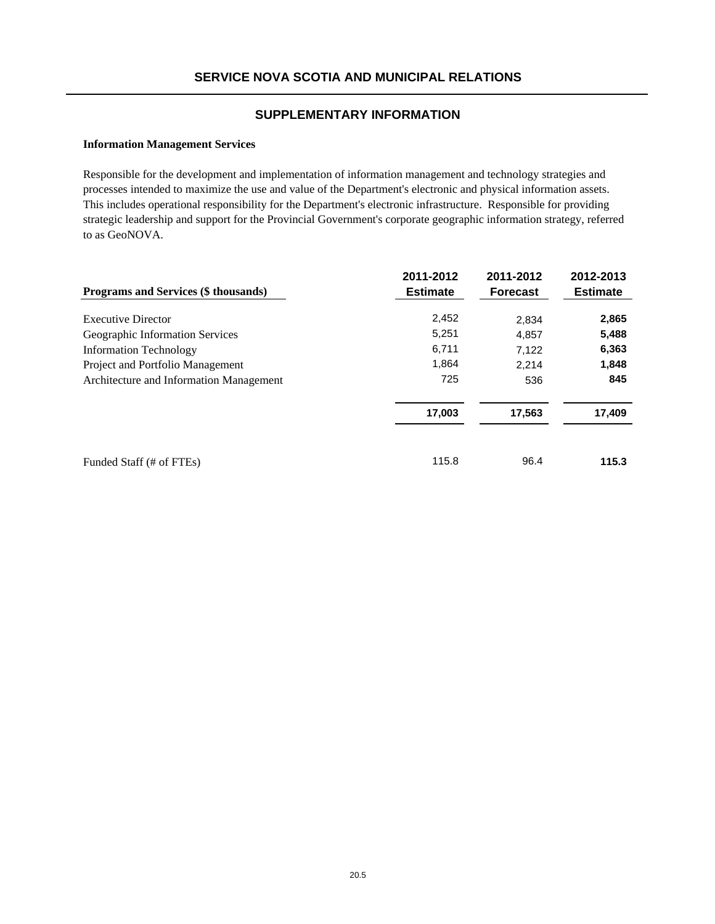#### **Information Management Services**

Responsible for the development and implementation of information management and technology strategies and processes intended to maximize the use and value of the Department's electronic and physical information assets. This includes operational responsibility for the Department's electronic infrastructure. Responsible for providing strategic leadership and support for the Provincial Government's corporate geographic information strategy, referred to as GeoNOVA.

| <b>Programs and Services (\$ thousands)</b> | 2011-2012<br><b>Estimate</b> | 2011-2012<br><b>Forecast</b> | 2012-2013<br><b>Estimate</b> |
|---------------------------------------------|------------------------------|------------------------------|------------------------------|
| <b>Executive Director</b>                   | 2,452                        | 2,834                        | 2,865                        |
| Geographic Information Services             | 5,251                        | 4,857                        | 5,488                        |
| <b>Information Technology</b>               | 6,711                        | 7.122                        | 6,363                        |
| Project and Portfolio Management            | 1,864                        | 2.214                        | 1,848                        |
| Architecture and Information Management     | 725                          | 536                          | 845                          |
|                                             | 17,003                       | 17,563                       | 17,409                       |
| Funded Staff (# of FTEs)                    | 115.8                        | 96.4                         | 115.3                        |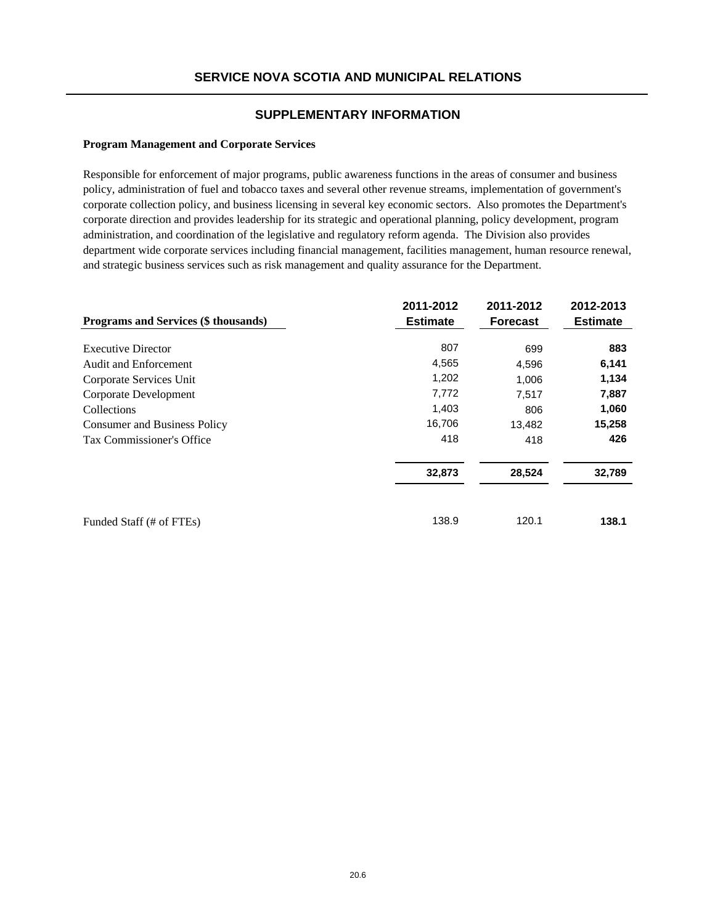#### **Program Management and Corporate Services**

Responsible for enforcement of major programs, public awareness functions in the areas of consumer and business policy, administration of fuel and tobacco taxes and several other revenue streams, implementation of government's corporate collection policy, and business licensing in several key economic sectors. Also promotes the Department's corporate direction and provides leadership for its strategic and operational planning, policy development, program administration, and coordination of the legislative and regulatory reform agenda. The Division also provides department wide corporate services including financial management, facilities management, human resource renewal, and strategic business services such as risk management and quality assurance for the Department.

| Programs and Services (\$ thousands) | 2011-2012<br><b>Estimate</b> | 2011-2012<br><b>Forecast</b> | 2012-2013<br><b>Estimate</b> |
|--------------------------------------|------------------------------|------------------------------|------------------------------|
| <b>Executive Director</b>            | 807                          | 699                          | 883                          |
| <b>Audit and Enforcement</b>         | 4,565                        | 4,596                        | 6,141                        |
| Corporate Services Unit              | 1,202                        | 1,006                        | 1,134                        |
| Corporate Development                | 7,772                        | 7,517                        | 7,887                        |
| Collections                          | 1,403                        | 806                          | 1,060                        |
| <b>Consumer and Business Policy</b>  | 16,706                       | 13,482                       | 15,258                       |
| Tax Commissioner's Office            | 418                          | 418                          | 426                          |
|                                      | 32,873                       | 28,524                       | 32,789                       |
| Funded Staff (# of FTEs)             | 138.9                        | 120.1                        | 138.1                        |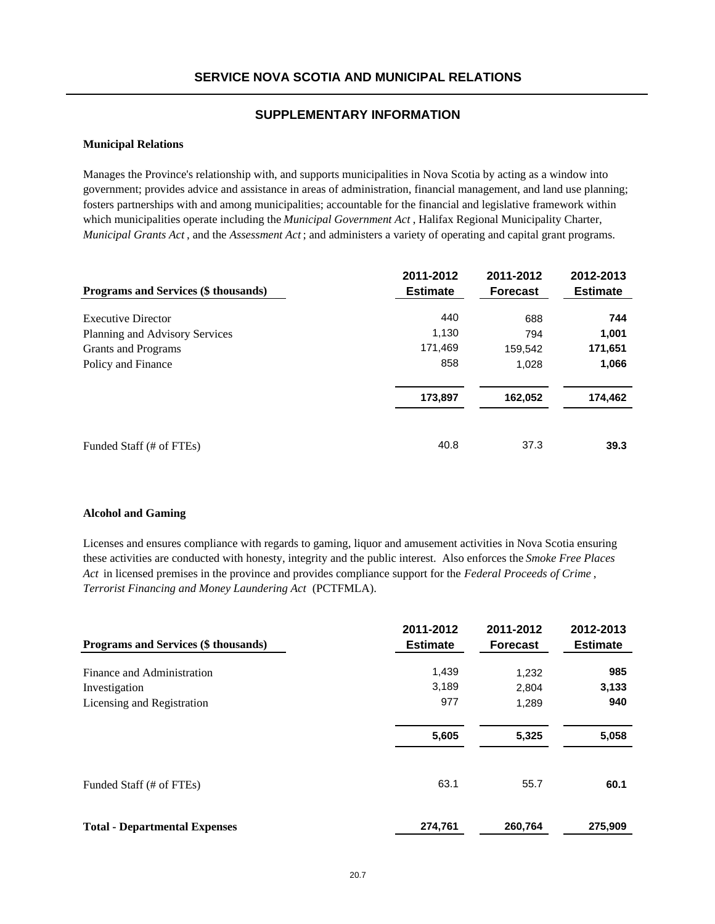#### **Municipal Relations**

Manages the Province's relationship with, and supports municipalities in Nova Scotia by acting as a window into government; provides advice and assistance in areas of administration, financial management, and land use planning; fosters partnerships with and among municipalities; accountable for the financial and legislative framework within which municipalities operate including the *Municipal Government Act* , Halifax Regional Municipality Charter, *Municipal Grants Act* , and the *Assessment Act* ; and administers a variety of operating and capital grant programs.

| <b>Programs and Services (\$ thousands)</b> | 2011-2012<br><b>Estimate</b> | 2011-2012<br><b>Forecast</b> | 2012-2013<br><b>Estimate</b> |
|---------------------------------------------|------------------------------|------------------------------|------------------------------|
| <b>Executive Director</b>                   | 440                          | 688                          | 744                          |
| Planning and Advisory Services              | 1,130                        | 794                          | 1,001                        |
| Grants and Programs                         | 171,469                      | 159,542                      | 171,651                      |
| Policy and Finance                          | 858                          | 1.028                        | 1,066                        |
|                                             | 173,897                      | 162,052                      | 174,462                      |
| Funded Staff (# of FTEs)                    | 40.8                         | 37.3                         | 39.3                         |

#### **Alcohol and Gaming**

Licenses and ensures compliance with regards to gaming, liquor and amusement activities in Nova Scotia ensuring these activities are conducted with honesty, integrity and the public interest. Also enforces the *Smoke Free Places Act* in licensed premises in the province and provides compliance support for the *Federal Proceeds of Crime* , *Terrorist Financing and Money Laundering Act* (PCTFMLA).

| Programs and Services (\$ thousands) | 2011-2012<br><b>Estimate</b> | 2011-2012<br><b>Forecast</b> | 2012-2013<br><b>Estimate</b> |
|--------------------------------------|------------------------------|------------------------------|------------------------------|
| Finance and Administration           | 1,439                        | 1,232                        | 985                          |
| Investigation                        | 3,189                        | 2.804                        | 3,133                        |
| Licensing and Registration           | 977                          | 1,289                        | 940                          |
|                                      | 5,605                        | 5,325                        | 5,058                        |
| Funded Staff (# of FTEs)             | 63.1                         | 55.7                         | 60.1                         |
| <b>Total - Departmental Expenses</b> | 274,761                      | 260.764                      | 275.909                      |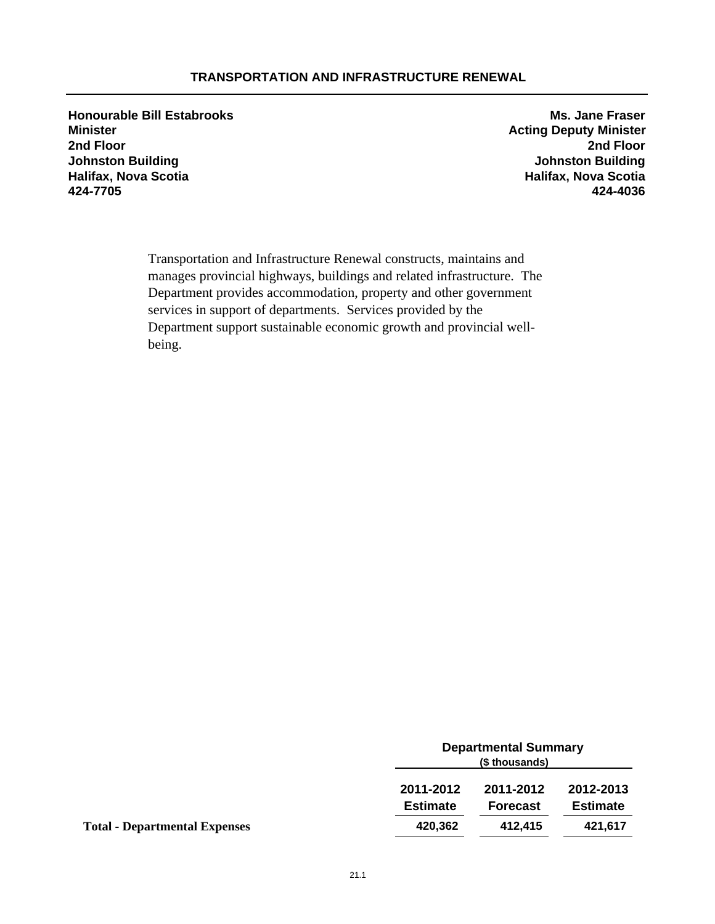## **TRANSPORTATION AND INFRASTRUCTURE RENEWAL**

**Honourable Bill Estabrooks Ms. Jane Fraser Minister Acting Deputy Minister 2nd Floor 2nd Floor Johnston Building Johnston Building Halifax, Nova Scotia Halifax, Nova Scotia 424-7705 424-4036**

Transportation and Infrastructure Renewal constructs, maintains and manages provincial highways, buildings and related infrastructure. The Department provides accommodation, property and other government services in support of departments. Services provided by the Department support sustainable economic growth and provincial wellbeing.

|                                      |                              | <b>Departmental Summary</b><br>(\$ thousands) |                              |  |
|--------------------------------------|------------------------------|-----------------------------------------------|------------------------------|--|
|                                      | 2011-2012<br><b>Estimate</b> | 2011-2012<br><b>Forecast</b>                  | 2012-2013<br><b>Estimate</b> |  |
| <b>Total - Departmental Expenses</b> | 420,362                      | 412.415                                       | 421,617                      |  |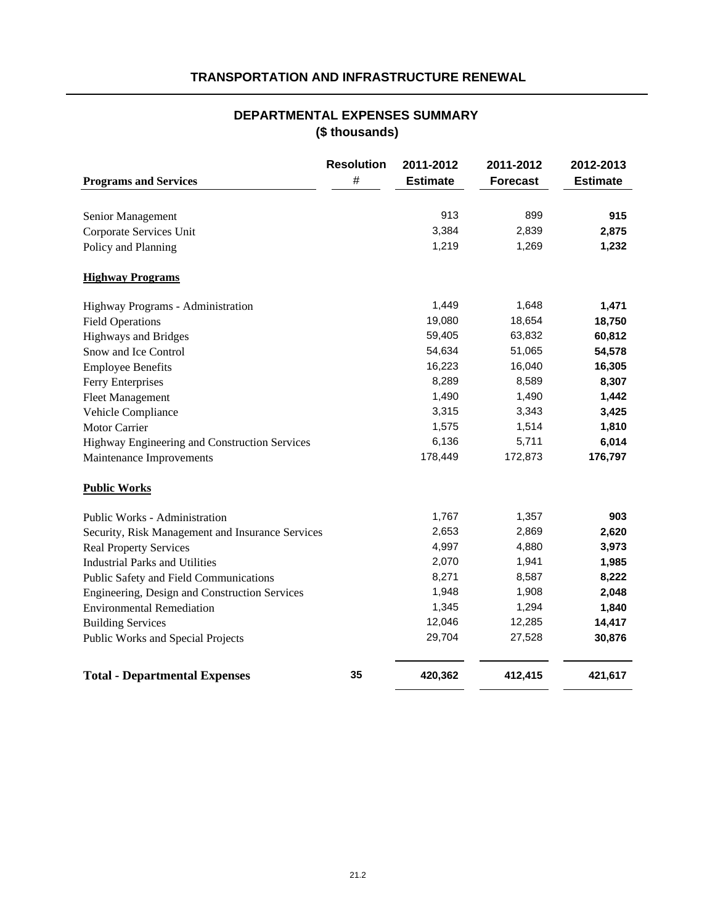# **TRANSPORTATION AND INFRASTRUCTURE RENEWAL**

# **DEPARTMENTAL EXPENSES SUMMARY (\$ thousands)**

| <b>Programs and Services</b>                     | <b>Resolution</b><br>$\#$ | 2011-2012<br><b>Estimate</b> | 2011-2012<br><b>Forecast</b> | 2012-2013<br><b>Estimate</b> |
|--------------------------------------------------|---------------------------|------------------------------|------------------------------|------------------------------|
| Senior Management                                |                           | 913                          | 899                          | 915                          |
| Corporate Services Unit                          |                           | 3,384                        | 2,839                        | 2,875                        |
| Policy and Planning                              |                           | 1,219                        | 1,269                        | 1,232                        |
| <b>Highway Programs</b>                          |                           |                              |                              |                              |
| Highway Programs - Administration                |                           | 1,449                        | 1,648                        | 1,471                        |
| <b>Field Operations</b>                          |                           | 19,080                       | 18,654                       | 18,750                       |
| <b>Highways and Bridges</b>                      |                           | 59,405                       | 63,832                       | 60,812                       |
| Snow and Ice Control                             |                           | 54,634                       | 51,065                       | 54,578                       |
| <b>Employee Benefits</b>                         |                           | 16,223                       | 16,040                       | 16,305                       |
| Ferry Enterprises                                |                           | 8,289                        | 8,589                        | 8,307                        |
| <b>Fleet Management</b>                          |                           | 1,490                        | 1,490                        | 1,442                        |
| Vehicle Compliance                               |                           | 3,315                        | 3,343                        | 3,425                        |
| <b>Motor Carrier</b>                             |                           | 1,575                        | 1,514                        | 1,810                        |
| Highway Engineering and Construction Services    |                           | 6,136                        | 5,711                        | 6,014                        |
| Maintenance Improvements                         |                           | 178,449                      | 172,873                      | 176,797                      |
| <b>Public Works</b>                              |                           |                              |                              |                              |
| Public Works - Administration                    |                           | 1,767                        | 1,357                        | 903                          |
| Security, Risk Management and Insurance Services |                           | 2,653                        | 2,869                        | 2,620                        |
| <b>Real Property Services</b>                    |                           | 4,997                        | 4,880                        | 3,973                        |
| <b>Industrial Parks and Utilities</b>            |                           | 2,070                        | 1,941                        | 1,985                        |
| Public Safety and Field Communications           |                           | 8,271                        | 8,587                        | 8,222                        |
| Engineering, Design and Construction Services    |                           | 1,948                        | 1,908                        | 2,048                        |
| <b>Environmental Remediation</b>                 |                           | 1,345                        | 1,294                        | 1,840                        |
| <b>Building Services</b>                         |                           | 12,046                       | 12,285                       | 14,417                       |
| Public Works and Special Projects                |                           | 29,704                       | 27,528                       | 30,876                       |
| <b>Total - Departmental Expenses</b>             | 35                        | 420,362                      | 412,415                      | 421,617                      |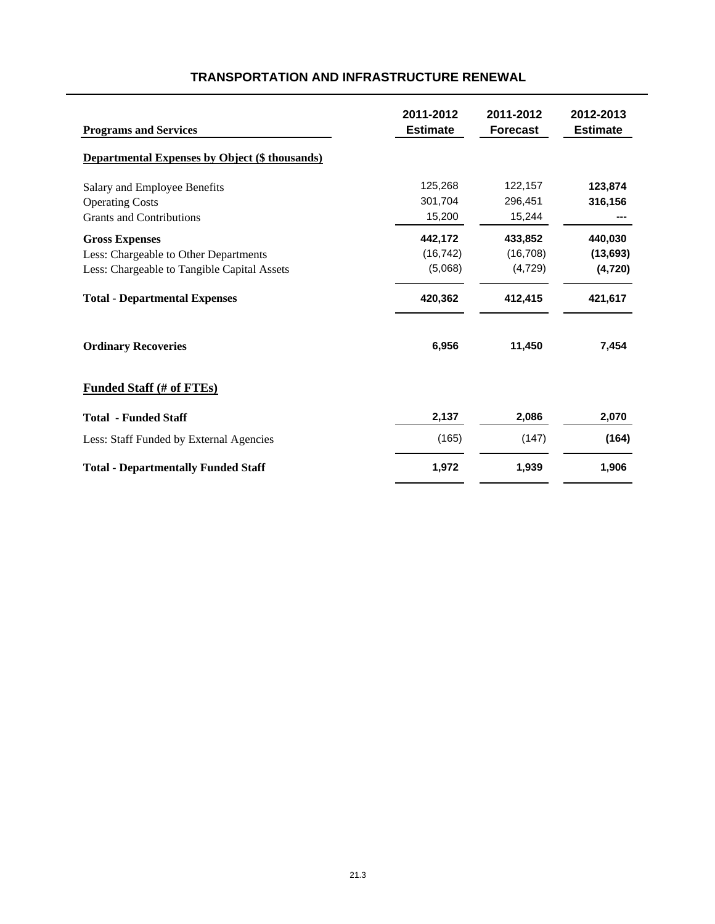| <b>Programs and Services</b>                          | 2011-2012<br><b>Estimate</b> | 2011-2012<br><b>Forecast</b> | 2012-2013<br><b>Estimate</b> |
|-------------------------------------------------------|------------------------------|------------------------------|------------------------------|
| <b>Departmental Expenses by Object (\$ thousands)</b> |                              |                              |                              |
| Salary and Employee Benefits                          | 125,268                      | 122,157                      | 123,874                      |
| <b>Operating Costs</b>                                | 301,704                      | 296,451                      | 316,156                      |
| <b>Grants and Contributions</b>                       | 15,200                       | 15,244                       |                              |
| <b>Gross Expenses</b>                                 | 442,172                      | 433,852                      | 440,030                      |
| Less: Chargeable to Other Departments                 | (16, 742)                    | (16, 708)                    | (13, 693)                    |
| Less: Chargeable to Tangible Capital Assets           | (5,068)                      | (4, 729)                     | (4, 720)                     |
| <b>Total - Departmental Expenses</b>                  | 420,362                      | 412,415                      | 421,617                      |
| <b>Ordinary Recoveries</b>                            | 6,956                        | 11,450                       | 7,454                        |
| <b>Funded Staff (# of FTEs)</b>                       |                              |                              |                              |
| <b>Total - Funded Staff</b>                           | 2,137                        | 2,086                        | 2,070                        |
| Less: Staff Funded by External Agencies               | (165)                        | (147)                        | (164)                        |
| <b>Total - Departmentally Funded Staff</b>            | 1,972                        | 1,939                        | 1,906                        |

# **TRANSPORTATION AND INFRASTRUCTURE RENEWAL**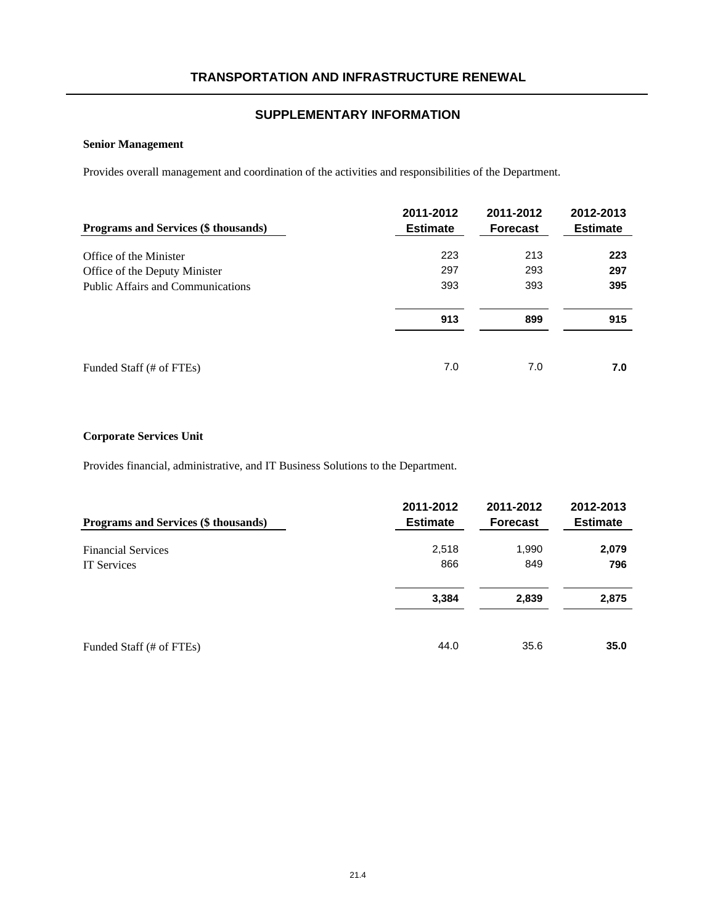### **Senior Management**

Provides overall management and coordination of the activities and responsibilities of the Department.

| <b>Programs and Services (\$ thousands)</b> | 2011-2012<br><b>Estimate</b> | 2011-2012<br><b>Forecast</b> | 2012-2013<br><b>Estimate</b> |
|---------------------------------------------|------------------------------|------------------------------|------------------------------|
| Office of the Minister                      | 223                          | 213                          | 223                          |
| Office of the Deputy Minister               | 297                          | 293                          | 297                          |
| <b>Public Affairs and Communications</b>    | 393                          | 393                          | 395                          |
|                                             | 913                          | 899                          | 915                          |
| Funded Staff (# of FTEs)                    | 7.0                          | 7.0                          | 7.0                          |

### **Corporate Services Unit**

Provides financial, administrative, and IT Business Solutions to the Department.

| Programs and Services (\$ thousands) | 2011-2012<br><b>Estimate</b> | 2011-2012<br><b>Forecast</b> | 2012-2013<br><b>Estimate</b> |
|--------------------------------------|------------------------------|------------------------------|------------------------------|
| <b>Financial Services</b>            | 2,518                        | 1,990                        | 2,079                        |
| <b>IT Services</b>                   | 866                          | 849                          | 796                          |
|                                      | 3,384                        | 2,839                        | 2,875                        |
| Funded Staff (# of FTEs)             | 44.0                         | 35.6                         | 35.0                         |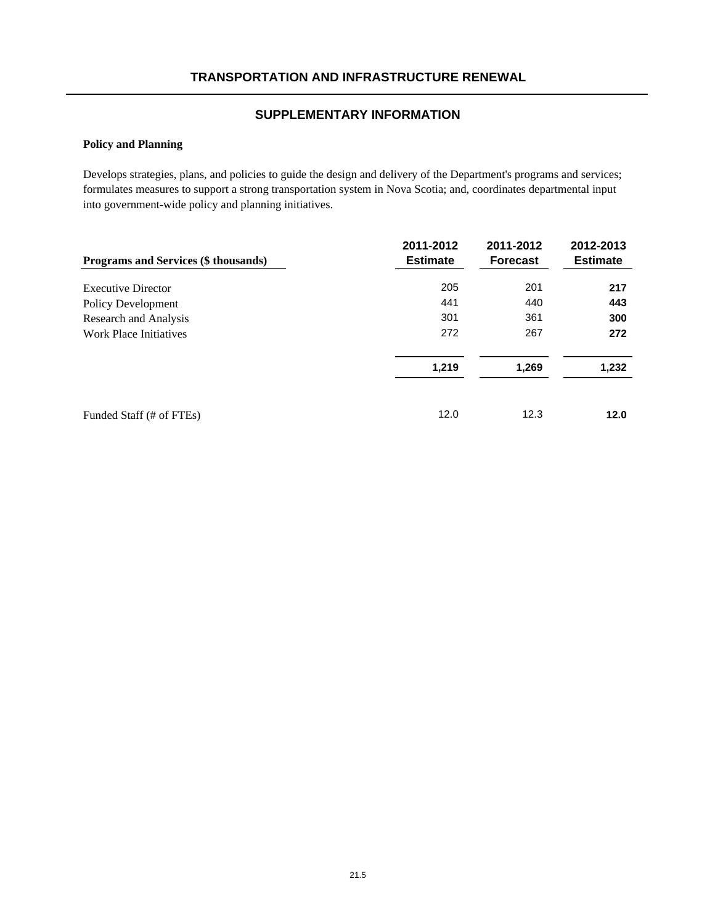# **Policy and Planning**

Develops strategies, plans, and policies to guide the design and delivery of the Department's programs and services; formulates measures to support a strong transportation system in Nova Scotia; and, coordinates departmental input into government-wide policy and planning initiatives.

| <b>Programs and Services (\$ thousands)</b> | 2011-2012<br><b>Estimate</b> | 2011-2012<br><b>Forecast</b> | 2012-2013<br><b>Estimate</b> |
|---------------------------------------------|------------------------------|------------------------------|------------------------------|
|                                             |                              |                              |                              |
| <b>Executive Director</b>                   | 205                          | 201                          | 217                          |
| Policy Development                          | 441                          | 440                          | 443                          |
| Research and Analysis                       | 301                          | 361                          | 300                          |
| Work Place Initiatives                      | 272                          | 267                          | 272                          |
|                                             | 1,219                        | 1,269                        | 1,232                        |
| Funded Staff (# of FTEs)                    | 12.0                         | 12.3                         | 12.0                         |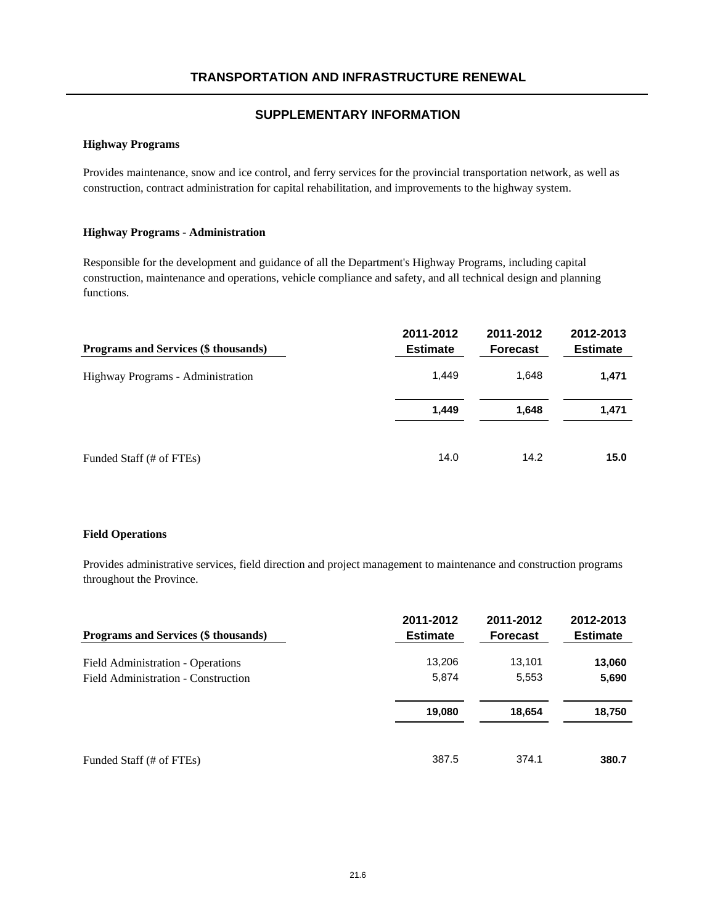#### **Highway Programs**

Provides maintenance, snow and ice control, and ferry services for the provincial transportation network, as well as construction, contract administration for capital rehabilitation, and improvements to the highway system.

#### **Highway Programs - Administration**

Responsible for the development and guidance of all the Department's Highway Programs, including capital construction, maintenance and operations, vehicle compliance and safety, and all technical design and planning functions.

| Programs and Services (\$ thousands) | 2011-2012<br><b>Estimate</b> | 2011-2012<br><b>Forecast</b> | 2012-2013<br><b>Estimate</b> |
|--------------------------------------|------------------------------|------------------------------|------------------------------|
| Highway Programs - Administration    | 1.449                        | 1.648                        | 1,471                        |
|                                      | 1,449                        | 1,648                        | 1,471                        |
| Funded Staff (# of FTEs)             | 14.0                         | 14.2                         | 15.0                         |

#### **Field Operations**

Provides administrative services, field direction and project management to maintenance and construction programs throughout the Province.

| Programs and Services (\$ thousands) | 2011-2012<br><b>Estimate</b> | 2011-2012<br><b>Forecast</b> | 2012-2013<br><b>Estimate</b> |
|--------------------------------------|------------------------------|------------------------------|------------------------------|
| Field Administration - Operations    | 13,206                       | 13,101                       | 13,060                       |
| Field Administration - Construction  | 5,874                        | 5,553                        | 5,690                        |
|                                      | 19,080                       | 18,654                       | 18,750                       |
| Funded Staff (# of FTEs)             | 387.5                        | 374.1                        | 380.7                        |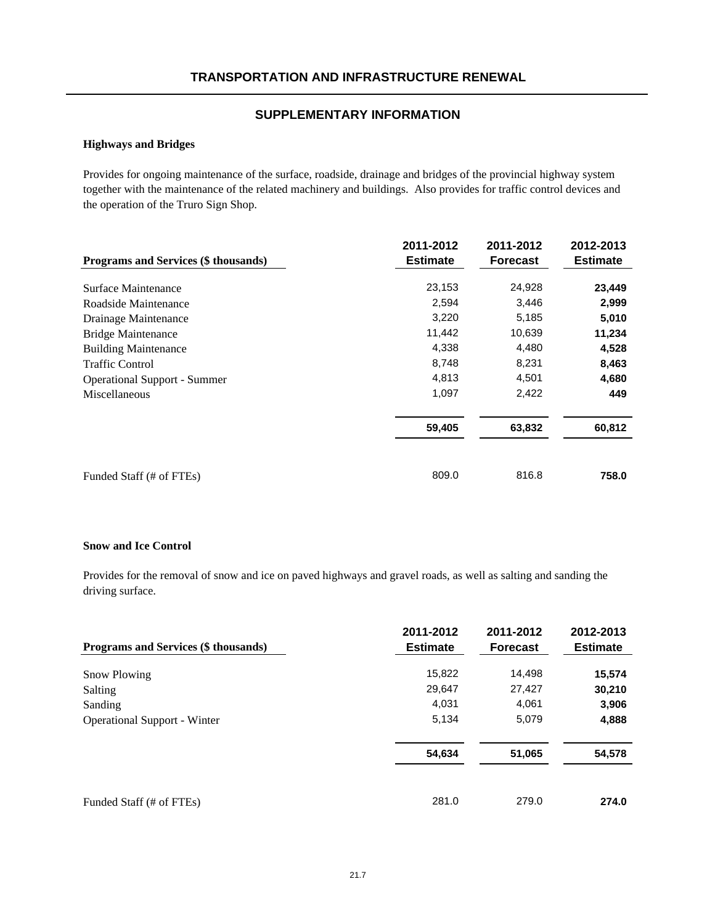### **Highways and Bridges**

Provides for ongoing maintenance of the surface, roadside, drainage and bridges of the provincial highway system together with the maintenance of the related machinery and buildings. Also provides for traffic control devices and the operation of the Truro Sign Shop.

|                                      | 2011-2012       | 2011-2012       | 2012-2013       |
|--------------------------------------|-----------------|-----------------|-----------------|
| Programs and Services (\$ thousands) | <b>Estimate</b> | <b>Forecast</b> | <b>Estimate</b> |
| Surface Maintenance                  | 23,153          | 24,928          | 23,449          |
| Roadside Maintenance                 | 2,594           | 3,446           | 2,999           |
| Drainage Maintenance                 | 3,220           | 5,185           | 5,010           |
| <b>Bridge Maintenance</b>            | 11,442          | 10,639          | 11,234          |
| <b>Building Maintenance</b>          | 4,338           | 4,480           | 4,528           |
| <b>Traffic Control</b>               | 8,748           | 8,231           | 8,463           |
| <b>Operational Support - Summer</b>  | 4,813           | 4,501           | 4,680           |
| Miscellaneous                        | 1,097           | 2,422           | 449             |
|                                      | 59,405          | 63,832          | 60,812          |
| Funded Staff (# of FTEs)             | 809.0           | 816.8           | 758.0           |

#### **Snow and Ice Control**

Provides for the removal of snow and ice on paved highways and gravel roads, as well as salting and sanding the driving surface.

| <b>Programs and Services (\$ thousands)</b> | 2011-2012<br><b>Estimate</b> | 2011-2012<br><b>Forecast</b> | 2012-2013<br><b>Estimate</b> |
|---------------------------------------------|------------------------------|------------------------------|------------------------------|
| <b>Snow Plowing</b>                         | 15,822                       | 14,498                       | 15,574                       |
| Salting                                     | 29,647                       | 27,427                       | 30,210                       |
| Sanding                                     | 4,031                        | 4,061                        | 3,906                        |
| <b>Operational Support - Winter</b>         | 5,134                        | 5,079                        | 4,888                        |
|                                             | 54,634                       | 51,065                       | 54,578                       |
| Funded Staff (# of FTEs)                    | 281.0                        | 279.0                        | 274.0                        |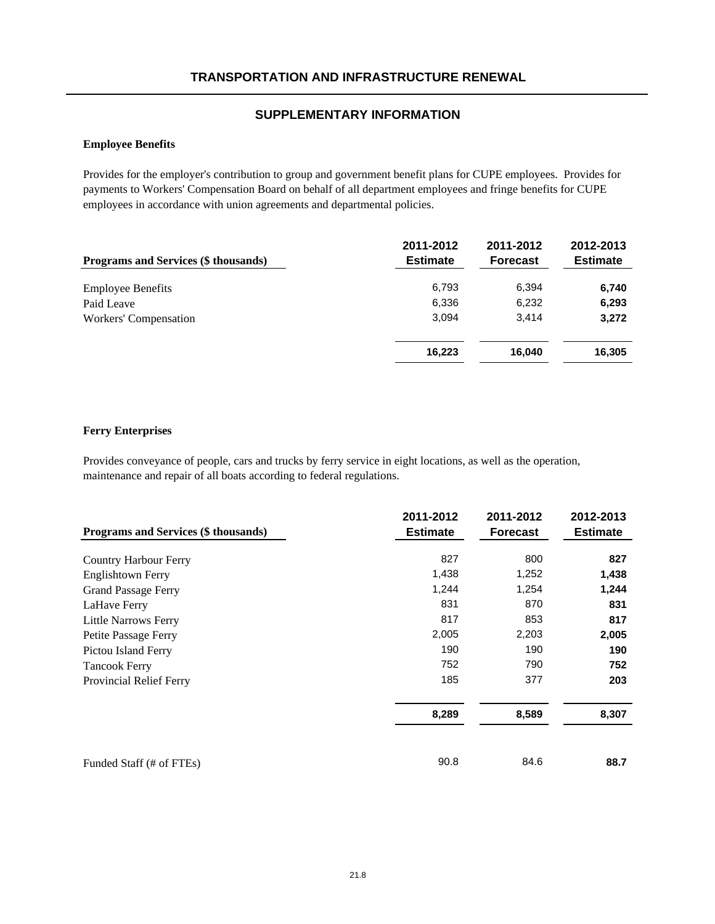### **Employee Benefits**

Provides for the employer's contribution to group and government benefit plans for CUPE employees. Provides for payments to Workers' Compensation Board on behalf of all department employees and fringe benefits for CUPE employees in accordance with union agreements and departmental policies.

| Programs and Services (\$ thousands) | 2011-2012<br><b>Estimate</b> | 2011-2012<br><b>Forecast</b> | 2012-2013<br><b>Estimate</b> |
|--------------------------------------|------------------------------|------------------------------|------------------------------|
| <b>Employee Benefits</b>             | 6,793                        | 6,394                        | 6,740                        |
| Paid Leave                           | 6,336                        | 6,232                        | 6,293                        |
| Workers' Compensation                | 3.094                        | 3.414                        | 3,272                        |
|                                      | 16.223                       | 16.040                       | 16,305                       |

#### **Ferry Enterprises**

Provides conveyance of people, cars and trucks by ferry service in eight locations, as well as the operation, maintenance and repair of all boats according to federal regulations.

| Programs and Services (\$ thousands) | 2011-2012<br><b>Estimate</b> | 2011-2012<br><b>Forecast</b> | 2012-2013<br><b>Estimate</b> |
|--------------------------------------|------------------------------|------------------------------|------------------------------|
| <b>Country Harbour Ferry</b>         | 827                          | 800                          | 827                          |
| <b>Englishtown Ferry</b>             | 1,438                        | 1,252                        | 1,438                        |
| <b>Grand Passage Ferry</b>           | 1,244                        | 1,254                        | 1,244                        |
| LaHave Ferry                         | 831                          | 870                          | 831                          |
| Little Narrows Ferry                 | 817                          | 853                          | 817                          |
| Petite Passage Ferry                 | 2,005                        | 2,203                        | 2,005                        |
| Pictou Island Ferry                  | 190                          | 190                          | 190                          |
| <b>Tancook Ferry</b>                 | 752                          | 790                          | 752                          |
| Provincial Relief Ferry              | 185                          | 377                          | 203                          |
|                                      | 8,289                        | 8,589                        | 8,307                        |
| Funded Staff (# of FTEs)             | 90.8                         | 84.6                         | 88.7                         |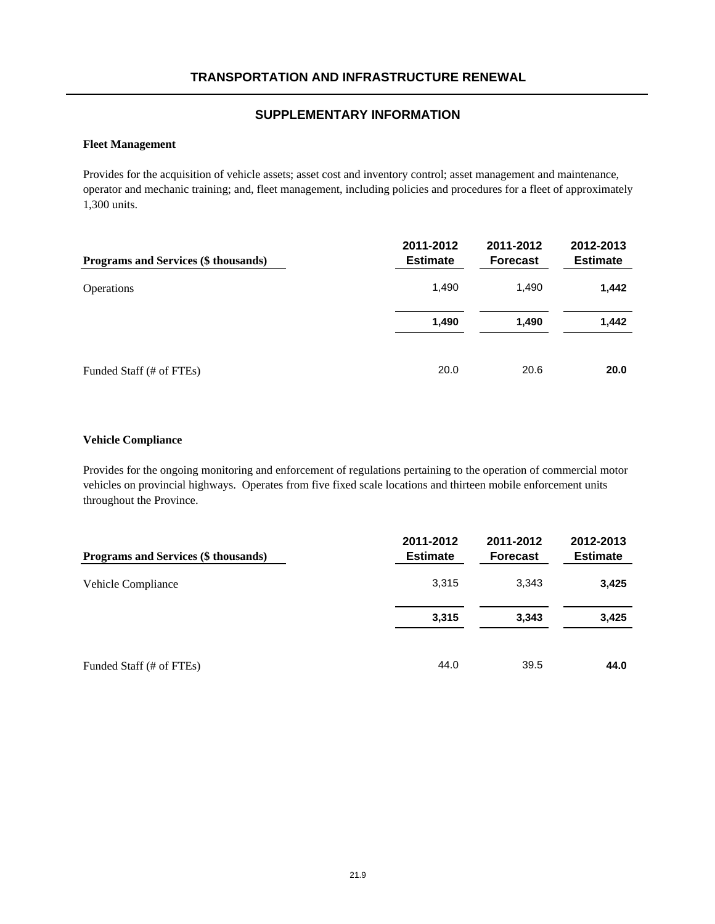### **Fleet Management**

Provides for the acquisition of vehicle assets; asset cost and inventory control; asset management and maintenance, operator and mechanic training; and, fleet management, including policies and procedures for a fleet of approximately 1,300 units.

| Programs and Services (\$ thousands) | 2011-2012<br><b>Estimate</b> | 2011-2012<br><b>Forecast</b> | 2012-2013<br><b>Estimate</b> |
|--------------------------------------|------------------------------|------------------------------|------------------------------|
| <b>Operations</b>                    | 1,490                        | 1,490                        | 1,442                        |
|                                      | 1,490                        | 1.490                        | 1,442                        |
| Funded Staff (# of FTEs)             | 20.0                         | 20.6                         | 20.0                         |

#### **Vehicle Compliance**

Provides for the ongoing monitoring and enforcement of regulations pertaining to the operation of commercial motor vehicles on provincial highways. Operates from five fixed scale locations and thirteen mobile enforcement units throughout the Province.

| Programs and Services (\$ thousands) | 2011-2012<br><b>Estimate</b> | 2011-2012<br><b>Forecast</b> | 2012-2013<br><b>Estimate</b> |
|--------------------------------------|------------------------------|------------------------------|------------------------------|
| Vehicle Compliance                   | 3,315                        | 3,343                        | 3,425                        |
|                                      | 3,315                        | 3,343                        | 3,425                        |
| Funded Staff (# of FTEs)             | 44.0                         | 39.5                         | 44.0                         |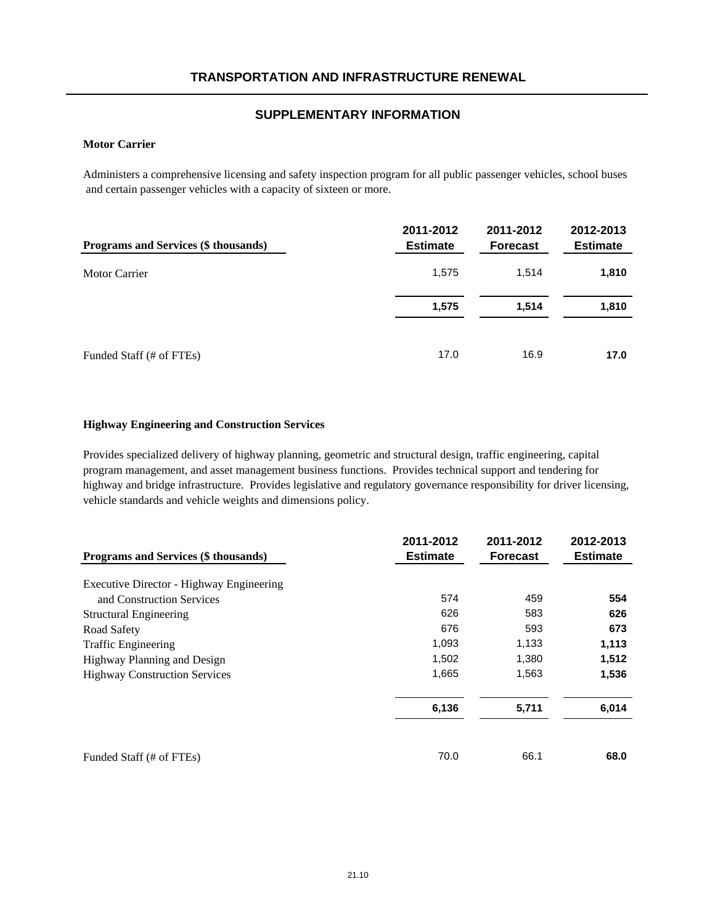#### **Motor Carrier**

Administers a comprehensive licensing and safety inspection program for all public passenger vehicles, school buses and certain passenger vehicles with a capacity of sixteen or more.

| Programs and Services (\$ thousands) | 2011-2012<br><b>Estimate</b> | 2011-2012<br><b>Forecast</b> | 2012-2013<br><b>Estimate</b> |
|--------------------------------------|------------------------------|------------------------------|------------------------------|
| Motor Carrier                        | 1,575                        | 1.514                        | 1,810                        |
|                                      | 1,575                        | 1.514                        | 1,810                        |
| Funded Staff (# of FTEs)             | 17.0                         | 16.9                         | 17.0                         |

#### **Highway Engineering and Construction Services**

Provides specialized delivery of highway planning, geometric and structural design, traffic engineering, capital program management, and asset management business functions. Provides technical support and tendering for highway and bridge infrastructure. Provides legislative and regulatory governance responsibility for driver licensing, vehicle standards and vehicle weights and dimensions policy.

| Programs and Services (\$ thousands)     | 2011-2012<br><b>Estimate</b> | 2011-2012<br><b>Forecast</b> | 2012-2013<br><b>Estimate</b> |
|------------------------------------------|------------------------------|------------------------------|------------------------------|
| Executive Director - Highway Engineering |                              |                              |                              |
| and Construction Services                | 574                          | 459                          | 554                          |
| <b>Structural Engineering</b>            | 626                          | 583                          | 626                          |
| Road Safety                              | 676                          | 593                          | 673                          |
| <b>Traffic Engineering</b>               | 1,093                        | 1,133                        | 1,113                        |
| Highway Planning and Design              | 1,502                        | 1,380                        | 1,512                        |
| <b>Highway Construction Services</b>     | 1,665                        | 1,563                        | 1,536                        |
|                                          | 6,136                        | 5,711                        | 6,014                        |
| Funded Staff (# of FTEs)                 | 70.0                         | 66.1                         | 68.0                         |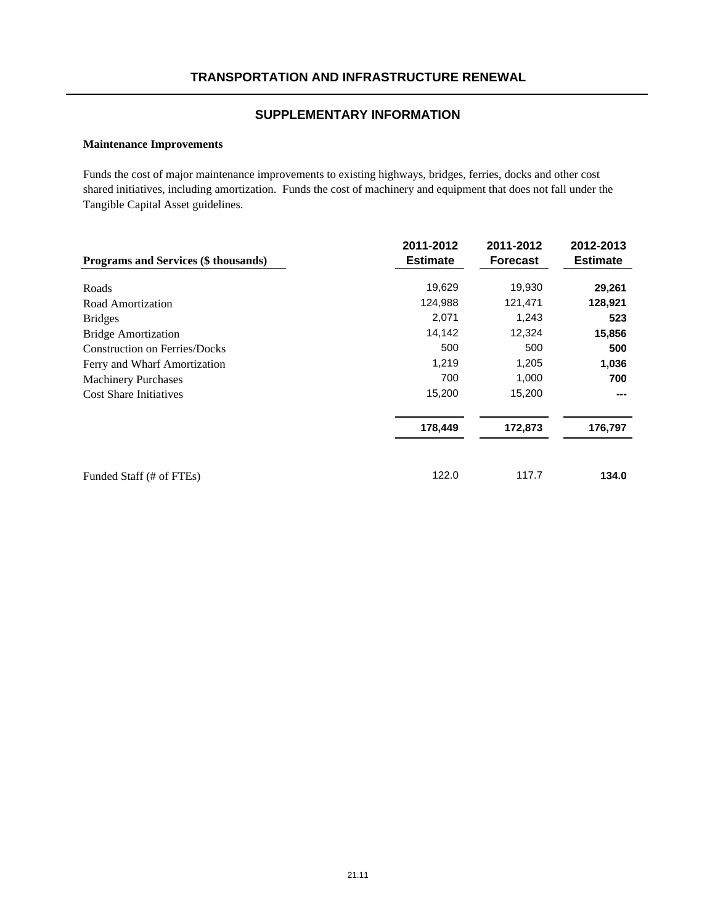#### **Maintenance Improvements**

Funds the cost of major maintenance improvements to existing highways, bridges, ferries, docks and other cost shared initiatives, including amortization. Funds the cost of machinery and equipment that does not fall under the Tangible Capital Asset guidelines.

| Programs and Services (\$ thousands) | 2011-2012<br><b>Estimate</b> | 2011-2012<br><b>Forecast</b> | 2012-2013<br><b>Estimate</b> |
|--------------------------------------|------------------------------|------------------------------|------------------------------|
|                                      |                              |                              |                              |
| Roads                                | 19,629                       | 19,930                       | 29,261                       |
| Road Amortization                    | 124,988                      | 121,471                      | 128,921                      |
| <b>Bridges</b>                       | 2,071                        | 1,243                        | 523                          |
| <b>Bridge Amortization</b>           | 14,142                       | 12,324                       | 15,856                       |
| <b>Construction on Ferries/Docks</b> | 500                          | 500                          | 500                          |
| Ferry and Wharf Amortization         | 1,219                        | 1,205                        | 1,036                        |
| <b>Machinery Purchases</b>           | 700                          | 1,000                        | 700                          |
| <b>Cost Share Initiatives</b>        | 15,200                       | 15,200                       | ---                          |
|                                      | 178,449                      | 172,873                      | 176,797                      |
| Funded Staff (# of FTEs)             | 122.0                        | 117.7                        | 134.0                        |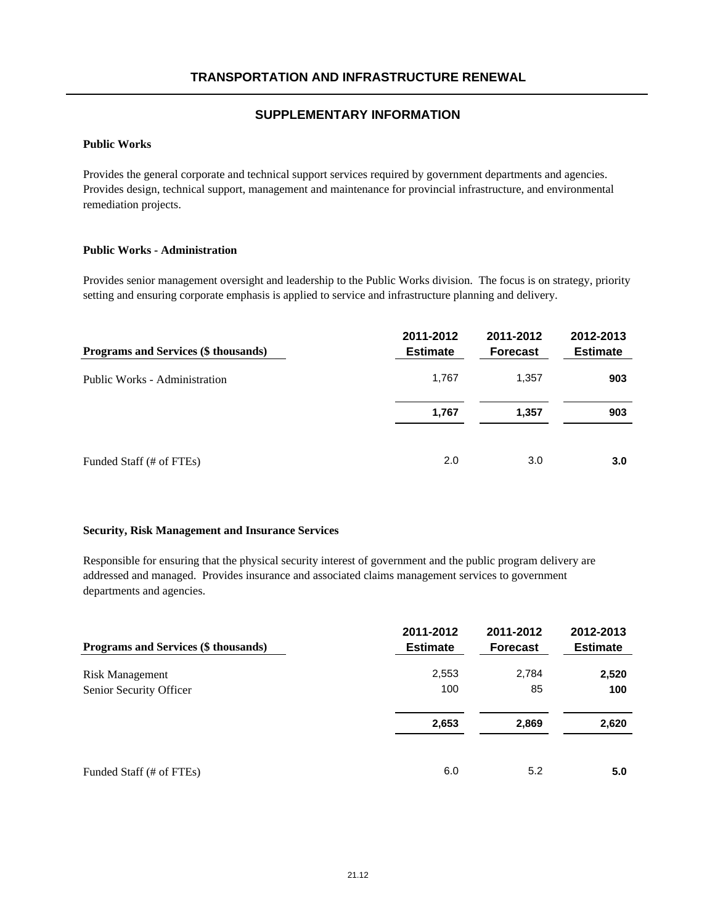### **Public Works**

Provides the general corporate and technical support services required by government departments and agencies. Provides design, technical support, management and maintenance for provincial infrastructure, and environmental remediation projects.

### **Public Works - Administration**

Provides senior management oversight and leadership to the Public Works division. The focus is on strategy, priority setting and ensuring corporate emphasis is applied to service and infrastructure planning and delivery.

| Programs and Services (\$ thousands) | 2011-2012<br><b>Estimate</b> | 2011-2012<br><b>Forecast</b> | 2012-2013<br><b>Estimate</b> |
|--------------------------------------|------------------------------|------------------------------|------------------------------|
| Public Works - Administration        | 1,767                        | 1,357                        | 903                          |
|                                      | 1,767                        | 1,357                        | 903                          |
| Funded Staff (# of FTEs)             | 2.0                          | 3.0                          | 3.0                          |

#### **Security, Risk Management and Insurance Services**

Responsible for ensuring that the physical security interest of government and the public program delivery are addressed and managed. Provides insurance and associated claims management services to government departments and agencies.

| Programs and Services (\$ thousands) | 2011-2012<br><b>Estimate</b> | 2011-2012<br><b>Forecast</b> | 2012-2013<br><b>Estimate</b> |
|--------------------------------------|------------------------------|------------------------------|------------------------------|
| <b>Risk Management</b>               | 2,553                        | 2,784                        | 2,520                        |
| Senior Security Officer              | 100                          | 85                           | 100                          |
|                                      | 2,653                        | 2,869                        | 2,620                        |
| Funded Staff (# of FTEs)             | 6.0                          | 5.2                          | 5.0                          |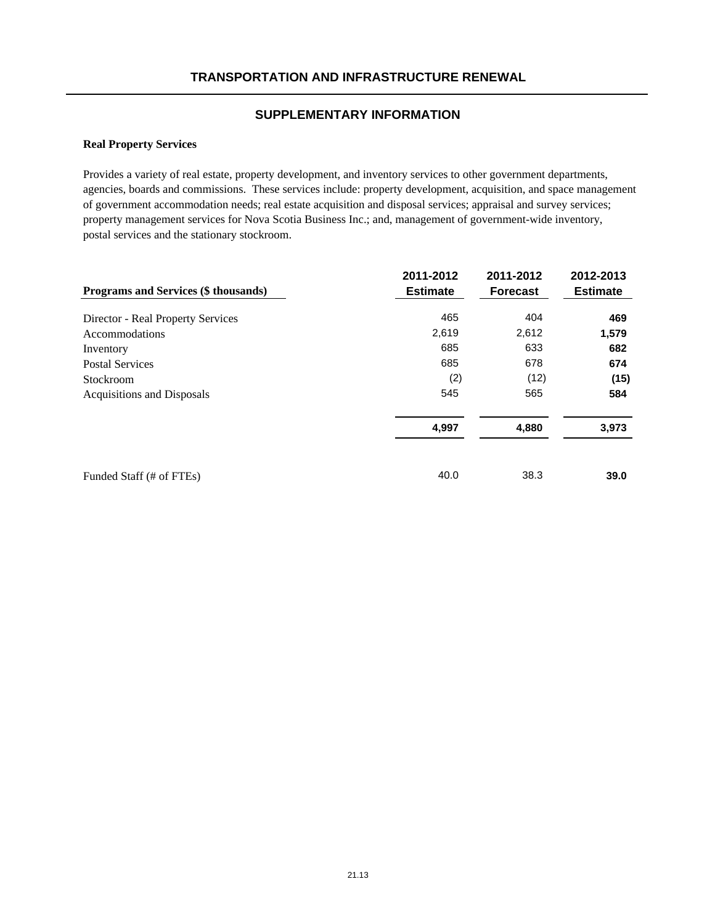### **Real Property Services**

Provides a variety of real estate, property development, and inventory services to other government departments, agencies, boards and commissions. These services include: property development, acquisition, and space management of government accommodation needs; real estate acquisition and disposal services; appraisal and survey services; property management services for Nova Scotia Business Inc.; and, management of government-wide inventory, postal services and the stationary stockroom.

|                                      | 2011-2012       | 2011-2012       | 2012-2013       |
|--------------------------------------|-----------------|-----------------|-----------------|
| Programs and Services (\$ thousands) | <b>Estimate</b> | <b>Forecast</b> | <b>Estimate</b> |
| Director - Real Property Services    | 465             | 404             | 469             |
| Accommodations                       | 2,619           | 2,612           | 1,579           |
| Inventory                            | 685             | 633             | 682             |
| <b>Postal Services</b>               | 685             | 678             | 674             |
| Stockroom                            | (2)             | (12)            | (15)            |
| Acquisitions and Disposals           | 545             | 565             | 584             |
|                                      | 4,997           | 4,880           | 3,973           |
| Funded Staff (# of FTEs)             | 40.0            | 38.3            | 39.0            |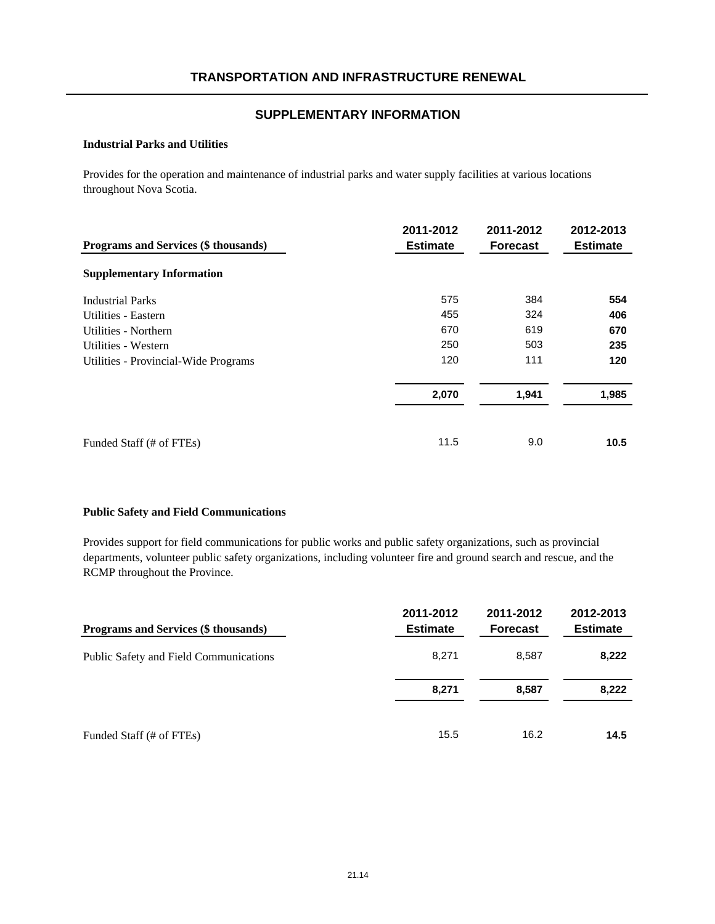#### **Industrial Parks and Utilities**

Provides for the operation and maintenance of industrial parks and water supply facilities at various locations throughout Nova Scotia.

| Programs and Services (\$ thousands) | 2011-2012<br><b>Estimate</b> | 2011-2012<br><b>Forecast</b> | 2012-2013<br><b>Estimate</b> |
|--------------------------------------|------------------------------|------------------------------|------------------------------|
| <b>Supplementary Information</b>     |                              |                              |                              |
| <b>Industrial Parks</b>              | 575                          | 384                          | 554                          |
| Utilities - Eastern                  | 455                          | 324                          | 406                          |
| Utilities - Northern                 | 670                          | 619                          | 670                          |
| Utilities - Western                  | 250                          | 503                          | 235                          |
| Utilities - Provincial-Wide Programs | 120                          | 111                          | 120                          |
|                                      | 2,070                        | 1,941                        | 1,985                        |
| Funded Staff (# of FTEs)             | 11.5                         | 9.0                          | 10.5                         |

#### **Public Safety and Field Communications**

Provides support for field communications for public works and public safety organizations, such as provincial departments, volunteer public safety organizations, including volunteer fire and ground search and rescue, and the RCMP throughout the Province.

| <b>Programs and Services (\$ thousands)</b> | 2011-2012<br><b>Estimate</b> | 2011-2012<br><b>Forecast</b> | 2012-2013<br><b>Estimate</b> |
|---------------------------------------------|------------------------------|------------------------------|------------------------------|
| Public Safety and Field Communications      | 8,271                        | 8.587                        | 8,222                        |
|                                             | 8,271                        | 8,587                        | 8,222                        |
| Funded Staff (# of FTEs)                    | 15.5                         | 16.2                         | 14.5                         |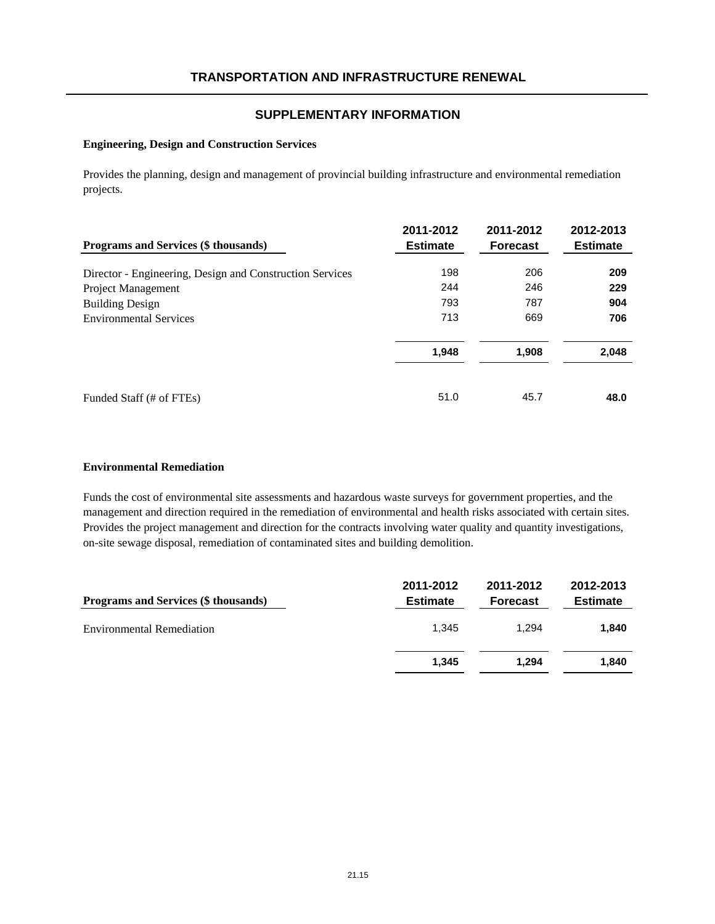#### **Engineering, Design and Construction Services**

Provides the planning, design and management of provincial building infrastructure and environmental remediation projects.

| Programs and Services (\$ thousands)                     | 2011-2012<br><b>Estimate</b> | 2011-2012<br><b>Forecast</b> | 2012-2013<br><b>Estimate</b> |
|----------------------------------------------------------|------------------------------|------------------------------|------------------------------|
| Director - Engineering, Design and Construction Services | 198                          | 206                          | 209                          |
| Project Management                                       | 244                          | 246                          | 229                          |
| <b>Building Design</b>                                   | 793                          | 787                          | 904                          |
| <b>Environmental Services</b>                            | 713                          | 669                          | 706                          |
|                                                          | 1,948                        | 1,908                        | 2,048                        |
| Funded Staff (# of FTEs)                                 | 51.0                         | 45.7                         | 48.0                         |

#### **Environmental Remediation**

Funds the cost of environmental site assessments and hazardous waste surveys for government properties, and the management and direction required in the remediation of environmental and health risks associated with certain sites. Provides the project management and direction for the contracts involving water quality and quantity investigations, on-site sewage disposal, remediation of contaminated sites and building demolition.

| Programs and Services (\$ thousands) | 2011-2012<br><b>Estimate</b> | 2011-2012<br><b>Forecast</b> | 2012-2013<br><b>Estimate</b> |
|--------------------------------------|------------------------------|------------------------------|------------------------------|
| <b>Environmental Remediation</b>     | 1.345                        | 1.294                        | 1.840                        |
|                                      | 1.345                        | 1.294                        | 1.840                        |